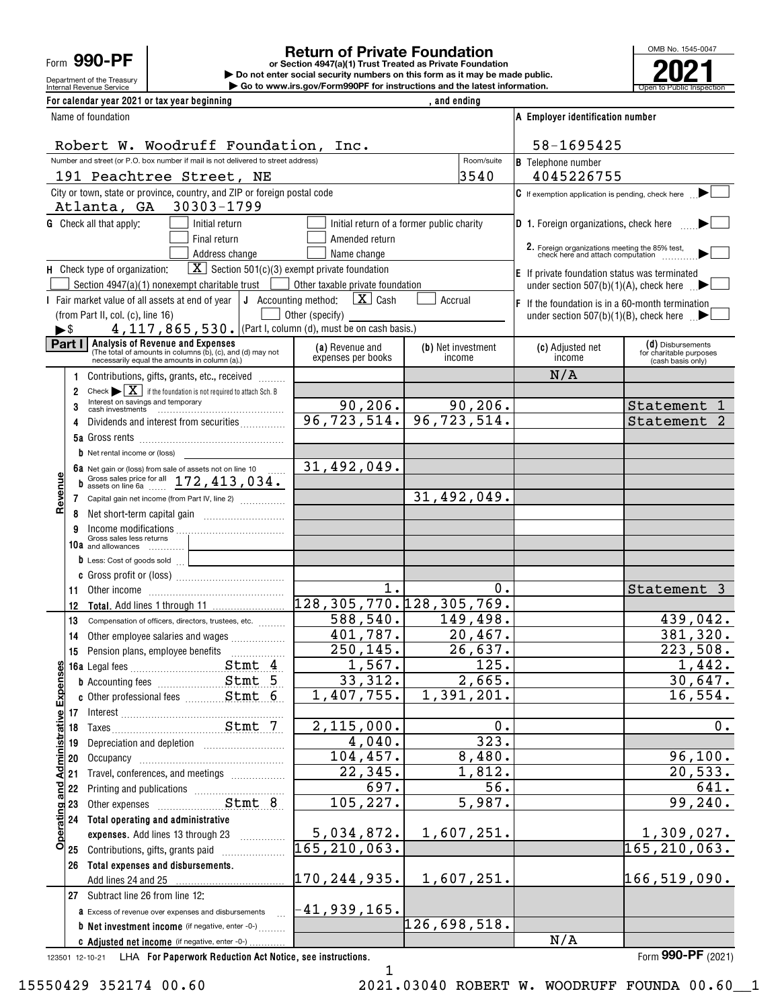Form **990-PF**

# Department of the Treasury

### **Return of Private Foundation**

Internal Revenue Service **Number 19th Construction Constructions and the latest information.** The Service of Public Inspection **or Section 4947(a)(1) Trust Treated as Private Foundation | Do not enter social security numbers on this form as it may be made public. | Go to www.irs.gov/Form990PF for instructions and the latest information.**



| For calendar year 2021 or tax year beginning                                                                                                                                                                                              |                                                       | and ending                                |                                                                                                 |                                              |  |  |
|-------------------------------------------------------------------------------------------------------------------------------------------------------------------------------------------------------------------------------------------|-------------------------------------------------------|-------------------------------------------|-------------------------------------------------------------------------------------------------|----------------------------------------------|--|--|
| Name of foundation                                                                                                                                                                                                                        |                                                       |                                           | A Employer identification number                                                                |                                              |  |  |
|                                                                                                                                                                                                                                           | Robert W. Woodruff Foundation, Inc.                   |                                           |                                                                                                 |                                              |  |  |
| Number and street (or P.O. box number if mail is not delivered to street address)                                                                                                                                                         |                                                       | Room/suite                                | <b>B</b> Telephone number                                                                       |                                              |  |  |
| 191 Peachtree Street, NE                                                                                                                                                                                                                  |                                                       | 3540                                      | 4045226755                                                                                      |                                              |  |  |
| City or town, state or province, country, and ZIP or foreign postal code<br>Atlanta, GA 30303-1799                                                                                                                                        |                                                       |                                           | $\mathbf C$ If exemption application is pending, check here $\qquad \qquad \blacktriangleright$ |                                              |  |  |
| <b>G</b> Check all that apply:<br>Initial return                                                                                                                                                                                          |                                                       | Initial return of a former public charity | <b>D</b> 1. Foreign organizations, check here                                                   |                                              |  |  |
| Final return                                                                                                                                                                                                                              | Amended return                                        |                                           |                                                                                                 |                                              |  |  |
| Address change                                                                                                                                                                                                                            | Name change                                           |                                           | 2. Foreign organizations meeting the 85% test,<br>check here and attach computation             |                                              |  |  |
| $\boxed{\mathbf{X}}$ Section 501(c)(3) exempt private foundation<br>H Check type of organization:                                                                                                                                         |                                                       |                                           | E If private foundation status was terminated                                                   |                                              |  |  |
| Section 4947(a)(1) nonexempt charitable trust                                                                                                                                                                                             | Other taxable private foundation<br>$\mathbf{X}$ Cash | Accrual                                   | under section 507(b)(1)(A), check here $\Box$                                                   |                                              |  |  |
| I Fair market value of all assets at end of year $\vert \mathbf{J} \vert$ Accounting method:<br>(from Part II, col. (c), line 16)                                                                                                         | Other (specify)                                       |                                           | $ F $ If the foundation is in a 60-month termination                                            |                                              |  |  |
| 4, 117, 865, 530. (Part I, column (d), must be on cash basis.)<br>►\$                                                                                                                                                                     |                                                       |                                           | under section 507(b)(1)(B), check here $\mathbb{R}$                                             |                                              |  |  |
| Part I<br>Analysis of Revenue and Expenses                                                                                                                                                                                                | (a) Revenue and                                       | (b) Net investment                        | (c) Adjusted net                                                                                | (d) Disbursements                            |  |  |
| The total of amounts in columns (b), (c), and (d) may not<br>necessarily equal the amounts in column (a).)                                                                                                                                | expenses per books                                    | income                                    | income                                                                                          | for charitable purposes<br>(cash basis only) |  |  |
| Contributions, gifts, grants, etc., received                                                                                                                                                                                              |                                                       |                                           | N/A                                                                                             |                                              |  |  |
| Check $\blacktriangleright \boxed{\mathbf{X}}$ if the foundation is not required to attach Sch. B<br>2<br>Interest on savings and temporary                                                                                               |                                                       |                                           |                                                                                                 |                                              |  |  |
| 3                                                                                                                                                                                                                                         | 90, 206.                                              | 90, 206.                                  |                                                                                                 | Statement                                    |  |  |
| Dividends and interest from securities<br>4                                                                                                                                                                                               |                                                       | $96, 723, 514.$ $96, 723, 514.$           |                                                                                                 | Statement 2                                  |  |  |
|                                                                                                                                                                                                                                           |                                                       |                                           |                                                                                                 |                                              |  |  |
| <b>b</b> Net rental income or (loss)                                                                                                                                                                                                      | 31,492,049.                                           |                                           |                                                                                                 |                                              |  |  |
| 6a Net gain or (loss) from sale of assets not on line 10<br>$\overline{\mathbf{c}}$<br>b Gross sales price for all $172, 413, 034$ .                                                                                                      |                                                       |                                           |                                                                                                 |                                              |  |  |
| Revenu<br>7 Capital gain net income (from Part IV, line 2)                                                                                                                                                                                |                                                       | 31,492,049.                               |                                                                                                 |                                              |  |  |
| 8                                                                                                                                                                                                                                         |                                                       |                                           |                                                                                                 |                                              |  |  |
|                                                                                                                                                                                                                                           |                                                       |                                           |                                                                                                 |                                              |  |  |
| Gross sales less returns<br>10a and allowances                                                                                                                                                                                            |                                                       |                                           |                                                                                                 |                                              |  |  |
| $\bullet$ Less: Cost of goods sold $\qquad \qquad \qquad$                                                                                                                                                                                 |                                                       |                                           |                                                                                                 |                                              |  |  |
|                                                                                                                                                                                                                                           |                                                       |                                           |                                                                                                 |                                              |  |  |
| Other income <b>contracts</b> of the contracts of the contracts of the contracts of the contracts of the contracts of the contracts of the contracts of the contracts of the contracts of the contracts of the contracts of the con<br>11 | 1.                                                    | 0.                                        |                                                                                                 | Statement 3                                  |  |  |
| 12                                                                                                                                                                                                                                        | 128, 305, 770. 128, 305, 769.                         |                                           |                                                                                                 |                                              |  |  |
| 13<br>Compensation of officers, directors, trustees, etc.                                                                                                                                                                                 | 588,540.                                              | 149,498.                                  |                                                                                                 | 439,042.                                     |  |  |
| Other employee salaries and wages<br>14                                                                                                                                                                                                   | 401,787.                                              | 20, 467.                                  |                                                                                                 | 381,320.                                     |  |  |
| 15                                                                                                                                                                                                                                        | 250, 145.                                             | 26,637.                                   |                                                                                                 | 223,508.                                     |  |  |
|                                                                                                                                                                                                                                           | 1,567.                                                | $\overline{125}$ .                        |                                                                                                 | 1,442.                                       |  |  |
|                                                                                                                                                                                                                                           | 33,312.<br>1,407,755.                                 | 2,665.<br>1,391,201.                      |                                                                                                 | 30,647.<br>16,554.                           |  |  |
|                                                                                                                                                                                                                                           |                                                       |                                           |                                                                                                 |                                              |  |  |
|                                                                                                                                                                                                                                           | 2,115,000.                                            | 0.                                        |                                                                                                 | 0.                                           |  |  |
| 19                                                                                                                                                                                                                                        | 4,040.                                                | 323.                                      |                                                                                                 |                                              |  |  |
| 20                                                                                                                                                                                                                                        | 104,457.                                              | 8,480.                                    |                                                                                                 | 96,100.                                      |  |  |
| Travel, conferences, and meetings<br>21                                                                                                                                                                                                   | 22, 345.                                              | 1,812.                                    |                                                                                                 | 20,533.                                      |  |  |
| 22                                                                                                                                                                                                                                        | 697.                                                  | 56.                                       |                                                                                                 | 641.                                         |  |  |
| Operating and Administrative Expenses<br>23                                                                                                                                                                                               | 105, 227.                                             | 5,987.                                    |                                                                                                 | 99, 240.                                     |  |  |
| 24<br>Total operating and administrative                                                                                                                                                                                                  |                                                       |                                           |                                                                                                 |                                              |  |  |
| expenses. Add lines 13 through 23<br>.                                                                                                                                                                                                    | 5,034,872.                                            | 1,607,251.                                |                                                                                                 | 1,309,027.                                   |  |  |
| Contributions, gifts, grants paid<br>25                                                                                                                                                                                                   | $\vert 165$ , $210$ , $063$ .                         |                                           |                                                                                                 | 165,210, <u>063.</u>                         |  |  |
| Total expenses and disbursements.<br>26                                                                                                                                                                                                   |                                                       |                                           |                                                                                                 |                                              |  |  |
| Add lines 24 and 25                                                                                                                                                                                                                       | 170, 244, 935.                                        | 1,607,251.                                |                                                                                                 | 166,519,090.                                 |  |  |
| 27 Subtract line 26 from line 12:                                                                                                                                                                                                         |                                                       |                                           |                                                                                                 |                                              |  |  |
| a Excess of revenue over expenses and disbursements<br>$\mathcal{L}$                                                                                                                                                                      | -41,939,165.                                          |                                           |                                                                                                 |                                              |  |  |
| <b>b</b> Net investment income (if negative, enter -0-)                                                                                                                                                                                   |                                                       | 126,698,518.                              |                                                                                                 |                                              |  |  |
| C Adjusted net income (if negative, enter -0-)                                                                                                                                                                                            |                                                       |                                           | N/A                                                                                             |                                              |  |  |

123501 12-10-21 **For Paperwork Reduction Act Notice, see instructions.** LHA Form (2021)

**990-PF**

1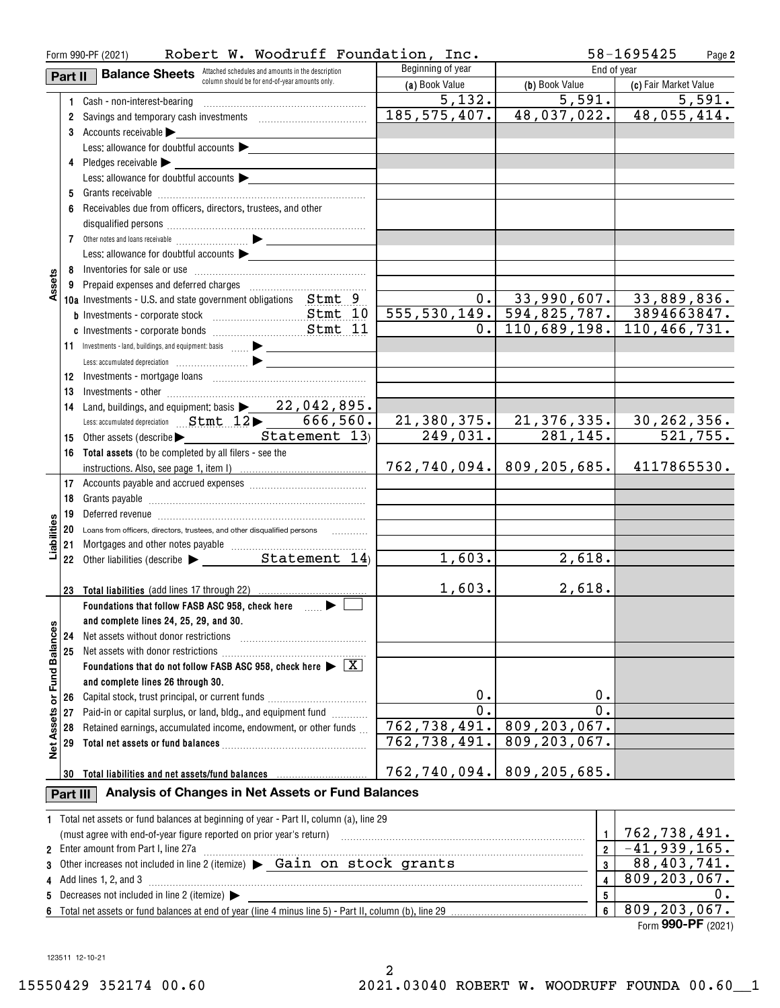|                      |          | Robert W. Woodruff Foundation, Inc.<br>Form 990-PF (2021)                                      |                         | 58-1695425<br>Page 2                        |                                |  |
|----------------------|----------|------------------------------------------------------------------------------------------------|-------------------------|---------------------------------------------|--------------------------------|--|
|                      | Part II  | <b>Balance Sheets</b> Attached schedules and amounts in the description                        | Beginning of year       |                                             | End of year                    |  |
|                      |          | column should be for end-of-year amounts only.                                                 | (a) Book Value          | (b) Book Value                              | (c) Fair Market Value          |  |
|                      |          | 1 Cash - non-interest-bearing                                                                  | 5,132.                  | 5,591.                                      | 5,591.                         |  |
|                      |          |                                                                                                | 185, 575, 407.          |                                             | $48,037,022.$ 48,055,414.      |  |
|                      |          | 3 Accounts receivable                                                                          |                         |                                             |                                |  |
|                      |          | Less: allowance for doubtful accounts $\blacktriangleright$                                    |                         |                                             |                                |  |
|                      |          | 4 Pledges receivable >                                                                         |                         |                                             |                                |  |
|                      |          | Less: allowance for doubtful accounts $\blacktriangleright$                                    |                         |                                             |                                |  |
|                      |          |                                                                                                |                         |                                             |                                |  |
|                      | 6        | Receivables due from officers, directors, trustees, and other                                  |                         |                                             |                                |  |
|                      |          |                                                                                                |                         |                                             |                                |  |
|                      |          |                                                                                                |                         |                                             |                                |  |
|                      |          | Less: allowance for doubtful accounts $\blacktriangleright$                                    |                         |                                             |                                |  |
|                      |          |                                                                                                |                         |                                             |                                |  |
| Assets               |          |                                                                                                |                         |                                             |                                |  |
|                      |          | 10a Investments - U.S. and state government obligations Stmt 9                                 |                         | $0.$ 33,990,607. 33,889,836.                |                                |  |
|                      |          |                                                                                                |                         | 555, 530, 149. 594, 825, 787.               | 3894663847.                    |  |
|                      |          |                                                                                                | $\overline{0}$ .        | 110,689,198.                                | 110,466,731.                   |  |
|                      |          | 11 Investments - land, buildings, and equipment: basis                                         |                         |                                             |                                |  |
|                      |          |                                                                                                |                         |                                             |                                |  |
|                      |          |                                                                                                |                         |                                             |                                |  |
|                      |          |                                                                                                |                         |                                             |                                |  |
|                      | 13       |                                                                                                |                         |                                             |                                |  |
|                      | 14       | Land, buildings, and equipment: basis $\blacktriangleright$ 22, 042, 895.                      |                         |                                             |                                |  |
|                      |          | Less: accumulated depreciation  Stmt 12 > 666,560.                                             | 249,031.                | <u>21,380,375. 21,376,335.</u><br>281, 145. | <u>30,262,356.</u><br>521,755. |  |
|                      |          | 15 Other assets (describe > Statement 13)                                                      |                         |                                             |                                |  |
|                      |          | 16 Total assets (to be completed by all filers - see the                                       |                         |                                             |                                |  |
|                      |          |                                                                                                |                         | 762,740,094. 809,205,685.                   | 4117865530.                    |  |
|                      |          |                                                                                                |                         |                                             |                                |  |
|                      | 18       |                                                                                                |                         |                                             |                                |  |
|                      | 19       |                                                                                                |                         |                                             |                                |  |
| iabiliti             |          | 20 Loans from officers, directors, trustees, and other disqualified persons                    |                         |                                             |                                |  |
|                      | 21       |                                                                                                | 1,603.                  | 2,618.                                      |                                |  |
|                      |          |                                                                                                |                         |                                             |                                |  |
|                      | 23       | <b>Total liabilities</b> (add lines 17 through 22)                                             | 1,603.                  | 2,618.                                      |                                |  |
|                      |          | Foundations that follow FASB ASC 958, check here many                                          |                         |                                             |                                |  |
|                      |          | and complete lines 24, 25, 29, and 30.                                                         |                         |                                             |                                |  |
|                      | 24       | Net assets without donor restrictions                                                          |                         |                                             |                                |  |
|                      | 25       | Net assets with donor restrictions                                                             |                         |                                             |                                |  |
| <b>Fund Balances</b> |          | Foundations that do not follow FASB ASC 958, check here $\blacktriangleright \boxed{\text{X}}$ |                         |                                             |                                |  |
|                      |          | and complete lines 26 through 30.                                                              |                         |                                             |                                |  |
|                      | 26       | Capital stock, trust principal, or current funds                                               | 0.                      | 0.                                          |                                |  |
| ŏ                    | 27       | Paid-in or capital surplus, or land, bldg., and equipment fund                                 | $\overline{0}$ .        | $\overline{0}$ .                            |                                |  |
|                      | 28       | Retained earnings, accumulated income, endowment, or other funds                               | 762,738,491.            | 809, 203, 067.                              |                                |  |
|                      | 29       |                                                                                                | 762,738,491.            | 809, 203, 067.                              |                                |  |
| <b>Net Assets</b>    |          |                                                                                                |                         |                                             |                                |  |
|                      | 30       |                                                                                                | 762,740,094.            | 809,205,685.                                |                                |  |
|                      |          |                                                                                                |                         |                                             |                                |  |
|                      | Part III | Analysis of Changes in Net Assets or Fund Balances                                             |                         |                                             |                                |  |
|                      |          | 1 Total net assets or fund balances at beginning of year - Part II, column (a), line 29        |                         |                                             |                                |  |
|                      |          | (must agree with end-of-year figure reported on prior year's return)                           | $\mathbf{1}$            | 762,738,491.                                |                                |  |
|                      |          | 2 Enter amount from Part I, line 27a                                                           |                         | $\overline{\mathbf{2}}$                     | $-41,939,165.$                 |  |
| 3                    |          | Other increases not included in line 2 (itemize) > Gain on stock grants                        | $\overline{\mathbf{3}}$ | 88,403,741.                                 |                                |  |
|                      |          | Add lines 1, 2, and 3                                                                          |                         | 4                                           | 809, 203, 067.                 |  |
| 5                    |          | Decreases not included in line 2 (itemize) >                                                   |                         | 5                                           | 0.                             |  |
|                      |          |                                                                                                |                         | $\boldsymbol{6}$                            | 809, 203, 067.                 |  |

**6**Total net assets or fund balances at end of year (line 4 minus line 5) - Part II, column (b), line 29

Form (2021) **990-PF**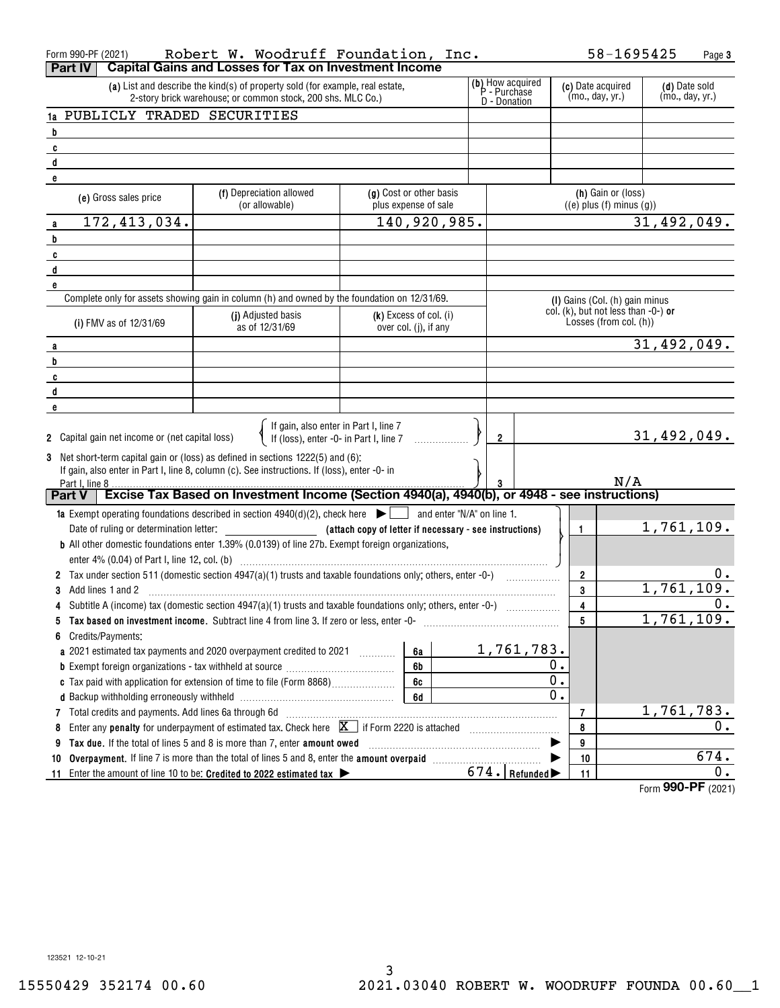| Form 990-PF (2021)<br>Part IV                   | Robert W. Woodruff Foundation, Inc.<br><b>Capital Gains and Losses for Tax on Investment Income</b>                                                                             |                                                   |                 |                                      | 58-1695425                                                    | Page 3             |
|-------------------------------------------------|---------------------------------------------------------------------------------------------------------------------------------------------------------------------------------|---------------------------------------------------|-----------------|--------------------------------------|---------------------------------------------------------------|--------------------|
|                                                 | (a) List and describe the kind(s) of property sold (for example, real estate,<br>2-story brick warehouse; or common stock, 200 shs. MLC Co.)                                    | (b) How acquired<br>P - Purchase<br>D - Donation  |                 | (c) Date acquired<br>(mo., day, yr.) | (d) Date sold<br>(mo., day, yr.)                              |                    |
| 1a PUBLICLY TRADED SECURITIES                   |                                                                                                                                                                                 |                                                   |                 |                                      |                                                               |                    |
| b                                               |                                                                                                                                                                                 |                                                   |                 |                                      |                                                               |                    |
| C                                               |                                                                                                                                                                                 |                                                   |                 |                                      |                                                               |                    |
| d                                               |                                                                                                                                                                                 |                                                   |                 |                                      |                                                               |                    |
| e                                               |                                                                                                                                                                                 |                                                   |                 |                                      |                                                               |                    |
| (e) Gross sales price                           | (f) Depreciation allowed<br>(or allowable)                                                                                                                                      | (g) Cost or other basis<br>plus expense of sale   |                 |                                      | (h) Gain or (loss)<br>$((e)$ plus $(f)$ minus $(g)$ )         |                    |
| 172, 413, 034.<br>a                             |                                                                                                                                                                                 | 140,920,985.                                      |                 |                                      |                                                               | 31,492,049.        |
| b                                               |                                                                                                                                                                                 |                                                   |                 |                                      |                                                               |                    |
| C                                               |                                                                                                                                                                                 |                                                   |                 |                                      |                                                               |                    |
| d                                               |                                                                                                                                                                                 |                                                   |                 |                                      |                                                               |                    |
| e                                               |                                                                                                                                                                                 |                                                   |                 |                                      |                                                               |                    |
|                                                 | Complete only for assets showing gain in column (h) and owned by the foundation on 12/31/69.                                                                                    |                                                   |                 |                                      | (I) Gains (Col. (h) gain minus                                |                    |
| (i) FMV as of 12/31/69                          | (j) Adjusted basis<br>as of 12/31/69                                                                                                                                            | $(k)$ Excess of col. (i)<br>over col. (j), if any |                 |                                      | col. (k), but not less than -0-) or<br>Losses (from col. (h)) |                    |
| a                                               |                                                                                                                                                                                 |                                                   |                 |                                      |                                                               | 31,492,049.        |
| b                                               |                                                                                                                                                                                 |                                                   |                 |                                      |                                                               |                    |
| C                                               |                                                                                                                                                                                 |                                                   |                 |                                      |                                                               |                    |
| d                                               |                                                                                                                                                                                 |                                                   |                 |                                      |                                                               |                    |
| e                                               |                                                                                                                                                                                 |                                                   |                 |                                      |                                                               |                    |
| 2 Capital gain net income or (net capital loss) | If gain, also enter in Part I, line 7                                                                                                                                           | If (loss), enter -0- in Part I, line 7            | $\overline{2}$  |                                      |                                                               | 31,492,049.        |
|                                                 | 3 Net short-term capital gain or (loss) as defined in sections 1222(5) and (6):<br>If gain, also enter in Part I, line 8, column (c). See instructions. If (loss), enter -0- in |                                                   |                 |                                      |                                                               |                    |
| Part I. line 8                                  |                                                                                                                                                                                 |                                                   |                 |                                      | N/A                                                           |                    |
| <b>Part V</b>                                   | Excise Tax Based on Investment Income (Section 4940(a), 4940(b), or 4948 - see instructions)                                                                                    |                                                   |                 |                                      |                                                               |                    |
|                                                 | <b>1a</b> Exempt operating foundations described in section $4940(d)(2)$ , check here $\Box$ and enter "N/A" on line 1.                                                         |                                                   |                 |                                      |                                                               |                    |
|                                                 |                                                                                                                                                                                 |                                                   |                 |                                      | $\mathbf{1}$                                                  | 1,761,109.         |
|                                                 | <b>b</b> All other domestic foundations enter 1.39% (0.0139) of line 27b. Exempt foreign organizations,                                                                         |                                                   |                 |                                      |                                                               |                    |
|                                                 |                                                                                                                                                                                 |                                                   |                 |                                      |                                                               |                    |
|                                                 |                                                                                                                                                                                 |                                                   |                 |                                      | 2                                                             | υ.                 |
| Add lines 1 and 2<br>3                          |                                                                                                                                                                                 |                                                   |                 |                                      | 3                                                             | 1,761,109.         |
|                                                 |                                                                                                                                                                                 |                                                   |                 |                                      | 4                                                             | 0.                 |
| 5                                               | Tax based on investment income. Subtract line 4 from line 3. If zero or less, enter -0-                                                                                         |                                                   |                 |                                      | 5                                                             | 1,761,109.         |
| Credits/Payments:<br>6                          |                                                                                                                                                                                 |                                                   |                 |                                      |                                                               |                    |
|                                                 |                                                                                                                                                                                 | 6a                                                |                 | 1,761,783.                           |                                                               |                    |
|                                                 |                                                                                                                                                                                 | 6b                                                |                 | Ο.                                   |                                                               |                    |
|                                                 |                                                                                                                                                                                 | 6c                                                |                 | 0.                                   |                                                               |                    |
|                                                 |                                                                                                                                                                                 | 6d                                                |                 | $\overline{0}$ .                     |                                                               |                    |
|                                                 |                                                                                                                                                                                 |                                                   |                 |                                      | $\overline{7}$                                                | 1,761,783.         |
| 8                                               | Enter any penalty for underpayment of estimated tax. Check here $X$ if Form 2220 is attached                                                                                    |                                                   |                 |                                      | 8                                                             | 0.                 |
| 9                                               | Tax due. If the total of lines 5 and 8 is more than 7, enter amount owed                                                                                                        |                                                   |                 |                                      | 9                                                             |                    |
| 10                                              |                                                                                                                                                                                 |                                                   |                 |                                      | 10                                                            | 674.<br>0.         |
| -11                                             | Enter the amount of line 10 to be: Credited to 2022 estimated tax $\blacktriangleright$                                                                                         |                                                   | $674.$ Refunded |                                      | 11                                                            | Form 990-PF (2021) |
|                                                 |                                                                                                                                                                                 |                                                   |                 |                                      |                                                               |                    |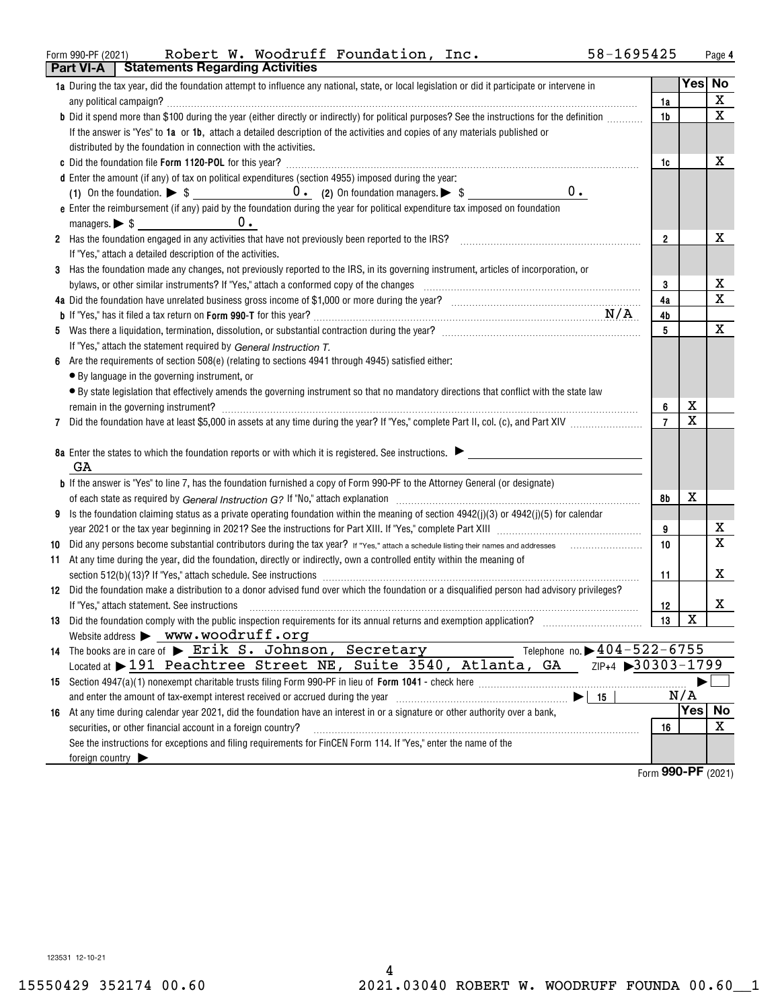#### Form 990-PF(2021)  ${\rm \texttt{Robert \ W.}}$  <code>Woodrutt Foundation, Inc.</code> 58-1695425 Page **Part VI-A Statements Regarding Activities** Robert W. Woodruff Foundation, Inc. 58-1695425

|    | Fail VI-M<br><b>Proteinents negarally Activities</b>                                                                                                                                                                           |                |                         |                         |
|----|--------------------------------------------------------------------------------------------------------------------------------------------------------------------------------------------------------------------------------|----------------|-------------------------|-------------------------|
|    | 1a During the tax year, did the foundation attempt to influence any national, state, or local legislation or did it participate or intervene in                                                                                |                | Yes No                  |                         |
|    |                                                                                                                                                                                                                                | 1a             |                         | $\mathbf X$             |
|    | b Did it spend more than \$100 during the year (either directly or indirectly) for political purposes? See the instructions for the definition                                                                                 | 1b             |                         | $\mathbf x$             |
|    | If the answer is "Yes" to 1a or 1b, attach a detailed description of the activities and copies of any materials published or                                                                                                   |                |                         |                         |
|    | distributed by the foundation in connection with the activities.                                                                                                                                                               |                |                         |                         |
|    |                                                                                                                                                                                                                                | 1c             |                         | x                       |
|    | d Enter the amount (if any) of tax on political expenditures (section 4955) imposed during the year:                                                                                                                           |                |                         |                         |
|    | 0.                                                                                                                                                                                                                             |                |                         |                         |
|    | e Enter the reimbursement (if any) paid by the foundation during the year for political expenditure tax imposed on foundation                                                                                                  |                |                         |                         |
|    | $0 \cdot$                                                                                                                                                                                                                      |                |                         |                         |
|    | 2 Has the foundation engaged in any activities that have not previously been reported to the IRS?                                                                                                                              | $\overline{2}$ |                         | х                       |
|    | If "Yes," attach a detailed description of the activities.                                                                                                                                                                     |                |                         |                         |
| 3  | Has the foundation made any changes, not previously reported to the IRS, in its governing instrument, articles of incorporation, or                                                                                            |                |                         |                         |
|    |                                                                                                                                                                                                                                | 3              |                         | х                       |
|    |                                                                                                                                                                                                                                | 4a             |                         | $\mathbf x$             |
|    |                                                                                                                                                                                                                                | 4b             |                         |                         |
|    |                                                                                                                                                                                                                                | 5              |                         | X                       |
|    | If "Yes," attach the statement required by General Instruction T.                                                                                                                                                              |                |                         |                         |
| 6  | Are the requirements of section 508(e) (relating to sections 4941 through 4945) satisfied either:                                                                                                                              |                |                         |                         |
|    | • By language in the governing instrument, or                                                                                                                                                                                  |                |                         |                         |
|    | • By state legislation that effectively amends the governing instrument so that no mandatory directions that conflict with the state law                                                                                       |                |                         |                         |
|    | remain in the governing instrument? Management and the contract of the contract of the contract of the contract of the contract of the contract of the contract of the contract of the contract of the contract of the contrac | 6              | х                       |                         |
|    |                                                                                                                                                                                                                                | $\overline{7}$ | $\overline{\mathbf{x}}$ |                         |
|    |                                                                                                                                                                                                                                |                |                         |                         |
|    | 8a Enter the states to which the foundation reports or with which it is registered. See instructions.                                                                                                                          |                |                         |                         |
|    | GA                                                                                                                                                                                                                             |                |                         |                         |
|    | <b>b</b> If the answer is "Yes" to line 7, has the foundation furnished a copy of Form 990-PF to the Attorney General (or designate)                                                                                           |                |                         |                         |
|    |                                                                                                                                                                                                                                | 8b             | х                       |                         |
| 9  | Is the foundation claiming status as a private operating foundation within the meaning of section 4942(j)(3) or 4942(j)(5) for calendar                                                                                        |                |                         |                         |
|    |                                                                                                                                                                                                                                | 9              |                         | x                       |
| 10 |                                                                                                                                                                                                                                | 10             |                         | $\overline{\mathbf{x}}$ |
| 11 | At any time during the year, did the foundation, directly or indirectly, own a controlled entity within the meaning of                                                                                                         |                |                         |                         |
|    |                                                                                                                                                                                                                                | 11             |                         | х                       |
|    | 12 Did the foundation make a distribution to a donor advised fund over which the foundation or a disqualified person had advisory privileges?                                                                                  |                |                         |                         |
|    | If "Yes," attach statement. See instructions                                                                                                                                                                                   | 12             |                         | х                       |
|    |                                                                                                                                                                                                                                | 13             | $\mathbf X$             |                         |
|    | Website address > www.woodruff.org                                                                                                                                                                                             |                |                         |                         |
|    | 14 The books are in care of > Erik S. Johnson, Secretary<br>Telephone no. $\triangleright$ 404-522-6755                                                                                                                        |                |                         |                         |
|    | ZIP+4 30303-1799<br>Located at 191 Peachtree Street NE, Suite 3540, Atlanta, GA                                                                                                                                                |                |                         |                         |
|    |                                                                                                                                                                                                                                |                |                         |                         |
|    | and enter the amount of tax-exempt interest received or accrued during the year [111] [11] and enter the amount of tax-exempt interest received or accrued during the year<br>- 15                                             |                | N/A                     |                         |
|    | 16 At any time during calendar year 2021, did the foundation have an interest in or a signature or other authority over a bank,                                                                                                |                | Yes                     | No                      |
|    | securities, or other financial account in a foreign country?                                                                                                                                                                   | 16             |                         | X                       |
|    | See the instructions for exceptions and filing requirements for FinCEN Form 114. If "Yes," enter the name of the                                                                                                               |                |                         |                         |
|    | foreign country $\blacktriangleright$                                                                                                                                                                                          |                |                         |                         |
|    |                                                                                                                                                                                                                                |                | $\sim$ $\sim$           |                         |

Form (2021) **990-PF**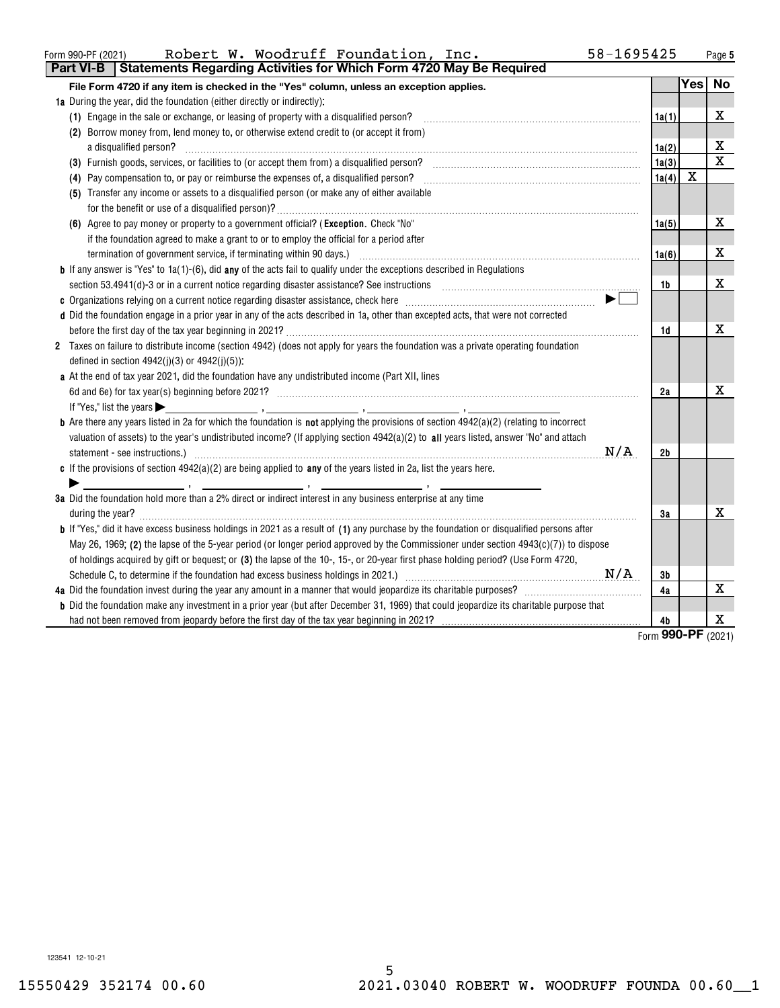| Form 990-PF (2021) |  |  |  |  | Robert W. Woodruff Foundation, Inc. |  | 58-1695425<br>Page |
|--------------------|--|--|--|--|-------------------------------------|--|--------------------|
|--------------------|--|--|--|--|-------------------------------------|--|--------------------|

| <b>Statements Regarding Activities for Which Form 4720 May Be Required</b><br>Part VI-B                                                                                                                                                                                            |       |                 |             |
|------------------------------------------------------------------------------------------------------------------------------------------------------------------------------------------------------------------------------------------------------------------------------------|-------|-----------------|-------------|
| File Form 4720 if any item is checked in the "Yes" column, unless an exception applies.                                                                                                                                                                                            |       | <b>Yes</b>      | <b>No</b>   |
| 1a During the year, did the foundation (either directly or indirectly):                                                                                                                                                                                                            |       |                 |             |
| (1) Engage in the sale or exchange, or leasing of property with a disqualified person?                                                                                                                                                                                             | 1a(1) |                 | х           |
| (2) Borrow money from, lend money to, or otherwise extend credit to (or accept it from)                                                                                                                                                                                            |       |                 |             |
| a disqualified person?                                                                                                                                                                                                                                                             | 1a(2) |                 | х           |
|                                                                                                                                                                                                                                                                                    | 1a(3) |                 | $\mathbf x$ |
| (4) Pay compensation to, or pay or reimburse the expenses of, a disqualified person?                                                                                                                                                                                               | 1a(4) | X               |             |
| (5) Transfer any income or assets to a disqualified person (or make any of either available                                                                                                                                                                                        |       |                 |             |
|                                                                                                                                                                                                                                                                                    |       |                 |             |
| (6) Agree to pay money or property to a government official? (Exception. Check "No"                                                                                                                                                                                                | 1a(5) |                 | x           |
| if the foundation agreed to make a grant to or to employ the official for a period after                                                                                                                                                                                           |       |                 |             |
| termination of government service, if terminating within 90 days.) [11] manufactured and the service of government service, if terminating within 90 days.)                                                                                                                        | 1a(6) |                 | x           |
| <b>b</b> If any answer is "Yes" to $1a(1)-(6)$ , did any of the acts fail to qualify under the exceptions described in Regulations                                                                                                                                                 |       |                 |             |
| section 53.4941(d)-3 or in a current notice regarding disaster assistance? See instructions [11,111] section 53.4941(d)-3 or in a current notice regarding disaster assistance? See instructions                                                                                   | 1b    |                 | x           |
|                                                                                                                                                                                                                                                                                    |       |                 |             |
| d Did the foundation engage in a prior year in any of the acts described in 1a, other than excepted acts, that were not corrected                                                                                                                                                  |       |                 |             |
|                                                                                                                                                                                                                                                                                    | 1d    |                 | х           |
| 2 Taxes on failure to distribute income (section 4942) (does not apply for years the foundation was a private operating foundation                                                                                                                                                 |       |                 |             |
| defined in section $4942(j)(3)$ or $4942(j)(5)$ ):                                                                                                                                                                                                                                 |       |                 |             |
| a At the end of tax year 2021, did the foundation have any undistributed income (Part XII, lines                                                                                                                                                                                   |       |                 |             |
|                                                                                                                                                                                                                                                                                    | 2a    |                 | х           |
| If "Yes," list the years $\blacktriangleright$<br>о произведение при политически при политически при политически при политически при политически при политически<br>В применение при политически при политически при политически при политически при политически при политически п |       |                 |             |
| <b>b</b> Are there any years listed in 2a for which the foundation is not applying the provisions of section 4942(a)(2) (relating to incorrect                                                                                                                                     |       |                 |             |
| valuation of assets) to the year's undistributed income? (If applying section 4942(a)(2) to all years listed, answer "No" and attach                                                                                                                                               |       |                 |             |
| N/A                                                                                                                                                                                                                                                                                | 2b    |                 |             |
| c If the provisions of section $4942(a)(2)$ are being applied to any of the years listed in 2a, list the years here.                                                                                                                                                               |       |                 |             |
|                                                                                                                                                                                                                                                                                    |       |                 |             |
| 3a Did the foundation hold more than a 2% direct or indirect interest in any business enterprise at any time                                                                                                                                                                       |       |                 |             |
|                                                                                                                                                                                                                                                                                    | За    |                 | x           |
| <b>b</b> If "Yes," did it have excess business holdings in 2021 as a result of (1) any purchase by the foundation or disqualified persons after                                                                                                                                    |       |                 |             |
| May 26, 1969; (2) the lapse of the 5-year period (or longer period approved by the Commissioner under section $4943(c)(7)$ ) to dispose                                                                                                                                            |       |                 |             |
| of holdings acquired by gift or bequest; or (3) the lapse of the 10-, 15-, or 20-year first phase holding period? (Use Form 4720,                                                                                                                                                  |       |                 |             |
| N/A                                                                                                                                                                                                                                                                                | 3b    |                 |             |
|                                                                                                                                                                                                                                                                                    | 4a    |                 | X           |
| <b>b</b> Did the foundation make any investment in a prior year (but after December 31, 1969) that could jeopardize its charitable purpose that                                                                                                                                    |       |                 |             |
|                                                                                                                                                                                                                                                                                    | 4b    | $\overline{on}$ | х           |

Form (2021) **990-PF**

123541 12-10-21

 $\overline{\phantom{0}}$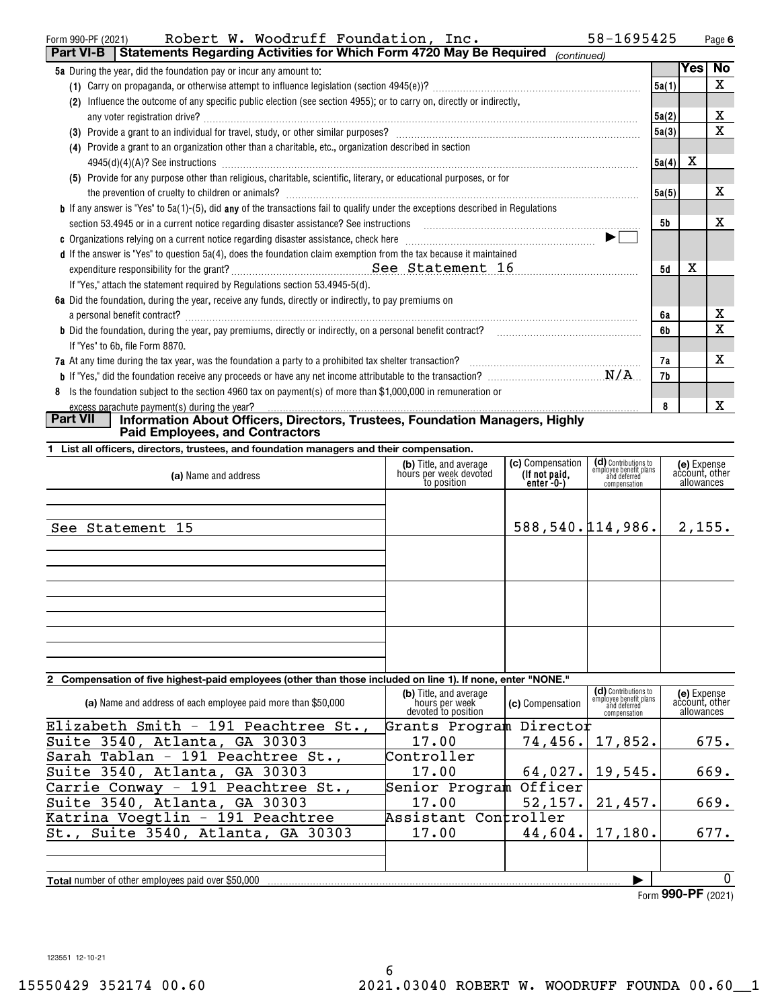| 58-1695425<br>Robert W. Woodruff Foundation, Inc.<br>Form 990-PF (2021)                                                                                                                                                                    |       |     | Page 6    |
|--------------------------------------------------------------------------------------------------------------------------------------------------------------------------------------------------------------------------------------------|-------|-----|-----------|
| Statements Regarding Activities for Which Form 4720 May Be Required<br><b>Part VI-B</b><br>(continued)                                                                                                                                     |       |     |           |
| <b>5a</b> During the year, did the foundation pay or incur any amount to:                                                                                                                                                                  |       | Yes | <b>No</b> |
|                                                                                                                                                                                                                                            | 5a(1) |     | X         |
| Influence the outcome of any specific public election (see section 4955); or to carry on, directly or indirectly,<br>(2)                                                                                                                   |       |     |           |
|                                                                                                                                                                                                                                            | 5a(2) |     | x         |
|                                                                                                                                                                                                                                            | 5a(3) |     | X         |
| Provide a grant to an organization other than a charitable, etc., organization described in section<br>(4)                                                                                                                                 |       |     |           |
|                                                                                                                                                                                                                                            | 5a(4) | X   |           |
| Provide for any purpose other than religious, charitable, scientific, literary, or educational purposes, or for<br>(5)                                                                                                                     |       |     |           |
|                                                                                                                                                                                                                                            | 5a(5) |     | x         |
| <b>b</b> If any answer is "Yes" to $5a(1)$ -(5), did any of the transactions fail to qualify under the exceptions described in Regulations                                                                                                 |       |     |           |
| section 53.4945 or in a current notice regarding disaster assistance? See instructions [11,111] successive and the content of the content of the content of the content of the content of the content of the content of the co             | 5b    |     | x         |
| $\blacktriangleright$                                                                                                                                                                                                                      |       |     |           |
| d If the answer is "Yes" to question 5a(4), does the foundation claim exemption from the tax because it maintained                                                                                                                         |       |     |           |
|                                                                                                                                                                                                                                            | 5d    | Χ   |           |
| If "Yes," attach the statement required by Regulations section 53.4945-5(d).                                                                                                                                                               |       |     |           |
| 6a Did the foundation, during the year, receive any funds, directly or indirectly, to pay premiums on                                                                                                                                      |       |     |           |
|                                                                                                                                                                                                                                            | 6а    |     | x         |
| <b>b</b> Did the foundation, during the year, pay premiums, directly or indirectly, on a personal benefit contract?<br><b>b</b> Did the foundation, during the year, pay premiums, directly or indirectly, on a personal benefit contract? | 6b    |     | X         |
| If "Yes" to 6b, file Form 8870.                                                                                                                                                                                                            |       |     |           |
| <b>7a</b> At any time during the tax year, was the foundation a party to a prohibited tax shelter transaction?                                                                                                                             | 7а    |     | x         |
|                                                                                                                                                                                                                                            | 7b    |     |           |
| Is the foundation subject to the section 4960 tax on payment(s) of more than \$1,000,000 in remuneration or<br>8                                                                                                                           |       |     |           |
|                                                                                                                                                                                                                                            | 8     |     | x         |

## excess parachute payment(s) during the year? **Part VII Information About Officers, Directors, Trustees, Foundation Managers, Highly Paid Employees, and Contractors**

**1 List all officers, directors, trustees, and foundation managers and their compensation.**

| (a) Name and address | (b) Title, and average<br>hours per week devoted<br>to position | (c) Compensation<br>(If not paid,<br>enter - 0-) | (d) Contributions to<br>employee benefit plans<br>and deferred<br>compensation | (e) Expense<br>account, other<br>allowances |
|----------------------|-----------------------------------------------------------------|--------------------------------------------------|--------------------------------------------------------------------------------|---------------------------------------------|
| See Statement 15     |                                                                 | 588, 540.114, 986.                               |                                                                                | 2,155.                                      |
|                      |                                                                 |                                                  |                                                                                |                                             |
|                      |                                                                 |                                                  |                                                                                |                                             |
|                      |                                                                 |                                                  |                                                                                |                                             |
|                      |                                                                 |                                                  |                                                                                |                                             |

## **2 Compensation of five highest-paid employees (other than those included on line 1). If none, enter "NONE."**

| (a) Name and address of each employee paid more than \$50,000 | (b) Title, and average<br>'hours per week i<br>devoted to position | (c) Compensation | (d) Contributions to<br>employee benefit plans<br>and deferred<br>compensation | (e) Expense<br>account, other<br>allowances |
|---------------------------------------------------------------|--------------------------------------------------------------------|------------------|--------------------------------------------------------------------------------|---------------------------------------------|
| Elizabeth Smith - 191 Peachtree St.,                          | Grants Program Director                                            |                  |                                                                                |                                             |
| Suite 3540, Atlanta, GA 30303                                 | 17.00                                                              | 74, 456.         | 17,852.                                                                        | 675.                                        |
| Sarah Tablan - 191 Peachtree St.,                             | Controller                                                         |                  |                                                                                |                                             |
| Suite 3540, Atlanta, GA 30303                                 | 17.00                                                              | 64,027.          | 19,545.                                                                        | 669.                                        |
| Carrie Conway - 191 Peachtree St.,                            | Senior Program Officer                                             |                  |                                                                                |                                             |
| Suite 3540, Atlanta, GA 30303                                 | 17.00                                                              | 52, 157.         | 21,457.                                                                        | 669.                                        |
| Katrina Voegtlin - 191 Peachtree                              | Assistant Controller                                               |                  |                                                                                |                                             |
| St., Suite 3540, Atlanta, GA 30303                            | 17.00                                                              | 44,604.          | 17,180.                                                                        | 677.                                        |
|                                                               |                                                                    |                  |                                                                                |                                             |
|                                                               |                                                                    |                  |                                                                                |                                             |
| <b>Total</b> number of other employees paid over \$50,000     |                                                                    |                  |                                                                                | $\Omega$                                    |

Form (2021) **990-PF**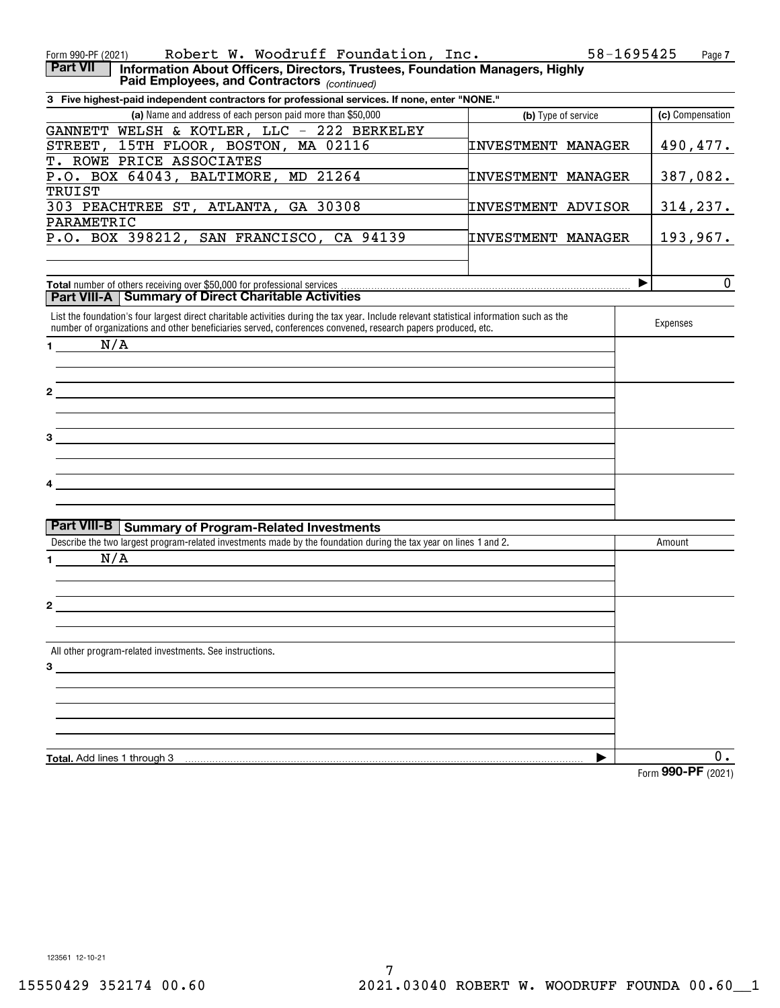| Robert W. Woodruff Foundation, Inc.<br>Form 990-PF (2021)                                                                                                                                                                                                 |                           | 58-1695425<br>Page 7 |
|-----------------------------------------------------------------------------------------------------------------------------------------------------------------------------------------------------------------------------------------------------------|---------------------------|----------------------|
| Information About Officers, Directors, Trustees, Foundation Managers, Highly<br><b>Part VII</b><br>Paid Employees, and Contractors (continued)                                                                                                            |                           |                      |
| 3 Five highest-paid independent contractors for professional services. If none, enter "NONE."                                                                                                                                                             |                           |                      |
| (a) Name and address of each person paid more than \$50,000                                                                                                                                                                                               | (b) Type of service       | (c) Compensation     |
| GANNETT WELSH & KOTLER, LLC - 222 BERKELEY                                                                                                                                                                                                                |                           |                      |
| STREET, 15TH FLOOR, BOSTON, MA 02116                                                                                                                                                                                                                      | <b>INVESTMENT MANAGER</b> | 490,477.             |
| T. ROWE PRICE ASSOCIATES                                                                                                                                                                                                                                  |                           |                      |
| P.O. BOX 64043, BALTIMORE, MD 21264                                                                                                                                                                                                                       | <b>INVESTMENT MANAGER</b> | 387,082.             |
| TRUIST                                                                                                                                                                                                                                                    |                           |                      |
| 303 PEACHTREE ST, ATLANTA, GA 30308                                                                                                                                                                                                                       | <b>INVESTMENT ADVISOR</b> | 314, 237.            |
| PARAMETRIC                                                                                                                                                                                                                                                |                           |                      |
| P.O. BOX 398212, SAN FRANCISCO, CA 94139                                                                                                                                                                                                                  | <b>INVESTMENT MANAGER</b> | 193,967.             |
|                                                                                                                                                                                                                                                           |                           |                      |
| Total number of others receiving over \$50,000 for professional services.                                                                                                                                                                                 |                           | 0<br>▶               |
| <b>Part VIII-A   Summary of Direct Charitable Activities</b>                                                                                                                                                                                              |                           |                      |
| List the foundation's four largest direct charitable activities during the tax year. Include relevant statistical information such as the<br>number of organizations and other beneficiaries served, conferences convened, research papers produced, etc. |                           | Expenses             |
| N/A<br>1.                                                                                                                                                                                                                                                 |                           |                      |
|                                                                                                                                                                                                                                                           |                           |                      |
|                                                                                                                                                                                                                                                           |                           |                      |
| 2                                                                                                                                                                                                                                                         |                           |                      |
|                                                                                                                                                                                                                                                           |                           |                      |
|                                                                                                                                                                                                                                                           |                           |                      |
| 3                                                                                                                                                                                                                                                         |                           |                      |
|                                                                                                                                                                                                                                                           |                           |                      |
|                                                                                                                                                                                                                                                           |                           |                      |
|                                                                                                                                                                                                                                                           |                           |                      |
|                                                                                                                                                                                                                                                           |                           |                      |
|                                                                                                                                                                                                                                                           |                           |                      |
| Part VIII-B   Summary of Program-Related Investments                                                                                                                                                                                                      |                           |                      |
| Describe the two largest program-related investments made by the foundation during the tax year on lines 1 and 2.                                                                                                                                         |                           | Amount               |
| N/A<br>1.                                                                                                                                                                                                                                                 |                           |                      |
|                                                                                                                                                                                                                                                           |                           |                      |
|                                                                                                                                                                                                                                                           |                           |                      |
| 2                                                                                                                                                                                                                                                         |                           |                      |
|                                                                                                                                                                                                                                                           |                           |                      |
|                                                                                                                                                                                                                                                           |                           |                      |
| All other program-related investments. See instructions.                                                                                                                                                                                                  |                           |                      |
| 3                                                                                                                                                                                                                                                         |                           |                      |
|                                                                                                                                                                                                                                                           |                           |                      |
|                                                                                                                                                                                                                                                           |                           |                      |
|                                                                                                                                                                                                                                                           |                           |                      |
|                                                                                                                                                                                                                                                           |                           |                      |
|                                                                                                                                                                                                                                                           |                           |                      |
| <b>Total.</b> Add lines 1 through 3                                                                                                                                                                                                                       |                           | 0.                   |
|                                                                                                                                                                                                                                                           |                           | Form 990-PF (2021)   |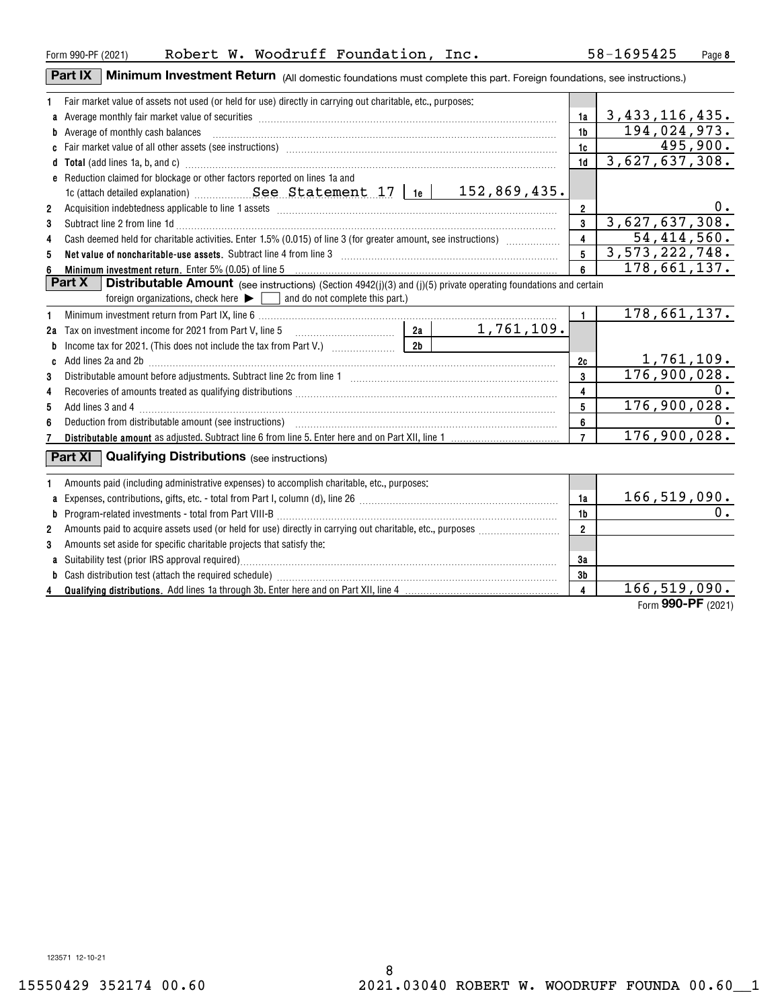#### Form 990-PF (2021) Robert W. Woodruff Foundation, Inc. 58-1695425 Page

**Part IX** | Minimum Investment Return (All domestic foundations must complete this part. Foreign foundations, see instructions.)

| 1            | Fair market value of assets not used (or held for use) directly in carrying out charitable, etc., purposes:                                                                                                                         |                         |                           |
|--------------|-------------------------------------------------------------------------------------------------------------------------------------------------------------------------------------------------------------------------------------|-------------------------|---------------------------|
| a            | Average monthly fair market value of securities [111] Average manufacture manufacture manufacture manufacture                                                                                                                       | 1a                      | 3, 433, 116, 435.         |
|              | <b>b</b> Average of monthly cash balances                                                                                                                                                                                           | 1 <sub>b</sub>          | 194,024,973.              |
|              |                                                                                                                                                                                                                                     | 1c                      | 495,900.                  |
|              | d Total (add lines 1a, b, and c) <b>manufacture and contract and contract a</b> contract and contract and contract a contract and contract and contract a contract and contract and contract a contract and contract and contract a | 1d                      | 3,627,637,308.            |
|              | e Reduction claimed for blockage or other factors reported on lines 1a and                                                                                                                                                          |                         |                           |
|              | 1c (attach detailed explanation) $See$ Statement 17   1e   152,869,435.                                                                                                                                                             |                         |                           |
| 2            |                                                                                                                                                                                                                                     | $\overline{2}$          | $0 \cdot$                 |
| 3            | Subtract line 2 from line 1d <b>matures and the contract of the 1d</b> matures and the contract line 2 from line 1d matures and the contract of the contract of the 2 from line 1d matures and the contract of the contract of the  | $\overline{3}$          | 3,627,637,308.            |
| 4            | Cash deemed held for charitable activities. Enter 1.5% (0.015) of line 3 (for greater amount, see instructions)                                                                                                                     | $\overline{4}$          | 54,414,560.               |
| 5            | Net value of noncharitable-use assets. Subtract line 4 from line 3 [11] manumeron contract the non-manumeron contract the Net value of noncharitable-use assets. Subtract line 4 from line 3                                        | 5                       | 3,573,222,748.            |
|              | Minimum investment return. Enter 5% (0.05) of line 5 [111] Minimum and the content of the content of the content of the content of the content of the content of the content of the content of the content of the content of t      | 6                       | 178,661,137.              |
|              | Part X<br><b>Distributable Amount</b> (see instructions) (Section 4942(j)(3) and (j)(5) private operating foundations and certain                                                                                                   |                         |                           |
|              | foreign organizations, check here $\blacktriangleright \Box$ and do not complete this part.)                                                                                                                                        |                         |                           |
| 1            |                                                                                                                                                                                                                                     | $\mathbf{1}$            | 178,661,137.              |
|              | 1, 761, 109.                                                                                                                                                                                                                        |                         |                           |
| b            | 2 <sub>b</sub>                                                                                                                                                                                                                      |                         |                           |
| C            | Add lines 2a and 2b [11] matter contract the contract of the contract of the contract of the contract of the contract of the contract of the contract of the contract of the contract of the contract of the contract of the c      | 2c                      | 1,761,109.                |
| 3            |                                                                                                                                                                                                                                     | 3                       | 176,900,028.              |
| 4            |                                                                                                                                                                                                                                     | $\overline{\mathbf{4}}$ | 0.                        |
| 5            |                                                                                                                                                                                                                                     | 5                       | 176,900,028.              |
| 6            |                                                                                                                                                                                                                                     | 6                       | 0.                        |
|              |                                                                                                                                                                                                                                     | $\overline{7}$          | 176,900,028.              |
|              | <b>Part XI</b> Qualifying Distributions (see instructions)                                                                                                                                                                          |                         |                           |
|              | Amounts paid (including administrative expenses) to accomplish charitable, etc., purposes:                                                                                                                                          |                         |                           |
| a            |                                                                                                                                                                                                                                     | 1a                      | $\frac{166,519,090.}{0.}$ |
| b            |                                                                                                                                                                                                                                     | 1 <sub>b</sub>          |                           |
| $\mathbf{2}$ |                                                                                                                                                                                                                                     | $\overline{2}$          |                           |
| 3            | Amounts set aside for specific charitable projects that satisfy the:                                                                                                                                                                |                         |                           |
|              |                                                                                                                                                                                                                                     | 3a                      |                           |
| b            |                                                                                                                                                                                                                                     | 3b                      |                           |
|              |                                                                                                                                                                                                                                     | $\overline{4}$          | 166, 519, 090.            |
|              |                                                                                                                                                                                                                                     |                         | Form 990-PF (2021)        |

**8**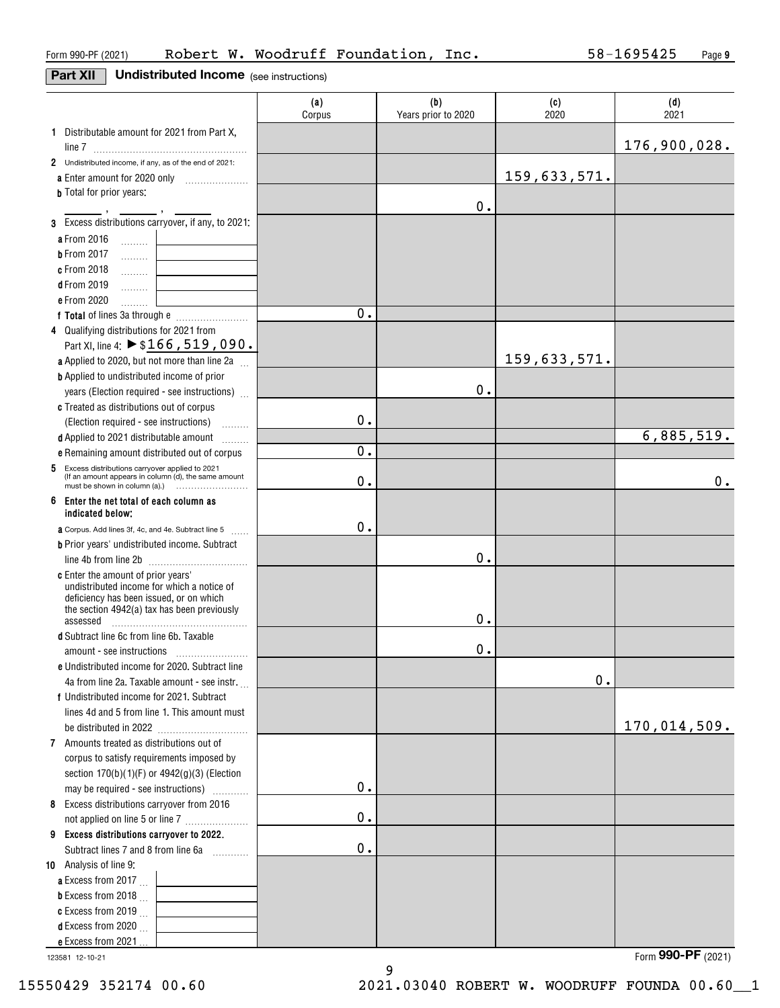#### **Part XII** Undistributed Income (see instructions)

|                                                                                                             | (a)<br>Corpus | (b)<br>Years prior to 2020 | (c)<br>2020  | (d)<br>2021  |
|-------------------------------------------------------------------------------------------------------------|---------------|----------------------------|--------------|--------------|
| 1 Distributable amount for 2021 from Part X,                                                                |               |                            |              |              |
|                                                                                                             |               |                            |              | 176,900,028. |
| 2 Undistributed income, if any, as of the end of 2021:                                                      |               |                            |              |              |
| a Enter amount for 2020 only                                                                                |               |                            | 159,633,571. |              |
| <b>b</b> Total for prior years:                                                                             |               | 0.                         |              |              |
| 3 Excess distributions carryover, if any, to 2021:                                                          |               |                            |              |              |
| a From 2016                                                                                                 |               |                            |              |              |
| $\ldots \ldots \ldots$<br><b>b</b> From 2017                                                                |               |                            |              |              |
| .<br>c From 2018                                                                                            |               |                            |              |              |
| .<br><b>d</b> From 2019                                                                                     |               |                            |              |              |
| .<br>e From 2020                                                                                            |               |                            |              |              |
| .                                                                                                           | 0.            |                            |              |              |
| 4 Qualifying distributions for 2021 from                                                                    |               |                            |              |              |
| Part XI, line 4: ▶ \$166, 519, 090.                                                                         |               |                            |              |              |
| a Applied to 2020, but not more than line 2a                                                                |               |                            | 159,633,571. |              |
| <b>b</b> Applied to undistributed income of prior                                                           |               |                            |              |              |
| years (Election required - see instructions)                                                                |               | 0.                         |              |              |
| c Treated as distributions out of corpus                                                                    |               |                            |              |              |
| (Election required - see instructions)                                                                      | 0.            |                            |              |              |
| d Applied to 2021 distributable amount<br>alara da d                                                        |               |                            |              | 6,885,519.   |
| e Remaining amount distributed out of corpus                                                                | $\mathbf 0$ . |                            |              |              |
| Excess distributions carryover applied to 2021<br>5<br>(If an amount appears in column (d), the same amount | 0.            |                            |              | 0.           |
| 6 Enter the net total of each column as                                                                     |               |                            |              |              |
| indicated below:                                                                                            | 0.            |                            |              |              |
| a Corpus. Add lines 3f, 4c, and 4e. Subtract line 5<br><b>Contract</b>                                      |               |                            |              |              |
| <b>b</b> Prior years' undistributed income. Subtract                                                        |               | 0.                         |              |              |
| c Enter the amount of prior years'                                                                          |               |                            |              |              |
| undistributed income for which a notice of                                                                  |               |                            |              |              |
| deficiency has been issued, or on which                                                                     |               |                            |              |              |
| the section 4942(a) tax has been previously<br>assessed                                                     |               | 0.                         |              |              |
| d Subtract line 6c from line 6b. Taxable                                                                    |               |                            |              |              |
|                                                                                                             |               | 0.                         |              |              |
| e Undistributed income for 2020. Subtract line                                                              |               |                            |              |              |
| 4a from line 2a. Taxable amount - see instr.                                                                |               |                            | 0.           |              |
| f Undistributed income for 2021. Subtract                                                                   |               |                            |              |              |
| lines 4d and 5 from line 1. This amount must                                                                |               |                            |              |              |
|                                                                                                             |               |                            |              | 170,014,509. |
| 7 Amounts treated as distributions out of                                                                   |               |                            |              |              |
| corpus to satisfy requirements imposed by                                                                   |               |                            |              |              |
| section 170(b)(1)(F) or 4942(g)(3) (Election                                                                |               |                            |              |              |
| may be required - see instructions)                                                                         | $\mathbf 0$ . |                            |              |              |
| 8 Excess distributions carryover from 2016                                                                  |               |                            |              |              |
| not applied on line 5 or line 7                                                                             | $\mathbf 0$ . |                            |              |              |
| 9 Excess distributions carryover to 2022.                                                                   |               |                            |              |              |
| Subtract lines 7 and 8 from line 6a                                                                         | $0$ .         |                            |              |              |
| 10 Analysis of line 9:                                                                                      |               |                            |              |              |
| a Excess from 2017                                                                                          |               |                            |              |              |
| <b>b</b> Excess from 2018 $\ldots$                                                                          |               |                            |              |              |
| c Excess from 2019 $\ldots$                                                                                 |               |                            |              |              |
| <b>d</b> Excess from 2020 $\ldots$                                                                          |               |                            |              |              |
| e Excess from 2021                                                                                          |               |                            |              |              |

9

123581 12-10-21

Form (2021) **990-PF**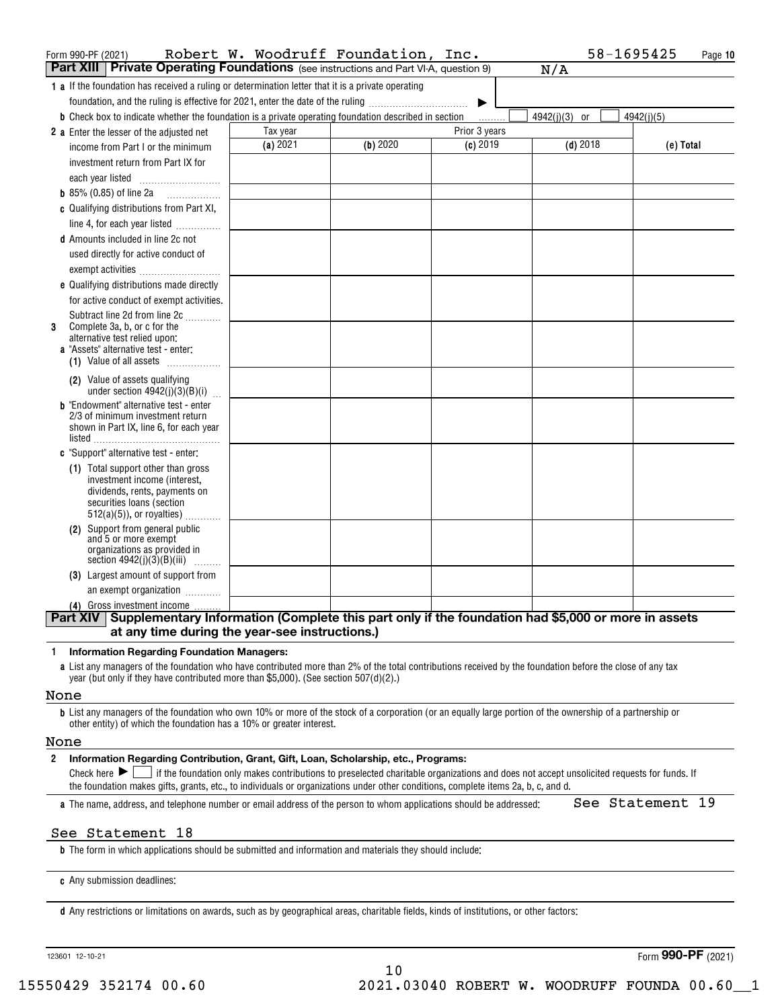| Form 990-PF (2021)                                                                                                                                                                                                                                | Robert W. Woodruff Foundation, |          | Inc.          | 58-1695425    | Page 10    |
|---------------------------------------------------------------------------------------------------------------------------------------------------------------------------------------------------------------------------------------------------|--------------------------------|----------|---------------|---------------|------------|
| <b>Part XIII Private Operating Foundations</b> (see instructions and Part VI-A, question 9)                                                                                                                                                       |                                |          |               | N/A           |            |
| <b>1 a</b> If the foundation has received a ruling or determination letter that it is a private operating                                                                                                                                         |                                |          |               |               |            |
| foundation, and the ruling is effective for 2021, enter the date of the ruling                                                                                                                                                                    |                                |          |               |               |            |
| <b>b</b> Check box to indicate whether the foundation is a private operating foundation described in section                                                                                                                                      |                                |          | .             | 4942(j)(3) or | 4942(i)(5) |
| 2 a Enter the lesser of the adjusted net                                                                                                                                                                                                          | Tax year                       |          | Prior 3 years |               |            |
| income from Part I or the minimum                                                                                                                                                                                                                 | (a) 2021                       | (b) 2020 | $(c)$ 2019    | $(d)$ 2018    | (e) Total  |
| investment return from Part IX for                                                                                                                                                                                                                |                                |          |               |               |            |
| each year listed                                                                                                                                                                                                                                  |                                |          |               |               |            |
| <b>b</b> 85% (0.85) of line 2a $\ldots$                                                                                                                                                                                                           |                                |          |               |               |            |
| c Qualifying distributions from Part XI,                                                                                                                                                                                                          |                                |          |               |               |            |
| line 4, for each year listed                                                                                                                                                                                                                      |                                |          |               |               |            |
| d Amounts included in line 2c not                                                                                                                                                                                                                 |                                |          |               |               |            |
| used directly for active conduct of                                                                                                                                                                                                               |                                |          |               |               |            |
| exempt activities                                                                                                                                                                                                                                 |                                |          |               |               |            |
| e Qualifying distributions made directly                                                                                                                                                                                                          |                                |          |               |               |            |
| for active conduct of exempt activities.                                                                                                                                                                                                          |                                |          |               |               |            |
| Subtract line 2d from line 2c<br>Complete 3a, b, or c for the                                                                                                                                                                                     |                                |          |               |               |            |
| 3<br>alternative test relied upon:                                                                                                                                                                                                                |                                |          |               |               |            |
| a "Assets" alternative test - enter:                                                                                                                                                                                                              |                                |          |               |               |            |
| (1) Value of all assets                                                                                                                                                                                                                           |                                |          |               |               |            |
| (2) Value of assets qualifying<br>under section $4942(j)(3)(B)(i)$                                                                                                                                                                                |                                |          |               |               |            |
| <b>b</b> "Endowment" alternative test - enter<br>2/3 of minimum investment return                                                                                                                                                                 |                                |          |               |               |            |
| shown in Part IX, line 6, for each year                                                                                                                                                                                                           |                                |          |               |               |            |
|                                                                                                                                                                                                                                                   |                                |          |               |               |            |
| c "Support" alternative test - enter:                                                                                                                                                                                                             |                                |          |               |               |            |
| (1) Total support other than gross<br>investment income (interest,                                                                                                                                                                                |                                |          |               |               |            |
| dividends, rents, payments on                                                                                                                                                                                                                     |                                |          |               |               |            |
| securities loans (section                                                                                                                                                                                                                         |                                |          |               |               |            |
| $512(a)(5)$ , or royalties)                                                                                                                                                                                                                       |                                |          |               |               |            |
| (2) Support from general public<br>and 5 or more exempt                                                                                                                                                                                           |                                |          |               |               |            |
| organizations as provided in<br>section $4942(j)(3)(B)(iii)$                                                                                                                                                                                      |                                |          |               |               |            |
| (3) Largest amount of support from                                                                                                                                                                                                                |                                |          |               |               |            |
| an exempt organization                                                                                                                                                                                                                            |                                |          |               |               |            |
| (4) Gross investment income                                                                                                                                                                                                                       |                                |          |               |               |            |
| Part XIV Supplementary Information (Complete this part only if the foundation had \$5,000 or more in assets                                                                                                                                       |                                |          |               |               |            |
| at any time during the year-see instructions.)                                                                                                                                                                                                    |                                |          |               |               |            |
| <b>Information Regarding Foundation Managers:</b><br>$\mathbf{1}$                                                                                                                                                                                 |                                |          |               |               |            |
| a List any managers of the foundation who have contributed more than 2% of the total contributions received by the foundation before the close of any tax<br>year (but only if they have contributed more than \$5,000). (See section 507(d)(2).) |                                |          |               |               |            |

#### None

**b**List any managers of the foundation who own 10% or more of the stock of a corporation (or an equally large portion of the ownership of a partnership or other entity) of which the foundation has a 10% or greater interest.

#### None

#### **2Information Regarding Contribution, Grant, Gift, Loan, Scholarship, etc., Programs:**

Check here  $\blacktriangleright\Box$  if the foundation only makes contributions to preselected charitable organizations and does not accept unsolicited requests for funds. If the foundation makes gifts, grants, etc., to individuals or organizations under other conditions, complete items 2a, b, c, and d.

**a**The name, address, and telephone number or email address of the person to whom applications should be addressed:

See Statement 19

#### See Statement 18

**b**The form in which applications should be submitted and information and materials they should include:

**c**Any submission deadlines:

**d** Any restrictions or limitations on awards, such as by geographical areas, charitable fields, kinds of institutions, or other factors:

123601 12-10-21

Form (2021) **990-PF**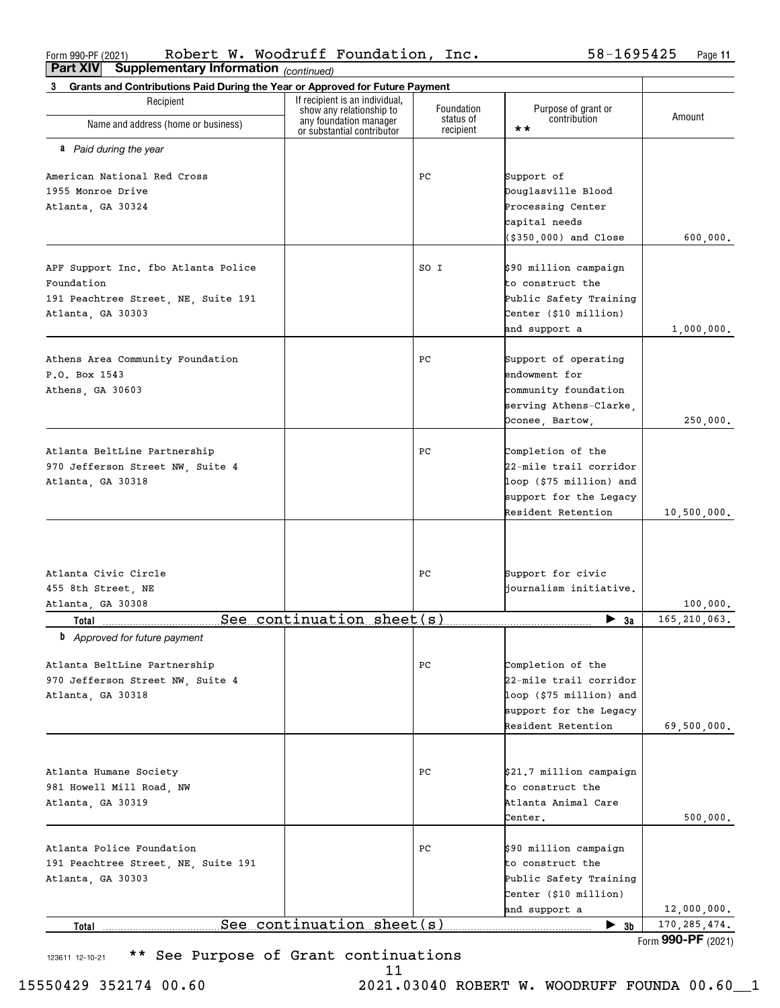Form 990-PF (2021) Robert W. Woodruft Foundation, Inc. 58-1695425 Page Robert W. Woodruff Foundation, Inc. 58-1695425

**11**

| Supplementary Information (continued)<br>Part XIV                                 |                                                            |                        |                                              |                    |
|-----------------------------------------------------------------------------------|------------------------------------------------------------|------------------------|----------------------------------------------|--------------------|
| Grants and Contributions Paid During the Year or Approved for Future Payment<br>3 |                                                            |                        |                                              |                    |
| Recipient                                                                         | If recipient is an individual,<br>show any relationship to | Foundation             | Purpose of grant or                          |                    |
| Name and address (home or business)                                               | any foundation manager<br>or substantial contributor       | status of<br>recipient | contribution<br>$\star\star$                 | Amount             |
| a Paid during the year                                                            |                                                            |                        |                                              |                    |
| American National Red Cross                                                       |                                                            | PС                     | Support of                                   |                    |
| 1955 Monroe Drive                                                                 |                                                            |                        | Douglasville Blood                           |                    |
| Atlanta, GA 30324                                                                 |                                                            |                        | Processing Center                            |                    |
|                                                                                   |                                                            |                        | capital needs                                |                    |
|                                                                                   |                                                            |                        | $( $350,000)$ and Close                      | 600,000.           |
| APF Support Inc. fbo Atlanta Police                                               |                                                            | SO I                   | \$90 million campaign                        |                    |
| Foundation                                                                        |                                                            |                        | to construct the                             |                    |
| 191 Peachtree Street, NE, Suite 191                                               |                                                            |                        | Public Safety Training                       |                    |
| Atlanta, GA 30303                                                                 |                                                            |                        | Center (\$10 million)                        |                    |
|                                                                                   |                                                            |                        | and support a                                | 1,000,000.         |
| Athens Area Community Foundation                                                  |                                                            | PС                     | Support of operating                         |                    |
| P.O. Box 1543                                                                     |                                                            |                        | endowment for                                |                    |
|                                                                                   |                                                            |                        | community foundation                         |                    |
| Athens, GA 30603                                                                  |                                                            |                        |                                              |                    |
|                                                                                   |                                                            |                        | serving Athens-Clarke,                       |                    |
|                                                                                   |                                                            |                        | Oconee, Bartow,                              | 250,000.           |
| Atlanta BeltLine Partnership                                                      |                                                            | PС                     | Completion of the                            |                    |
| 970 Jefferson Street NW, Suite 4                                                  |                                                            |                        | 22-mile trail corridor                       |                    |
|                                                                                   |                                                            |                        |                                              |                    |
| Atlanta, GA 30318                                                                 |                                                            |                        | loop (\$75 million) and                      |                    |
|                                                                                   |                                                            |                        | support for the Legacy<br>Resident Retention | 10,500,000.        |
|                                                                                   |                                                            |                        |                                              |                    |
| Atlanta Civic Circle                                                              |                                                            | PС                     | Support for civic                            |                    |
| 455 8th Street, NE                                                                |                                                            |                        | journalism initiative.                       |                    |
| Atlanta, GA 30308                                                                 |                                                            |                        |                                              | 100,000.           |
| Total 1996                                                                        | $See$ continuation sheet(s)                                |                        | $\blacktriangleright$ 3a                     | 165,210,063.       |
| <b>b</b> Approved for future payment                                              |                                                            |                        |                                              |                    |
| Atlanta BeltLine Partnership                                                      |                                                            | РC                     | Completion of the                            |                    |
| 970 Jefferson Street NW, Suite 4                                                  |                                                            |                        | 22-mile trail corridor                       |                    |
| Atlanta, GA 30318                                                                 |                                                            |                        | loop (\$75 million) and                      |                    |
|                                                                                   |                                                            |                        | support for the Legacy                       |                    |
|                                                                                   |                                                            |                        | Resident Retention                           | 69,500,000.        |
|                                                                                   |                                                            |                        |                                              |                    |
| Atlanta Humane Society                                                            |                                                            | PС                     | \$21.7 million campaign                      |                    |
| 981 Howell Mill Road, NW                                                          |                                                            |                        | to construct the                             |                    |
| Atlanta, GA 30319                                                                 |                                                            |                        | Atlanta Animal Care                          |                    |
|                                                                                   |                                                            |                        | Center.                                      | 500,000.           |
| Atlanta Police Foundation                                                         |                                                            | PС                     | \$90 million campaign                        |                    |
| 191 Peachtree Street, NE, Suite 191                                               |                                                            |                        | to construct the                             |                    |
| Atlanta, GA 30303                                                                 |                                                            |                        | Public Safety Training                       |                    |
|                                                                                   |                                                            |                        | Center (\$10 million)                        |                    |
|                                                                                   |                                                            |                        | and support a                                | 12,000,000.        |
| Total                                                                             | See continuation sheet(s)                                  |                        | $\blacktriangleright$ 3b                     | 170, 285, 474.     |
|                                                                                   |                                                            |                        |                                              | Form 990-PF (2021) |

123611 12-10-21 \*\* See Purpose of Grant continuations

11

15550429 352174 00.60 2021.03040 ROBERT W. WOODRUFF FOUNDA 00.60\_\_1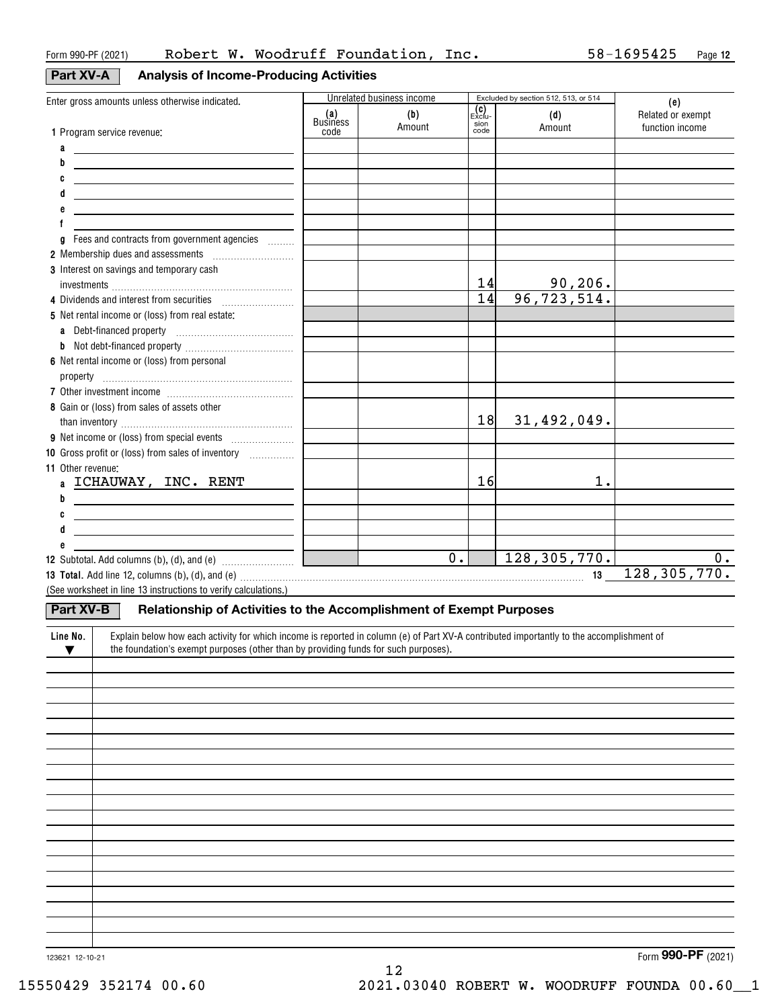#### **Part XV-A**

| V-A |  |  |  | Analysis of Income-Producing Activities |  |  |
|-----|--|--|--|-----------------------------------------|--|--|
|-----|--|--|--|-----------------------------------------|--|--|

| Enter gross amounts unless otherwise indicated.                                                                                                      |                         | Unrelated business income |                                                                   | Excluded by section 512, 513, or 514 |                                             |
|------------------------------------------------------------------------------------------------------------------------------------------------------|-------------------------|---------------------------|-------------------------------------------------------------------|--------------------------------------|---------------------------------------------|
|                                                                                                                                                      | (a)<br>Business<br>code | (b)<br>Amount             | $\begin{bmatrix} 0 \\ \text{Exclu} \end{bmatrix}$<br>sion<br>code | (d)<br>Amount                        | (e)<br>Related or exempt<br>function income |
| 1 Program service revenue:                                                                                                                           |                         |                           |                                                                   |                                      |                                             |
| a<br><u> 1989 - Johann Barn, fransk politik fotograf (d. 1989)</u><br>b                                                                              |                         |                           |                                                                   |                                      |                                             |
| C                                                                                                                                                    |                         |                           |                                                                   |                                      |                                             |
| <u> 1989 - Johann Barn, amerikansk politiker (</u><br>d                                                                                              |                         |                           |                                                                   |                                      |                                             |
| <u> 1989 - Johann Barn, mars et al. (b. 1989)</u>                                                                                                    |                         |                           |                                                                   |                                      |                                             |
| <u> 1989 - Johann Barn, fransk politik (d. 1989)</u>                                                                                                 |                         |                           |                                                                   |                                      |                                             |
| Fees and contracts from government agencies<br>g                                                                                                     |                         |                           |                                                                   |                                      |                                             |
|                                                                                                                                                      |                         |                           |                                                                   |                                      |                                             |
| 3 Interest on savings and temporary cash                                                                                                             |                         |                           |                                                                   |                                      |                                             |
|                                                                                                                                                      |                         |                           | 14                                                                |                                      |                                             |
| 4 Dividends and interest from securities                                                                                                             |                         |                           | $\overline{14}$                                                   | $\frac{90,206}{96,723,514}$          |                                             |
| 5 Net rental income or (loss) from real estate:                                                                                                      |                         |                           |                                                                   |                                      |                                             |
|                                                                                                                                                      |                         |                           |                                                                   |                                      |                                             |
|                                                                                                                                                      |                         |                           |                                                                   |                                      |                                             |
| 6 Net rental income or (loss) from personal                                                                                                          |                         |                           |                                                                   |                                      |                                             |
|                                                                                                                                                      |                         |                           |                                                                   |                                      |                                             |
|                                                                                                                                                      |                         |                           |                                                                   |                                      |                                             |
| 8 Gain or (loss) from sales of assets other                                                                                                          |                         |                           |                                                                   |                                      |                                             |
|                                                                                                                                                      |                         |                           | 18                                                                | 31,492,049.                          |                                             |
|                                                                                                                                                      |                         |                           |                                                                   |                                      |                                             |
| 10 Gross profit or (loss) from sales of inventory                                                                                                    |                         |                           |                                                                   |                                      |                                             |
| <b>11 Other revenue:</b>                                                                                                                             |                         |                           |                                                                   |                                      |                                             |
| a ICHAUWAY, INC. RENT                                                                                                                                |                         |                           | 16                                                                | 1.                                   |                                             |
| b<br><u> 1989 - Johann Barbara, martxa alemaniar a</u>                                                                                               |                         |                           |                                                                   |                                      |                                             |
| C<br><u> 1980 - Johann Barn, mars ann an t-Amhain Aonaich an t-Aonaich an t-Aonaich ann an t-Aonaich ann an t-Aonaich</u>                            |                         |                           |                                                                   |                                      |                                             |
| <u> 1989 - Johann Barn, mars eta bainar eta idazlea (</u>                                                                                            |                         |                           |                                                                   |                                      |                                             |
|                                                                                                                                                      |                         |                           |                                                                   |                                      |                                             |
|                                                                                                                                                      | <u>a sa san</u>         | $\overline{\phantom{a}}$  | $\overline{\overline{\mathbf{0}}\cdot \mathbf{I}}$                | 128, 305, 770.                       | 0.                                          |
|                                                                                                                                                      |                         |                           |                                                                   |                                      | 128, 305, 770.                              |
| (See worksheet in line 13 instructions to verify calculations.)                                                                                      |                         |                           |                                                                   |                                      |                                             |
| Part XV-B<br>Relationship of Activities to the Accomplishment of Exempt Purposes                                                                     |                         |                           |                                                                   |                                      |                                             |
|                                                                                                                                                      |                         |                           |                                                                   |                                      |                                             |
| Explain below how each activity for which income is reported in column (e) of Part XV-A contributed importantly to the accomplishment of<br>Line No. |                         |                           |                                                                   |                                      |                                             |
| the foundation's exempt purposes (other than by providing funds for such purposes).<br>▼                                                             |                         |                           |                                                                   |                                      |                                             |
|                                                                                                                                                      |                         |                           |                                                                   |                                      |                                             |
|                                                                                                                                                      |                         |                           |                                                                   |                                      |                                             |
|                                                                                                                                                      |                         |                           |                                                                   |                                      |                                             |
|                                                                                                                                                      |                         |                           |                                                                   |                                      |                                             |
|                                                                                                                                                      |                         |                           |                                                                   |                                      |                                             |
|                                                                                                                                                      |                         |                           |                                                                   |                                      |                                             |
|                                                                                                                                                      |                         |                           |                                                                   |                                      |                                             |
|                                                                                                                                                      |                         |                           |                                                                   |                                      |                                             |
|                                                                                                                                                      |                         |                           |                                                                   |                                      |                                             |
|                                                                                                                                                      |                         |                           |                                                                   |                                      |                                             |
|                                                                                                                                                      |                         |                           |                                                                   |                                      |                                             |
|                                                                                                                                                      |                         |                           |                                                                   |                                      |                                             |
|                                                                                                                                                      |                         |                           |                                                                   |                                      |                                             |
|                                                                                                                                                      |                         |                           |                                                                   |                                      |                                             |
|                                                                                                                                                      |                         |                           |                                                                   |                                      |                                             |
|                                                                                                                                                      |                         |                           |                                                                   |                                      |                                             |
|                                                                                                                                                      |                         |                           |                                                                   |                                      |                                             |

12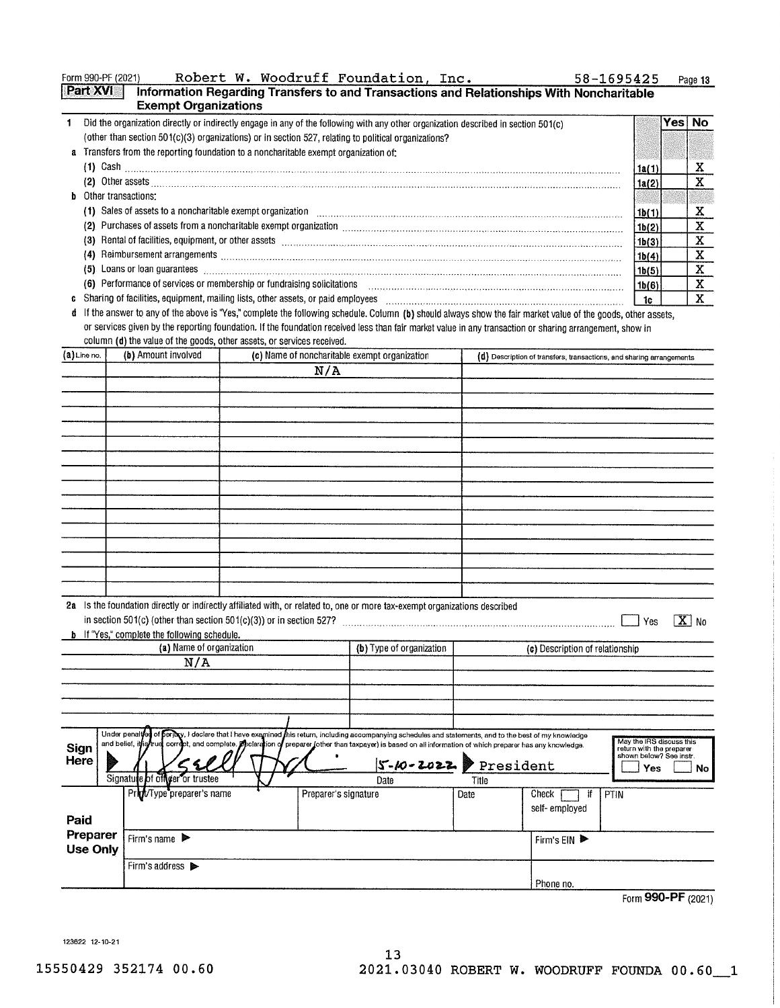| Robert W. Woodruff Foundation, Inc.<br>Form 990-PF (2021)<br>58-1695425                                                                                                                                                                    |        | Page 13     |
|--------------------------------------------------------------------------------------------------------------------------------------------------------------------------------------------------------------------------------------------|--------|-------------|
| Part XVI<br>Information Regarding Transfers to and Transactions and Relationships With Noncharitable<br><b>Exempt Organizations</b>                                                                                                        |        |             |
| Did the organization directly or indirectly engage in any of the following with any other organization described in section 501(c)<br>(other than section 501(c)(3) organizations) or in section 527, relating to political organizations? |        | No.<br>Yesl |
| a Transfers from the reporting foundation to a noncharitable exempt organization of:<br>$(1)$ Cash $\ldots$                                                                                                                                | 1a (1) | x           |
|                                                                                                                                                                                                                                            | 1a(2)  | x           |
| <b>b</b> Other transactions:                                                                                                                                                                                                               |        |             |
| Sales of assets to a noncharitable exempt organization<br>(1)                                                                                                                                                                              | 1b(1)  | x           |
| Purchases of assets from a noncharitable exempt organization [11] production continuous continuous continuous continuous continuous continuous continuous continuous continuous continuous continuous continuous continuous co<br>(2)      | 1b(2)  | x           |
| Rental of facilities, equipment, or other assets contained and contained account of the set of facilities, equipment, or other assets<br>13)                                                                                               | 1b(3)  | x           |
| Reimbursement arrangements www.communications.communications.communications.com<br>(4)                                                                                                                                                     | 1b(4)  | x           |
| Loans or loan guarantees <b>committees committees committees committees committees committees committees committees committees</b><br>(5)                                                                                                  | 1b(5)  | X           |
| Performance of services or membership or fundraising solicitations<br>(6)                                                                                                                                                                  | 1b(6)  | х           |
| Sharing of facilities, equipment, mailing lists, other assets, or paid employees                                                                                                                                                           | 1c     | x           |

d If the answer to any of the above is "Yes," complete the following schedule. Column (b) should always show the fair market value of the goods, other assets, or services given by the reporting foundation. If the foundation received less than fair market value in any transaction or sharing arrangement, show in column (d) the value of the goods, other assets, or services received.

| $(a)$ Line no.       | (b) Amount involved                                                                                                  | (c) Name of noncharitable exempt organization                                                                                                                                                                                                                                                                                                   |       | (d) Description of transfers, transactions, and sharing arrangements                         |
|----------------------|----------------------------------------------------------------------------------------------------------------------|-------------------------------------------------------------------------------------------------------------------------------------------------------------------------------------------------------------------------------------------------------------------------------------------------------------------------------------------------|-------|----------------------------------------------------------------------------------------------|
|                      |                                                                                                                      | N/A                                                                                                                                                                                                                                                                                                                                             |       |                                                                                              |
|                      |                                                                                                                      |                                                                                                                                                                                                                                                                                                                                                 |       |                                                                                              |
|                      |                                                                                                                      |                                                                                                                                                                                                                                                                                                                                                 |       |                                                                                              |
|                      |                                                                                                                      |                                                                                                                                                                                                                                                                                                                                                 |       |                                                                                              |
|                      |                                                                                                                      |                                                                                                                                                                                                                                                                                                                                                 |       |                                                                                              |
|                      |                                                                                                                      |                                                                                                                                                                                                                                                                                                                                                 |       |                                                                                              |
|                      |                                                                                                                      |                                                                                                                                                                                                                                                                                                                                                 |       |                                                                                              |
|                      |                                                                                                                      |                                                                                                                                                                                                                                                                                                                                                 |       |                                                                                              |
|                      |                                                                                                                      |                                                                                                                                                                                                                                                                                                                                                 |       |                                                                                              |
|                      |                                                                                                                      |                                                                                                                                                                                                                                                                                                                                                 |       |                                                                                              |
|                      |                                                                                                                      |                                                                                                                                                                                                                                                                                                                                                 |       |                                                                                              |
|                      |                                                                                                                      |                                                                                                                                                                                                                                                                                                                                                 |       |                                                                                              |
|                      |                                                                                                                      |                                                                                                                                                                                                                                                                                                                                                 |       |                                                                                              |
|                      |                                                                                                                      |                                                                                                                                                                                                                                                                                                                                                 |       |                                                                                              |
|                      | in section 501(c) (other than section 501(c)(3)) or in section 527?<br>b. If "Yes," complete the following schedule. | 2a Is the foundation directly or indirectly affiliated with, or related to, one or more tax-exempt organizations described                                                                                                                                                                                                                      |       | $\sqrt{\mathbf{X}}$ No<br>Yes                                                                |
|                      | (a) Name of organization                                                                                             | (b) Type of organization                                                                                                                                                                                                                                                                                                                        |       | (c) Description of relationship                                                              |
|                      | N/A                                                                                                                  |                                                                                                                                                                                                                                                                                                                                                 |       |                                                                                              |
|                      |                                                                                                                      |                                                                                                                                                                                                                                                                                                                                                 |       |                                                                                              |
|                      |                                                                                                                      |                                                                                                                                                                                                                                                                                                                                                 |       |                                                                                              |
|                      |                                                                                                                      |                                                                                                                                                                                                                                                                                                                                                 |       |                                                                                              |
| Sign<br>Here         |                                                                                                                      | Under penaltyon of permy, I declare that I have examined this return, including accompanying schedules and statements, and to the best of my knowledge<br>and belief, it is true correct, and complete. Peclaration of preparer (other than taxpayer) is based on all information of which preparer has any knowledge.<br>$S-10-2022$ President |       | May the IRS discuss this<br>return with the preparer<br>shown below? See instr.<br>Yes<br>No |
|                      | Signature of officer or trustee                                                                                      | Date                                                                                                                                                                                                                                                                                                                                            | Title |                                                                                              |
| Paid                 | Print/Type preparer's name                                                                                           | Preparer's signature                                                                                                                                                                                                                                                                                                                            | Date  | PTIN<br>Check<br>Ħ<br>self-employed                                                          |
| Preparer<br>Use Only | Firm's name                                                                                                          |                                                                                                                                                                                                                                                                                                                                                 |       | Firm's EIN ▶                                                                                 |
|                      | Firm's address >                                                                                                     |                                                                                                                                                                                                                                                                                                                                                 |       | Phone no.                                                                                    |

 $13$ 

Form 990-PF (2021)

123622 12-10-21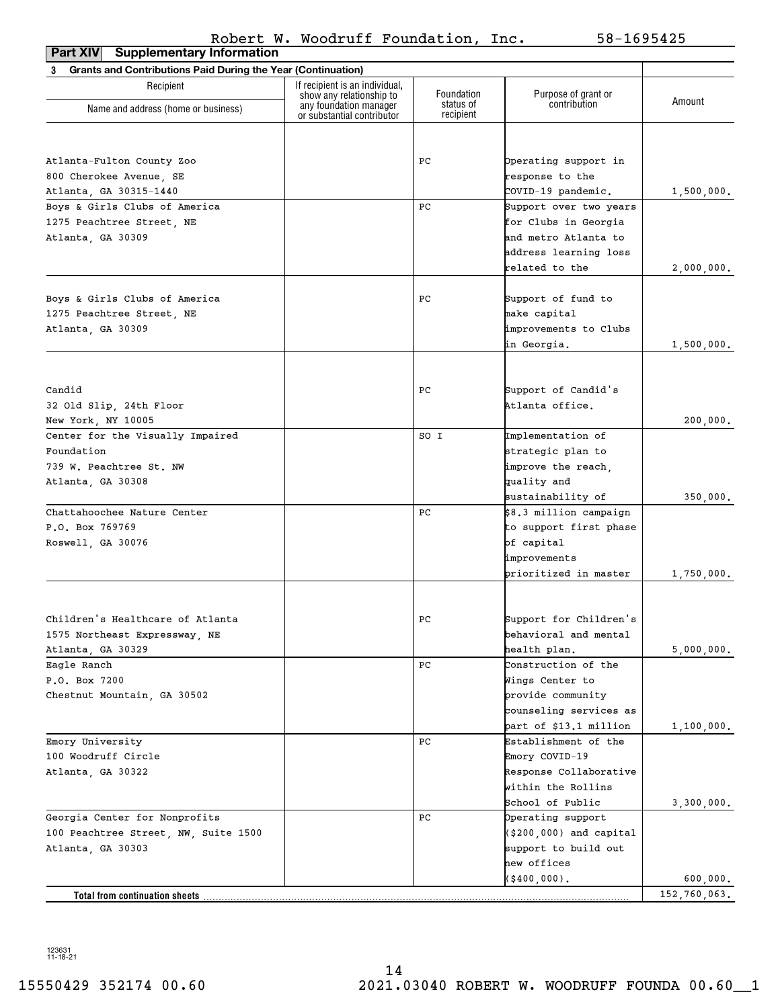| <b>Supplementary Information</b><br>Part XIV                             |                                                            |                         |                                     |              |
|--------------------------------------------------------------------------|------------------------------------------------------------|-------------------------|-------------------------------------|--------------|
| <b>Grants and Contributions Paid During the Year (Continuation)</b><br>3 |                                                            |                         |                                     |              |
| Recipient                                                                | If recipient is an individual,<br>show any relationship to | Foundation<br>status of | Purpose of grant or<br>contribution | Amount       |
| Name and address (home or business)                                      | any foundation manager<br>or substantial contributor       | recipient               |                                     |              |
|                                                                          |                                                            |                         |                                     |              |
| Atlanta-Fulton County Zoo                                                |                                                            | РC                      | Operating support in                |              |
| 800 Cherokee Avenue, SE                                                  |                                                            |                         | response to the                     |              |
| Atlanta, GA 30315-1440                                                   |                                                            |                         | COVID-19 pandemic.                  | 1,500,000.   |
| Boys & Girls Clubs of America                                            |                                                            | РC                      | Support over two years              |              |
| 1275 Peachtree Street, NE                                                |                                                            |                         | for Clubs in Georgia                |              |
| Atlanta, GA 30309                                                        |                                                            |                         | and metro Atlanta to                |              |
|                                                                          |                                                            |                         | address learning loss               |              |
|                                                                          |                                                            |                         | related to the                      | 2,000,000.   |
| Boys & Girls Clubs of America                                            |                                                            | РC                      | Support of fund to                  |              |
| 1275 Peachtree Street, NE                                                |                                                            |                         | make capital                        |              |
| Atlanta, GA 30309                                                        |                                                            |                         | improvements to Clubs               |              |
|                                                                          |                                                            |                         | in Georgia.                         | 1,500,000.   |
|                                                                          |                                                            |                         |                                     |              |
| Candid                                                                   |                                                            | РC                      | Support of Candid's                 |              |
|                                                                          |                                                            |                         | Atlanta office.                     |              |
| 32 Old Slip, 24th Floor                                                  |                                                            |                         |                                     |              |
| New York, NY 10005<br>Center for the Visually Impaired                   |                                                            | SO I                    | Implementation of                   | 200,000.     |
| Foundation                                                               |                                                            |                         |                                     |              |
| 739 W. Peachtree St. NW                                                  |                                                            |                         | strategic plan to                   |              |
|                                                                          |                                                            |                         | improve the reach,<br>quality and   |              |
| Atlanta, GA 30308                                                        |                                                            |                         | sustainability of                   | 350,000.     |
| Chattahoochee Nature Center                                              |                                                            | РC                      | \$8.3 million campaign              |              |
| P.O. Box 769769                                                          |                                                            |                         | to support first phase              |              |
| Roswell, GA 30076                                                        |                                                            |                         | of capital                          |              |
|                                                                          |                                                            |                         | improvements                        |              |
|                                                                          |                                                            |                         | prioritized in master               | 1,750,000.   |
|                                                                          |                                                            |                         |                                     |              |
| Children's Healthcare of Atlanta                                         |                                                            | $_{\rm PC}$             | Support for Children's              |              |
| 1575 Northeast Expressway, NE                                            |                                                            |                         | behavioral and mental               |              |
| Atlanta, GA 30329                                                        |                                                            |                         | health plan.                        | 5,000,000.   |
| Eagle Ranch                                                              |                                                            | РC                      | Construction of the                 |              |
| P.O. Box 7200                                                            |                                                            |                         | Wings Center to                     |              |
| Chestnut Mountain, GA 30502                                              |                                                            |                         | provide community                   |              |
|                                                                          |                                                            |                         | counseling services as              |              |
|                                                                          |                                                            |                         | part of \$13.1 million              | 1,100,000.   |
| Emory University                                                         |                                                            | РC                      | Establishment of the                |              |
| 100 Woodruff Circle                                                      |                                                            |                         | Emory COVID-19                      |              |
| Atlanta, GA 30322                                                        |                                                            |                         | Response Collaborative              |              |
|                                                                          |                                                            |                         | within the Rollins                  |              |
|                                                                          |                                                            |                         | School of Public                    | 3,300,000.   |
| Georgia Center for Nonprofits                                            |                                                            | РC                      | Operating support                   |              |
| 100 Peachtree Street, NW, Suite 1500                                     |                                                            |                         | $($ \$200,000) and capital          |              |
| Atlanta, GA 30303                                                        |                                                            |                         | support to build out                |              |
|                                                                          |                                                            |                         | new offices                         |              |
|                                                                          |                                                            |                         | (\$400,000).                        | 600,000.     |
| Total from continuation sheets                                           |                                                            |                         |                                     | 152,760,063. |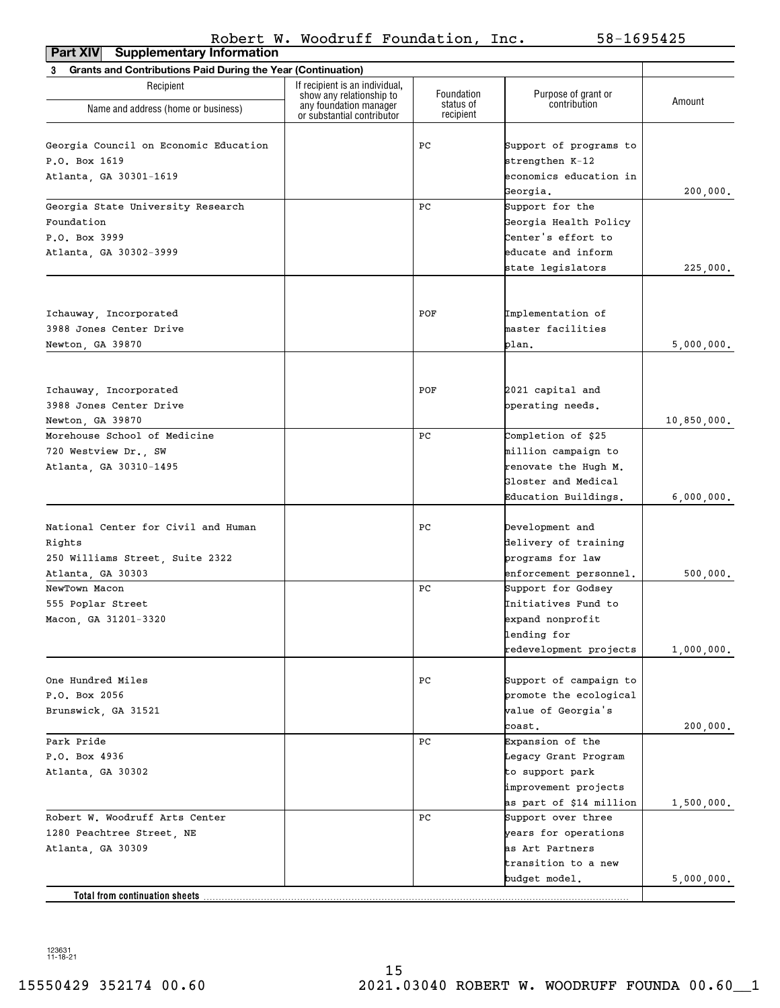| <b>Supplementary Information</b><br>Part XIV                             |                                                            |                        |                         |             |
|--------------------------------------------------------------------------|------------------------------------------------------------|------------------------|-------------------------|-------------|
| <b>Grants and Contributions Paid During the Year (Continuation)</b><br>3 |                                                            |                        |                         |             |
| Recipient                                                                | If recipient is an individual,<br>show any relationship to | Foundation             | Purpose of grant or     | Amount      |
| Name and address (home or business)                                      | any foundation manager<br>or substantial contributor       | status of<br>recipient | contribution            |             |
| Georgia Council on Economic Education                                    |                                                            | PС                     | Support of programs to  |             |
| P.O. Box 1619                                                            |                                                            |                        | strengthen K-12         |             |
| Atlanta, GA 30301-1619                                                   |                                                            |                        | economics education in  |             |
|                                                                          |                                                            |                        | Georgia.                | 200,000.    |
| Georgia State University Research                                        |                                                            | PС                     | Support for the         |             |
| Foundation                                                               |                                                            |                        | Georgia Health Policy   |             |
| P.O. Box 3999                                                            |                                                            |                        | Center's effort to      |             |
| Atlanta, GA 30302-3999                                                   |                                                            |                        | educate and inform      |             |
|                                                                          |                                                            |                        | state legislators       | 225,000.    |
|                                                                          |                                                            |                        |                         |             |
| Ichauway, Incorporated                                                   |                                                            | POF                    | Implementation of       |             |
| 3988 Jones Center Drive                                                  |                                                            |                        | master facilities       |             |
| Newton, GA 39870                                                         |                                                            |                        | plan.                   | 5,000,000.  |
|                                                                          |                                                            |                        |                         |             |
| Ichauway, Incorporated                                                   |                                                            | POF                    | 2021 capital and        |             |
| 3988 Jones Center Drive                                                  |                                                            |                        | operating needs.        |             |
| Newton, GA 39870                                                         |                                                            |                        |                         | 10,850,000. |
| Morehouse School of Medicine                                             |                                                            | PС                     | Completion of \$25      |             |
| 720 Westview Dr., SW                                                     |                                                            |                        | million campaign to     |             |
| Atlanta, GA 30310-1495                                                   |                                                            |                        | renovate the Hugh M.    |             |
|                                                                          |                                                            |                        | Gloster and Medical     |             |
|                                                                          |                                                            |                        | Education Buildings.    | 6,000,000.  |
| National Center for Civil and Human                                      |                                                            | PС                     | Development and         |             |
| Rights                                                                   |                                                            |                        | delivery of training    |             |
| 250 Williams Street, Suite 2322                                          |                                                            |                        | programs for law        |             |
| Atlanta, GA 30303                                                        |                                                            |                        | enforcement personnel.  | 500,000.    |
| NewTown Macon                                                            |                                                            | PС                     | Support for Godsey      |             |
| 555 Poplar Street                                                        |                                                            |                        | Initiatives Fund to     |             |
| Macon, GA 31201-3320                                                     |                                                            |                        | expand nonprofit        |             |
|                                                                          |                                                            |                        | lending for             |             |
|                                                                          |                                                            |                        | redevelopment projects  | 1,000,000.  |
| One Hundred Miles                                                        |                                                            | PС                     | Support of campaign to  |             |
| P.O. Box 2056                                                            |                                                            |                        | promote the ecological  |             |
| Brunswick, GA 31521                                                      |                                                            |                        | value of Georgia's      |             |
|                                                                          |                                                            |                        | coast.                  | 200,000.    |
| Park Pride                                                               |                                                            | PС                     | Expansion of the        |             |
| P.O. Box 4936                                                            |                                                            |                        | Legacy Grant Program    |             |
| Atlanta, GA 30302                                                        |                                                            |                        | to support park         |             |
|                                                                          |                                                            |                        | improvement projects    |             |
|                                                                          |                                                            |                        | as part of \$14 million | 1,500,000.  |
| Robert W. Woodruff Arts Center                                           |                                                            | PС                     | Support over three      |             |
| 1280 Peachtree Street, NE                                                |                                                            |                        | years for operations    |             |
| Atlanta, GA 30309                                                        |                                                            |                        | as Art Partners         |             |
|                                                                          |                                                            |                        | transition to a new     |             |
|                                                                          |                                                            |                        | budget model.           | 5,000,000.  |
| Total from continuation sheets                                           |                                                            |                        |                         |             |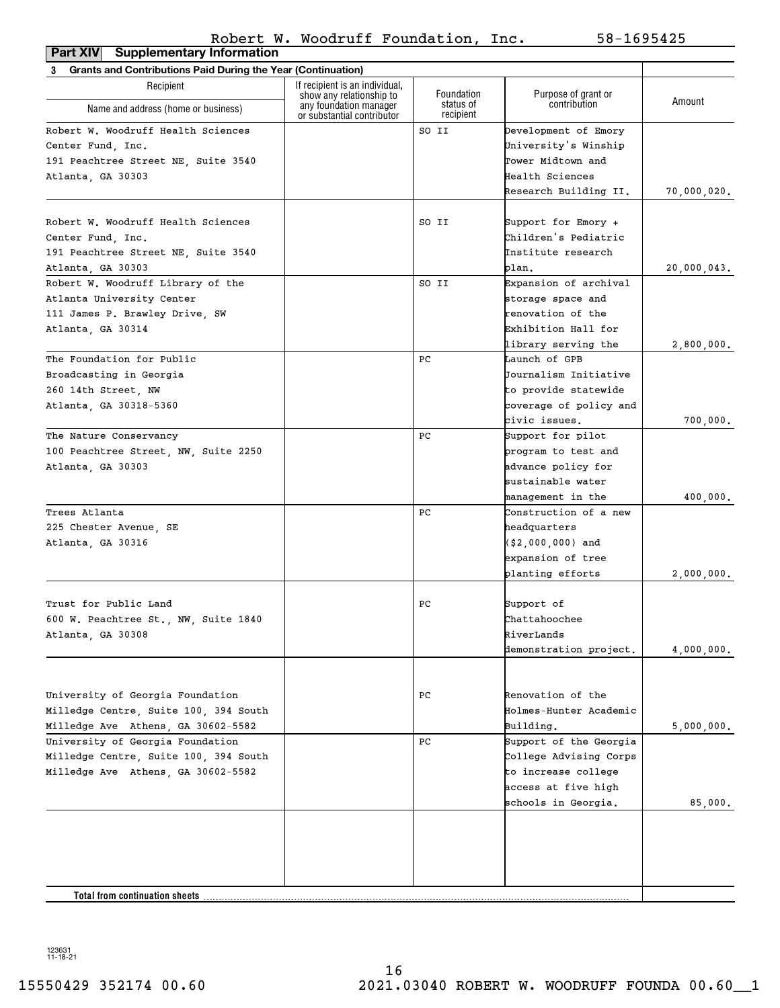**Part XIV Supplementary Information**

| <b>Grants and Contributions Paid During the Year (Continuation)</b><br>3 |                                                                                  |                                      |                                     |             |
|--------------------------------------------------------------------------|----------------------------------------------------------------------------------|--------------------------------------|-------------------------------------|-------------|
| Recipient                                                                | If recipient is an individual.                                                   |                                      |                                     |             |
| Name and address (home or business)                                      | show any relationship to<br>any foundation manager<br>or substantial contributor | Foundation<br>status of<br>recipient | Purpose of grant or<br>contribution | Amount      |
| Robert W. Woodruff Health Sciences                                       |                                                                                  | SO II                                | Development of Emory                |             |
| Center Fund. Inc.                                                        |                                                                                  |                                      | University's Winship                |             |
| 191 Peachtree Street NE, Suite 3540                                      |                                                                                  |                                      | Tower Midtown and                   |             |
| Atlanta, GA 30303                                                        |                                                                                  |                                      | Health Sciences                     |             |
|                                                                          |                                                                                  |                                      | Research Building II.               | 70,000,020. |
|                                                                          |                                                                                  |                                      |                                     |             |
| Robert W. Woodruff Health Sciences                                       |                                                                                  | SO II                                | Support for Emory +                 |             |
| Center Fund. Inc.                                                        |                                                                                  |                                      | Children's Pediatric                |             |
| 191 Peachtree Street NE, Suite 3540                                      |                                                                                  |                                      | Institute research                  |             |
| Atlanta, GA 30303                                                        |                                                                                  |                                      | plan.                               | 20,000,043. |
| Robert W. Woodruff Library of the                                        |                                                                                  | SO II                                | Expansion of archival               |             |
| Atlanta University Center                                                |                                                                                  |                                      | storage space and                   |             |
| 111 James P. Brawley Drive, SW                                           |                                                                                  |                                      | renovation of the                   |             |
| Atlanta, GA 30314                                                        |                                                                                  |                                      | Exhibition Hall for                 |             |
|                                                                          |                                                                                  |                                      | library serving the                 | 2,800,000.  |
| The Foundation for Public                                                |                                                                                  | PС                                   | Launch of GPB                       |             |
| Broadcasting in Georgia                                                  |                                                                                  |                                      | Journalism Initiative               |             |
| 260 14th Street, NW                                                      |                                                                                  |                                      | to provide statewide                |             |
| Atlanta, GA 30318-5360                                                   |                                                                                  |                                      | coverage of policy and              |             |
|                                                                          |                                                                                  |                                      | civic issues.                       | 700,000.    |
| The Nature Conservancy                                                   |                                                                                  | PС                                   | Support for pilot                   |             |
| 100 Peachtree Street, NW, Suite 2250                                     |                                                                                  |                                      | program to test and                 |             |
| Atlanta, GA 30303                                                        |                                                                                  |                                      | advance policy for                  |             |
|                                                                          |                                                                                  |                                      | sustainable water                   |             |
|                                                                          |                                                                                  |                                      | management in the                   | 400,000.    |
| Trees Atlanta                                                            |                                                                                  | PС                                   | Construction of a new               |             |
|                                                                          |                                                                                  |                                      | headquarters                        |             |
| 225 Chester Avenue, SE                                                   |                                                                                  |                                      |                                     |             |
| Atlanta, GA 30316                                                        |                                                                                  |                                      | $( $2,000,000)$ and                 |             |
|                                                                          |                                                                                  |                                      | expansion of tree                   |             |
|                                                                          |                                                                                  |                                      | planting efforts                    | 2,000,000.  |
| Trust for Public Land                                                    |                                                                                  | PС                                   | Support of                          |             |
| 600 W. Peachtree St., NW, Suite 1840                                     |                                                                                  |                                      | Chattahoochee                       |             |
| Atlanta, GA 30308                                                        |                                                                                  |                                      | RiverLands                          |             |
|                                                                          |                                                                                  |                                      | demonstration project.              | 4,000,000.  |
|                                                                          |                                                                                  |                                      |                                     |             |
| University of Georgia Foundation                                         |                                                                                  | PС                                   | Renovation of the                   |             |
| Milledge Centre, Suite 100, 394 South                                    |                                                                                  |                                      | Holmes-Hunter Academic              |             |
| Milledge Ave Athens, GA 30602-5582                                       |                                                                                  |                                      | Building.                           | 5,000,000.  |
| University of Georgia Foundation                                         |                                                                                  | PС                                   | Support of the Georgia              |             |
| Milledge Centre, Suite 100, 394 South                                    |                                                                                  |                                      | College Advising Corps              |             |
| Milledge Ave Athens, GA 30602-5582                                       |                                                                                  |                                      | to increase college                 |             |
|                                                                          |                                                                                  |                                      | access at five high                 |             |
|                                                                          |                                                                                  |                                      |                                     |             |
|                                                                          |                                                                                  |                                      | schools in Georgia.                 | 85,000.     |
|                                                                          |                                                                                  |                                      |                                     |             |
|                                                                          |                                                                                  |                                      |                                     |             |
| <b>Total from continuation sheets</b>                                    |                                                                                  |                                      |                                     |             |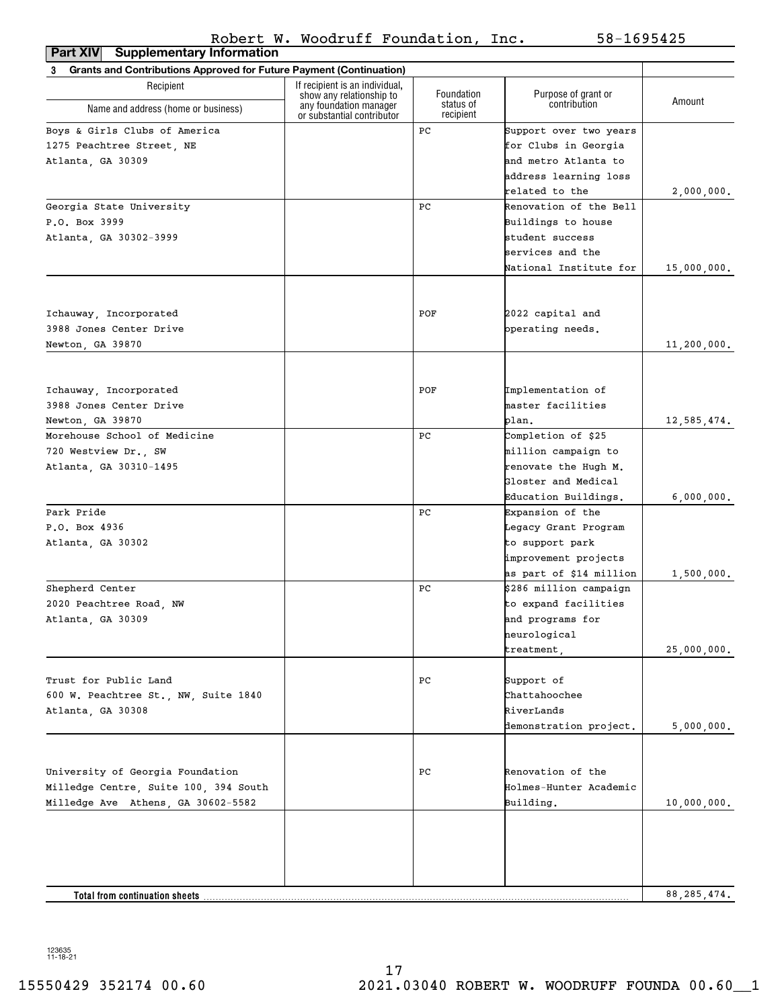| <b>Supplementary Information</b><br>Part XIV                             |                                                                                      |                         |                                     |               |
|--------------------------------------------------------------------------|--------------------------------------------------------------------------------------|-------------------------|-------------------------------------|---------------|
| Grants and Contributions Approved for Future Payment (Continuation)<br>3 |                                                                                      |                         |                                     |               |
| Recipient                                                                | If recipient is an individual,<br>show any relationship to<br>any foundation manager | Foundation<br>status of | Purpose of grant or<br>contribution | Amount        |
| Name and address (home or business)                                      | or substantial contributor                                                           | recipient               |                                     |               |
| Boys & Girls Clubs of America                                            |                                                                                      | РC                      | Support over two years              |               |
| 1275 Peachtree Street, NE                                                |                                                                                      |                         | for Clubs in Georgia                |               |
| Atlanta, GA 30309                                                        |                                                                                      |                         | and metro Atlanta to                |               |
|                                                                          |                                                                                      |                         | address learning loss               |               |
|                                                                          |                                                                                      |                         | related to the                      | 2,000,000.    |
| Georgia State University                                                 |                                                                                      | PС                      | Renovation of the Bell              |               |
| P.O. Box 3999                                                            |                                                                                      |                         | Buildings to house                  |               |
| Atlanta, GA 30302-3999                                                   |                                                                                      |                         | student success                     |               |
|                                                                          |                                                                                      |                         | services and the                    |               |
|                                                                          |                                                                                      |                         | National Institute for              | 15,000,000.   |
|                                                                          |                                                                                      |                         |                                     |               |
| Ichauway, Incorporated                                                   |                                                                                      | POF                     | 2022 capital and                    |               |
| 3988 Jones Center Drive                                                  |                                                                                      |                         | operating needs.                    |               |
| Newton, GA 39870                                                         |                                                                                      |                         |                                     | 11,200,000.   |
|                                                                          |                                                                                      |                         |                                     |               |
| Ichauway, Incorporated                                                   |                                                                                      | POF                     | Implementation of                   |               |
| 3988 Jones Center Drive                                                  |                                                                                      |                         | master facilities                   |               |
| Newton, GA 39870                                                         |                                                                                      |                         | plan.                               | 12,585,474.   |
| Morehouse School of Medicine                                             |                                                                                      | PС                      | Completion of \$25                  |               |
| 720 Westview Dr., SW                                                     |                                                                                      |                         | million campaign to                 |               |
| Atlanta, GA 30310-1495                                                   |                                                                                      |                         | renovate the Hugh M.                |               |
|                                                                          |                                                                                      |                         | Gloster and Medical                 |               |
|                                                                          |                                                                                      |                         | Education Buildings.                | 6,000,000.    |
| Park Pride                                                               |                                                                                      | РC                      | Expansion of the                    |               |
| P.O. Box 4936                                                            |                                                                                      |                         | Legacy Grant Program                |               |
| Atlanta, GA 30302                                                        |                                                                                      |                         | to support park                     |               |
|                                                                          |                                                                                      |                         | improvement projects                |               |
|                                                                          |                                                                                      |                         | as part of \$14 million             | 1,500,000.    |
| Shepherd Center                                                          |                                                                                      | РC                      | \$286 million campaign              |               |
| 2020 Peachtree Road, NW                                                  |                                                                                      |                         | to expand facilities                |               |
| Atlanta, GA 30309                                                        |                                                                                      |                         | and programs for                    |               |
|                                                                          |                                                                                      |                         | neurological                        |               |
|                                                                          |                                                                                      |                         | treatment,                          | 25,000,000.   |
|                                                                          |                                                                                      |                         |                                     |               |
| Trust for Public Land                                                    |                                                                                      | РC                      | Support of                          |               |
| 600 W. Peachtree St., NW, Suite 1840                                     |                                                                                      |                         | Chattahoochee                       |               |
| Atlanta, GA 30308                                                        |                                                                                      |                         | RiverLands                          |               |
|                                                                          |                                                                                      |                         | demonstration project.              | 5,000,000.    |
|                                                                          |                                                                                      |                         |                                     |               |
| University of Georgia Foundation                                         |                                                                                      | РC                      | Renovation of the                   |               |
| Milledge Centre, Suite 100, 394 South                                    |                                                                                      |                         | Holmes-Hunter Academic              |               |
| Milledge Ave Athens, GA 30602-5582                                       |                                                                                      |                         | Building.                           | 10,000,000.   |
|                                                                          |                                                                                      |                         |                                     |               |
|                                                                          |                                                                                      |                         |                                     |               |
|                                                                          |                                                                                      |                         |                                     | 88, 285, 474. |
| Total from continuation sheets.                                          |                                                                                      |                         |                                     |               |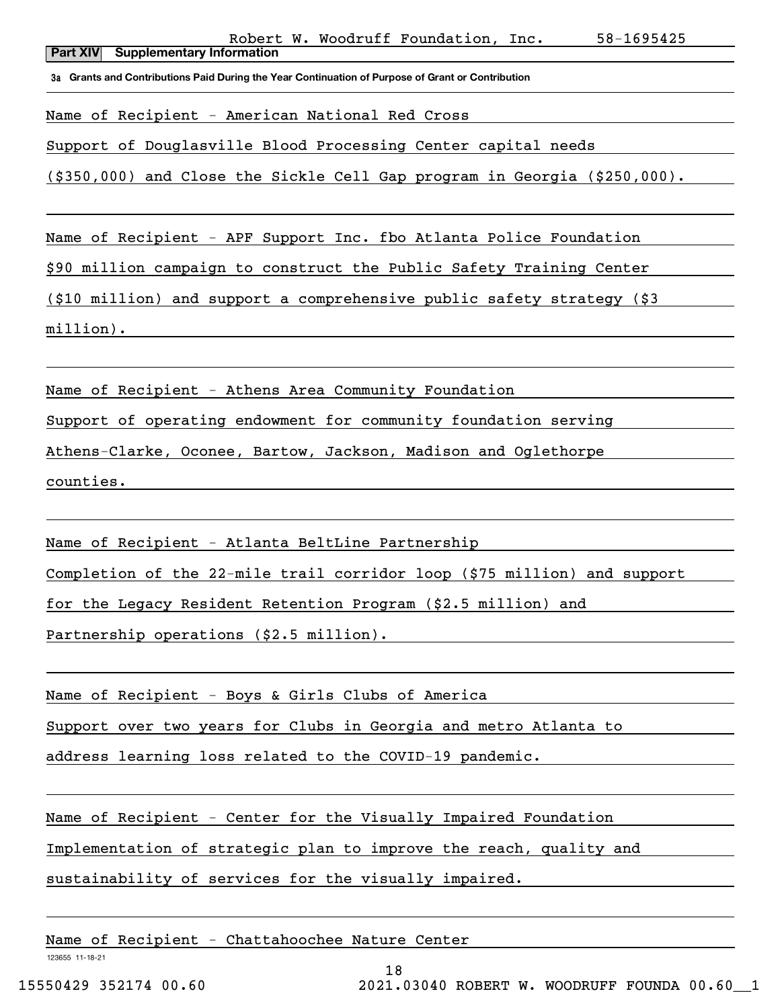**3a Grants and Contributions Paid During the Year Continuation of Purpose of Grant or Contribution**

Name of Recipient - American National Red Cross

Support of Douglasville Blood Processing Center capital needs

(\$350,000) and Close the Sickle Cell Gap program in Georgia (\$250,000).

Name of Recipient - APF Support Inc. fbo Atlanta Police Foundation

\$90 million campaign to construct the Public Safety Training Center

(\$10 million) and support a comprehensive public safety strategy (\$3

million).

Name of Recipient - Athens Area Community Foundation

Support of operating endowment for community foundation serving

Athens-Clarke, Oconee, Bartow, Jackson, Madison and Oglethorpe

counties.

Name of Recipient - Atlanta BeltLine Partnership

Completion of the 22-mile trail corridor loop (\$75 million) and support

for the Legacy Resident Retention Program (\$2.5 million) and

Partnership operations (\$2.5 million).

Name of Recipient - Boys & Girls Clubs of America

Support over two years for Clubs in Georgia and metro Atlanta to

address learning loss related to the COVID-19 pandemic.

Name of Recipient - Center for the Visually Impaired Foundation

Implementation of strategic plan to improve the reach, quality and

sustainability of services for the visually impaired.

Name of Recipient - Chattahoochee Nature Center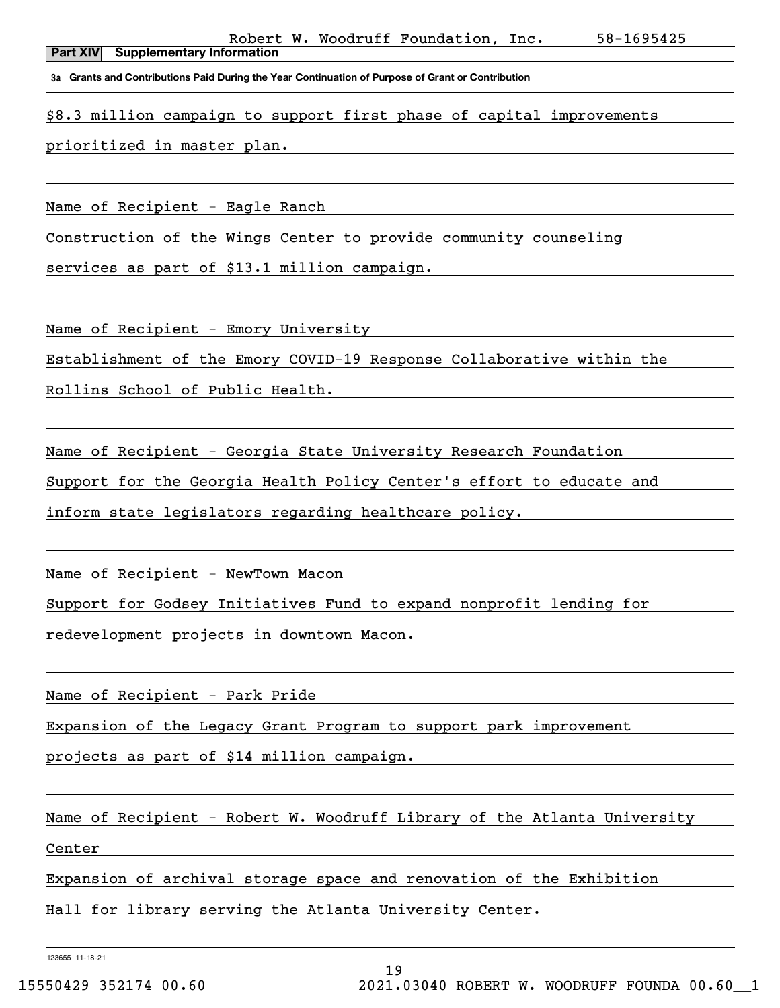**Part XIV Supplementary Information** Robert W. Woodruff Foundation, Inc. 58-1695425

**3a Grants and Contributions Paid During the Year Continuation of Purpose of Grant or Contribution**

\$8.3 million campaign to support first phase of capital improvements

prioritized in master plan.

Name of Recipient - Eagle Ranch

Construction of the Wings Center to provide community counseling

services as part of \$13.1 million campaign.

Name of Recipient - Emory University

Establishment of the Emory COVID-19 Response Collaborative within the

Rollins School of Public Health.

Name of Recipient - Georgia State University Research Foundation

Support for the Georgia Health Policy Center's effort to educate and

inform state legislators regarding healthcare policy.

Name of Recipient - NewTown Macon

Support for Godsey Initiatives Fund to expand nonprofit lending for

redevelopment projects in downtown Macon.

Name of Recipient - Park Pride

Expansion of the Legacy Grant Program to support park improvement

projects as part of \$14 million campaign.

Name of Recipient - Robert W. Woodruff Library of the Atlanta University Center

Expansion of archival storage space and renovation of the Exhibition

Hall for library serving the Atlanta University Center.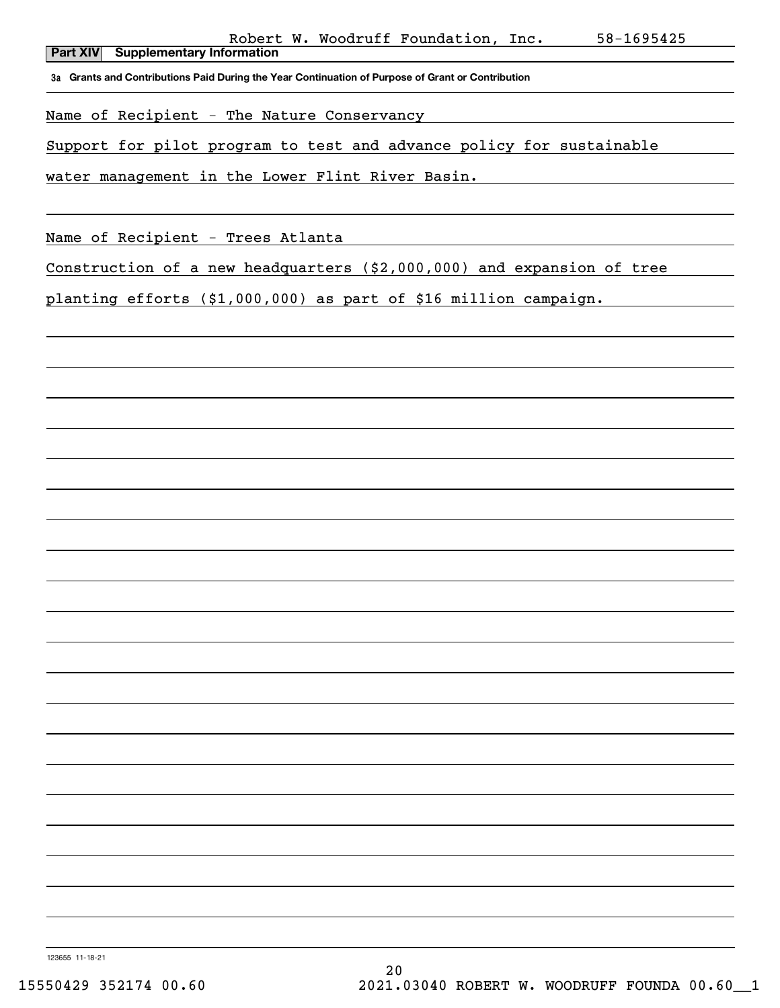**Part XIV Supplementary Information**

**3a Grants and Contributions Paid During the Year Continuation of Purpose of Grant or Contribution**

Name of Recipient - The Nature Conservancy

Support for pilot program to test and advance policy for sustainable

water management in the Lower Flint River Basin.

Name of Recipient - Trees Atlanta

Construction of a new headquarters (\$2,000,000) and expansion of tree

planting efforts (\$1,000,000) as part of \$16 million campaign.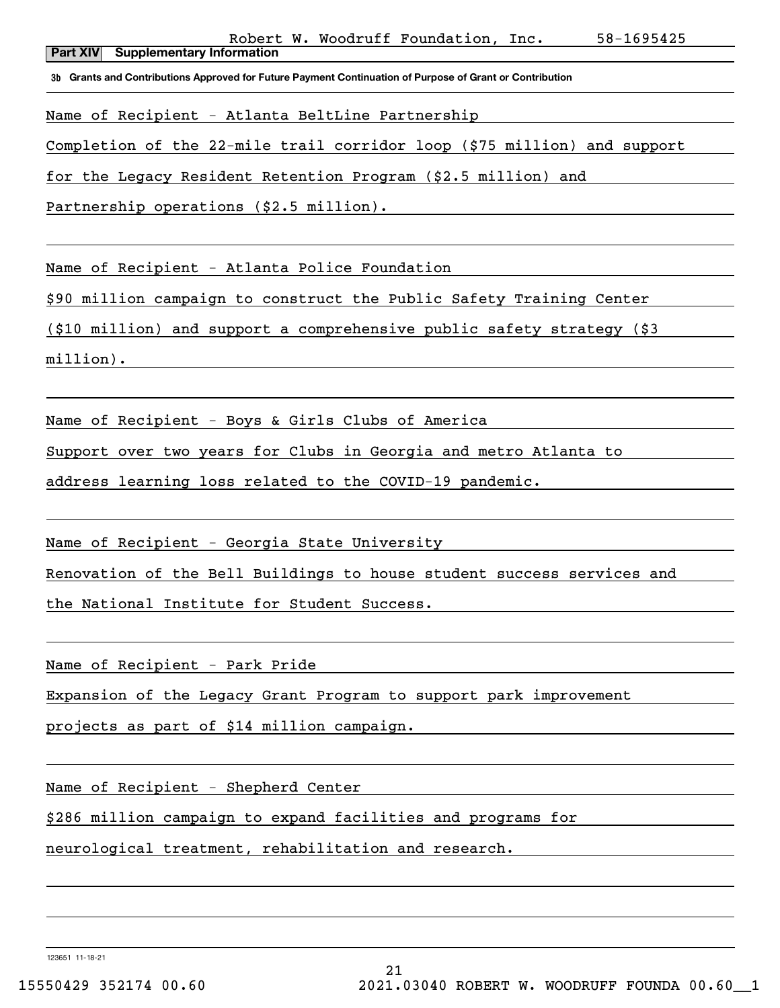Robert W. Woodruff Foundation, Inc. 58-1695425

**Part XIV Supplementary Information**

**3b Grants and Contributions Approved for Future Payment Continuation of Purpose of Grant or Contribution**

Name of Recipient - Atlanta BeltLine Partnership

Completion of the 22-mile trail corridor loop (\$75 million) and support

for the Legacy Resident Retention Program (\$2.5 million) and

Partnership operations (\$2.5 million).

Name of Recipient - Atlanta Police Foundation

\$90 million campaign to construct the Public Safety Training Center

(\$10 million) and support a comprehensive public safety strategy (\$3

million).

Name of Recipient - Boys & Girls Clubs of America

Support over two years for Clubs in Georgia and metro Atlanta to

address learning loss related to the COVID-19 pandemic.

Name of Recipient - Georgia State University

Renovation of the Bell Buildings to house student success services and

the National Institute for Student Success.

Name of Recipient - Park Pride

Expansion of the Legacy Grant Program to support park improvement

projects as part of \$14 million campaign.

Name of Recipient - Shepherd Center

\$286 million campaign to expand facilities and programs for

neurological treatment, rehabilitation and research.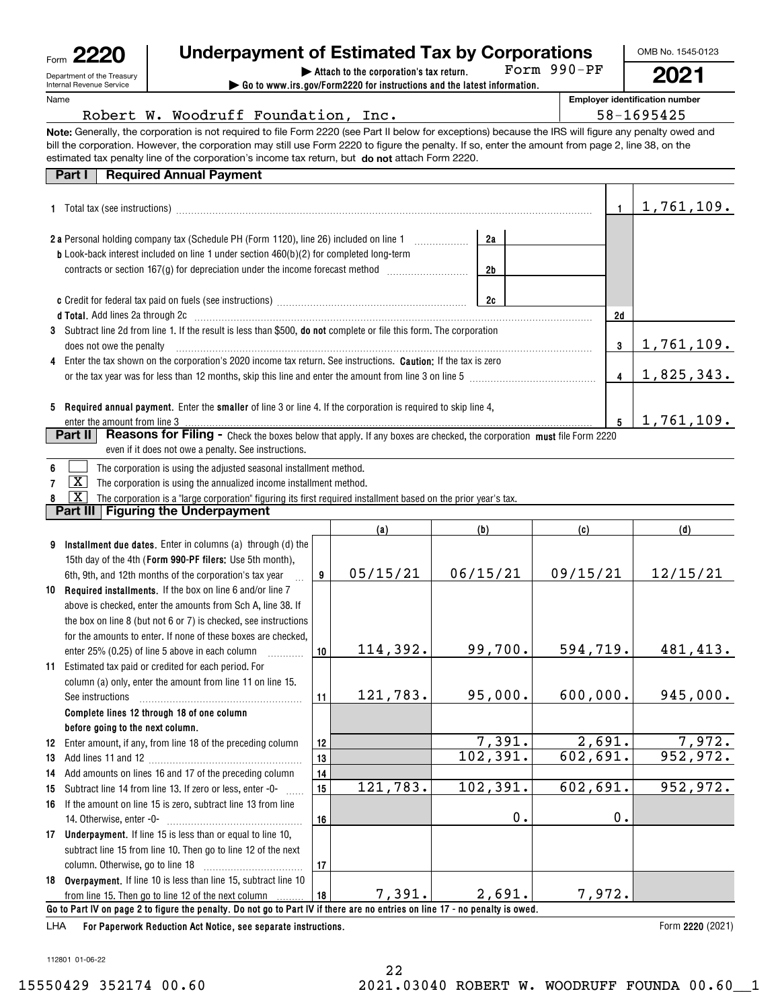| Form                                                   |
|--------------------------------------------------------|
| Department of the Treasury<br>Internal Revenue Service |

# **Underpayment of Estimated Tax by Corporations**

Form 990-PF

OMB No. 1545-0123

**2021**

**| Attach to the corporation's tax return. | Go to www.irs.gov/Form2220 for instructions and the latest information.**

**Employer identification number**

| Robert W. Woodruff Foundation, Inc.                                                                                                                                                                                           |    |          |           |        |          |               | 58-1695425        |
|-------------------------------------------------------------------------------------------------------------------------------------------------------------------------------------------------------------------------------|----|----------|-----------|--------|----------|---------------|-------------------|
| Note: Generally, the corporation is not required to file Form 2220 (see Part II below for exceptions) because the IRS will figure any penalty owed and                                                                        |    |          |           |        |          |               |                   |
| bill the corporation. However, the corporation may still use Form 2220 to figure the penalty. If so, enter the amount from page 2, line 38, on the                                                                            |    |          |           |        |          |               |                   |
| estimated tax penalty line of the corporation's income tax return, but do not attach Form 2220.                                                                                                                               |    |          |           |        |          |               |                   |
| <b>Required Annual Payment</b><br>Part I                                                                                                                                                                                      |    |          |           |        |          |               |                   |
|                                                                                                                                                                                                                               |    |          |           |        |          |               |                   |
|                                                                                                                                                                                                                               |    |          |           |        |          | 1.            | 1,761,109.        |
|                                                                                                                                                                                                                               |    |          |           |        |          |               |                   |
| 2 a Personal holding company tax (Schedule PH (Form 1120), line 26) included on line 1                                                                                                                                        |    |          | 2a        |        |          |               |                   |
| <b>b</b> Look-back interest included on line 1 under section 460(b)(2) for completed long-term                                                                                                                                |    |          |           |        |          |               |                   |
| contracts or section 167(g) for depreciation under the income forecast method [111111111111111111111111111111                                                                                                                 |    |          | 2b        |        |          |               |                   |
|                                                                                                                                                                                                                               |    |          |           |        |          |               |                   |
|                                                                                                                                                                                                                               |    |          | 2c        |        |          |               |                   |
| d Total. Add lines 2a through 2c [11] manuscription contracts and all the contracts and all the contracts and the contracts and the contracts and the contracts and the contracts and the contracts and the contracts and the |    |          |           |        |          | 2d            |                   |
| 3 Subtract line 2d from line 1. If the result is less than \$500, do not complete or file this form. The corporation                                                                                                          |    |          |           |        |          |               |                   |
| does not owe the penalty                                                                                                                                                                                                      |    |          |           |        |          | 3             | <u>1,761,109.</u> |
| Enter the tax shown on the corporation's 2020 income tax return. See instructions. Caution: If the tax is zero                                                                                                                |    |          |           |        |          |               |                   |
|                                                                                                                                                                                                                               |    |          |           |        |          | 4             | 1,825,343.        |
|                                                                                                                                                                                                                               |    |          |           |        |          |               |                   |
| 5 Required annual payment. Enter the smaller of line 3 or line 4. If the corporation is required to skip line 4,                                                                                                              |    |          |           |        |          |               |                   |
| enter the amount from line 3                                                                                                                                                                                                  |    |          |           |        |          | 5             | 1,761,109.        |
| Part II<br><b>Reasons for Filing -</b> Check the boxes below that apply. If any boxes are checked, the corporation must file Form 2220                                                                                        |    |          |           |        |          |               |                   |
| even if it does not owe a penalty. See instructions.                                                                                                                                                                          |    |          |           |        |          |               |                   |
| The corporation is using the adjusted seasonal installment method.<br>6                                                                                                                                                       |    |          |           |        |          |               |                   |
| $\lfloor x \rfloor$<br>The corporation is using the annualized income installment method.<br>7                                                                                                                                |    |          |           |        |          |               |                   |
| $\overline{\mathbf{X}}$<br>The corporation is a "large corporation" figuring its first required installment based on the prior year's tax.<br>8                                                                               |    |          |           |        |          |               |                   |
| Part III   Figuring the Underpayment                                                                                                                                                                                          |    |          |           |        |          |               |                   |
|                                                                                                                                                                                                                               |    | (a)      | (b)       |        | (c)      |               | (d)               |
| Installment due dates. Enter in columns (a) through (d) the<br>9                                                                                                                                                              |    |          |           |        |          |               |                   |
| 15th day of the 4th (Form 990-PF filers: Use 5th month),                                                                                                                                                                      |    |          |           |        |          |               |                   |
| 6th, 9th, and 12th months of the corporation's tax year                                                                                                                                                                       | 9  | 05/15/21 | 06/15/21  |        | 09/15/21 |               | 12/15/21          |
| 10 Required installments. If the box on line 6 and/or line 7                                                                                                                                                                  |    |          |           |        |          |               |                   |
| above is checked, enter the amounts from Sch A, line 38. If                                                                                                                                                                   |    |          |           |        |          |               |                   |
| the box on line 8 (but not 6 or 7) is checked, see instructions                                                                                                                                                               |    |          |           |        |          |               |                   |
| for the amounts to enter. If none of these boxes are checked,                                                                                                                                                                 |    |          |           |        |          |               |                   |
| enter 25% (0.25) of line 5 above in each column $\ldots$                                                                                                                                                                      | 10 | 114,392. | 99,700.   |        | 594,719. |               | 481,413.          |
| 11 Estimated tax paid or credited for each period. For                                                                                                                                                                        |    |          |           |        |          |               |                   |
| column (a) only, enter the amount from line 11 on line 15.                                                                                                                                                                    |    |          |           |        |          |               |                   |
| See instructions                                                                                                                                                                                                              | 11 | 121,783. | 95,000.   |        | 600,000. |               | 945,000.          |
| Complete lines 12 through 18 of one column                                                                                                                                                                                    |    |          |           |        |          |               |                   |
| before going to the next column.                                                                                                                                                                                              |    |          |           |        |          |               |                   |
| Enter amount, if any, from line 18 of the preceding column<br>12                                                                                                                                                              | 12 |          |           | 7,391. | 2,691.   |               | 7,972.            |
| 13                                                                                                                                                                                                                            | 13 |          | 102, 391. |        | 602,691. |               | 952,972.          |
| Add amounts on lines 16 and 17 of the preceding column<br>14                                                                                                                                                                  | 14 |          |           |        |          |               |                   |
| Subtract line 14 from line 13. If zero or less, enter -0-<br>15                                                                                                                                                               | 15 | 121,783. | 102, 391. |        | 602,691. |               | 952,972.          |
| If the amount on line 15 is zero, subtract line 13 from line<br>16                                                                                                                                                            |    |          |           |        |          |               |                   |
|                                                                                                                                                                                                                               | 16 |          |           | $0$ .  |          | $\mathbf 0$ . |                   |
| 17 Underpayment. If line 15 is less than or equal to line 10,                                                                                                                                                                 |    |          |           |        |          |               |                   |
| subtract line 15 from line 10. Then go to line 12 of the next                                                                                                                                                                 |    |          |           |        |          |               |                   |
|                                                                                                                                                                                                                               | 17 |          |           |        |          |               |                   |
| 18 Overpayment. If line 10 is less than line 15, subtract line 10                                                                                                                                                             |    |          |           |        |          |               |                   |
|                                                                                                                                                                                                                               |    |          |           |        |          |               |                   |

**For Paperwork Reduction Act Notice, see separate instructions.** LHA

from line 15. Then go to line 12 of the next column

**18**

**Go to Part IV on page 2 to figure the penalty. Do not go to Part IV if there are no entries on line 17 - no penalty is owed.**

Form 2220 (2021)

112801 01-06-22

7,391. 2,691. 7,972.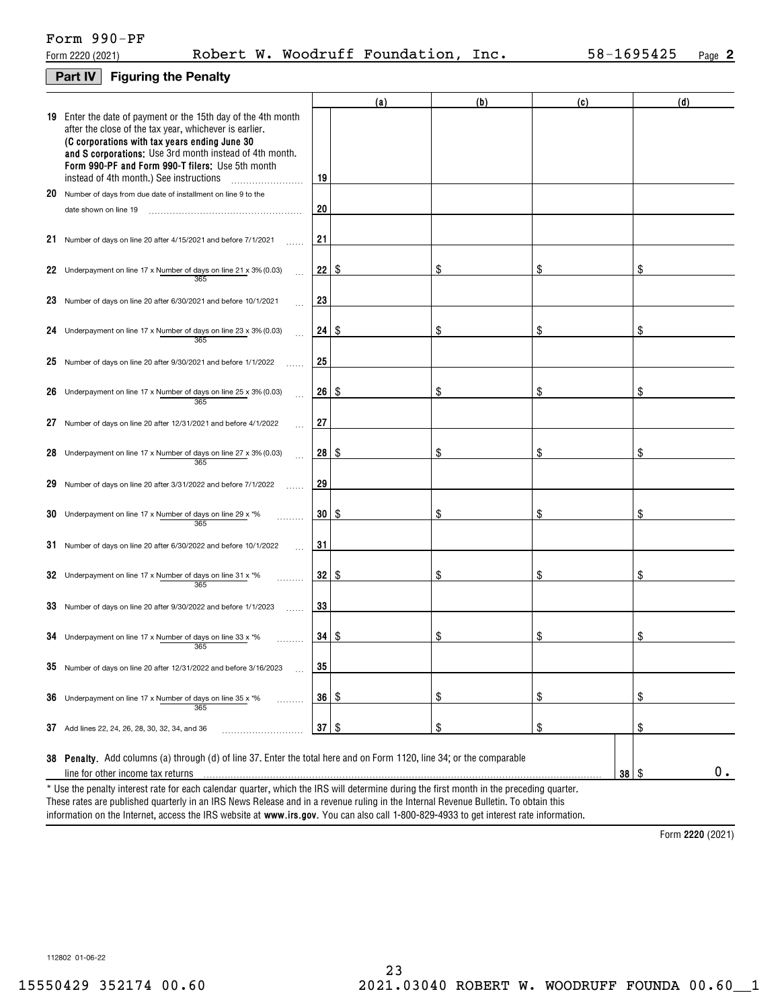## Form 990-PF

|  | Form 2220 (2021) | w.<br>Robert |  | Woodruff Foundation, | Inc. | $-1695425$<br>$58 -$ | Page |  |
|--|------------------|--------------|--|----------------------|------|----------------------|------|--|
|--|------------------|--------------|--|----------------------|------|----------------------|------|--|

### **Part IV Figuring the Penalty**

|    |                                                                                                                                                                                                                                                                                                                                         |    | (a) | (b) | (c)        | (d) |
|----|-----------------------------------------------------------------------------------------------------------------------------------------------------------------------------------------------------------------------------------------------------------------------------------------------------------------------------------------|----|-----|-----|------------|-----|
|    | 19 Enter the date of payment or the 15th day of the 4th month<br>after the close of the tax year, whichever is earlier.<br>(C corporations with tax years ending June 30<br>and S corporations: Use 3rd month instead of 4th month.<br>Form 990-PF and Form 990-T filers: Use 5th month<br>instead of 4th month.) See instructions<br>. | 19 |     |     |            |     |
|    | 20 Number of days from due date of installment on line 9 to the                                                                                                                                                                                                                                                                         |    |     |     |            |     |
|    | date shown on line 19                                                                                                                                                                                                                                                                                                                   | 20 |     |     |            |     |
|    | 21 Number of days on line 20 after 4/15/2021 and before 7/1/2021                                                                                                                                                                                                                                                                        | 21 |     |     |            |     |
|    | 22 Underpayment on line 17 x Number of days on line 21 x 3% (0.03)<br>365                                                                                                                                                                                                                                                               | 22 | S   | \$  | \$         | \$  |
|    | 23 Number of days on line 20 after 6/30/2021 and before 10/1/2021                                                                                                                                                                                                                                                                       | 23 |     |     |            |     |
|    | 24 Underpayment on line 17 x Number of days on line 23 x 3% (0.03)<br>365                                                                                                                                                                                                                                                               | 24 | S   | \$  | \$         | \$  |
|    | 25 Number of days on line 20 after 9/30/2021 and before 1/1/2022                                                                                                                                                                                                                                                                        | 25 |     |     |            |     |
|    | 26 Underpayment on line 17 x Number of days on line 25 x 3% (0.03)<br>365                                                                                                                                                                                                                                                               | 26 | S   | \$  | \$         | \$  |
| 27 | Number of days on line 20 after 12/31/2021 and before 4/1/2022                                                                                                                                                                                                                                                                          | 27 |     |     |            |     |
|    | 28 Underpayment on line 17 x Number of days on line 27 x 3% (0.03)<br>365                                                                                                                                                                                                                                                               | 28 | -\$ | S   | \$         | \$  |
|    | 29 Number of days on line 20 after 3/31/2022 and before 7/1/2022                                                                                                                                                                                                                                                                        | 29 |     |     |            |     |
|    | 30 Underpayment on line 17 x Number of days on line 29 x $*$ %<br>365                                                                                                                                                                                                                                                                   | 30 | S   | \$  | \$         | \$  |
|    | 31 Number of days on line 20 after 6/30/2022 and before 10/1/2022                                                                                                                                                                                                                                                                       | 31 |     |     |            |     |
|    | 32 Underpayment on line 17 x Number of days on line 31 x *%<br>365                                                                                                                                                                                                                                                                      | 32 | S   | \$  | \$         | \$  |
|    | 33 Number of days on line 20 after 9/30/2022 and before 1/1/2023                                                                                                                                                                                                                                                                        | 33 |     |     |            |     |
|    | 34 Underpayment on line 17 x Number of days on line 33 x $*$ %<br>365                                                                                                                                                                                                                                                                   | 34 | \$  | \$  | \$         | \$  |
|    | 35 Number of days on line 20 after 12/31/2022 and before 3/16/2023                                                                                                                                                                                                                                                                      | 35 |     |     |            |     |
|    | 36 Underpayment on line 17 x Number of days on line 35 x *%<br>.<br>365                                                                                                                                                                                                                                                                 | 36 | \$  | \$  | \$         | \$  |
|    | 37 Add lines 22, 24, 26, 28, 30, 32, 34, and 36                                                                                                                                                                                                                                                                                         | 37 | \$  | \$  | \$         | \$  |
|    | 38 Penalty. Add columns (a) through (d) of line 37. Enter the total here and on Form 1120, line 34; or the comparable<br>line for other income tax returns<br>* Use the penalty interest rate for each calendar quarter, which the IRS will determine during the first month in the preceding quarter.                                  |    |     |     | $38 \quad$ | 0.  |

information on the Internet, access the IRS website at **www.irs.gov**. You can also call 1-800-829-4933 to get interest rate information. These rates are published quarterly in an IRS News Release and in a revenue ruling in the Internal Revenue Bulletin. To obtain this

**2220**  Form (2021)

112802 01-06-22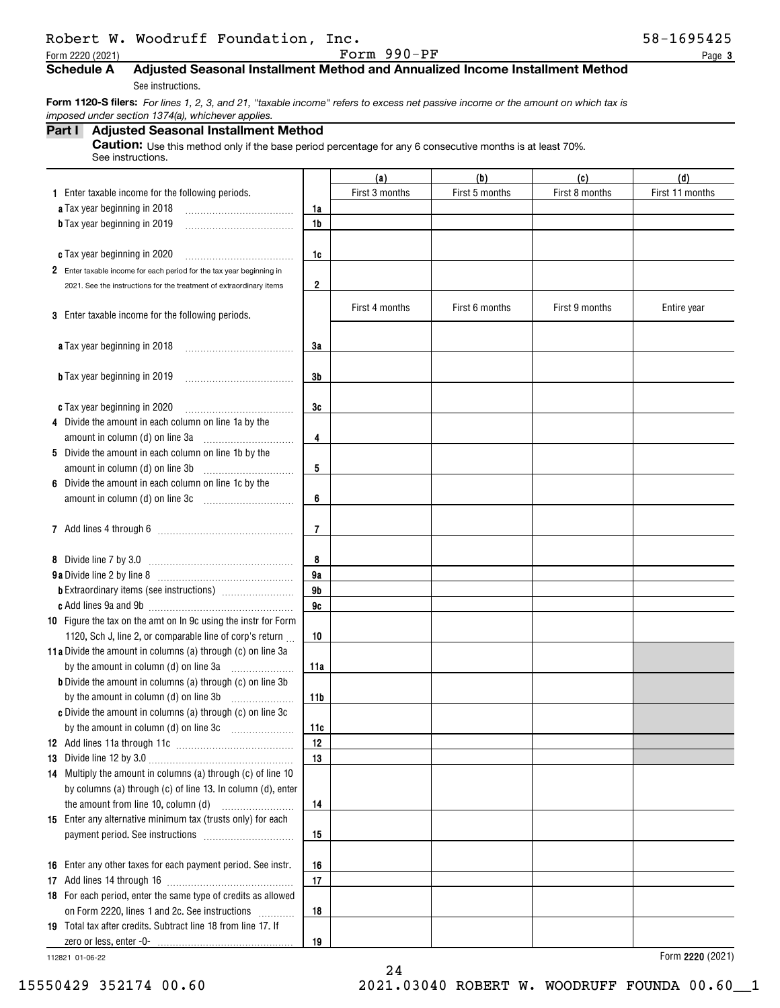## Robert W. Woodruff Foundation, Inc. 58-1695425

Form 2220 (2021) Page Form 990-PF

**3**

### **Schedule A Adjusted Seasonal Installment Method and Annualized Income Installment Method**

See instructions.

 **Form 1120-S filers:** *For lines 1, 2, 3, and 21, "taxable income" refers to excess net passive income or the amount on which tax is imposed under section 1374(a), whichever applies.*

## **Part I Adjusted Seasonal Installment Method**

**Caution:** Use this method only if the base period percentage for any 6 consecutive months is at least 70%. See instructions.

|                                                                      |                         | (a)            | (b)            | (c)            | (d)             |
|----------------------------------------------------------------------|-------------------------|----------------|----------------|----------------|-----------------|
| 1 Enter taxable income for the following periods.                    |                         | First 3 months | First 5 months | First 8 months | First 11 months |
| a Tax year beginning in 2018                                         | 1a                      |                |                |                |                 |
| <b>b</b> Tax year beginning in 2019                                  | 1b                      |                |                |                |                 |
|                                                                      |                         |                |                |                |                 |
| c Tax year beginning in 2020                                         | 1c                      |                |                |                |                 |
| 2 Enter taxable income for each period for the tax year beginning in |                         |                |                |                |                 |
| 2021. See the instructions for the treatment of extraordinary items  | $\overline{\mathbf{2}}$ |                |                |                |                 |
|                                                                      |                         | First 4 months | First 6 months | First 9 months |                 |
| 3 Enter taxable income for the following periods.                    |                         |                |                |                | Entire year     |
|                                                                      |                         |                |                |                |                 |
| <b>a</b> Tax year beginning in 2018                                  | 3a                      |                |                |                |                 |
|                                                                      |                         |                |                |                |                 |
| <b>b</b> Tax year beginning in 2019                                  | 3b                      |                |                |                |                 |
|                                                                      |                         |                |                |                |                 |
| c Tax year beginning in 2020                                         | 3c                      |                |                |                |                 |
| 4 Divide the amount in each column on line 1a by the                 |                         |                |                |                |                 |
|                                                                      | 4                       |                |                |                |                 |
| 5 Divide the amount in each column on line 1b by the                 |                         |                |                |                |                 |
| amount in column (d) on line 3b                                      | 5                       |                |                |                |                 |
| 6 Divide the amount in each column on line 1c by the                 |                         |                |                |                |                 |
|                                                                      | 6                       |                |                |                |                 |
|                                                                      |                         |                |                |                |                 |
|                                                                      | $\overline{7}$          |                |                |                |                 |
|                                                                      |                         |                |                |                |                 |
| 8 Divide line 7 by 3.0                                               | 8                       |                |                |                |                 |
|                                                                      | 9a<br>9 <sub>b</sub>    |                |                |                |                 |
|                                                                      | 9c                      |                |                |                |                 |
| 10 Figure the tax on the amt on In 9c using the instr for Form       |                         |                |                |                |                 |
| 1120, Sch J, line 2, or comparable line of corp's return             | 10                      |                |                |                |                 |
| 11a Divide the amount in columns (a) through (c) on line 3a          |                         |                |                |                |                 |
|                                                                      | 11a                     |                |                |                |                 |
| <b>b</b> Divide the amount in columns (a) through (c) on line 3b     |                         |                |                |                |                 |
|                                                                      | 11b                     |                |                |                |                 |
| c Divide the amount in columns (a) through (c) on line 3c            |                         |                |                |                |                 |
|                                                                      | 11c                     |                |                |                |                 |
|                                                                      | 12                      |                |                |                |                 |
|                                                                      | 13                      |                |                |                |                 |
| 14 Multiply the amount in columns (a) through (c) of line 10         |                         |                |                |                |                 |
| by columns (a) through (c) of line 13. In column (d), enter          |                         |                |                |                |                 |
| the amount from line 10, column (d)                                  | 14                      |                |                |                |                 |
| 15 Enter any alternative minimum tax (trusts only) for each          |                         |                |                |                |                 |
|                                                                      | 15                      |                |                |                |                 |
|                                                                      |                         |                |                |                |                 |
| 16 Enter any other taxes for each payment period. See instr.         | 16                      |                |                |                |                 |
|                                                                      | 17                      |                |                |                |                 |
| 18 For each period, enter the same type of credits as allowed        |                         |                |                |                |                 |
| on Form 2220, lines 1 and 2c. See instructions                       | 18                      |                |                |                |                 |
| 19 Total tax after credits. Subtract line 18 from line 17. If        |                         |                |                |                |                 |
|                                                                      | 19                      |                |                |                |                 |

24

112821 01-06-22

**2220**  Form (2021)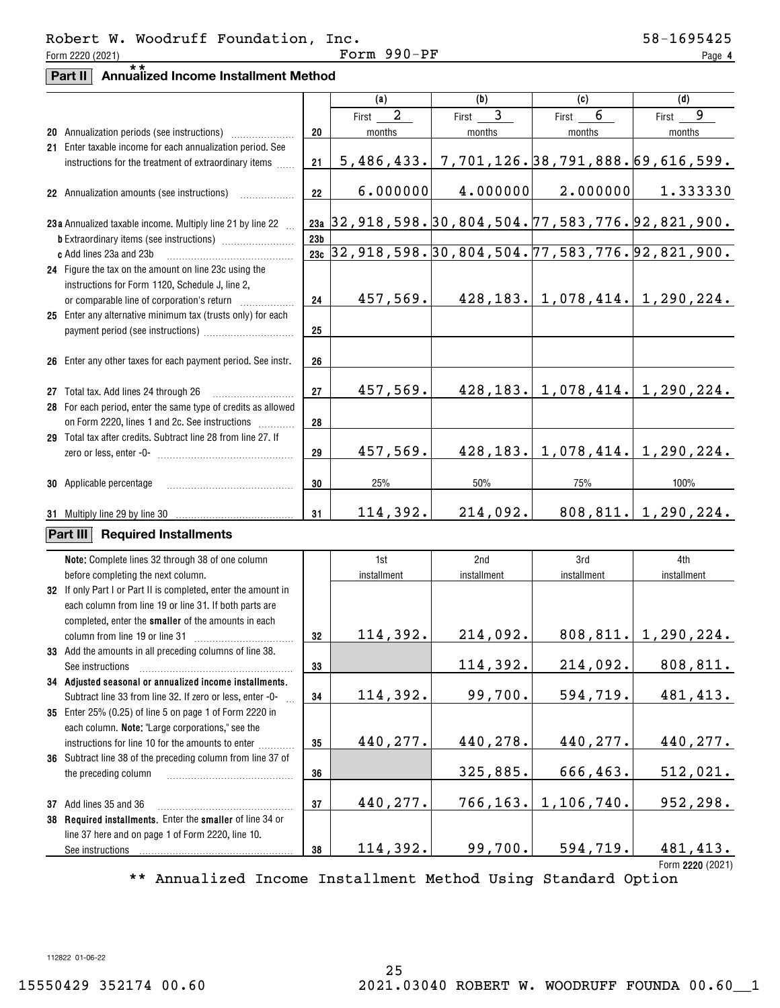**4**

## **Part II Annualized Income Installment Method** \*\*

|                                                                                       |                 | (a)                       | (b)                                                     | (c)                                     | (d)                                                        |
|---------------------------------------------------------------------------------------|-----------------|---------------------------|---------------------------------------------------------|-----------------------------------------|------------------------------------------------------------|
|                                                                                       |                 | $\boldsymbol{2}$<br>First | 3<br>First                                              | 6<br>First                              | 9<br>First                                                 |
|                                                                                       | 20              | months                    | months                                                  | months                                  | months                                                     |
| 21 Enter taxable income for each annualization period. See                            |                 |                           |                                                         |                                         |                                                            |
| instructions for the treatment of extraordinary items                                 | 21              |                           | $5,486,433.$ 7, 701, 126. 38, 791, 888. 69, 616, 599.   |                                         |                                                            |
|                                                                                       |                 |                           |                                                         |                                         |                                                            |
| 22 Annualization amounts (see instructions)                                           | 22              | 6.000000                  | 4.000000                                                | 2.000000                                | 1.333330                                                   |
|                                                                                       |                 |                           |                                                         |                                         |                                                            |
| 23a Annualized taxable income. Multiply line 21 by line 22                            |                 |                           | <u>23a</u> 32,918,598.30,804,504.77,583,776.92,821,900. |                                         |                                                            |
|                                                                                       | 23 <sub>b</sub> |                           |                                                         |                                         |                                                            |
| c Add lines 23a and 23b                                                               | 23c             |                           |                                                         |                                         | $[32, 918, 598. 30, 804, 504. 77, 583, 776. 92, 821, 900.$ |
| 24 Figure the tax on the amount on line 23c using the                                 |                 |                           |                                                         |                                         |                                                            |
| instructions for Form 1120, Schedule J, line 2,                                       |                 |                           |                                                         |                                         |                                                            |
|                                                                                       | 24              | 457,569.                  |                                                         |                                         | $428, 183.$   1, 078, 414.  1, 290, 224.                   |
| 25 Enter any alternative minimum tax (trusts only) for each                           |                 |                           |                                                         |                                         |                                                            |
|                                                                                       | 25              |                           |                                                         |                                         |                                                            |
|                                                                                       |                 |                           |                                                         |                                         |                                                            |
| 26 Enter any other taxes for each payment period. See instr.                          | 26              |                           |                                                         |                                         |                                                            |
|                                                                                       |                 |                           |                                                         |                                         |                                                            |
| 27 Total tax. Add lines 24 through 26                                                 | 27              | 457,569.                  |                                                         | $428, 183.$ 1, 078, $414.$ 1, 290, 224. |                                                            |
| 28 For each period, enter the same type of credits as allowed                         |                 |                           |                                                         |                                         |                                                            |
| on Form 2220, lines 1 and 2c. See instructions                                        | 28              |                           |                                                         |                                         |                                                            |
| 29 Total tax after credits. Subtract line 28 from line 27. If                         |                 |                           |                                                         |                                         |                                                            |
|                                                                                       | 29              | 457,569.                  |                                                         | $428, 183.$   1,078,414.  1,290,224.    |                                                            |
|                                                                                       |                 |                           |                                                         |                                         |                                                            |
| <b>30</b> Applicable percentage                                                       | 30              | 25%                       | 50%                                                     | 75%                                     | 100%                                                       |
|                                                                                       |                 |                           |                                                         |                                         |                                                            |
| 31 Multiply line 29 by line 30                                                        | 31              | 114,392.                  | 214,092.                                                |                                         | 808, 811.   1, 290, 224.                                   |
| Part III<br><b>Required Installments</b>                                              |                 |                           |                                                         |                                         |                                                            |
|                                                                                       |                 |                           |                                                         |                                         |                                                            |
| Note: Complete lines 32 through 38 of one column                                      |                 | 1st                       | 2nd                                                     | 3rd                                     | 4th                                                        |
| before completing the next column.                                                    |                 | installment               | installment                                             | installment                             | installment                                                |
| 32 If only Part I or Part II is completed, enter the amount in                        |                 |                           |                                                         |                                         |                                                            |
| each column from line 19 or line 31. If both parts are                                |                 |                           |                                                         |                                         |                                                            |
| completed, enter the smaller of the amounts in each<br>column from line 19 or line 31 | 32              | 114,392.                  | 214,092.                                                |                                         | 808, 811.   1, 290, 224.                                   |
| 33 Add the amounts in all preceding columns of line 38.                               |                 |                           |                                                         |                                         |                                                            |
| See instructions                                                                      | 33              |                           | 114,392.                                                |                                         | $214,092.$ 808,811.                                        |
| 34 Adjusted seasonal or annualized income installments.                               |                 |                           |                                                         |                                         |                                                            |
| Subtract line 33 from line 32. If zero or less, enter -0-                             | 34              | 114,392.                  | 99,700.                                                 | 594,719.                                | 481,413.                                                   |
| 35 Enter 25% (0.25) of line 5 on page 1 of Form 2220 in                               |                 |                           |                                                         |                                         |                                                            |
| each column. Note: "Large corporations," see the                                      |                 |                           |                                                         |                                         |                                                            |
| instructions for line 10 for the amounts to enter<br>.                                | 35              | 440,277.                  | 440,278.                                                | 440, 277.                               | 440,277.                                                   |
| 36 Subtract line 38 of the preceding column from line 37 of                           |                 |                           |                                                         |                                         |                                                            |
| the preceding column                                                                  | 36              |                           | 325,885.                                                | 666,463.                                | 512,021.                                                   |
|                                                                                       |                 |                           |                                                         |                                         |                                                            |
| 37 Add lines 35 and 36                                                                | 37              | 440,277.                  | 766,163.                                                | 1,106,740.                              | 952,298.                                                   |
| 38 Required installments. Enter the smaller of line 34 or                             |                 |                           |                                                         |                                         |                                                            |
| line 37 here and on page 1 of Form 2220, line 10.                                     |                 |                           |                                                         |                                         |                                                            |
| See instructions                                                                      | 38              | 114,392.                  | 99,700.                                                 | 594,719.                                | 481,413.                                                   |
|                                                                                       |                 |                           |                                                         |                                         |                                                            |

\*\* Annualized Income Installment Method Using Standard Option

112822 01-06-22

**2220**  Form (2021)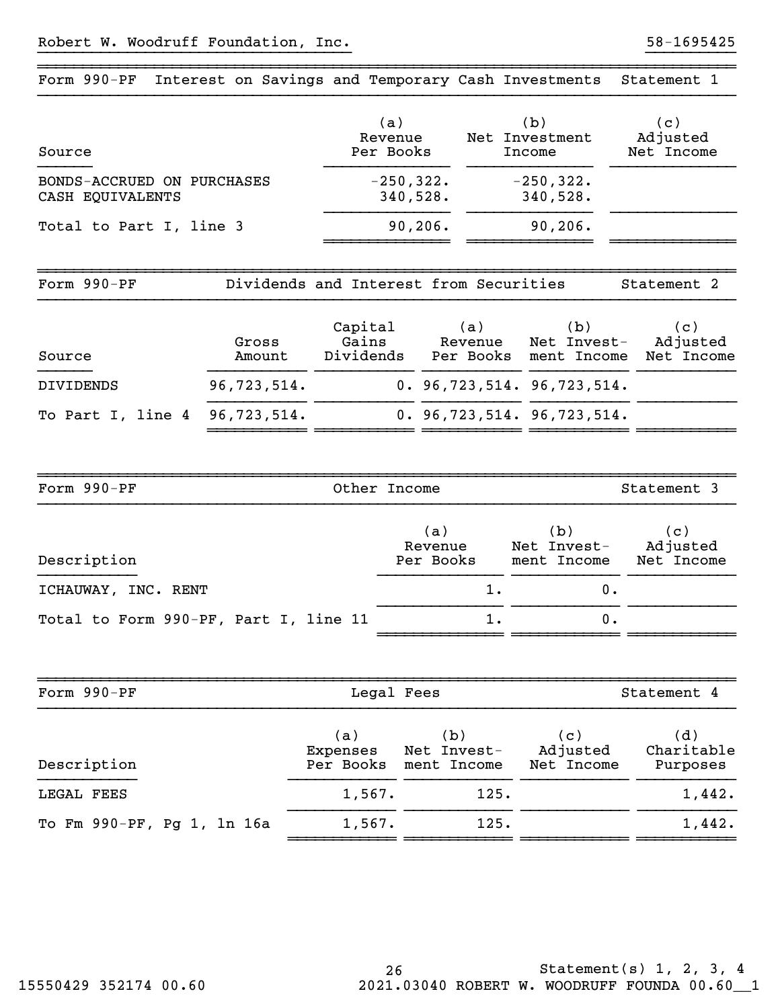| Form 990-PF                                    | Interest on Savings and Temporary Cash Investments |                                        |                             |                |                                             | Statement 1                   |
|------------------------------------------------|----------------------------------------------------|----------------------------------------|-----------------------------|----------------|---------------------------------------------|-------------------------------|
| Source                                         |                                                    |                                        | (a)<br>Revenue<br>Per Books |                | (b)<br>Net Investment<br>Income             | (c)<br>Adjusted<br>Net Income |
| BONDS-ACCRUED ON PURCHASES<br>CASH EQUIVALENTS |                                                    |                                        | $-250, 322.$<br>340,528.    |                | $-250, 322.$<br>340,528.                    |                               |
| Total to Part I, line 3                        |                                                    |                                        | 90, 206.                    |                | 90, 206.                                    |                               |
| Form 990-PF                                    |                                                    | Dividends and Interest from Securities |                             |                |                                             | Statement 2                   |
| Source                                         | Gross<br>Amount                                    | Capital<br>Gains<br>Dividends          |                             | (a)<br>Revenue | (b)<br>Net Invest-<br>Per Books ment Income | (c)<br>Adjusted<br>Net Income |
| DIVIDENDS                                      | 96,723,514.                                        |                                        |                             |                | 0.96, 723, 514.96, 723, 514.                |                               |
| To Part I, line 4                              | 96,723,514.                                        |                                        |                             |                | 0.96, 723, 514.96, 723, 514.                |                               |
| Form 990-PF                                    |                                                    | Other Income                           |                             |                |                                             | Statement 3                   |
| Description                                    |                                                    |                                        | (a)<br>Revenue<br>Per Books |                | (b)<br>Net Invest-<br>ment Income           | (c)<br>Adjusted<br>Net Income |
| ICHAUWAY, INC. RENT                            |                                                    |                                        |                             | 1.             | 0.                                          |                               |
| Total to Form 990-PF, Part I, line 11          |                                                    |                                        |                             | 1.             | 0.                                          |                               |
| Form 990-PF                                    |                                                    |                                        | Legal Fees                  |                |                                             | Statement 4                   |
| Description                                    |                                                    | (a)<br>Expenses<br>Per Books           | Net Invest-<br>ment Income  | (b)            | (c)<br>Adjusted<br>Net Income               | (d)<br>Charitable<br>Purposes |
| LEGAL FEES                                     |                                                    | 1,567.                                 |                             | 125.           |                                             | 1,442.                        |
| To Fm 990-PF, Pg 1, 1n 16a                     |                                                    | 1,567.                                 |                             | 125.           |                                             | 1,442.                        |
|                                                |                                                    |                                        |                             |                |                                             |                               |

}}}}}}}}}}}}}}}}}}}}}}}}}}}}}}}}}}} }}}}}}}}}}

~~~~~~~~~~~~~~~~~~~~~~~~~~~~~~~~~~~~~~~~~~~~~~~~~~~~~~~~~~~~~~~~~~~~~~~~~~~~~~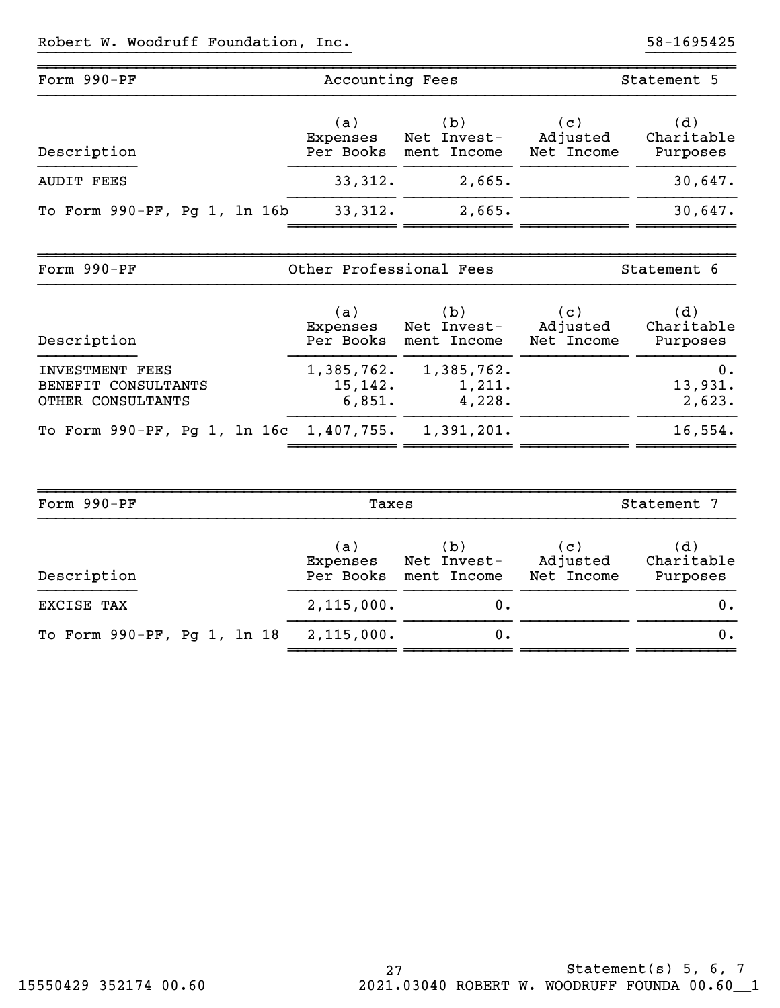| Form 990-PF                                   | Accounting Fees              |                                             |                               | Statement 5                   |
|-----------------------------------------------|------------------------------|---------------------------------------------|-------------------------------|-------------------------------|
| Description                                   | (a)<br>Expenses<br>Per Books | (b)<br>Net Invest-<br>ment Income           | (c)<br>Adjusted<br>Net Income | (d)<br>Charitable<br>Purposes |
| <b>AUDIT FEES</b>                             | 33,312.                      | 2,665.                                      |                               | 30,647.                       |
| To Form 990-PF, Pg 1, 1n 16b                  | 33,312.                      | 2,665.                                      |                               | 30,647.                       |
| Form 990-PF                                   | Other Professional Fees      |                                             |                               | Statement 6                   |
| Description                                   | (a)<br>Expenses              | (b)<br>Net Invest-<br>Per Books ment Income | (c)<br>Adjusted<br>Net Income | (d)<br>Charitable<br>Purposes |
| <b>INVESTMENT FEES</b><br>BENEFIT CONSULTANTS | 1,385,762.<br>15, 142.       | 1,385,762.<br>1,211.<br>4,228.              |                               | 0.<br>13,931.<br>2,623.       |
| OTHER CONSULTANTS                             | 6,851.                       |                                             |                               |                               |

| Form 990-PF                 | Taxes                        | Statement 7                       |                               |                               |
|-----------------------------|------------------------------|-----------------------------------|-------------------------------|-------------------------------|
| Description                 | (a)<br>Expenses<br>Per Books | (b)<br>Net Invest-<br>ment Income | (c)<br>Adjusted<br>Net Income | (d)<br>Charitable<br>Purposes |
| EXCISE TAX                  | 2,115,000.                   | ο.                                |                               | 0.                            |
| To Form 990-PF, Pg 1, 1n 18 | 2,115,000.                   | 0.                                |                               | 0.                            |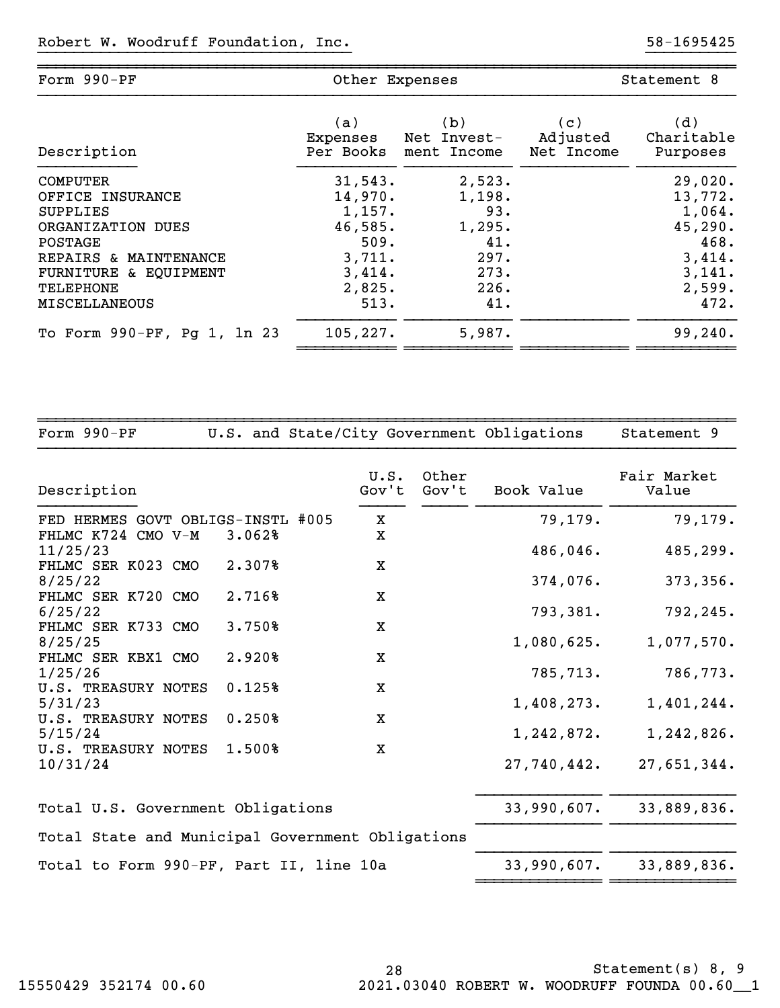| Form 990-PF                 | Other Expenses |             | Statement 8 |            |  |
|-----------------------------|----------------|-------------|-------------|------------|--|
| Description                 | (a)            | (b)         | (c)         | (d)        |  |
|                             | Expenses       | Net Invest- | Adjusted    | Charitable |  |
|                             | Per Books      | ment Income | Net Income  | Purposes   |  |
| <b>COMPUTER</b>             | 31,543.        | 2,523.      |             | 29,020.    |  |
| OFFICE INSURANCE            | 14,970.        | 1,198.      |             | 13,772.    |  |
| <b>SUPPLIES</b>             | 1,157.         | 93.         |             | 1,064.     |  |
| ORGANIZATION DUES           | 46,585.        | 1,295.      |             | 45, 290.   |  |
| POSTAGE                     | 509.           | 41.         |             | 468.       |  |
| REPAIRS & MAINTENANCE       | 3,711.         | 297.        |             | 3,414.     |  |
| FURNITURE & EQUIPMENT       | 3,414.         | 273.        |             | 3,141.     |  |
| TELEPHONE                   | 2,825.         | 226.        |             | 2,599.     |  |
| <b>MISCELLANEOUS</b>        | 513.           | 41.         |             | 472.       |  |
| To Form 990-PF, Pg 1, 1n 23 | 105, 227.      | 5,987.      |             | 99, 240.   |  |

}}}}}}}}}}}}}}}}}}}}}}}}}}}}}}}}}}} }}}}}}}}}}

~~~~~~~~~~~~~~~~~~~~~~~~~~~~~~~~~~~~~~~~~~~~~~~~~~~~~~~~~~~~~~~~~~~~~~~~~~~~~~

| Form $990-PF$                                    |        |               |                | U.S. and State/City Government Obligations | Statement 9          |
|--------------------------------------------------|--------|---------------|----------------|--------------------------------------------|----------------------|
| Description                                      |        | U.S.<br>Gov't | Other<br>Gov't | Book Value                                 | Fair Market<br>Value |
| FED HERMES GOVT OBLIGS-INSTL #005                |        | X             |                | 79,179.                                    | 79,179.              |
| FHLMC K724 CMO V-M<br>11/25/23                   | 3.062% | X             |                | 486,046.                                   | 485,299.             |
| FHLMC SER K023 CMO<br>8/25/22                    | 2.307% | X             |                | 374,076.                                   | 373,356.             |
| FHLMC SER K720 CMO<br>6/25/22                    | 2.716% | $\mathbf X$   |                | 793,381.                                   | 792,245.             |
| FHLMC SER K733 CMO<br>8/25/25                    | 3.750% | $\mathbf X$   |                | 1,080,625.                                 | 1,077,570.           |
| FHLMC SER KBX1 CMO<br>1/25/26                    | 2.920% | $\mathbf X$   |                | 785,713.                                   | 786,773.             |
| U.S. TREASURY NOTES<br>5/31/23                   | 0.125% | X             |                | 1,408,273.                                 | 1,401,244.           |
| U.S. TREASURY NOTES<br>5/15/24                   | 0.250% | X             |                | 1,242,872.                                 | 1,242,826.           |
| U.S. TREASURY NOTES<br>10/31/24                  | 1.500% | X             |                | 27,740,442.                                | 27,651,344.          |
| Total U.S. Government Obligations                |        |               |                | 33,990,607.                                | 33,889,836.          |
| Total State and Municipal Government Obligations |        |               |                |                                            |                      |
| Total to Form 990-PF, Part II, line 10a          |        |               |                | 33,990,607.                                | 33,889,836.          |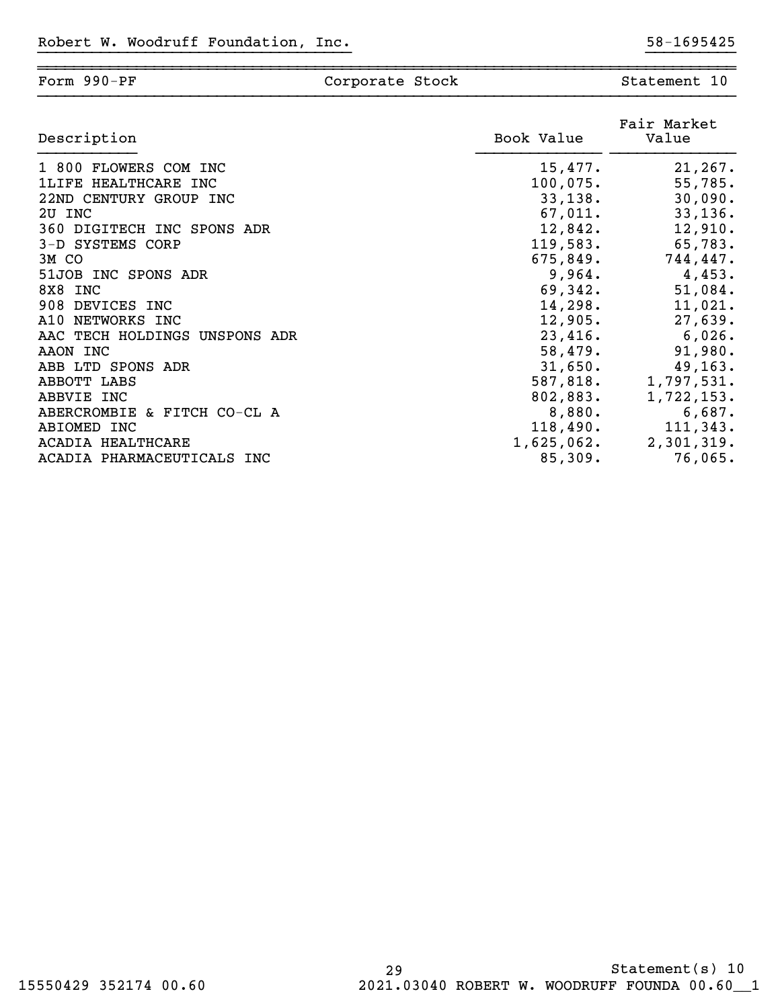| Form 990-PF                   | Corporate Stock |            | Statement 10         |
|-------------------------------|-----------------|------------|----------------------|
| Description                   |                 | Book Value | Fair Market<br>Value |
| 1 800 FLOWERS COM INC         |                 | 15,477.    | 21, 267.             |
| 1LIFE HEALTHCARE INC          |                 | 100,075.   | 55,785.              |
| 22ND CENTURY GROUP INC        |                 | 33,138.    | 30,090.              |
| 2U INC                        |                 | 67,011.    | 33,136.              |
| 360 DIGITECH INC SPONS ADR    |                 | 12,842.    | 12,910.              |
| 3-D SYSTEMS CORP              |                 | 119,583.   | 65,783.              |
| 3M CO                         |                 | 675,849.   | 744,447.             |
| 51JOB INC SPONS ADR           |                 | 9,964.     | 4,453.               |
| 8X8 INC                       |                 | 69,342.    | 51,084.              |
| 908 DEVICES INC               |                 | 14,298.    | 11,021.              |
| A10<br>NETWORKS INC           |                 | 12,905.    | 27,639.              |
| AAC TECH HOLDINGS UNSPONS ADR |                 | 23,416.    | 6,026.               |
| AAON INC                      |                 | 58,479.    | 91,980.              |

ABB LTD SPONS ADR 31,650. 49,163. ABBOTT LABS 587,818. 1,797,531. ABBVIE INC 802,883. 1,722,153. ABERCROMBIE & FITCH CO-CL A 6,880. 6,687. ABIOMED INC 118,490. 118,490. 111,343. ACADIA HEALTHCARE 1,625,062. 2,301,319. ACADIA PHARMACEUTICALS INC  $85,309$ . 76,065.

}}}}}}}}}}}}}}}}}}}}}}}}}}}}}}}}}}} }}}}}}}}}}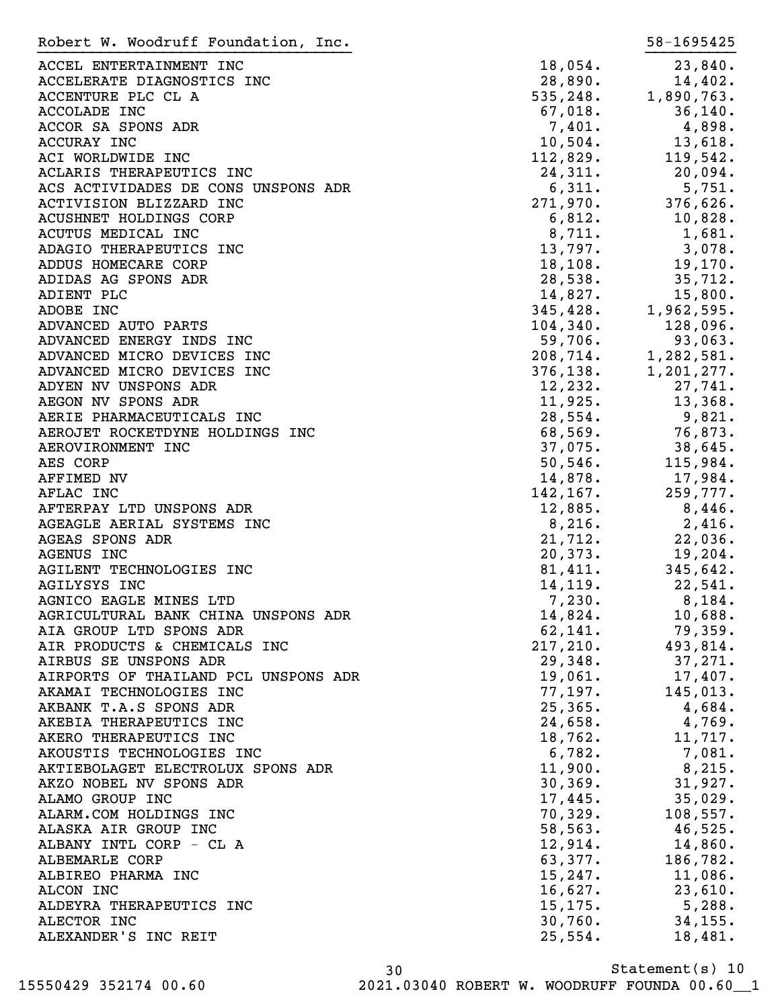| Robert W. Woodruff Foundation, Inc.  |                        | 58-1695425                                                                |
|--------------------------------------|------------------------|---------------------------------------------------------------------------|
| ACCEL ENTERTAINMENT INC              | 18,054.                | 23,840.                                                                   |
| ACCELERATE DIAGNOSTICS INC           | 28,890.                | 14,402.                                                                   |
| ACCENTURE PLC CL A                   | 535,248.               | 1,890,763.                                                                |
| <b>ACCOLADE INC</b>                  | $67,018$ .             | 36, 140.                                                                  |
| ACCOR SA SPONS ADR                   | 7,401.                 | 4,898.                                                                    |
| ACCURAY INC                          | $10,504$ .             | 13,618.                                                                   |
| ACI WORLDWIDE INC                    | 112,829.               | 119,542.                                                                  |
| ACLARIS THERAPEUTICS INC             | 24,311.                | 20,094.                                                                   |
| ACS ACTIVIDADES DE CONS UNSPONS ADR  | 6,311.                 | 5,751.                                                                    |
| ACTIVISION BLIZZARD INC              | 271,970.               | 376,626.                                                                  |
| <b>ACUSHNET HOLDINGS CORP</b>        | 6,812.                 | 10,828.                                                                   |
| ACUTUS MEDICAL INC                   | 8,711.                 | 1,681.                                                                    |
| ADAGIO THERAPEUTICS INC              | 13,797.                | 3,078.                                                                    |
| ADDUS HOMECARE CORP                  | 18, 108.               | 19,170.                                                                   |
| ADIDAS AG SPONS ADR                  | 28,538.                | 35,712.                                                                   |
| ADIENT PLC                           | 14,827.                |                                                                           |
|                                      | 345,428.               | 15,800.<br>1,962,595.                                                     |
| ADOBE INC                            |                        |                                                                           |
| ADVANCED AUTO PARTS                  | $104, 340.$<br>59,706. | 128,096.                                                                  |
| ADVANCED ENERGY INDS INC             |                        | 93,063.                                                                   |
| ADVANCED MICRO DEVICES INC           |                        |                                                                           |
| ADVANCED MICRO DEVICES INC           |                        | $208, 714.$<br>$376, 138.$<br>$376, 138.$<br>$1, 201, 277.$<br>$27, 741.$ |
| ADYEN NV UNSPONS ADR                 | 12,232.                | 27,741.                                                                   |
| AEGON NV SPONS ADR                   | 11,925.                | 13,368.                                                                   |
| AERIE PHARMACEUTICALS INC            | 28,554.                | 9,821.                                                                    |
| AEROJET ROCKETDYNE HOLDINGS INC      | 68,569.                | 76,873.                                                                   |
| AEROVIRONMENT INC                    | 37,075.                | 38,645.                                                                   |
| AES CORP                             | 50, 546.               | 115,984.                                                                  |
| AFFIMED NV                           | 14,878.                | 17,984.                                                                   |
| AFLAC INC                            | 142, 167.              | 259,777.                                                                  |
| AFTERPAY LTD UNSPONS ADR             | 12,885.                | 8,446.                                                                    |
| AGEAGLE AERIAL SYSTEMS INC           | 8,216.                 | 2,416.                                                                    |
| AGEAS SPONS ADR                      | 21,712.                | 22,036.                                                                   |
| AGENUS INC                           | 20,373.                | 19,204.                                                                   |
| AGILENT TECHNOLOGIES INC             | 81,411.                | 345,642.                                                                  |
| <b>AGILYSYS INC</b>                  | 14,119.                | 22,541.                                                                   |
| AGNICO EAGLE MINES LTD               | 7,230.                 | 8,184.                                                                    |
| AGRICULTURAL BANK CHINA UNSPONS ADR  | 14,824.                | 10,688.                                                                   |
| AIA GROUP LTD SPONS ADR              | 62,141.                | 79,359.                                                                   |
| AIR PRODUCTS & CHEMICALS INC         | 217,210.               | 493,814.                                                                  |
| AIRBUS SE UNSPONS ADR                | 29,348.                | 37,271.                                                                   |
| AIRPORTS OF THAILAND PCL UNSPONS ADR | 19,061.                | $17,407$ .                                                                |
| AKAMAI TECHNOLOGIES INC              | 77,197.                | 145,013.                                                                  |
| AKBANK T.A.S SPONS ADR               | 25, 365.               | 4,684.                                                                    |
| AKEBIA THERAPEUTICS INC              | 24,658.                | 4,769.                                                                    |
| AKERO THERAPEUTICS INC               | 18,762.                | 11,717.                                                                   |
| AKOUSTIS TECHNOLOGIES INC            | 6,782.                 | 7,081.                                                                    |
| AKTIEBOLAGET ELECTROLUX SPONS ADR    | 11,900.                | 8,215.                                                                    |
| AKZO NOBEL NV SPONS ADR              | 30, 369.               | 31,927.                                                                   |
| ALAMO GROUP INC                      | 17,445.                | 35,029.                                                                   |
| ALARM.COM HOLDINGS INC               | 70,329.                | 108,557.                                                                  |
| ALASKA AIR GROUP INC                 | 58, 563.               | 46,525.                                                                   |
| ALBANY INTL CORP - CL A              | 12,914.                | 14,860.                                                                   |
| ALBEMARLE CORP                       | 63,377.                | 186,782.                                                                  |
| ALBIREO PHARMA INC                   | 15, 247.               | 11,086.                                                                   |
| ALCON INC                            | 16,627.                | 23,610.                                                                   |
| ALDEYRA THERAPEUTICS INC             | 15, 175.               | 5,288.                                                                    |
| ALECTOR INC                          | 30,760.                | 34, 155.                                                                  |
| ALEXANDER'S INC REIT                 | 25,554.                | 18,481.                                                                   |
|                                      |                        |                                                                           |

Statement(s) 10 30 15550429 352174 00.60 2021.03040 ROBERT W. WOODRUFF FOUNDA 00.60\_\_1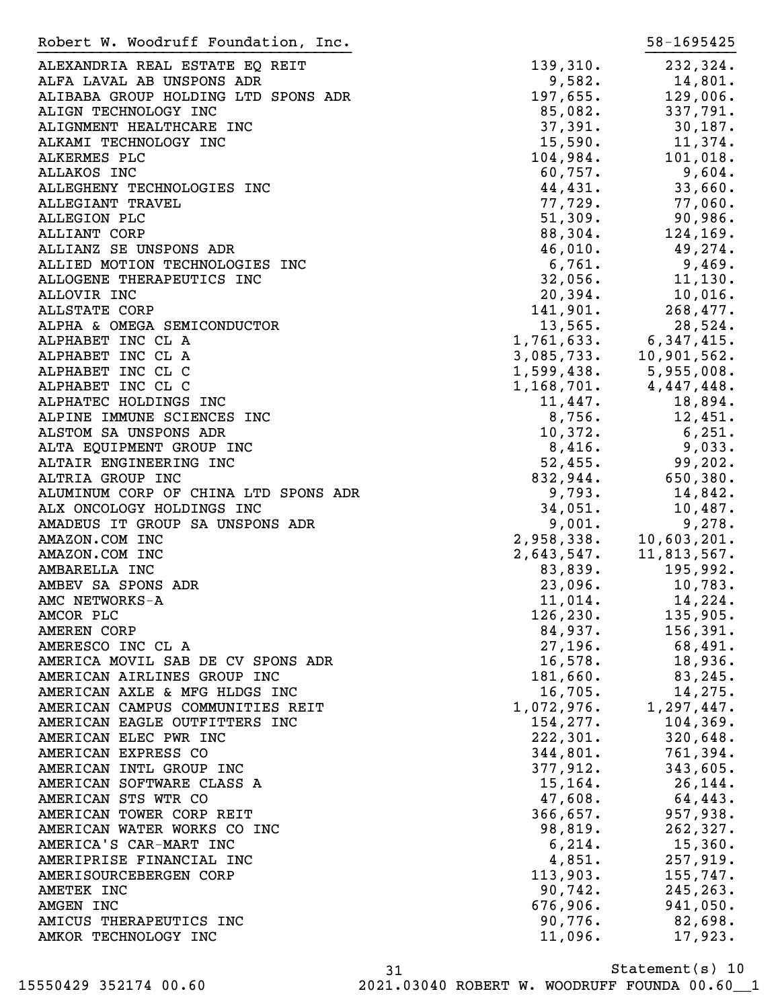ALEXANDRIA REAL ESTATE EQ REIT  $139,310$ . 232,324. ALFA LAVAL AB UNSPONS ADR 14,801. ALIBABA GROUP HOLDING LTD SPONS ADR 197,655. 129,006. ALIGN TECHNOLOGY INC  $85,082.$  337,791. ALIGNMENT HEALTHCARE INC 37,391. 30,187. ALKAMI TECHNOLOGY INC 15,590. 11,374. ALKERMES PLC 104,984. 101,018. ALLAKOS INC 60,757. 9,604. ALLEGHENY TECHNOLOGIES INC<br>
44,431. 33,660. ALLEGIANT TRAVEL 77,729. 77,060. ALLEGION PLC 51,309. 90,986. ALLIANT CORP 88,304. 124,169. ALLIANZ SE UNSPONS ADR 46,010. 49,274. ALLIED MOTION TECHNOLOGIES INC<br>
6,761. 9,469. ALLOGENE THERAPEUTICS INC 11, 130. ALLOVIR INC 20,394. 10,016. ALLSTATE CORP 141,901. 268,477. ALPHA & OMEGA SEMICONDUCTOR 13,565. 28,524.<br>
ALPHABET INC CL A 1,761,633. 6,347,415.<br>
ALPHABET INC CL A 3,085,733. 10,901,562.<br>
ALPHABET INC CL C 1,599,438. 5,955,008. ALPHABET INC CL A  $1,761,633$ . ALPHABET INC CL A 3,085,733. ALPHABET INC CL C 1,599,438. ALPHABET INC CL C CONTROLLER SUBSETING CL C CONTROLLER SUBSETING CL C ALPHATEC HOLDINGS INC 11,447. 18,894. ALPINE IMMUNE SCIENCES INC<br>
and the settlement of the settlement of the settlement of the settlement of the settlement of the settlement of the settlement of the settlement of the settlement of the settlement of the settle ALSTOM SA UNSPONS ADR 10,372. 6,251. ALTA EQUIPMENT GROUP INC  $8,416$ . 9,033. ALTAIR ENGINEERING INC 1999, 202. ALTRIA GROUP INC 650,380. ALUMINUM CORP OF CHINA LTD SPONS ADR 9,793. 14,842. ALX ONCOLOGY HOLDINGS INC 10,487. AMADEUS IT GROUP SA UNSPONS ADR AMAZON.COM INC 2,958,338. 10,603,201. AMAZON.COM INC 2,643,547. 11,813,567. AMBARELLA INC 83,839. 195,992. AMBEV SA SPONS ADR 23,096. 10,783. AMC NETWORKS-A 11,014. 14,224. AMCOR PLC 126,230. 135,905. AMEREN CORP 84,937. 156,391. AMERESCO INC CL A 27,196. 68,491. AMERICA MOVIL SAB DE CV SPONS ADR
16,578.
18,936. AMERICAN AIRLINES GROUP INC 181,660. 83,245. AMERICAN AXLE & MFG HLDGS INC<br>AMERICAN CAMPUS COMMUNITIES REIT 1,072,976. 1,297,447. AMERICAN CAMPUS COMMUNITIES REIT AMERICAN EAGLE OUTFITTERS INC<br>
154,277. 104,369. AMERICAN ELEC PWR INC 222,301. 320,648. AMERICAN EXPRESS CO 344,801. 761,394. AMERICAN INTL GROUP INC 377,912. 343,605. AMERICAN SOFTWARE CLASS A 15,164. 26,144. AMERICAN STS WTR CO 2008. AMERICAN STS WTR CO AMERICAN TOWER CORP REIT **1200 COMPLEMENT CORP REIT** 366,657. 957,938. AMERICAN WATER WORKS CO INC 26.0 and 26.819. 262,327. AMERICA'S CAR-MART INC 6,214. 15,360. AMERIPRISE FINANCIAL INC 257, 2019. AMERISOURCEBERGEN CORP 113,903. 155,747. AMETEK INC 245, 263. AMGEN INC 676,906. 941,050. AMICUS THERAPEUTICS INC 62,698. AMKOR TECHNOLOGY INC 11,096. 17,923. Robert W. Woodruff Foundation, Inc. 58-1695425 }}}}}}}}}}}}}}}}}}}}}}}}}}}}}}}}}}} }}}}}}}}}}

Statement(s) 10 31 15550429 352174 00.60 2021.03040 ROBERT W. WOODRUFF FOUNDA 00.60\_\_1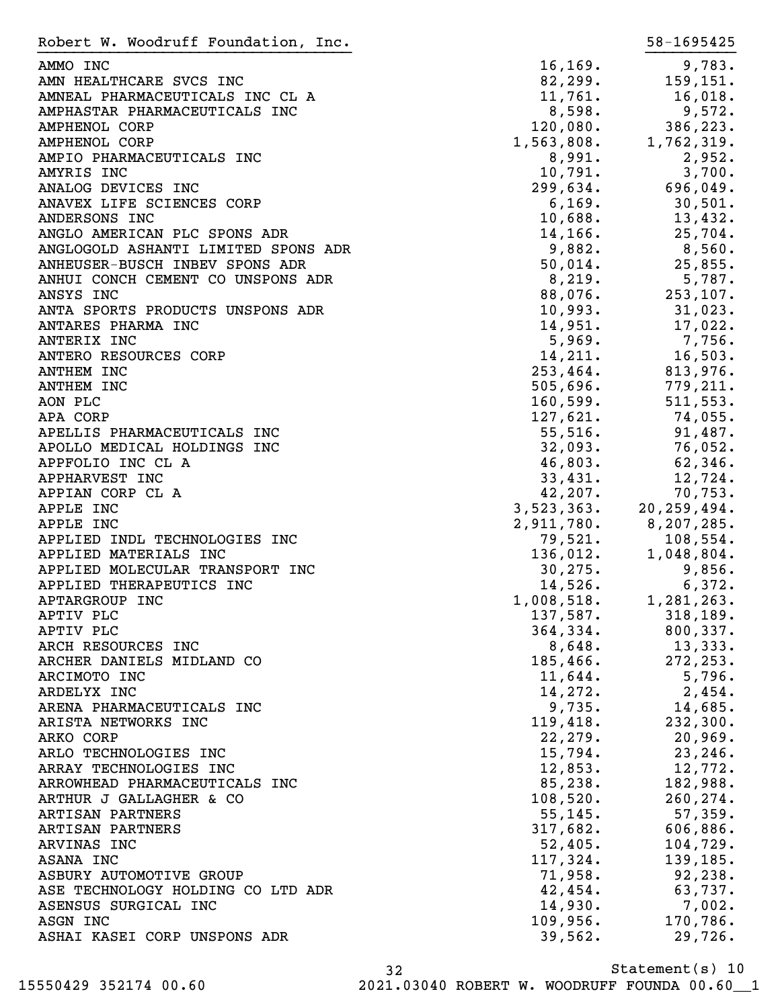| Robert W. Woodruff Foundation, Inc.                      |                     | 58-1695425                               |
|----------------------------------------------------------|---------------------|------------------------------------------|
| AMMO INC                                                 | 16, 169.            | 9,783.                                   |
| AMN HEALTHCARE SVCS INC                                  | 82, 299.            | 159,151.                                 |
| AMNEAL PHARMACEUTICALS INC CL A                          | 11,761.             | 16,018.                                  |
| AMPHASTAR PHARMACEUTICALS INC                            | 8,598.              | 9,572.                                   |
| <b>AMPHENOL CORP</b>                                     | 120,080.            | 386,223.                                 |
| AMPHENOL CORP                                            | 1,563,808.          | 1,762,319.                               |
| AMPIO PHARMACEUTICALS INC                                | 8,991.              | 2,952.                                   |
| AMYRIS INC                                               | 10,791.             | 3,700.                                   |
| ANALOG DEVICES INC                                       | 299,634.            | 696,049.                                 |
| ANAVEX LIFE SCIENCES CORP                                | 6, 169.             | 30,501.                                  |
| ANDERSONS INC                                            | 10,688.             | 13,432.                                  |
| ANGLO AMERICAN PLC SPONS ADR                             | 14,166.             | 25,704.                                  |
| ANGLOGOLD ASHANTI LIMITED SPONS ADR                      | 9,882.              | 8,560.                                   |
| ANHEUSER-BUSCH INBEV SPONS ADR                           | 50,014.             | 25,855.                                  |
| ANHUI CONCH CEMENT CO UNSPONS ADR                        | 8,219.              | 5,787.                                   |
| ANSYS INC                                                | 88,076.             | 253,107.                                 |
| ANTA SPORTS PRODUCTS UNSPONS ADR                         | 10,993.             | 31,023.                                  |
| ANTARES PHARMA INC                                       | 14,951.             | 17,022.                                  |
| ANTERIX INC                                              | 5,969.              | 7,756.                                   |
| ANTERO RESOURCES CORP                                    | 14,211.             | 16,503.                                  |
| <b>ANTHEM INC</b>                                        | 253,464.            | 813,976.                                 |
| <b>ANTHEM INC</b>                                        | 505,696.            | 779,211.                                 |
| AON PLC                                                  | 160,599.            | 511, 553.                                |
| APA CORP                                                 | 127,621.            | 74,055.                                  |
| APELLIS PHARMACEUTICALS INC                              | 55,516.             | 91,487.                                  |
| APOLLO MEDICAL HOLDINGS INC                              | 32,093.             | 76,052.                                  |
| APPFOLIO INC CL A                                        | 46,803.             | 62,346.                                  |
| APPHARVEST INC                                           | 33,431.             | 12,724.                                  |
| APPIAN CORP CL A                                         | 42,207.             | 70,753.                                  |
| APPLE INC                                                | 3,523,363.          | 20, 259, 494.<br>$2,911,780.$ 8,207,285. |
| APPLE INC                                                |                     |                                          |
| APPLIED INDL TECHNOLOGIES INC                            | 79,521.<br>136,012. | 108,554.<br>1,048,804.                   |
| APPLIED MATERIALS INC<br>APPLIED MOLECULAR TRANSPORT INC | 30, 275.            | 9,856.                                   |
| APPLIED THERAPEUTICS INC                                 | 14,526.             | 6,372.                                   |
| APTARGROUP INC                                           | 1,008,518.          | 1,281,263.                               |
| APTIV PLC                                                | 137,587.            | 318, 189.                                |
| APTIV PLC                                                | 364, 334.           | 800, 337.                                |
| ARCH RESOURCES INC                                       | 8,648.              | 13,333.                                  |
| ARCHER DANIELS MIDLAND CO                                | 185,466.            | 272, 253.                                |
| ARCIMOTO INC                                             | 11,644.             | 5,796.                                   |
| ARDELYX INC                                              | 14,272.             | 2,454.                                   |
| ARENA PHARMACEUTICALS INC                                | 9,735.              | 14,685.                                  |
| ARISTA NETWORKS INC                                      | 119,418.            | 232,300.                                 |
| ARKO CORP                                                | 22, 279.            | 20,969.                                  |
| ARLO TECHNOLOGIES INC                                    | 15,794.             | 23, 246.                                 |
| ARRAY TECHNOLOGIES INC                                   | 12,853.             | 12,772.                                  |
| ARROWHEAD PHARMACEUTICALS INC                            | 85,238.             | 182,988.                                 |
| ARTHUR J GALLAGHER & CO                                  | 108,520.            | 260, 274.                                |
| ARTISAN PARTNERS                                         | 55, 145.            | 57,359.                                  |
| ARTISAN PARTNERS                                         | 317,682.            | 606,886.                                 |
| ARVINAS INC                                              | 52,405.             | 104,729.                                 |
| ASANA INC                                                | 117,324.            | 139,185.                                 |
| ASBURY AUTOMOTIVE GROUP                                  | 71,958.             | 92,238.                                  |
| ASE TECHNOLOGY HOLDING CO LTD ADR                        | 42,454.             | 63,737.                                  |
| ASENSUS SURGICAL INC                                     | 14,930.             | $7,002$ .                                |
| ASGN INC                                                 | 109,956.            | 170,786.                                 |
| ASHAI KASEI CORP UNSPONS ADR                             | 39,562.             | 29,726.                                  |
|                                                          |                     |                                          |

Statement(s) 10 32 15550429 352174 00.60 2021.03040 ROBERT W. WOODRUFF FOUNDA 00.60\_\_1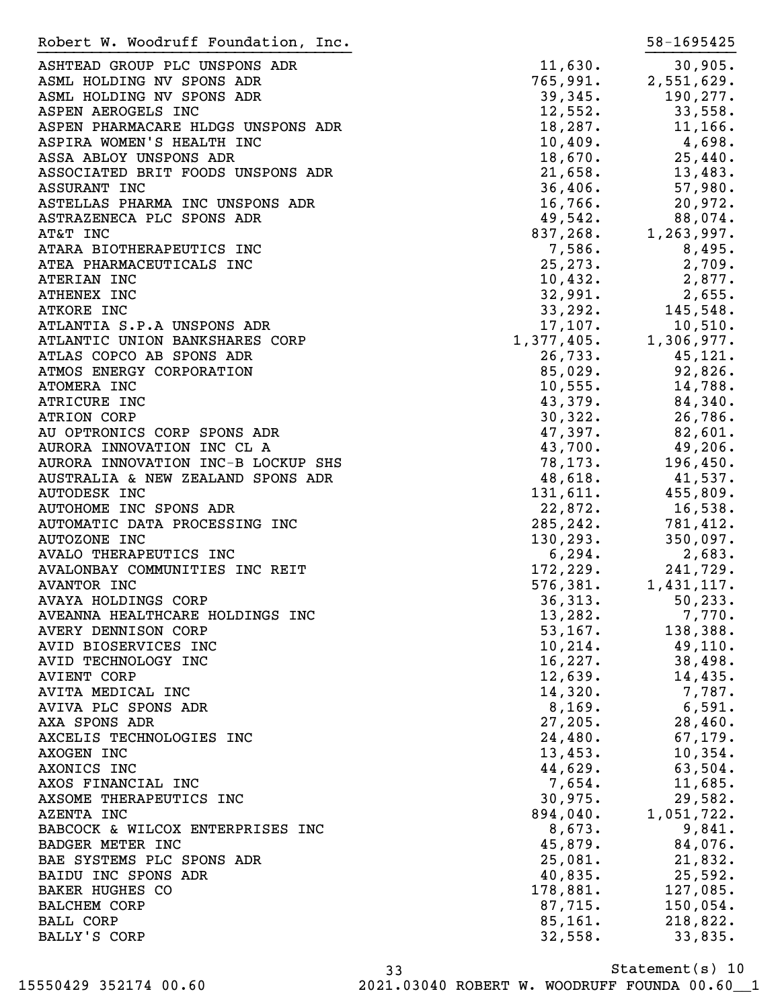| Robert W. Woodruff Foundation, Inc. |                                                  | 58-1695425 |
|-------------------------------------|--------------------------------------------------|------------|
| ASHTEAD GROUP PLC UNSPONS ADR       | 11,630.                                          | 30,905.    |
| ASML HOLDING NV SPONS ADR           | $765, 991.$<br>39, 345.<br>12, 552.<br>13, 552.  | 2,551,629. |
| ASML HOLDING NV SPONS ADR           |                                                  | 190,277.   |
| ASPEN AEROGELS INC                  |                                                  | 33,558.    |
| ASPEN PHARMACARE HLDGS UNSPONS ADR  | 18,287.                                          | 11,166.    |
| ASPIRA WOMEN'S HEALTH INC           |                                                  | 4,698.     |
| ASSA ABLOY UNSPONS ADR              | $10,409$ .<br>18,670.                            | 25,440.    |
| ASSOCIATED BRIT FOODS UNSPONS ADR   | 21,658.                                          | 13,483.    |
| ASSURANT INC                        | 36,406.                                          | 57,980.    |
| ASTELLAS PHARMA INC UNSPONS ADR     | 16,766.                                          | 20,972.    |
| ASTRAZENECA PLC SPONS ADR           | 49,542.                                          | 88,074.    |
| AT&T INC                            |                                                  | 1,263,997. |
| ATARA BIOTHERAPEUTICS INC           | $49,542$ .<br>837,268.<br>7,586.<br>1,26         | 8,495.     |
| ATEA PHARMACEUTICALS INC            | 25, 273.                                         | 2,709.     |
| ATERIAN INC                         | 10,432.                                          | 2,877.     |
| ATHENEX INC                         | 32,991.                                          | 2,655.     |
| <b>ATKORE INC</b>                   | 33, 292.                                         | 145,548.   |
| ATLANTIA S.P.A UNSPONS ADR          |                                                  |            |
|                                     | 17,107.                                          | 10,510.    |
| ATLANTIC UNION BANKSHARES CORP      |                                                  | 1,306,977. |
| ATLAS COPCO AB SPONS ADR            |                                                  | 45,121.    |
| ATMOS ENERGY CORPORATION            | 1, 377, 405.<br>26, 733.<br>85, 029.<br>10. 555. | 92,826.    |
| ATOMERA INC                         | 10,555.                                          | 14,788.    |
| ATRICURE INC                        | 43,379.                                          | 84,340.    |
| <b>ATRION CORP</b>                  | 30, 322.                                         | 26,786.    |
| AU OPTRONICS CORP SPONS ADR         | 47,397.                                          | 82,601.    |
| AURORA INNOVATION INC CL A          | 43,700.                                          | 49,206.    |
| AURORA INNOVATION INC-B LOCKUP SHS  | 78, 173.                                         | 196,450.   |
| AUSTRALIA & NEW ZEALAND SPONS ADR   | 48,618.                                          | 41,537.    |
| <b>AUTODESK INC</b>                 | 131,611.                                         | 455,809.   |
| AUTOHOME INC SPONS ADR              | 22,872.                                          | 16,538.    |
| AUTOMATIC DATA PROCESSING INC       | 285, 242.                                        | 781,412.   |
| <b>AUTOZONE INC</b>                 | 130, 293.                                        | 350,097.   |
| AVALO THERAPEUTICS INC              | 6,294.<br>172,229.<br>576,381.                   | 2,683.     |
| AVALONBAY COMMUNITIES INC REIT      |                                                  | 241,729.   |
| <b>AVANTOR INC</b>                  |                                                  | 1,431,117. |
| AVAYA HOLDINGS CORP                 | 36,313.                                          | 50, 233.   |
| AVEANNA HEALTHCARE HOLDINGS INC     | 13,282.                                          | 7,770.     |
| AVERY DENNISON CORP                 | 53, 167.                                         | 138,388.   |
| AVID BIOSERVICES INC                | 10, 214.                                         | 49,110.    |
| AVID TECHNOLOGY INC                 | 16,227.                                          | 38,498.    |
| <b>AVIENT CORP</b>                  | 12,639.                                          | 14,435.    |
| AVITA MEDICAL INC                   | 14,320.                                          | 7,787.     |
| AVIVA PLC SPONS ADR                 | 8,169.                                           | 6,591.     |
| AXA SPONS ADR                       | 27,205.                                          | 28,460.    |
| AXCELIS TECHNOLOGIES INC            | 24,480.                                          | 67, 179.   |
| AXOGEN INC                          | 13,453.                                          | 10, 354.   |
| AXONICS INC                         | 44,629.                                          | 63,504.    |
| AXOS FINANCIAL INC                  | 7,654.                                           | 11,685.    |
| AXSOME THERAPEUTICS INC             | 30,975.                                          | 29,582.    |
| AZENTA INC                          | 894,040.                                         | 1,051,722. |
| BABCOCK & WILCOX ENTERPRISES INC    | 8,673.                                           | 9,841.     |
| <b>BADGER METER INC</b>             | 45,879.                                          | 84,076.    |
| BAE SYSTEMS PLC SPONS ADR           | 25,081.                                          | 21,832.    |
| BAIDU INC SPONS ADR                 | 40,835.                                          | 25,592.    |
| <b>BAKER HUGHES CO</b>              | 178,881.                                         | 127,085.   |
| <b>BALCHEM CORP</b>                 | 87,715.                                          | 150,054.   |
| <b>BALL CORP</b>                    | 85,161.                                          | 218,822.   |
| BALLY'S CORP                        | 32,558.                                          | 33,835.    |
|                                     |                                                  |            |

Statement(s) 10 33 15550429 352174 00.60 2021.03040 ROBERT W. WOODRUFF FOUNDA 00.60\_\_1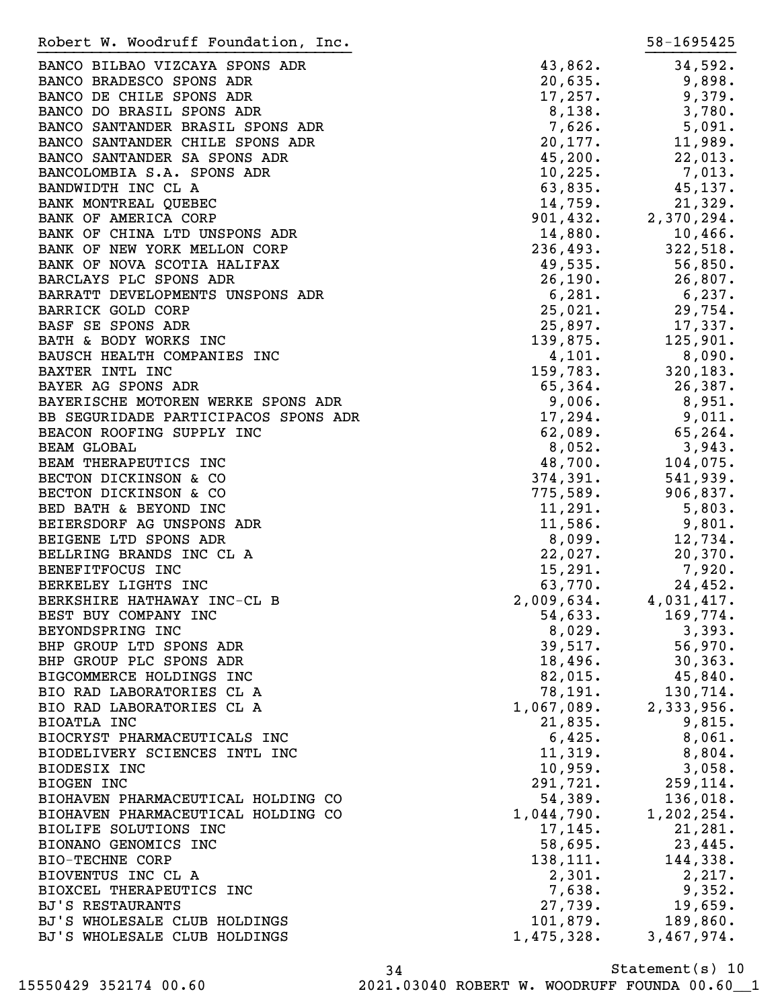| Robert W. Woodruff Foundation, Inc.  |            | 58-1695425 |
|--------------------------------------|------------|------------|
| BANCO BILBAO VIZCAYA SPONS ADR       | 43,862.    | 34,592.    |
| BANCO BRADESCO SPONS ADR             | 20,635.    | 9,898.     |
| BANCO DE CHILE SPONS ADR             | 17,257.    | 9,379.     |
| BANCO DO BRASIL SPONS ADR            | 8,138.     | 3,780.     |
| BANCO SANTANDER BRASIL SPONS ADR     | 7,626.     | 5,091.     |
| BANCO SANTANDER CHILE SPONS ADR      | 20,177.    | 11,989.    |
| BANCO SANTANDER SA SPONS ADR         | 45,200.    | 22,013.    |
| BANCOLOMBIA S.A. SPONS ADR           | 10, 225.   | 7,013.     |
| BANDWIDTH INC CL A                   | 63,835.    | 45,137.    |
| BANK MONTREAL QUEBEC                 | 14,759.    | 21,329.    |
| BANK OF AMERICA CORP                 | 901,432.   | 2,370,294. |
| BANK OF CHINA LTD UNSPONS ADR        | 14,880.    | $10,466$ . |
| BANK OF NEW YORK MELLON CORP         | 236,493.   | 322,518.   |
| BANK OF NOVA SCOTIA HALIFAX          | 49,535.    | 56,850.    |
| BARCLAYS PLC SPONS ADR               | 26,190.    | 26,807.    |
| BARRATT DEVELOPMENTS UNSPONS ADR     | 6,281.     | $6,237$ .  |
| <b>BARRICK GOLD CORP</b>             | 25,021.    | 29,754.    |
| BASF SE SPONS ADR                    | 25,897.    | 17,337.    |
| BATH & BODY WORKS INC                | 139,875.   | 125,901.   |
| BAUSCH HEALTH COMPANIES INC          | 4,101.     | 8,090.     |
| BAXTER INTL INC                      | 159,783.   | 320, 183.  |
| BAYER AG SPONS ADR                   | 65,364.    | 26,387.    |
| BAYERISCHE MOTOREN WERKE SPONS ADR   | 9,006.     | 8,951.     |
| BB SEGURIDADE PARTICIPACOS SPONS ADR | 17,294.    | 9,011.     |
| BEACON ROOFING SUPPLY INC            | 62,089.    | 65,264.    |
| <b>BEAM GLOBAL</b>                   | 8,052.     | 3,943.     |
| BEAM THERAPEUTICS INC                | 48,700.    | 104,075.   |
| BECTON DICKINSON & CO                | 374,391.   | 541,939.   |
| BECTON DICKINSON & CO                | 775,589.   | 906,837.   |
| BED BATH & BEYOND INC                | 11,291.    | 5,803.     |
| BEIERSDORF AG UNSPONS ADR            | 11,586.    | 9,801.     |
| BEIGENE LTD SPONS ADR                | 8,099.     | 12,734.    |
| BELLRING BRANDS INC CL A             | 22,027.    | 20,370.    |
| BENEFITFOCUS INC                     | 15,291.    | $7,920$ .  |
| BERKELEY LIGHTS INC                  | 63,770.    | 24,452.    |
| BERKSHIRE HATHAWAY INC-CL B          | 2,009,634. | 4,031,417. |
| BEST BUY COMPANY INC                 | 54,633.    | 169,774.   |
| BEYONDSPRING INC                     | 8,029.     | 3,393.     |
| BHP GROUP LTD SPONS ADR              | 39,517.    | $56,970$ . |
| BHP GROUP PLC SPONS ADR              | 18,496.    | 30, 363.   |
| BIGCOMMERCE HOLDINGS INC             | 82,015.    | $45,840$ . |
| BIO RAD LABORATORIES CL A            | 78,191.    | 130,714.   |
| BIO RAD LABORATORIES CL A            | 1,067,089. | 2,333,956. |
| BIOATLA INC                          | 21,835.    | 9,815.     |
| BIOCRYST PHARMACEUTICALS INC         | 6,425.     | 8,061.     |
| BIODELIVERY SCIENCES INTL INC        | 11,319.    | 8,804.     |
| BIODESIX INC                         | 10,959.    | 3,058.     |
| BIOGEN INC                           | 291,721.   | 259, 114.  |
| BIOHAVEN PHARMACEUTICAL HOLDING CO   | 54,389.    | 136,018.   |
| BIOHAVEN PHARMACEUTICAL HOLDING CO   | 1,044,790. | 1,202,254. |
| BIOLIFE SOLUTIONS INC                | 17, 145.   | 21,281.    |
| BIONANO GENOMICS INC                 | 58,695.    | 23,445.    |
| <b>BIO-TECHNE CORP</b>               | 138,111.   | 144,338.   |
| BIOVENTUS INC CL A                   | 2,301.     | 2,217.     |
| BIOXCEL THERAPEUTICS INC             | 7,638.     | 9,352.     |
| <b>BJ'S RESTAURANTS</b>              | 27,739.    | 19,659.    |
| BJ'S WHOLESALE CLUB HOLDINGS         | 101,879.   | 189,860.   |
| BJ'S WHOLESALE CLUB HOLDINGS         | 1,475,328. | 3,467,974. |

34 15550429 352174 00.60 2021.03040 ROBERT W. WOODRUFF FOUNDA 00.60\_\_1

Statement(s) 10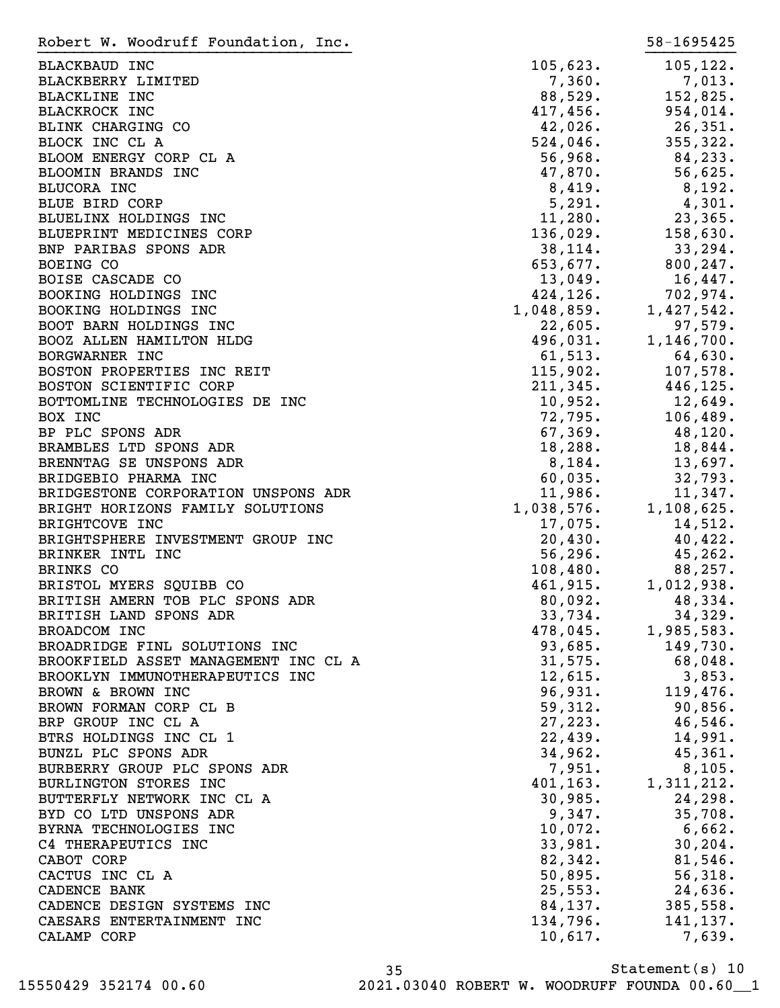| Robert W. Woodruff Foundation, Inc.  |                                                                                                                                                                                                                                                                        | 58-1695425                                                                                                       |
|--------------------------------------|------------------------------------------------------------------------------------------------------------------------------------------------------------------------------------------------------------------------------------------------------------------------|------------------------------------------------------------------------------------------------------------------|
| <b>BLACKBAUD INC</b>                 | 105,623.                                                                                                                                                                                                                                                               | 105, 122.                                                                                                        |
| BLACKBERRY LIMITED                   | 7,360.                                                                                                                                                                                                                                                                 | 7,013.                                                                                                           |
| <b>BLACKLINE INC</b>                 | 88,529.                                                                                                                                                                                                                                                                | 152,825.                                                                                                         |
| <b>BLACKROCK INC</b>                 |                                                                                                                                                                                                                                                                        |                                                                                                                  |
|                                      |                                                                                                                                                                                                                                                                        | $152,825$<br>$417,456$<br>$42,026$<br>$524,046$<br>$56,968$<br>$47,870$<br>$56,625$<br>$56,625$                  |
| BLINK CHARGING CO                    |                                                                                                                                                                                                                                                                        |                                                                                                                  |
| BLOCK INC CL A                       |                                                                                                                                                                                                                                                                        |                                                                                                                  |
| BLOOM ENERGY CORP CL A               |                                                                                                                                                                                                                                                                        |                                                                                                                  |
| BLOOMIN BRANDS INC                   |                                                                                                                                                                                                                                                                        |                                                                                                                  |
| BLUCORA INC                          | 8,419.                                                                                                                                                                                                                                                                 | 8,192.                                                                                                           |
| <b>BLUE BIRD CORP</b>                | 5,291.                                                                                                                                                                                                                                                                 | 4,301.                                                                                                           |
| BLUELINX HOLDINGS INC                | $11,280$ .                                                                                                                                                                                                                                                             | 23,365.                                                                                                          |
| BLUEPRINT MEDICINES CORP             |                                                                                                                                                                                                                                                                        |                                                                                                                  |
| BNP PARIBAS SPONS ADR                |                                                                                                                                                                                                                                                                        | 136,029. 158,630.<br>38,114. 33,294.                                                                             |
| BOEING CO                            |                                                                                                                                                                                                                                                                        |                                                                                                                  |
| BOISE CASCADE CO                     |                                                                                                                                                                                                                                                                        |                                                                                                                  |
| BOOKING HOLDINGS INC                 |                                                                                                                                                                                                                                                                        |                                                                                                                  |
| BOOKING HOLDINGS INC                 |                                                                                                                                                                                                                                                                        |                                                                                                                  |
| BOOT BARN HOLDINGS INC               |                                                                                                                                                                                                                                                                        |                                                                                                                  |
| BOOZ ALLEN HAMILTON HLDG             |                                                                                                                                                                                                                                                                        |                                                                                                                  |
| BORGWARNER INC                       | 38, 114.<br>653, 677.<br>13, 049.<br>16, 447.<br>424, 126.<br>702, 974.<br>22, 605.<br>496, 031.<br>61, 513.<br>64, 630.<br>115, 902.<br>107, 578.<br>211, 345.<br>446, 125.<br>10, 952.<br>106, 499.<br>106, 499.<br>106, 499.<br>106, 499.<br>106, 499.<br>106, 499. |                                                                                                                  |
| BOSTON PROPERTIES INC REIT           |                                                                                                                                                                                                                                                                        |                                                                                                                  |
| BOSTON SCIENTIFIC CORP               |                                                                                                                                                                                                                                                                        |                                                                                                                  |
| BOTTOMLINE TECHNOLOGIES DE INC       |                                                                                                                                                                                                                                                                        |                                                                                                                  |
|                                      |                                                                                                                                                                                                                                                                        | $\begin{array}{llll} -1.7524 & 12,649. \ 72,795. & 106,489. \ 67,369. & 48,120. \ 18,288. & 18,844. \end{array}$ |
| BOX INC                              |                                                                                                                                                                                                                                                                        |                                                                                                                  |
| BP PLC SPONS ADR                     |                                                                                                                                                                                                                                                                        |                                                                                                                  |
| BRAMBLES LTD SPONS ADR               |                                                                                                                                                                                                                                                                        |                                                                                                                  |
| BRENNTAG SE UNSPONS ADR              | 8,184.                                                                                                                                                                                                                                                                 | 13,697.                                                                                                          |
| BRIDGEBIO PHARMA INC                 | 60,035.                                                                                                                                                                                                                                                                | 32,793.                                                                                                          |
| BRIDGESTONE CORPORATION UNSPONS ADR  | 11,986.                                                                                                                                                                                                                                                                | 11,347.                                                                                                          |
| BRIGHT HORIZONS FAMILY SOLUTIONS     |                                                                                                                                                                                                                                                                        | 1,038,576. 1,108,625.<br>17,075. 14.512                                                                          |
| BRIGHTCOVE INC                       |                                                                                                                                                                                                                                                                        |                                                                                                                  |
| BRIGHTSPHERE INVESTMENT GROUP INC    |                                                                                                                                                                                                                                                                        | 40,422.                                                                                                          |
| BRINKER INTL INC                     |                                                                                                                                                                                                                                                                        | 45,262.                                                                                                          |
| BRINKS CO                            | $20,430.$<br>56,296.<br>108,480.                                                                                                                                                                                                                                       | 88,257.                                                                                                          |
| BRISTOL MYERS SQUIBB CO              | 461,915.                                                                                                                                                                                                                                                               | 1,012,938.                                                                                                       |
| BRITISH AMERN TOB PLC SPONS ADR      | 80,092.                                                                                                                                                                                                                                                                | 48,334.                                                                                                          |
| BRITISH LAND SPONS ADR               | 33,734.                                                                                                                                                                                                                                                                | 34,329.                                                                                                          |
| BROADCOM INC                         | 478,045.                                                                                                                                                                                                                                                               | 1,985,583.                                                                                                       |
| BROADRIDGE FINL SOLUTIONS INC        | 93,685.                                                                                                                                                                                                                                                                | 149,730.                                                                                                         |
| BROOKFIELD ASSET MANAGEMENT INC CL A | 31,575.                                                                                                                                                                                                                                                                | 68,048.                                                                                                          |
| BROOKLYN IMMUNOTHERAPEUTICS INC      | 12,615.                                                                                                                                                                                                                                                                | 3,853.                                                                                                           |
| BROWN & BROWN INC                    | 96,931.                                                                                                                                                                                                                                                                | 119,476.                                                                                                         |
|                                      |                                                                                                                                                                                                                                                                        |                                                                                                                  |
| BROWN FORMAN CORP CL B               | 59,312.                                                                                                                                                                                                                                                                | 90,856.                                                                                                          |
| BRP GROUP INC CL A                   | 27, 223.                                                                                                                                                                                                                                                               | 46,546.                                                                                                          |
| BTRS HOLDINGS INC CL 1               | 22,439.                                                                                                                                                                                                                                                                | 14,991.                                                                                                          |
| BUNZL PLC SPONS ADR                  | 34,962.                                                                                                                                                                                                                                                                | 45,361.                                                                                                          |
| BURBERRY GROUP PLC SPONS ADR         | 7,951.                                                                                                                                                                                                                                                                 | 8,105.                                                                                                           |
| BURLINGTON STORES INC                | 401, 163.                                                                                                                                                                                                                                                              | 1,311,212.                                                                                                       |
| BUTTERFLY NETWORK INC CL A           | 30,985.                                                                                                                                                                                                                                                                | 24, 298.                                                                                                         |
| BYD CO LTD UNSPONS ADR               | 9,347.                                                                                                                                                                                                                                                                 | 35,708.                                                                                                          |
| BYRNA TECHNOLOGIES INC               | 10,072.                                                                                                                                                                                                                                                                | 6,662.                                                                                                           |
| C4 THERAPEUTICS INC                  | 33,981.                                                                                                                                                                                                                                                                | 30, 204.                                                                                                         |
| CABOT CORP                           | 82,342.                                                                                                                                                                                                                                                                | 81,546.                                                                                                          |
| CACTUS INC CL A                      | 50,895.                                                                                                                                                                                                                                                                | 56,318.                                                                                                          |
| CADENCE BANK                         | 25,553.                                                                                                                                                                                                                                                                | 24,636.                                                                                                          |
| CADENCE DESIGN SYSTEMS INC           | 84,137.                                                                                                                                                                                                                                                                | 385,558.                                                                                                         |
| CAESARS ENTERTAINMENT INC            | 134,796.                                                                                                                                                                                                                                                               | 141,137.                                                                                                         |
|                                      |                                                                                                                                                                                                                                                                        |                                                                                                                  |
| CALAMP CORP                          | 10,617.                                                                                                                                                                                                                                                                | 7,639.                                                                                                           |

Statement(s) 10 35 15550429 352174 00.60 2021.03040 ROBERT W. WOODRUFF FOUNDA 00.60\_\_1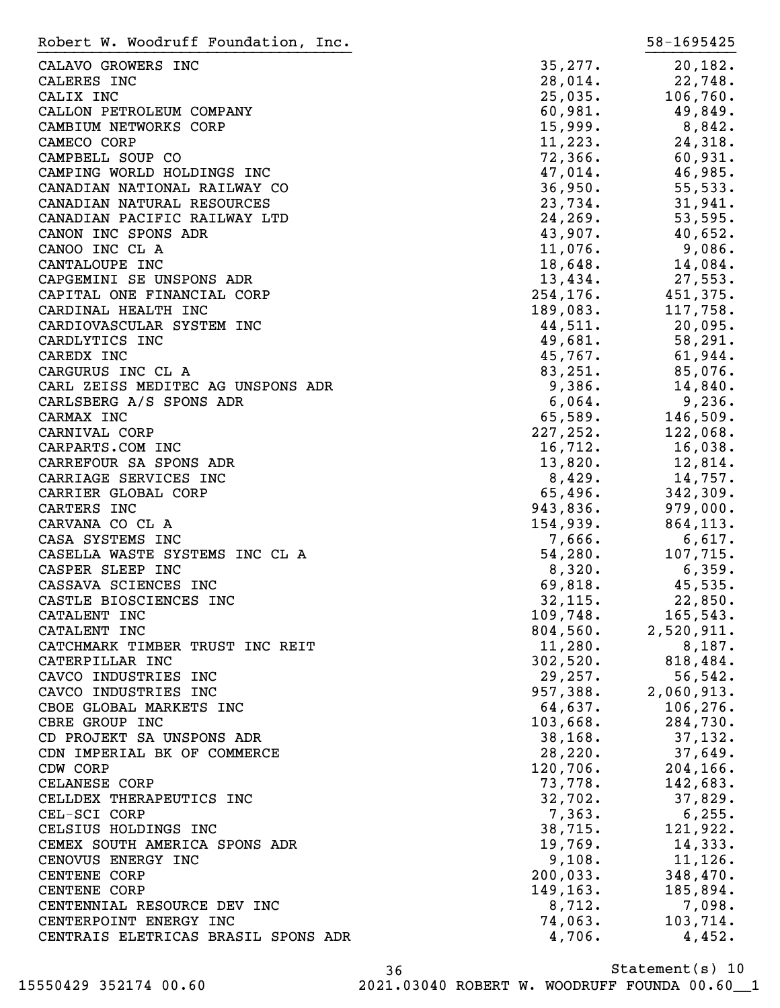| Robert W. Woodruff Foundation, Inc. |           | 58-1695425 |
|-------------------------------------|-----------|------------|
| CALAVO GROWERS INC                  | 35, 277.  | 20, 182.   |
| CALERES INC                         | 28,014.   | 22,748.    |
| CALIX INC                           | 25,035.   | 106, 760.  |
| CALLON PETROLEUM COMPANY            | 60,981.   | 49,849.    |
| CAMBIUM NETWORKS CORP               | 15,999.   | 8,842.     |
| CAMECO CORP                         | 11,223.   | 24,318.    |
| CAMPBELL SOUP CO                    | 72,366.   | 60,931.    |
| CAMPING WORLD HOLDINGS INC          | 47,014.   | 46,985.    |
| CANADIAN NATIONAL RAILWAY CO        | 36,950.   | 55,533.    |
| CANADIAN NATURAL RESOURCES          | 23,734.   | 31,941.    |
| CANADIAN PACIFIC RAILWAY LTD        | 24, 269.  |            |
|                                     |           | 53,595.    |
| CANON INC SPONS ADR                 | 43,907.   | 40,652.    |
| CANOO INC CL A                      | 11,076.   | 9,086.     |
| CANTALOUPE INC                      | 18,648.   | 14,084.    |
| CAPGEMINI SE UNSPONS ADR            | 13,434.   | 27,553.    |
| CAPITAL ONE FINANCIAL CORP          | 254, 176. | 451,375.   |
| CARDINAL HEALTH INC                 | 189,083.  | 117,758.   |
| CARDIOVASCULAR SYSTEM INC           | 44,511.   | 20,095.    |
| CARDLYTICS INC                      | 49,681.   | 58,291.    |
| CAREDX INC                          | 45,767.   | 61,944.    |
| CARGURUS INC CL A                   | 83,251.   | 85,076.    |
| CARL ZEISS MEDITEC AG UNSPONS ADR   | 9,386.    | 14,840.    |
| CARLSBERG A/S SPONS ADR             | 6,064.    | 9,236.     |
| CARMAX INC                          | 65,589.   | 146,509.   |
| CARNIVAL CORP                       | 227,252.  | 122,068.   |
| CARPARTS.COM INC                    | 16,712.   | 16,038.    |
| CARREFOUR SA SPONS ADR              | 13,820.   | 12,814.    |
| CARRIAGE SERVICES INC               | 8,429.    | 14,757.    |
| CARRIER GLOBAL CORP                 | 65,496.   | 342,309.   |
| CARTERS INC                         | 943,836.  | 979,000.   |
| CARVANA CO CL A                     | 154,939.  | 864,113.   |
| CASA SYSTEMS INC                    | 7,666.    | 6,617.     |
| CASELLA WASTE SYSTEMS INC CL A      | 54,280.   | 107,715.   |
| CASPER SLEEP INC                    | 8,320.    | 6,359.     |
| CASSAVA SCIENCES INC                | 69,818.   | 45,535.    |
| CASTLE BIOSCIENCES INC              | 32, 115.  | 22,850.    |
| CATALENT INC                        | 109,748.  | 165,543.   |
| CATALENT INC                        | 804,560.  | 2,520,911. |
| CATCHMARK TIMBER TRUST INC REIT     | 11,280.   | 8,187.     |
| CATERPILLAR INC                     | 302,520.  | 818,484.   |
| CAVCO INDUSTRIES INC                | 29,257.   | 56, 542.   |
| CAVCO INDUSTRIES INC                | 957,388.  | 2,060,913. |
| CBOE GLOBAL MARKETS INC             | 64,637.   | 106, 276.  |
| CBRE GROUP INC                      | 103,668.  | 284,730.   |
| CD PROJEKT SA UNSPONS ADR           | 38, 168.  | 37,132.    |
| CDN IMPERIAL BK OF COMMERCE         | 28, 220.  | 37,649.    |
| CDW CORP                            | 120,706.  | 204, 166.  |
| CELANESE CORP                       | 73,778.   | 142,683.   |
| CELLDEX THERAPEUTICS INC            | 32,702.   | 37,829.    |
|                                     | 7,363.    | 6, 255.    |
| CEL-SCI CORP                        | 38,715.   | 121,922.   |
| CELSIUS HOLDINGS INC                |           |            |
| CEMEX SOUTH AMERICA SPONS ADR       | 19,769.   | 14,333.    |
| CENOVUS ENERGY INC                  | 9,108.    | $11,126$ . |
| <b>CENTENE CORP</b>                 | 200,033.  | 348,470.   |
| <b>CENTENE CORP</b>                 | 149,163.  | 185,894.   |
| CENTENNIAL RESOURCE DEV INC         | 8,712.    | 7,098.     |
| CENTERPOINT ENERGY INC              | 74,063.   | 103,714.   |
| CENTRAIS ELETRICAS BRASIL SPONS ADR | 4,706.    | 4,452.     |

Statement(s) 10 36 15550429 352174 00.60 2021.03040 ROBERT W. WOODRUFF FOUNDA 00.60\_\_1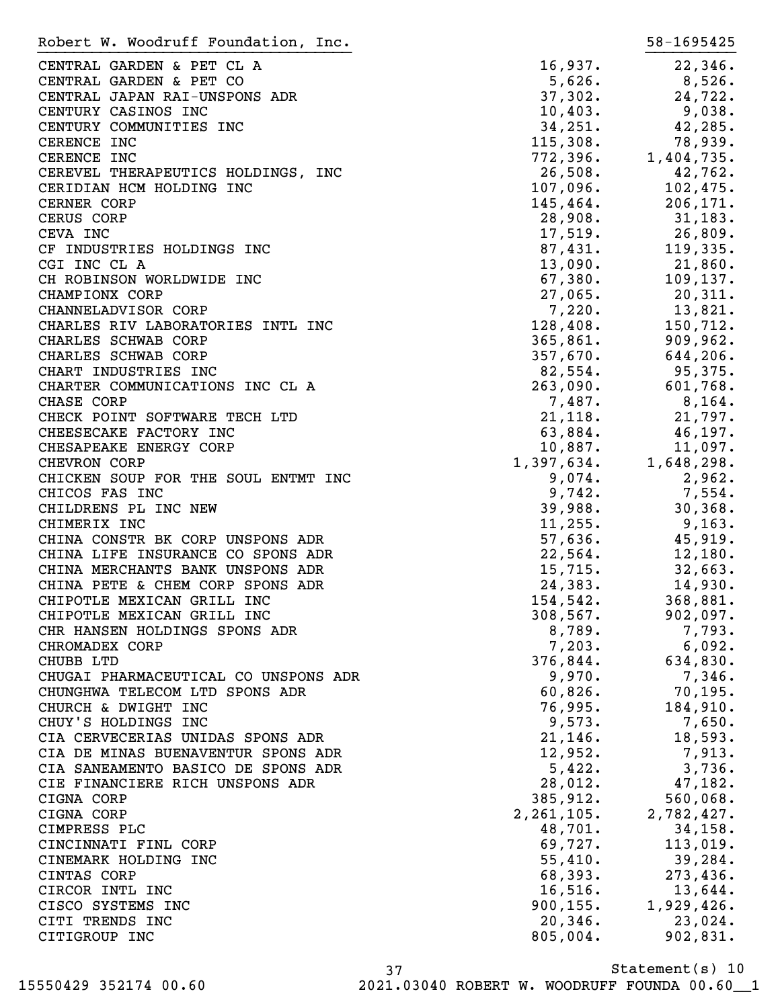| Robert W. Woodruff Foundation, Inc.                     |                    | 58-1695425         |
|---------------------------------------------------------|--------------------|--------------------|
| CENTRAL GARDEN & PET CL A                               | 16,937.            | 22,346.            |
| CENTRAL GARDEN & PET CO                                 | 5,626.             | $8,526$ .          |
| CENTRAL JAPAN RAI-UNSPONS ADR                           | 37,302.            | 24,722.            |
| CENTURY CASINOS INC                                     | 10,403.            | 9,038.             |
| CENTURY COMMUNITIES INC                                 | 34, 251.           | 42,285.            |
| CERENCE INC                                             | 115,308.           | 78,939.            |
| CERENCE INC                                             | 772, 396.          | 1,404,735.         |
| CEREVEL THERAPEUTICS HOLDINGS, INC                      | 26,508.            | 42,762.            |
| CERIDIAN HCM HOLDING INC                                | $107,096$ .        | 102,475.           |
| CERNER CORP                                             | 145,464.           | 206, 171.          |
| CERUS CORP                                              | 28,908.            | 31,183.            |
| CEVA INC                                                | 17,519.            | 26,809.            |
| CF INDUSTRIES HOLDINGS INC                              | 87,431.            | 119,335.           |
| CGI INC CL A                                            | 13,090.            | $21,860$ .         |
| CH ROBINSON WORLDWIDE INC                               | 67,380.            | 109, 137.          |
| CHAMPIONX CORP                                          | 27,065.            | 20,311.            |
| CHANNELADVISOR CORP                                     | 7,220.             | 13,821.            |
| CHARLES RIV LABORATORIES INTL INC                       | 128,408.           | 150,712.           |
| CHARLES SCHWAB CORP                                     | 365,861.           | 909,962.           |
| CHARLES SCHWAB CORP                                     | 357,670.           | 644,206.           |
| CHART INDUSTRIES INC                                    | 82,554.            | 95,375.            |
| CHARTER COMMUNICATIONS INC CL A                         | 263,090.           | 601,768.           |
|                                                         | 7,487.             |                    |
| CHASE CORP                                              |                    | 8,164.             |
| CHECK POINT SOFTWARE TECH LTD<br>CHEESECAKE FACTORY INC | 21,118.<br>63,884. | 21,797.<br>46,197. |
| CHESAPEAKE ENERGY CORP                                  | $10,887$ .         | 11,097.            |
| CHEVRON CORP                                            | 1,397,634.         | 1,648,298.         |
| CHICKEN SOUP FOR THE SOUL ENTMT INC                     | 9,074.             | 2,962.             |
| CHICOS FAS INC                                          | 9,742.             | $7,554$ .          |
| CHILDRENS PL INC NEW                                    | 39,988.            | 30, 368.           |
| CHIMERIX INC                                            | 11, 255.           | 9,163.             |
| CHINA CONSTR BK CORP UNSPONS ADR                        | 57,636.            | 45,919.            |
| CHINA LIFE INSURANCE CO SPONS ADR                       | 22,564.            | 12,180.            |
| CHINA MERCHANTS BANK UNSPONS ADR                        | 15,715.            | 32,663.            |
| CHINA PETE & CHEM CORP SPONS ADR                        | 24,383.            | 14,930.            |
| CHIPOTLE MEXICAN GRILL INC                              | 154,542.           | 368,881.           |
| CHIPOTLE MEXICAN GRILL INC                              | 308,567.           | 902,097.           |
| CHR HANSEN HOLDINGS SPONS ADR                           | 8,789.             | 7,793.             |
| CHROMADEX CORP                                          | 7,203.             | 6,092.             |
| CHUBB LTD                                               | 376,844.           | 634,830.           |
| CHUGAI PHARMACEUTICAL CO UNSPONS ADR                    | 9,970.             | 7,346.             |
| CHUNGHWA TELECOM LTD SPONS ADR                          | 60,826.            | 70, 195.           |
| CHURCH & DWIGHT INC                                     | 76,995.            | 184,910.           |
| CHUY'S HOLDINGS INC                                     | 9,573.             | 7,650.             |
| CIA CERVECERIAS UNIDAS SPONS ADR                        | 21, 146.           | 18,593.            |
| CIA DE MINAS BUENAVENTUR SPONS ADR                      | 12,952.            | 7,913.             |
| CIA SANEAMENTO BASICO DE SPONS ADR                      | 5,422.             | 3,736.             |
| CIE FINANCIERE RICH UNSPONS ADR                         | 28,012.            | 47,182.            |
| CIGNA CORP                                              | 385,912.           | 560,068.           |
| CIGNA CORP                                              | 2, 261, 105.       | 2,782,427.         |
| CIMPRESS PLC                                            | 48,701.            | 34, 158.           |
| CINCINNATI FINL CORP                                    | 69,727.            | 113,019.           |
| CINEMARK HOLDING INC                                    | 55,410.            | 39, 284.           |
| CINTAS CORP                                             | 68,393.            | 273,436.           |
| CIRCOR INTL INC                                         | 16,516.            | 13,644.            |
| CISCO SYSTEMS INC                                       | 900, 155.          | 1,929,426.         |
| CITI TRENDS INC                                         | 20, 346.           | 23,024.            |
| CITIGROUP INC                                           | 805,004.           | 902,831.           |
|                                                         |                    |                    |

Statement(s) 10 37 15550429 352174 00.60 2021.03040 ROBERT W. WOODRUFF FOUNDA 00.60\_\_1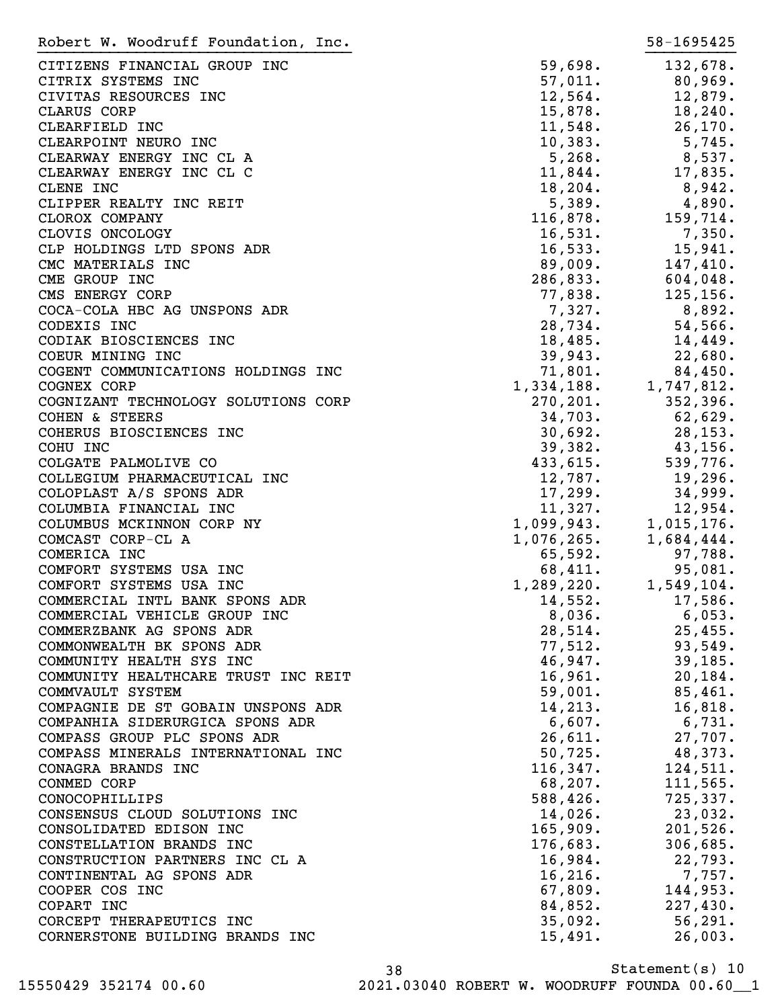| Robert W. Woodruff Foundation, Inc. |                             | 58-1695425 |
|-------------------------------------|-----------------------------|------------|
| CITIZENS FINANCIAL GROUP INC        | 59,698.                     | 132,678.   |
| CITRIX SYSTEMS INC                  | 57,011.                     | 80,969.    |
| CIVITAS RESOURCES INC               | 12,564.                     | 12,879.    |
|                                     |                             | 18,240.    |
| CLARUS CORP                         | 15,878.                     |            |
| CLEARFIELD INC                      | 11,548.                     | 26, 170.   |
| CLEARPOINT NEURO INC                | 10,383.                     | 5,745.     |
| CLEARWAY ENERGY INC CL A            | 5,268.                      | 8,537.     |
| CLEARWAY ENERGY INC CL C            | 11,844.                     | 17,835.    |
| CLENE INC                           | 18, 204.                    | 8,942.     |
| CLIPPER REALTY INC REIT             | 5,389.                      | 4,890.     |
| CLOROX COMPANY                      | 116,878.                    | 159,714.   |
| CLOVIS ONCOLOGY                     | 16,531.                     | 7,350.     |
| CLP HOLDINGS LTD SPONS ADR          | 16,533.                     | 15,941.    |
| CMC MATERIALS INC                   | 89,009.                     | 147,410.   |
| CME GROUP INC                       | 286,833.                    | 604,048.   |
| CMS ENERGY CORP                     | 77,838.                     | 125, 156.  |
| COCA-COLA HBC AG UNSPONS ADR        | 7,327.                      | 8,892.     |
| CODEXIS INC                         | 28,734.                     | 54,566.    |
| CODIAK BIOSCIENCES INC              | 18,485.                     | 14,449.    |
| COEUR MINING INC                    | 39,943.                     | 22,680.    |
| COGENT COMMUNICATIONS HOLDINGS INC  | 71,801.                     | 84,450.    |
|                                     |                             |            |
| COGNEX CORP                         | 1,334,188.                  | 1,747,812. |
| COGNIZANT TECHNOLOGY SOLUTIONS CORP | 270, 201.                   | 352, 396.  |
| COHEN & STEERS                      | 34,703.                     | 62,629.    |
| COHERUS BIOSCIENCES INC             | 30,692.                     | 28, 153.   |
| COHU INC                            | 39,382.                     | 43,156.    |
| COLGATE PALMOLIVE CO                | 433,615.                    | 539,776.   |
| COLLEGIUM PHARMACEUTICAL INC        | 12,787.                     | 19,296.    |
| COLOPLAST A/S SPONS ADR             | 17,299.                     | 34,999.    |
| COLUMBIA FINANCIAL INC              | 11,327.                     | 12,954.    |
| COLUMBUS MCKINNON CORP NY           | $1,099,943$ .<br>1,076,265. | 1,015,176. |
| COMCAST CORP-CL A                   |                             | 1,684,444. |
| COMERICA INC                        | 65,592.                     | 97,788.    |
| COMFORT SYSTEMS USA INC             | 68,411.                     | 95,081.    |
| COMFORT SYSTEMS USA INC             | 1,289,220.                  | 1,549,104. |
| COMMERCIAL INTL BANK SPONS ADR      | 14,552.                     | 17,586.    |
| COMMERCIAL VEHICLE GROUP INC        | 8,036.                      | 6,053.     |
| COMMERZBANK AG SPONS ADR            | 28,514.                     | 25,455.    |
| COMMONWEALTH BK SPONS ADR           | 77,512.                     | 93,549.    |
|                                     |                             |            |
| COMMUNITY HEALTH SYS INC            | 46,947.                     | 39, 185.   |
| COMMUNITY HEALTHCARE TRUST INC REIT | 16,961.                     | 20, 184.   |
| COMMVAULT SYSTEM                    | 59,001.                     | 85,461.    |
| COMPAGNIE DE ST GOBAIN UNSPONS ADR  | 14, 213.                    | 16,818.    |
| COMPANHIA SIDERURGICA SPONS ADR     | 6,607.                      | 6,731.     |
| COMPASS GROUP PLC SPONS ADR         | 26,611.                     | 27,707.    |
| COMPASS MINERALS INTERNATIONAL INC  | 50, 725.                    | 48,373.    |
| CONAGRA BRANDS INC                  | 116, 347.                   | 124,511.   |
| CONMED CORP                         | 68,207.                     | 111,565.   |
| CONOCOPHILLIPS                      | 588,426.                    | 725, 337.  |
| CONSENSUS CLOUD SOLUTIONS INC       | 14,026.                     | 23,032.    |
| CONSOLIDATED EDISON INC             | 165,909.                    | 201,526.   |
| CONSTELLATION BRANDS INC            | 176,683.                    | 306,685.   |
| CONSTRUCTION PARTNERS INC CL A      | 16,984.                     | 22,793.    |
| CONTINENTAL AG SPONS ADR            | 16, 216.                    | 7,757.     |
| COOPER COS INC                      | 67,809.                     | 144,953.   |
| COPART INC                          | 84,852.                     | 227,430.   |
| CORCEPT THERAPEUTICS INC            | 35,092.                     | 56, 291.   |
|                                     |                             |            |
| CORNERSTONE BUILDING BRANDS INC     | 15,491.                     | 26,003.    |

Statement(s) 10 38 15550429 352174 00.60 2021.03040 ROBERT W. WOODRUFF FOUNDA 00.60\_\_1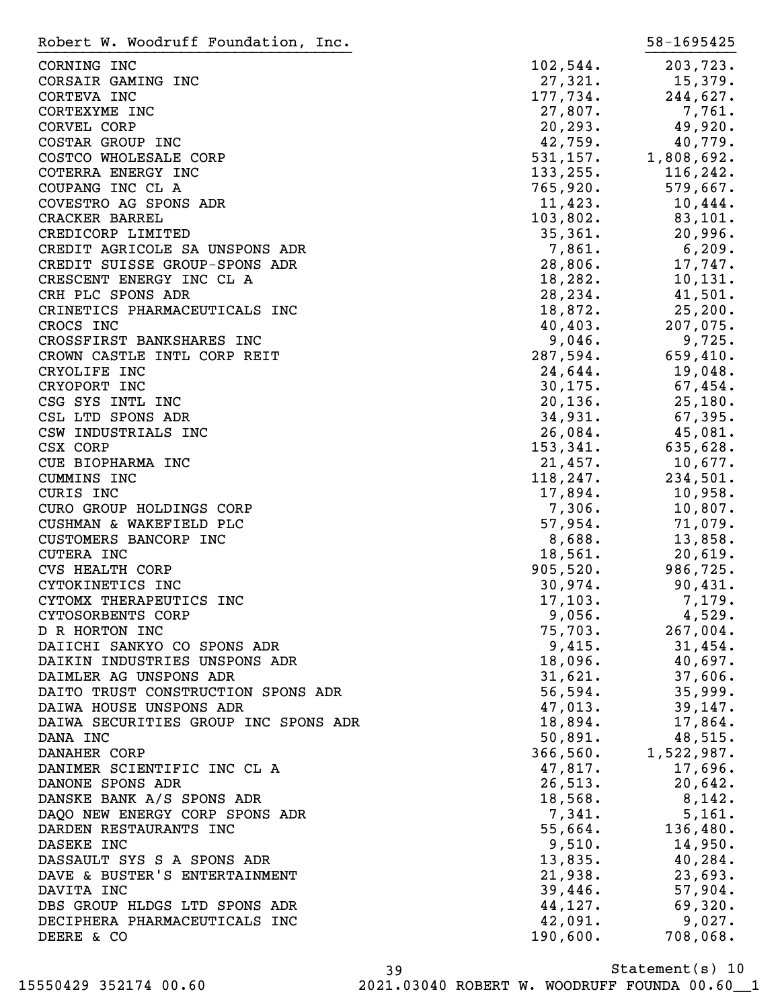| Robert W. Woodruff Foundation, Inc.  |            | 58-1695425  |
|--------------------------------------|------------|-------------|
| CORNING INC                          | 102,544.   | 203,723.    |
| CORSAIR GAMING INC                   | 27,321.    | 15,379.     |
|                                      |            |             |
| CORTEVA INC                          | 177,734.   | 244,627.    |
| CORTEXYME INC                        | 27,807.    | 7,761.      |
| CORVEL CORP                          | 20, 293.   | 49,920.     |
| COSTAR GROUP INC                     | 42,759.    | 40,779.     |
| COSTCO WHOLESALE CORP                | 531, 157.  | 1,808,692.  |
| COTERRA ENERGY INC                   | 133, 255.  | 116, 242.   |
| COUPANG INC CL A                     | 765,920.   | 579,667.    |
| COVESTRO AG SPONS ADR                | 11,423.    | 10,444.     |
| CRACKER BARREL                       | 103,802.   | 83,101.     |
| CREDICORP LIMITED                    | 35,361.    | 20,996.     |
| CREDIT AGRICOLE SA UNSPONS ADR       | 7,861.     | 6,209.      |
| CREDIT SUISSE GROUP-SPONS ADR        | 28,806.    | 17,747.     |
| CRESCENT ENERGY INC CL A             | 18,282.    | 10, 131.    |
| CRH PLC SPONS ADR                    | 28, 234.   | 41,501.     |
| CRINETICS PHARMACEUTICALS INC        | 18,872.    | 25,200.     |
| CROCS INC                            | 40,403.    | 207,075.    |
| CROSSFIRST BANKSHARES INC            | 9,046.     | 9,725.      |
| CROWN CASTLE INTL CORP REIT          | 287,594.   | 659,410.    |
|                                      |            |             |
| CRYOLIFE INC                         | 24,644.    | 19,048.     |
| CRYOPORT INC                         | 30, 175.   | 67,454.     |
| CSG SYS INTL INC                     | 20, 136.   | 25,180.     |
| CSL LTD SPONS ADR                    | 34,931.    | 67,395.     |
| CSW INDUSTRIALS INC                  | 26,084.    | 45,081.     |
| CSX CORP                             | 153,341.   | 635,628.    |
| CUE BIOPHARMA INC                    | 21,457.    | $10,677$ .  |
| CUMMINS INC                          | 118,247.   | 234,501.    |
| CURIS INC                            | 17,894.    | 10,958.     |
| CURO GROUP HOLDINGS CORP             | 7,306.     | 10,807.     |
| CUSHMAN & WAKEFIELD PLC              | 57,954.    | 71,079.     |
| CUSTOMERS BANCORP INC                | 8,688.     | 13,858.     |
| <b>CUTERA INC</b>                    | 18,561.    | 20,619.     |
| <b>CVS HEALTH CORP</b>               | 905,520.   | 986,725.    |
| CYTOKINETICS INC                     | 30,974.    | 90,431.     |
| CYTOMX THERAPEUTICS INC              | 17, 103.   | 7,179.      |
| CYTOSORBENTS CORP                    | 9,056.     | 4,529.      |
| D R HORTON INC                       | 75,703.    | $267,004$ . |
| DAIICHI SANKYO CO SPONS ADR          | 9,415.     | 31,454.     |
| DAIKIN INDUSTRIES UNSPONS ADR        | $18,096$ . | 40,697.     |
| DAIMLER AG UNSPONS ADR               |            |             |
|                                      | 31,621.    | 37,606.     |
| DAITO TRUST CONSTRUCTION SPONS ADR   | 56,594.    | 35,999.     |
| DAIWA HOUSE UNSPONS ADR              | 47,013.    | 39,147.     |
| DAIWA SECURITIES GROUP INC SPONS ADR | 18,894.    | 17,864.     |
| DANA INC                             | 50,891.    | 48,515.     |
| DANAHER CORP                         | 366,560.   | 1,522,987.  |
| DANIMER SCIENTIFIC INC CL A          | 47,817.    | 17,696.     |
| DANONE SPONS ADR                     | 26,513.    | 20,642.     |
| DANSKE BANK A/S SPONS ADR            | 18,568.    | $8,142$ .   |
| DAQO NEW ENERGY CORP SPONS ADR       | 7,341.     | 5,161.      |
| DARDEN RESTAURANTS INC               | 55,664.    | 136,480.    |
| DASEKE INC                           | 9,510.     | 14,950.     |
| DASSAULT SYS S A SPONS ADR           | 13,835.    | 40, 284.    |
| DAVE & BUSTER'S ENTERTAINMENT        | 21,938.    | 23,693.     |
| DAVITA INC                           | 39,446.    | 57,904.     |
| DBS GROUP HLDGS LTD SPONS ADR        | 44,127.    | 69,320.     |
| DECIPHERA PHARMACEUTICALS INC        | 42,091.    | $9,027$ .   |
| DEERE & CO                           | 190,600.   | 708,068.    |
|                                      |            |             |

Statement(s) 10 39 15550429 352174 00.60 2021.03040 ROBERT W. WOODRUFF FOUNDA 00.60\_\_1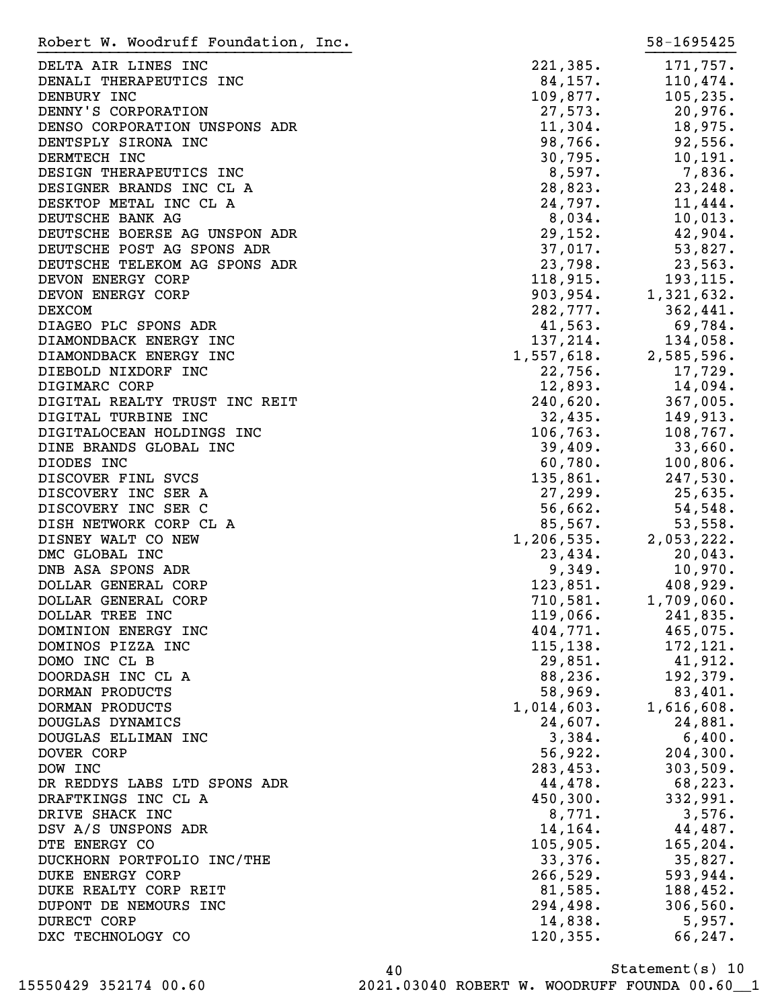DELTA AIR LINES INC 221,385. 171,757. DENALI THERAPEUTICS INC  $84,157$ . 110,474. DENBURY INC 109,877. 105,235. DENNY'S CORPORATION 27,573. 20,976. DENSO CORPORATION UNSPONS ADR
11,304.
18,975. DENTSPLY SIRONA INC  $98,766.$  92,556. DERMTECH INC 20.795. 20.795. 20.795. 20.795. DESIGN THERAPEUTICS INC 6,597. 236. DESIGNER BRANDS INC CL A 28,823. 23,248. DESKTOP METAL INC CL A 24,797. 11,444. DEUTSCHE BANK AG  $8,034$ . 10,013. DEUTSCHE BOERSE AG UNSPON ADR 29,152. 42,904. DEUTSCHE POST AG SPONS ADR  $37,017$ .
53,827. DEUTSCHE TELEKOM AG SPONS ADR
23,798.
23,563. DEVON ENERGY CORP 118,915. 193,115. DEVON ENERGY CORP 903,954. 1,321,632. DEXCOM 282,777. 362,441. DIAGEO PLC SPONS ADR 1.563. 69,784. DIAMONDBACK ENERGY INC 137, 214. 134, 058. DIAMONDBACK ENERGY INC 1,557,618. 2,585,596. DIEBOLD NIXDORF INC 22,756. 17,729. DIGIMARC CORP 12,893. 14,094. DIGITAL REALTY TRUST INC REIT 240,620. 367,005. DIGITAL TURBINE INC 32,435. 149,913. DIGITALOCEAN HOLDINGS INC 106,763. 108,767. DINE BRANDS GLOBAL INC 39,409. 33,660. DIODES INC 100,806. DISCOVER FINL SVCS 135,861. 247,530. DISCOVERY INC SER A 27,299. 25,635. DISCOVERY INC SER C  $56,662.$  54,548. DISH NETWORK CORP CL A 65,567. 53,558. DISNEY WALT CO NEW 1,206,535. 2,053,222. DMC GLOBAL INC 23,434. 20,043. DNB ASA SPONS ADR 349. 10,970. DOLLAR GENERAL CORP 123,851. 408,929. DOLLAR GENERAL CORP 710,581. 1,709,060. DOLLAR TREE INC 241,835. DOMINION ENERGY INC 404,771. 465,075. DOMINOS PIZZA INC 115,138. 172,121. DOMO INC CL B 29,851. 41,912. DOORDASH INC CL A 68,236. 192,379. DORMAN PRODUCTS 58,969. 83,401. DORMAN PRODUCTS 1,014,603. 1,616,608. DOUGLAS DYNAMICS 24,607. 24,881. DOUGLAS ELLIMAN INC  $\begin{array}{cccc} 3,384. & 6,400. \end{array}$ DOVER CORP 56,922. 204,300. DOW INC 283,453. 303,509. DR REDDYS LABS LTD SPONS ADR 44,478. 68,223. DRAFTKINGS INC CL A 450,300. 332,991. DRIVE SHACK INC 3,576. DSV A/S UNSPONS ADR 14,164. 44,487. DTE ENERGY CO 105,905. 165,204. DUCKHORN PORTFOLIO INC/THE 33,376. 35,827. DUKE ENERGY CORP 266,529. 593,944. DUKE REALTY CORP REIT **81,585.** 188,452. DUPONT DE NEMOURS INC 294,498. 306,560. DURECT CORP 14,838. 5,957. DXC TECHNOLOGY CO 247. Robert W. Woodruff Foundation, Inc. 58-1695425 }}}}}}}}}}}}}}}}}}}}}}}}}}}}}}}}}}} }}}}}}}}}}

Statement(s) 10 40 15550429 352174 00.60 2021.03040 ROBERT W. WOODRUFF FOUNDA 00.60\_\_1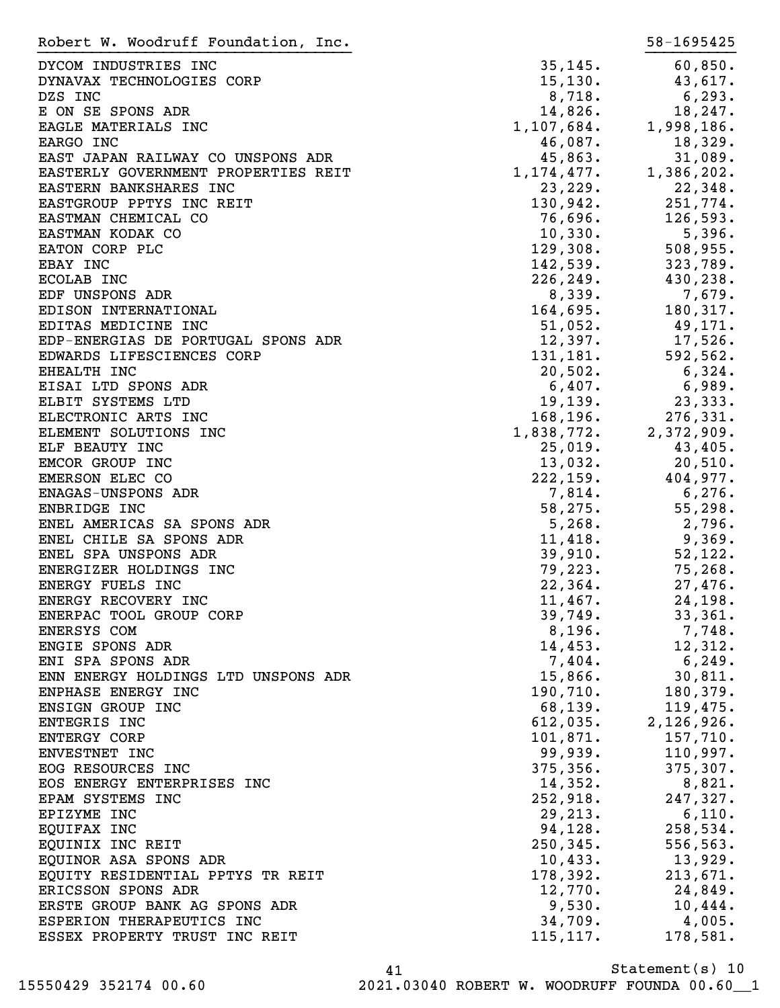| Robert W. Woodruff Foundation, Inc. |                         | 58-1695425 |
|-------------------------------------|-------------------------|------------|
| DYCOM INDUSTRIES INC                | 35, 145.                | 60,850.    |
| DYNAVAX TECHNOLOGIES CORP           | 15, 130.                | 43,617.    |
| DZS INC                             | 8,718.                  | 6,293.     |
| E ON SE SPONS ADR                   | 14,826.                 | 18,247.    |
|                                     | 1, 107, 684.            |            |
| EAGLE MATERIALS INC                 |                         | 1,998,186. |
| EARGO INC                           | 46,087.                 | 18,329.    |
| EAST JAPAN RAILWAY CO UNSPONS ADR   | 45,863.                 | 31,089.    |
| EASTERLY GOVERNMENT PROPERTIES REIT | 1, 174, 477.            | 1,386,202. |
| EASTERN BANKSHARES INC              | 23,229.                 | 22,348.    |
| EASTGROUP PPTYS INC REIT            | 130,942.                | 251,774.   |
| EASTMAN CHEMICAL CO                 | 76,696.                 | 126,593.   |
| EASTMAN KODAK CO                    | 10,330.                 | 5,396.     |
| EATON CORP PLC                      | 129,308.                | 508,955.   |
| EBAY INC                            | 142,539.                | 323,789.   |
| ECOLAB INC                          | 226, 249.               | 430,238.   |
| EDF UNSPONS ADR                     | 8,339.                  | 7,679.     |
| EDISON INTERNATIONAL                | 164,695.                | 180,317.   |
| EDITAS MEDICINE INC                 | 51,052.                 | 49,171.    |
| EDP-ENERGIAS DE PORTUGAL SPONS ADR  | 12,397.                 | 17,526.    |
| EDWARDS LIFESCIENCES CORP           | 131,181.                | 592,562.   |
| EHEALTH INC                         | 20,502.                 | 6,324.     |
| EISAI LTD SPONS ADR                 | $6,407$ .               | 6,989.     |
| ELBIT SYSTEMS LTD                   | 19, 139.                | 23,333.    |
| ELECTRONIC ARTS INC                 | $168,196$<br>1,838,772. | 276, 331.  |
| ELEMENT SOLUTIONS INC               |                         | 2,372,909. |
| ELF BEAUTY INC                      | 25,019.                 | 43,405.    |
|                                     | 13,032.                 | 20,510.    |
| EMCOR GROUP INC                     | 222,159.                |            |
| EMERSON ELEC CO                     |                         | 404,977.   |
| ENAGAS-UNSPONS ADR                  | 7,814.                  | 6,276.     |
| ENBRIDGE INC                        | 58, 275.                | 55,298.    |
| ENEL AMERICAS SA SPONS ADR          | 5,268.                  | 2,796.     |
| ENEL CHILE SA SPONS ADR             | 11,418.                 | 9,369.     |
| ENEL SPA UNSPONS ADR                | 39,910.                 | 52, 122.   |
| ENERGIZER HOLDINGS INC              | 79, 223.                | 75,268.    |
| ENERGY FUELS INC                    | 22, 364.                | 27,476.    |
| ENERGY RECOVERY INC                 | 11,467.                 | 24,198.    |
| ENERPAC TOOL GROUP CORP             | 39,749.                 | 33,361.    |
| ENERSYS COM                         | 8,196.                  | 7,748.     |
| ENGIE SPONS ADR                     | 14,453.                 | 12,312.    |
| ENI SPA SPONS ADR                   | 7,404.                  | 6,249.     |
| ENN ENERGY HOLDINGS LTD UNSPONS ADR | 15,866.                 | 30,811.    |
| ENPHASE ENERGY INC                  | 190,710.                | 180, 379.  |
| ENSIGN GROUP INC                    | 68,139.                 | 119,475.   |
| ENTEGRIS INC                        | 612,035.                | 2,126,926. |
| <b>ENTERGY CORP</b>                 | 101,871.                | 157,710.   |
| ENVESTNET INC                       | 99,939.                 | 110,997.   |
| EOG RESOURCES INC                   | 375, 356.               | 375,307.   |
| EOS ENERGY ENTERPRISES INC          | 14,352.                 | 8,821.     |
| EPAM SYSTEMS INC                    | 252,918.                | 247,327.   |
| EPIZYME INC                         | 29, 213.                | 6,110.     |
| EQUIFAX INC                         | 94,128.                 | 258,534.   |
| EQUINIX INC REIT                    | 250, 345.               | 556, 563.  |
|                                     |                         |            |
| EQUINOR ASA SPONS ADR               | 10,433.<br>178,392.     | 13,929.    |
| EQUITY RESIDENTIAL PPTYS TR REIT    |                         | 213,671.   |
| ERICSSON SPONS ADR                  | 12,770.                 | 24,849.    |
| ERSTE GROUP BANK AG SPONS ADR       | 9,530.                  | 10,444.    |
| ESPERION THERAPEUTICS INC           | 34,709.                 | 4,005.     |
| ESSEX PROPERTY TRUST INC REIT       | 115, 117.               | 178,581.   |

Statement(s) 10 41 15550429 352174 00.60 2021.03040 ROBERT W. WOODRUFF FOUNDA 00.60\_\_1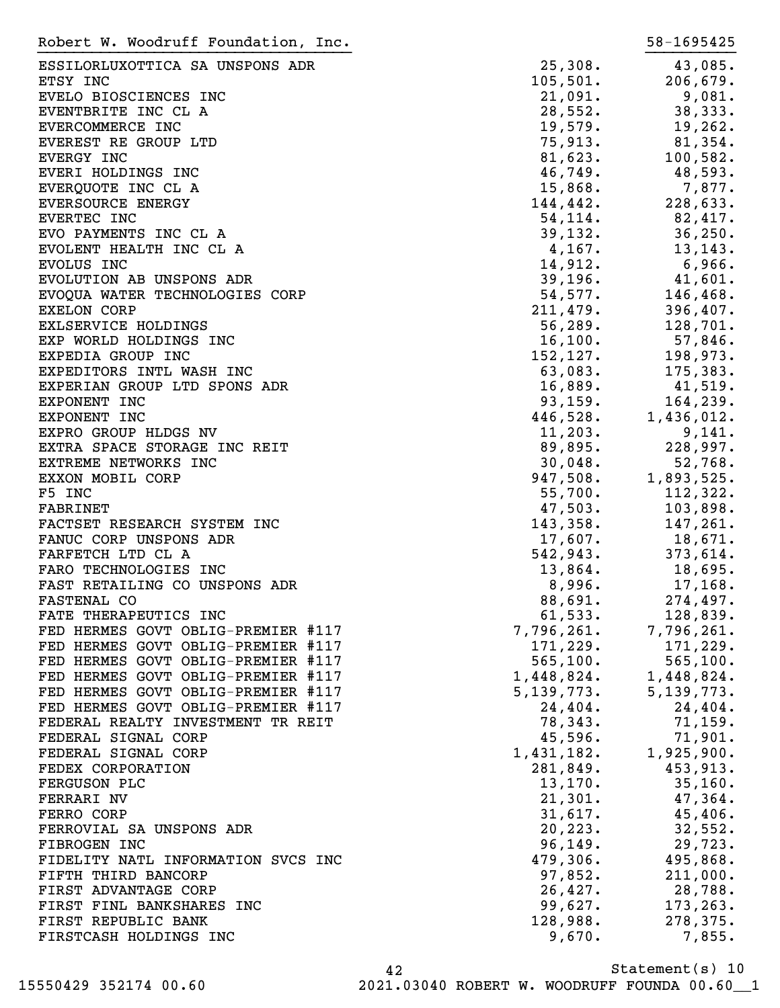| Robert W. Woodruff Foundation, Inc. |                           | 58-1695425            |
|-------------------------------------|---------------------------|-----------------------|
| ESSILORLUXOTTICA SA UNSPONS ADR     | 25,308.                   | 43,085.               |
| ETSY INC                            | 105,501.                  | 206,679.              |
| EVELO BIOSCIENCES INC               | 21,091.                   | 9,081.                |
| EVENTBRITE INC CL A                 | 28,552.                   | 38,333.               |
| EVERCOMMERCE INC                    | 19,579.                   | 19,262.               |
| EVEREST RE GROUP LTD                | 75,913.                   | 81,354.               |
| EVERGY INC                          | 81,623.                   | 100,582.              |
| EVERI HOLDINGS INC                  | 46,749.                   | 48,593.               |
| EVERQUOTE INC CL A                  | 15,868.                   | 7,877.                |
| EVERSOURCE ENERGY                   | 144,442.                  | 228,633.              |
| EVERTEC INC                         | 54,114.                   | 82,417.               |
| EVO PAYMENTS INC CL A               | 39,132.                   | 36, 250.              |
| EVOLENT HEALTH INC CL A             | 4,167.                    | 13,143.               |
| EVOLUS INC                          | 14,912.                   | 6,966.                |
| EVOLUTION AB UNSPONS ADR            | 39,196.                   | 41,601.               |
| EVOQUA WATER TECHNOLOGIES CORP      | 54,577.                   | 146, 468.             |
| <b>EXELON CORP</b>                  | 211,479.                  | 396,407.              |
| EXLSERVICE HOLDINGS                 | 56,289.                   | 128,701.              |
| EXP WORLD HOLDINGS INC              | 16, 100.                  | 57,846.               |
| EXPEDIA GROUP INC                   | 152, 127.                 | 198,973.              |
| EXPEDITORS INTL WASH INC            | 63,083.                   | 175,383.              |
| EXPERIAN GROUP LTD SPONS ADR        | 16,889.                   | 41,519.               |
| EXPONENT INC                        | 93,159.                   | 164, 239.             |
| EXPONENT INC                        | 446,528.                  | 1,436,012.            |
| EXPRO GROUP HLDGS NV                | 11,203.                   | 9,141.                |
| EXTRA SPACE STORAGE INC REIT        | 89,895.                   | 228,997.              |
| EXTREME NETWORKS INC                | 30,048.                   | 52,768.               |
| EXXON MOBIL CORP                    | 947,508.                  | 1,893,525.            |
| F5 INC                              | 55,700.                   | 112, 322.             |
| <b>FABRINET</b>                     | 47,503.                   | 103,898.              |
| FACTSET RESEARCH SYSTEM INC         | 143,358.                  | 147,261.              |
| FANUC CORP UNSPONS ADR              | 17,607.                   | 18,671.               |
| FARFETCH LTD CL A                   | 542,943.                  | 373,614.              |
| FARO TECHNOLOGIES INC               | 13,864.                   | $18,695$ .            |
| FAST RETAILING CO UNSPONS ADR       | 8,996.                    | 17,168.               |
| <b>FASTENAL CO</b>                  | 88,691.                   | 274,497.              |
| FATE THERAPEUTICS INC               | 61, 533.                  | 128,839.              |
| FED HERMES GOVT OBLIG-PREMIER #117  |                           | 7,796,261. 7,796,261. |
| FED HERMES GOVT OBLIG-PREMIER #117  | 171,229.                  | 171,229.              |
| FED HERMES GOVT OBLIG-PREMIER #117  | 565, 100.                 | 565, 100.             |
| FED HERMES GOVT OBLIG-PREMIER #117  | $1,448,824.$ $1,448,824.$ |                       |
| FED HERMES GOVT OBLIG-PREMIER #117  | 5,139,773.                | 5, 139, 773.          |
| FED HERMES GOVT OBLIG-PREMIER #117  | 24,404.                   | 24,404.               |
| FEDERAL REALTY INVESTMENT TR REIT   | 78,343.                   | 71, 159.              |
| FEDERAL SIGNAL CORP                 | 45,596.                   | 71,901.               |
| FEDERAL SIGNAL CORP                 | $1,431,182.$ $1,925,900.$ |                       |
| FEDEX CORPORATION                   | 281,849.                  | 453,913.              |
| FERGUSON PLC                        | 13,170.                   | 35,160.               |
| FERRARI NV                          | 21,301.                   | 47,364.               |
| FERRO CORP                          | 31,617.                   | 45,406.               |
| FERROVIAL SA UNSPONS ADR            | 20, 223.                  | 32,552.               |
| FIBROGEN INC                        | 96,149.                   | 29,723.               |
| FIDELITY NATL INFORMATION SVCS INC  |                           | $479,306.$ $495,868.$ |
| FIFTH THIRD BANCORP                 |                           | $97,852.$ 211,000.    |
| FIRST ADVANTAGE CORP                |                           | $26,427.$ 28,788.     |
| FIRST FINL BANKSHARES INC           | 99,627.                   | 173,263.              |
| FIRST REPUBLIC BANK                 | 128,988.                  | 278,375.              |
| FIRSTCASH HOLDINGS INC              | 9,670.                    | 7,855.                |
|                                     |                           |                       |

Statement(s) 10 42 15550429 352174 00.60 2021.03040 ROBERT W. WOODRUFF FOUNDA 00.60\_\_1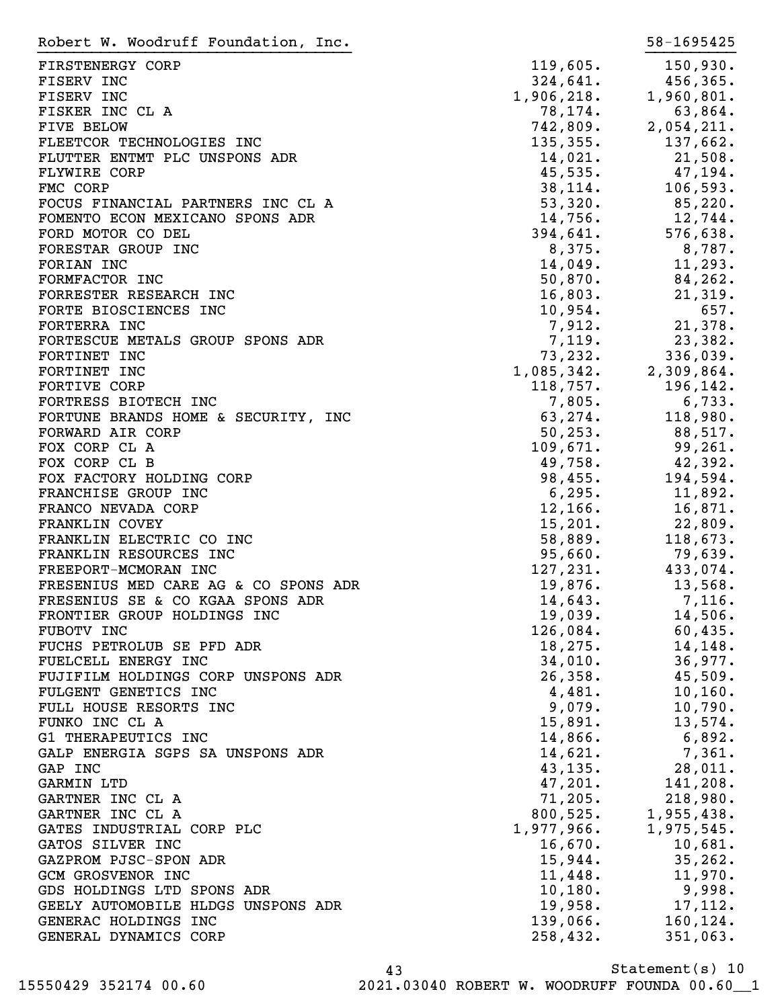| Robert W. Woodruff Foundation, Inc.  |            | 58-1695425              |
|--------------------------------------|------------|-------------------------|
| FIRSTENERGY CORP                     | 119,605.   | 150,930.                |
| FISERV INC                           | 324,641.   | 456,365.                |
| FISERV INC                           | 1,906,218. | 1,960,801.              |
| FISKER INC CL A                      | 78,174.    | 63,864.                 |
| <b>FIVE BELOW</b>                    | 742,809.   | 2,054,211.              |
| FLEETCOR TECHNOLOGIES INC            | 135, 355.  | 137,662.                |
| FLUTTER ENTMT PLC UNSPONS ADR        | 14,021.    | 21,508.                 |
| <b>FLYWIRE CORP</b>                  | 45,535.    | 47,194.                 |
| FMC CORP                             | 38, 114.   | 106,593.                |
| FOCUS FINANCIAL PARTNERS INC CL A    | 53,320.    | 85,220.                 |
| FOMENTO ECON MEXICANO SPONS ADR      | 14,756.    | 12,744.                 |
| FORD MOTOR CO DEL                    | 394,641.   | 576,638.                |
| FORESTAR GROUP INC                   | 8,375.     | 8,787.                  |
| FORIAN INC                           | 14,049.    | 11,293.                 |
| FORMFACTOR INC                       | 50,870.    | 84,262.                 |
| FORRESTER RESEARCH INC               | 16,803.    | 21,319.                 |
| FORTE BIOSCIENCES INC                | 10,954.    | 657.                    |
| FORTERRA INC                         | 7,912.     | 21,378.                 |
| FORTESCUE METALS GROUP SPONS ADR     | 7,119.     | 23,382.                 |
| FORTINET INC                         | 73,232.    | 336,039.                |
| FORTINET INC                         | 1,085,342. | 2,309,864.              |
| <b>FORTIVE CORP</b>                  | 118,757.   | 196,142.                |
| FORTRESS BIOTECH INC                 | 7,805.     | 6,733.                  |
|                                      |            |                         |
| FORTUNE BRANDS HOME & SECURITY, INC  | 63,274.    | 118,980.                |
| FORWARD AIR CORP                     | 50, 253.   | 88,517.                 |
| FOX CORP CL A                        | 109,671.   | 99,261.                 |
| FOX CORP CL B                        | 49,758.    | 42,392.                 |
| FOX FACTORY HOLDING CORP             | 98,455.    | 194,594.                |
| FRANCHISE GROUP INC                  | 6, 295.    | 11,892.                 |
| FRANCO NEVADA CORP                   | 12, 166.   | 16,871.                 |
| <b>FRANKLIN COVEY</b>                | 15,201.    | 22,809.                 |
| FRANKLIN ELECTRIC CO INC             | 58,889.    | 118,673.                |
| FRANKLIN RESOURCES INC               | 95,660.    | 79,639.                 |
| FREEPORT-MCMORAN INC                 | 127, 231.  | 433,074.                |
| FRESENIUS MED CARE AG & CO SPONS ADR | 19,876.    | 13,568.                 |
| FRESENIUS SE & CO KGAA SPONS ADR     | 14,643.    | 7,116.                  |
| FRONTIER GROUP HOLDINGS INC          | 19,039.    | 14,506.                 |
| FUBOTV INC                           | 126,084.   | 60,435.                 |
| FUCHS PETROLUB SE PFD ADR            | 18,275.    | 14,148.                 |
| FUELCELL ENERGY INC                  | 34,010.    | 36,977.                 |
| FUJIFILM HOLDINGS CORP UNSPONS ADR   | 26,358.    | 45,509.                 |
| FULGENT GENETICS INC                 | 4,481.     | 10, 160.                |
| FULL HOUSE RESORTS INC               | 9,079.     | 10,790.                 |
| FUNKO INC CL A                       | 15,891.    | 13,574.                 |
| G1 THERAPEUTICS INC                  | 14,866.    | 6,892.                  |
| GALP ENERGIA SGPS SA UNSPONS ADR     | 14,621.    | 7,361.                  |
| GAP INC                              | 43, 135.   | $28,011$ .              |
| GARMIN LTD                           | 47,201.    | 141,208.                |
| GARTNER INC CL A                     | 71,205.    | 218,980.                |
| GARTNER INC CL A                     |            | 800,525. 1,955,438.     |
| GATES INDUSTRIAL CORP PLC            |            | $1,977,966.$ 1,975,545. |
| GATOS SILVER INC                     | 16,670.    | 10,681.                 |
| GAZPROM PJSC-SPON ADR                | 15,944.    | 35, 262.                |
| <b>GCM GROSVENOR INC</b>             | 11,448.    | 11,970.                 |
| GDS HOLDINGS LTD SPONS ADR           | 10, 180.   | 9,998.                  |
| GEELY AUTOMOBILE HLDGS UNSPONS ADR   | 19,958.    | 17,112.                 |
| GENERAC HOLDINGS INC                 | 139,066.   | 160, 124.               |
| GENERAL DYNAMICS CORP                | 258,432.   | 351,063.                |

Statement(s) 10 43 15550429 352174 00.60 2021.03040 ROBERT W. WOODRUFF FOUNDA 00.60\_\_1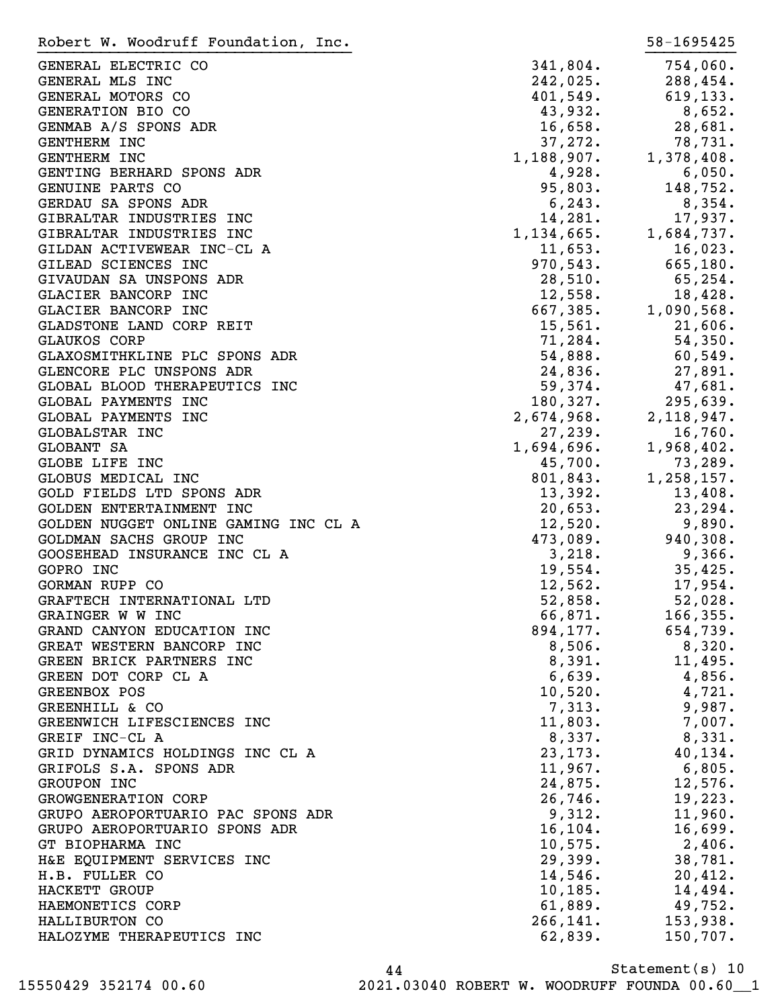| Robert W. Woodruff Foundation, Inc.  |            | 58-1695425           |
|--------------------------------------|------------|----------------------|
| GENERAL ELECTRIC CO                  | 341,804.   | 754,060.             |
| GENERAL MLS INC                      | 242,025.   | 288,454.             |
| GENERAL MOTORS CO                    | 401,549.   | 619, 133.            |
| GENERATION BIO CO                    | 43,932.    | 8,652.               |
| GENMAB A/S SPONS ADR                 | 16,658.    | 28,681.              |
| GENTHERM INC                         | 37,272.    | 78,731.              |
| GENTHERM INC                         | 1,188,907. | 1,378,408.           |
| GENTING BERHARD SPONS ADR            | 4,928.     | 6,050.               |
| GENUINE PARTS CO                     | 95,803.    | 148,752.             |
| GERDAU SA SPONS ADR                  | 6, 243.    | 8,354.               |
| GIBRALTAR INDUSTRIES INC             | 14,281.    | 17,937.              |
| GIBRALTAR INDUSTRIES INC             | 1,134,665. | 1,684,737.           |
| GILDAN ACTIVEWEAR INC-CL A           | 11,653.    | 16,023.              |
| GILEAD SCIENCES INC                  | 970,543.   | 665, 180.            |
| GIVAUDAN SA UNSPONS ADR              | 28,510.    | 65, 254.             |
| GLACIER BANCORP INC                  | 12,558.    | 18,428.              |
| GLACIER BANCORP INC                  | 667,385.   | 1,090,568.           |
| GLADSTONE LAND CORP REIT             | 15,561.    | 21,606.              |
| <b>GLAUKOS CORP</b>                  | 71,284.    | 54,350.              |
| GLAXOSMITHKLINE PLC SPONS ADR        | 54,888.    | 60,549.              |
| GLENCORE PLC UNSPONS ADR             | 24,836.    | 27,891.              |
| GLOBAL BLOOD THERAPEUTICS INC        | 59,374.    | 47,681.              |
| GLOBAL PAYMENTS INC                  | 180,327.   | 295,639.             |
| GLOBAL PAYMENTS INC                  | 2,674,968. | 2,118,947.           |
| GLOBALSTAR INC                       | 27,239.    | 16,760.              |
| GLOBANT SA                           | 1,694,696. | 1,968,402.           |
| GLOBE LIFE INC                       | 45,700.    | 73,289.              |
| GLOBUS MEDICAL INC                   | 801,843.   | 1,258,157.           |
| GOLD FIELDS LTD SPONS ADR            | 13,392.    | 13,408.              |
| GOLDEN ENTERTAINMENT INC             | 20,653.    | 23, 294.             |
| GOLDEN NUGGET ONLINE GAMING INC CL A | 12,520.    | 9,890.               |
| GOLDMAN SACHS GROUP INC              | 473,089.   | 940,308.             |
| GOOSEHEAD INSURANCE INC CL A         | 3,218.     | 9,366.               |
| GOPRO INC                            | 19,554.    | 35,425.              |
| GORMAN RUPP CO                       | 12,562.    | 17,954.              |
| GRAFTECH INTERNATIONAL LTD           | 52,858.    | 52,028.              |
| GRAINGER W W INC                     | 66,871.    | 166, 355.            |
| GRAND CANYON EDUCATION INC           |            | $894, 177.$ 654,739. |
| GREAT WESTERN BANCORP INC            | 8,506.     | 8,320.               |
| GREEN BRICK PARTNERS INC             | 8,391.     | 11,495.              |
| GREEN DOT CORP CL A                  | 6,639.     | 4,856.               |
| GREENBOX POS                         | 10,520.    | 4,721.               |
| GREENHILL & CO                       | 7,313.     | 9,987.               |
| GREENWICH LIFESCIENCES INC           | 11,803.    | $7,007$ .            |
| GREIF INC-CL A                       | 8,337.     | 8,331.               |
| GRID DYNAMICS HOLDINGS INC CL A      | 23, 173.   | 40, 134.             |
| GRIFOLS S.A. SPONS ADR               | 11,967.    | 6,805.               |
| GROUPON INC                          | 24,875.    | 12,576.              |
| GROWGENERATION CORP                  | 26,746.    | 19,223.              |
| GRUPO AEROPORTUARIO PAC SPONS ADR    | 9,312.     | 11,960.              |
| GRUPO AEROPORTUARIO SPONS ADR        | 16, 104.   | 16,699.              |
| GT BIOPHARMA INC                     | 10,575.    | 2,406.               |
| H&E EQUIPMENT SERVICES INC           | 29,399.    | 38,781.              |
| H.B. FULLER CO                       | 14,546.    | 20,412.              |
| HACKETT GROUP                        | 10, 185.   | 14,494.              |
| HAEMONETICS CORP                     | 61,889.    | 49,752.              |
| HALLIBURTON CO                       | 266,141.   | 153,938.             |
| HALOZYME THERAPEUTICS INC            | 62,839.    | 150,707.             |

Statement(s) 10 44 15550429 352174 00.60 2021.03040 ROBERT W. WOODRUFF FOUNDA 00.60\_\_1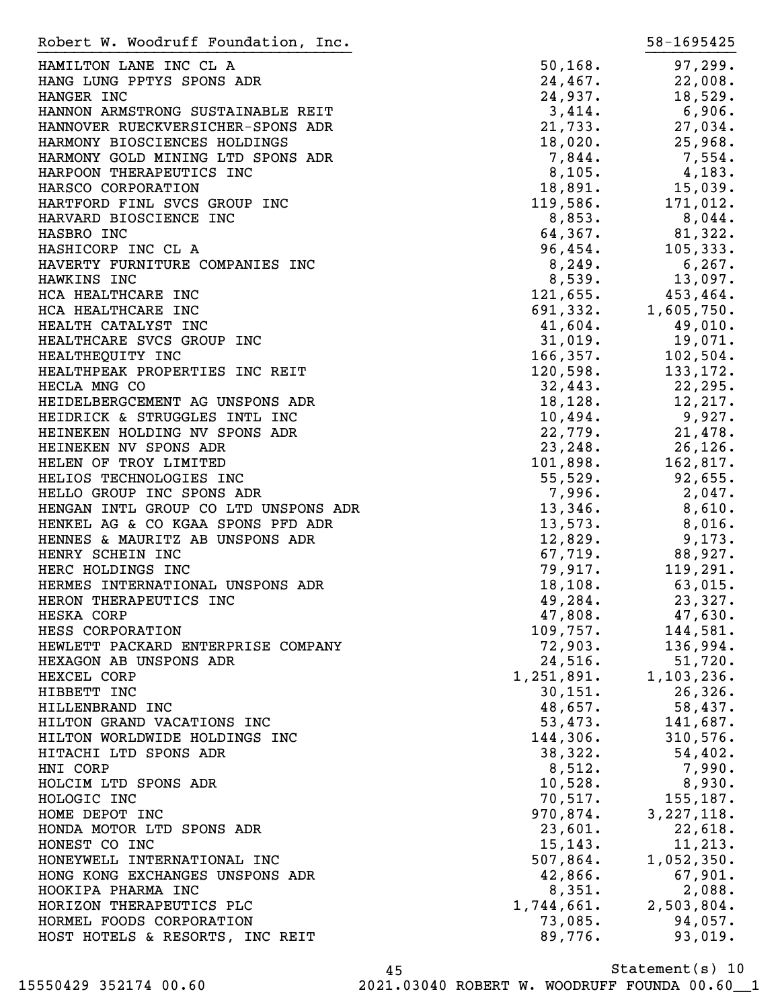| Robert W. Woodruff Foundation, Inc.  |            | 58-1695425   |
|--------------------------------------|------------|--------------|
| HAMILTON LANE INC CL A               | 50, 168.   | 97, 299.     |
| HANG LUNG PPTYS SPONS ADR            | 24,467.    | 22,008.      |
| HANGER INC                           | 24,937.    | 18,529.      |
| HANNON ARMSTRONG SUSTAINABLE REIT    | 3,414.     | 6,906.       |
| HANNOVER RUECKVERSICHER-SPONS ADR    | 21,733.    | 27,034.      |
| HARMONY BIOSCIENCES HOLDINGS         | 18,020.    | 25,968.      |
| HARMONY GOLD MINING LTD SPONS ADR    | 7,844.     |              |
| HARPOON THERAPEUTICS INC             | 8,105.     | 7,554.       |
|                                      |            | 4,183.       |
| HARSCO CORPORATION                   | 18,891.    | $15,039$ .   |
| HARTFORD FINL SVCS GROUP INC         | 119,586.   | 171,012.     |
| HARVARD BIOSCIENCE INC               | 8,853.     | $8,044$ .    |
| HASBRO INC                           | 64,367.    | 81,322.      |
| HASHICORP INC CL A                   | 96,454.    | 105, 333.    |
| HAVERTY FURNITURE COMPANIES INC      | 8,249.     | 6, 267.      |
| HAWKINS INC                          | 8,539.     | 13,097.      |
| HCA HEALTHCARE INC                   | 121,655.   | 453,464.     |
| HCA HEALTHCARE INC                   | 691,332.   | 1,605,750.   |
| HEALTH CATALYST INC                  | 41,604.    | 49,010.      |
| HEALTHCARE SVCS GROUP INC            | 31,019.    | 19,071.      |
| HEALTHEQUITY INC                     | 166, 357.  | 102,504.     |
| HEALTHPEAK PROPERTIES INC REIT       | 120,598.   | 133, 172.    |
| HECLA MNG CO                         | 32,443.    | 22, 295.     |
| HEIDELBERGCEMENT AG UNSPONS ADR      | 18, 128.   | 12,217.      |
| HEIDRICK & STRUGGLES INTL INC        | 10,494.    | 9,927.       |
| HEINEKEN HOLDING NV SPONS ADR        | 22,779.    | 21,478.      |
| HEINEKEN NV SPONS ADR                | 23, 248.   | 26, 126.     |
| HELEN OF TROY LIMITED                | 101,898.   | 162,817.     |
| HELIOS TECHNOLOGIES INC              | 55,529.    | 92,655.      |
| HELLO GROUP INC SPONS ADR            | 7,996.     | 2,047.       |
| HENGAN INTL GROUP CO LTD UNSPONS ADR | 13,346.    | 8,610.       |
| HENKEL AG & CO KGAA SPONS PFD ADR    | 13,573.    | 8,016.       |
| HENNES & MAURITZ AB UNSPONS ADR      | 12,829.    | 9,173.       |
| HENRY SCHEIN INC                     | 67,719.    | 88,927.      |
|                                      |            |              |
| HERC HOLDINGS INC                    | 79,917.    | 119,291.     |
| HERMES INTERNATIONAL UNSPONS ADR     | 18, 108.   | 63,015.      |
| HERON THERAPEUTICS INC               | 49,284.    | 23,327.      |
| HESKA CORP                           | 47,808.    | 47,630.      |
| HESS CORPORATION                     | 109,757.   | 144,581.     |
| HEWLETT PACKARD ENTERPRISE COMPANY   | 72,903.    | 136,994.     |
| HEXAGON AB UNSPONS ADR               | 24,516.    | 51,720.      |
| HEXCEL CORP                          | 1,251,891. | 1, 103, 236. |
| HIBBETT INC                          | 30, 151.   | 26, 326.     |
| HILLENBRAND INC                      | 48,657.    | 58,437.      |
| HILTON GRAND VACATIONS INC           | 53,473.    | 141,687.     |
| HILTON WORLDWIDE HOLDINGS INC        | 144,306.   | 310,576.     |
| HITACHI LTD SPONS ADR                | 38,322.    | 54,402.      |
| HNI CORP                             | 8,512.     | 7,990.       |
| HOLCIM LTD SPONS ADR                 | 10,528.    | 8,930.       |
| HOLOGIC INC                          | 70, 517.   | 155,187.     |
| HOME DEPOT INC                       | 970,874.   | 3, 227, 118. |
| HONDA MOTOR LTD SPONS ADR            | 23,601.    | 22,618.      |
| HONEST CO INC                        | 15, 143.   | 11, 213.     |
| HONEYWELL INTERNATIONAL INC          | 507,864.   | 1,052,350.   |
| HONG KONG EXCHANGES UNSPONS ADR      | 42,866.    | 67,901.      |
| HOOKIPA PHARMA INC                   | 8,351.     | 2,088.       |
| HORIZON THERAPEUTICS PLC             | 1,744,661. | 2,503,804.   |
| HORMEL FOODS CORPORATION             | 73,085.    | 94,057.      |
| HOST HOTELS & RESORTS, INC REIT      | 89,776.    | 93,019.      |
|                                      |            |              |

Statement(s) 10 45 15550429 352174 00.60 2021.03040 ROBERT W. WOODRUFF FOUNDA 00.60\_\_1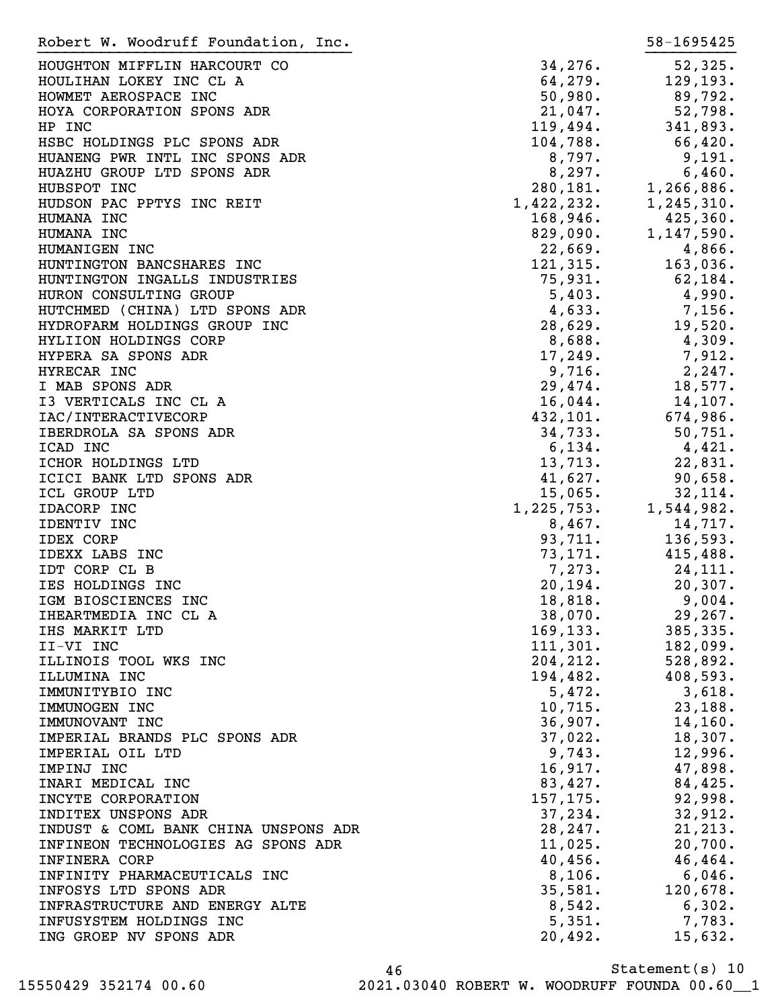| Robert W. Woodruff Foundation, Inc.  |                    | 58-1695425   |
|--------------------------------------|--------------------|--------------|
| HOUGHTON MIFFLIN HARCOURT CO         | 34,276.            | 52,325.      |
| HOULIHAN LOKEY INC CL A              | 64,279.            | 129, 193.    |
| HOWMET AEROSPACE INC                 | 50,980.            | 89,792.      |
| HOYA CORPORATION SPONS ADR           | 21,047.            | 52,798.      |
| HP INC                               | 119,494.           | 341,893.     |
|                                      |                    |              |
| HSBC HOLDINGS PLC SPONS ADR          | 104,788.           | 66,420.      |
| HUANENG PWR INTL INC SPONS ADR       | 8,797.             | 9,191.       |
| HUAZHU GROUP LTD SPONS ADR           | 8,297.             | 6,460.       |
| HUBSPOT INC                          | 280,181.           | 1,266,886.   |
| HUDSON PAC PPTYS INC REIT            | 1,422,232.         | 1, 245, 310. |
| HUMANA INC                           | 168,946.           | 425,360.     |
| HUMANA INC                           | 829,090.           | 1,147,590.   |
| HUMANIGEN INC                        | 22,669.            | 4,866.       |
| HUNTINGTON BANCSHARES INC            | 121,315.           | 163,036.     |
| HUNTINGTON INGALLS INDUSTRIES        | 75,931.            | 62,184.      |
| HURON CONSULTING GROUP               | 5,403.             | 4,990.       |
| HUTCHMED (CHINA) LTD SPONS ADR       | 4,633.             | 7,156.       |
| HYDROFARM HOLDINGS GROUP INC         | 28,629.            | 19,520.      |
| HYLIION HOLDINGS CORP                | 8,688.             | 4,309.       |
| HYPERA SA SPONS ADR                  | 17,249.            | 7,912.       |
| HYRECAR INC                          | 9,716.             | 2,247.       |
| I MAB SPONS ADR                      | 29,474.            | 18,577.      |
| I3 VERTICALS INC CL A                | 16,044.            | 14,107.      |
| IAC/INTERACTIVECORP                  | 432, 101.          | 674,986.     |
| IBERDROLA SA SPONS ADR               | 34,733.            | 50,751.      |
| ICAD INC                             | 6,134.             | 4,421.       |
| ICHOR HOLDINGS LTD                   | 13,713.            | 22,831.      |
| ICICI BANK LTD SPONS ADR             | 41,627.            | 90,658.      |
| ICL GROUP LTD                        | 15,065.            | 32,114.      |
| IDACORP INC                          | 1,225,753.         | 1,544,982.   |
| IDENTIV INC                          | 8,467.             | 14,717.      |
|                                      |                    |              |
| <b>IDEX CORP</b>                     | 93,711.<br>73,171. | 136,593.     |
| IDEXX LABS INC                       |                    | 415,488.     |
| IDT CORP CL B                        | 7,273.             | 24,111.      |
| IES HOLDINGS INC                     | 20, 194.           | 20, 307.     |
| IGM BIOSCIENCES INC                  | 18,818.            | 9,004.       |
| IHEARTMEDIA INC CL A                 | 38,070.            | 29, 267.     |
| IHS MARKIT LTD                       | 169, 133.          | 385, 335.    |
| II-VI INC                            | 111, 301.          | 182,099.     |
| ILLINOIS TOOL WKS INC                | 204, 212.          | 528,892.     |
| ILLUMINA INC                         | 194,482.           | 408,593.     |
| IMMUNITYBIO INC                      | 5,472.             | 3,618.       |
| IMMUNOGEN INC                        | 10, 715.           | 23,188.      |
| IMMUNOVANT INC                       | 36,907.            | 14, 160.     |
| IMPERIAL BRANDS PLC SPONS ADR        | 37,022.            | 18,307.      |
| IMPERIAL OIL LTD                     | 9,743.             | 12,996.      |
| IMPINJ INC                           | 16,917.            | 47,898.      |
| INARI MEDICAL INC                    | 83,427.            | 84,425.      |
| INCYTE CORPORATION                   | 157,175.           | 92,998.      |
| INDITEX UNSPONS ADR                  | 37,234.            | 32,912.      |
| INDUST & COML BANK CHINA UNSPONS ADR | 28, 247.           | 21, 213.     |
| INFINEON TECHNOLOGIES AG SPONS ADR   | 11,025.            | 20,700.      |
| <b>INFINERA CORP</b>                 | 40,456.            | 46, 464.     |
| INFINITY PHARMACEUTICALS INC         | 8,106.             | 6,046.       |
| INFOSYS LTD SPONS ADR                | 35,581.            | 120,678.     |
| INFRASTRUCTURE AND ENERGY ALTE       | 8,542.             | 6,302.       |
| INFUSYSTEM HOLDINGS INC              | 5,351.             | 7,783.       |
| ING GROEP NV SPONS ADR               | 20,492.            | 15,632.      |
|                                      |                    |              |

Statement(s) 10 46 15550429 352174 00.60 2021.03040 ROBERT W. WOODRUFF FOUNDA 00.60\_\_1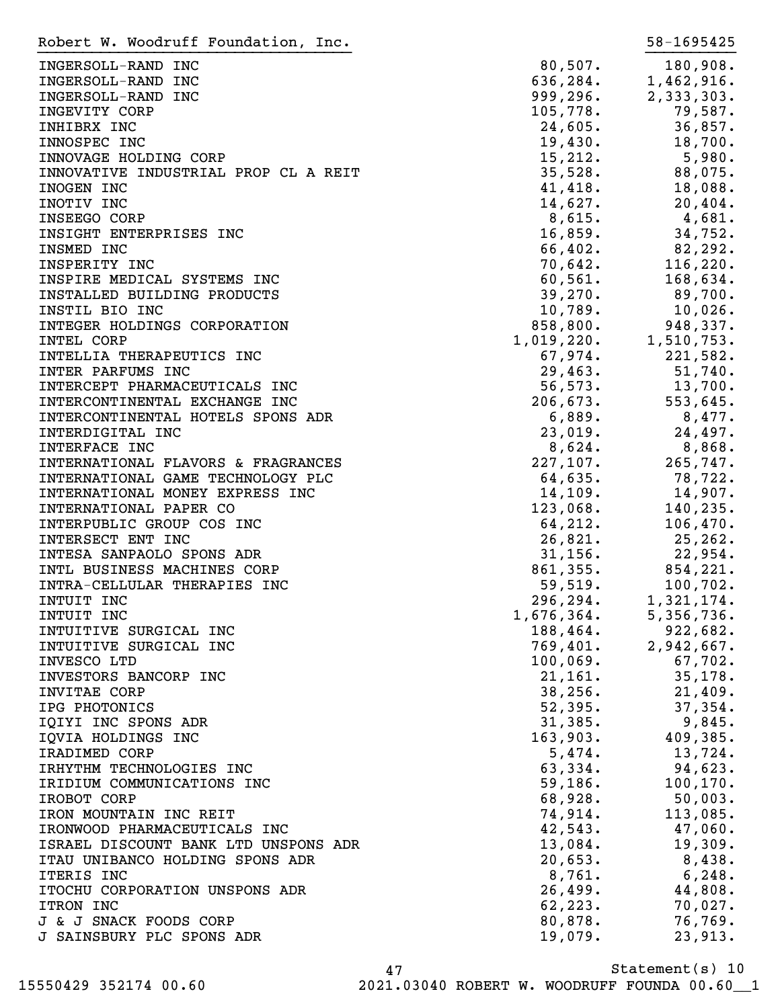INGERSOLL-RAND INC  $80,507$ . 180,908. INGERSOLL-RAND INC 636,284. 1,462,916. INGERSOLL-RAND INC 999,296. 2,333,303. INGEVITY CORP 105,778. 79,587. INHIBRX INC 36,857. INNOSPEC INC 19,430. 18,700. INNOVAGE HOLDING CORP 15,212. 5,980. INNOVATIVE INDUSTRIAL PROP CL A REIT 35,528. 88,075. INOGEN INC 28 18,088. INOTIV INC 14,627. 20,404.  $\texttt{INSEEGO}\quad \texttt{CORP} \qquad \qquad 8,615. \qquad \qquad 4,681.$ INSIGHT ENTERPRISES INC<br>
16,859. 34,752. INSMED INC 66,402. 82,292. INSPERITY INC 70,642. 116,220. INSPIRE MEDICAL SYSTEMS INC  $60,561.$  168,634. INSTALLED BUILDING PRODUCTS 39,270. 89,700. INSTIL BIO INC 10,789. 10,026. INTEGER HOLDINGS CORPORATION 858,800. 948,337. INSTILLED THE TRIM INSTILLED TRIM INSTILLED TRIM INSTILLED INC<br>
INTEGER HOLDINGS CORPORATION 1,019,220. 1,510,753.<br>
INTEL CORP 1,019,220. 1,510,753.<br>
67.974. 221,582. INTELLIA THERAPEUTICS INC  $67,974.$  221,582. INTER PARFUMS INC 29,463. 51,740. INTERCEPT PHARMACEUTICALS INC  $56,573$ . 13,700. INTERCONTINENTAL EXCHANGE INC  $206,673$ . 553,645. INTERCONTINENTAL HOTELS SPONS ADR 6,889. 8,477. INTERDIGITAL INC 23,019. 24,497. INTERFACE INC  $8,624$ .  $8,868$ . INTERNATIONAL FLAVORS & FRAGRANCES 227,107. 265,747. INTERNATIONAL GAME TECHNOLOGY PLC 64,635. 78,722. INTERNATIONAL MONEY EXPRESS INC 14,109. 14,109. INTERNATIONAL PAPER CO and the set of the set of the 123,068. 140,235. INTERPUBLIC GROUP COS INC  $64,212.$  106,470. INTERSECT ENT INC 26,821. 25,262. INTESA SANPAOLO SPONS ADR
31,156. 22,954. INTL BUSINESS MACHINES CORP 861,355. 854,221. INTRA-CELLULAR THERAPIES INC 100, 102. INTUIT INC 296,294. 1,321,174. INTUIT INC 6. 1,676,364. 5,356,736. INTUITIVE SURGICAL INC 188,464. 922,682. INTUITIVE SURGICAL INC **1998** 101. 2,942,667. INVESCO LTD 100,069. 67,702. INVESTORS BANCORP INC  $21,161.$  35,178. INVITAE CORP 38,256. 21,409. IPG PHOTONICS 52,395. 37,354. IQIYI INC SPONS ADR 31,385. 9,845. IQVIA HOLDINGS INC 163,903. 409,385. IRADIMED CORP 5,474. 13,724. IRHYTHM TECHNOLOGIES INC 63,334. 94,623. IRIDIUM COMMUNICATIONS INC 59,186. 100,170. IROBOT CORP 68,928. 50,003. IRON MOUNTAIN INC REIT **113,085.** TRON MOUNTAIN INC REIT IRONWOOD PHARMACEUTICALS INC 42,543. 47,060. ISRAEL DISCOUNT BANK LTD UNSPONS ADR 13,084. 19,309. ITAU UNIBANCO HOLDING SPONS ADR 20,653. 8,438. ITERIS INC 6,248. ITOCHU CORPORATION UNSPONS ADR 26,499. 44,808. ITRON INC 2.223. 2007. J & J SNACK FOODS CORP 80,878. 76,769. J SAINSBURY PLC SPONS ADR 19,079. 23,913. Robert W. Woodruff Foundation, Inc. 58-1695425 }}}}}}}}}}}}}}}}}}}}}}}}}}}}}}}}}}} }}}}}}}}}}

Statement(s) 10 47 15550429 352174 00.60 2021.03040 ROBERT W. WOODRUFF FOUNDA 00.60\_\_1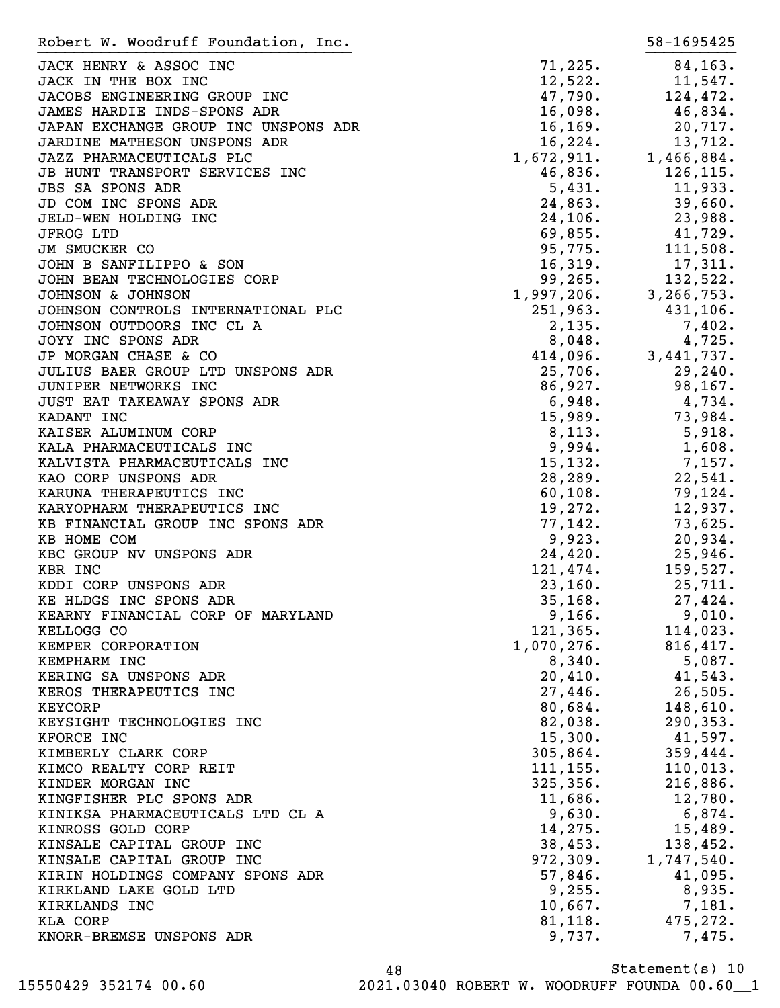| Robert W. Woodruff Foundation, Inc.             |                      | 58-1695425                                                                                                                                                                            |
|-------------------------------------------------|----------------------|---------------------------------------------------------------------------------------------------------------------------------------------------------------------------------------|
| JACK HENRY & ASSOC INC                          | 71,225.              | 84, 163.                                                                                                                                                                              |
| JACK IN THE BOX INC                             | 12,522.              | 11,547.                                                                                                                                                                               |
| JACOBS ENGINEERING GROUP INC                    | 47,790.              | 124,472.                                                                                                                                                                              |
| JAMES HARDIE INDS-SPONS ADR                     | 16,098.              | 46,834.                                                                                                                                                                               |
| JAPAN EXCHANGE GROUP INC UNSPONS ADR            | 16, 169.             | 20,717.                                                                                                                                                                               |
| JARDINE MATHESON UNSPONS ADR                    | 16,224.              | 13,712.                                                                                                                                                                               |
| JAZZ PHARMACEUTICALS PLC                        | 1,672,911.           | 1,466,884.                                                                                                                                                                            |
| JB HUNT TRANSPORT SERVICES INC                  |                      | 126,115.                                                                                                                                                                              |
| <b>JBS SA SPONS ADR</b>                         | $46,836.$<br>5,431.  | 11,933.                                                                                                                                                                               |
| JD COM INC SPONS ADR                            | 24,863.              | 39,660.                                                                                                                                                                               |
| JELD-WEN HOLDING INC                            | 24, 106.             | 23,988.                                                                                                                                                                               |
| <b>JFROG LTD</b>                                | 69,855.              | 41,729.                                                                                                                                                                               |
| JM SMUCKER CO                                   | 95,775.              | 111,508.                                                                                                                                                                              |
| JOHN B SANFILIPPO & SON                         | 16,319.              | 17,311.                                                                                                                                                                               |
| JOHN BEAN TECHNOLOGIES CORP                     |                      |                                                                                                                                                                                       |
| JOHNSON & JOHNSON                               |                      | $\begin{array}{cccc} 10,319 & . & 17,311 \\ 99,265 & . & 132,522 \\ 1,997,206 & . & 3,266,753 \\ 251,963 & . & 431,106 \\ 2,135 & . & 7,402 \\ 8,048 & . & . & . & . & . \end{array}$ |
| JOHNSON CONTROLS INTERNATIONAL PLC              |                      |                                                                                                                                                                                       |
| JOHNSON OUTDOORS INC CL A                       |                      |                                                                                                                                                                                       |
| JOYY INC SPONS ADR                              |                      |                                                                                                                                                                                       |
| JP MORGAN CHASE & CO                            | 414,096.             | 3, 441, 737.                                                                                                                                                                          |
| JULIUS BAER GROUP LTD UNSPONS ADR               | 25,706.              | 29,240.                                                                                                                                                                               |
| JUNIPER NETWORKS INC                            | 86,927.              | 98,167.                                                                                                                                                                               |
|                                                 | 6,948.               |                                                                                                                                                                                       |
| JUST EAT TAKEAWAY SPONS ADR                     | 15,989.              | 4,734.<br>73,984.                                                                                                                                                                     |
| KADANT INC                                      |                      |                                                                                                                                                                                       |
| KAISER ALUMINUM CORP                            | 8,113.               | 5,918.                                                                                                                                                                                |
| KALA PHARMACEUTICALS INC                        | 9,994.               | 1,608.                                                                                                                                                                                |
| KALVISTA PHARMACEUTICALS INC                    | 15, 132.<br>28, 289. | 7,157.<br>22,541.                                                                                                                                                                     |
| KAO CORP UNSPONS ADR<br>KARUNA THERAPEUTICS INC | 60, 108.             | 79,124.                                                                                                                                                                               |
| KARYOPHARM THERAPEUTICS INC                     | 19,272.              | 12,937.                                                                                                                                                                               |
| KB FINANCIAL GROUP INC SPONS ADR                | 77,142.              | 73,625.                                                                                                                                                                               |
| KB HOME COM                                     | 9,923.               | 20,934.                                                                                                                                                                               |
| KBC GROUP NV UNSPONS ADR                        | 24,420.              | 25,946.                                                                                                                                                                               |
| KBR INC                                         | 121,474.             | 159,527.                                                                                                                                                                              |
| KDDI CORP UNSPONS ADR                           | 23,160.              | 25,711.                                                                                                                                                                               |
| KE HLDGS INC SPONS ADR                          | 35, 168.             | 27,424.                                                                                                                                                                               |
| KEARNY FINANCIAL CORP OF MARYLAND               | 9,166.               | 9,010.                                                                                                                                                                                |
| KELLOGG CO                                      | 121, 365.            | 114,023.                                                                                                                                                                              |
| KEMPER CORPORATION                              | 1,070,276.           | 816,417.                                                                                                                                                                              |
| KEMPHARM INC                                    | 8,340.               | 5,087.                                                                                                                                                                                |
| KERING SA UNSPONS ADR                           | 20,410.              | 41,543.                                                                                                                                                                               |
| KEROS THERAPEUTICS INC                          | 27,446.              | 26,505.                                                                                                                                                                               |
| <b>KEYCORP</b>                                  | 80,684.              | 148,610.                                                                                                                                                                              |
| KEYSIGHT TECHNOLOGIES INC                       | 82,038.              | 290, 353.                                                                                                                                                                             |
| KFORCE INC                                      | 15,300.              | 41,597.                                                                                                                                                                               |
| KIMBERLY CLARK CORP                             | 305,864.             | 359,444.                                                                                                                                                                              |
| KIMCO REALTY CORP REIT                          | 111, 155.            | 110,013.                                                                                                                                                                              |
| KINDER MORGAN INC                               | 325, 356.            | 216,886.                                                                                                                                                                              |
| KINGFISHER PLC SPONS ADR                        | 11,686.              | 12,780.                                                                                                                                                                               |
| KINIKSA PHARMACEUTICALS LTD CL A                | 9,630.               | $6,874$ .                                                                                                                                                                             |
| KINROSS GOLD CORP                               | 14,275.              | 15,489.                                                                                                                                                                               |
| KINSALE CAPITAL GROUP INC                       | 38,453.              | 138,452.                                                                                                                                                                              |
| KINSALE CAPITAL GROUP INC                       | 972, 309.            | 1,747,540.                                                                                                                                                                            |
| KIRIN HOLDINGS COMPANY SPONS ADR                | 57,846.              | 41,095.                                                                                                                                                                               |
| KIRKLAND LAKE GOLD LTD                          | 9,255.               | 8,935.                                                                                                                                                                                |
| KIRKLANDS INC                                   | 10,667.              | 7,181.                                                                                                                                                                                |
| KLA CORP                                        | 81,118.              | 475, 272.                                                                                                                                                                             |
| KNORR-BREMSE UNSPONS ADR                        | 9,737.               | 7,475.                                                                                                                                                                                |
|                                                 |                      |                                                                                                                                                                                       |

Statement(s) 10 48 15550429 352174 00.60 2021.03040 ROBERT W. WOODRUFF FOUNDA 00.60\_\_1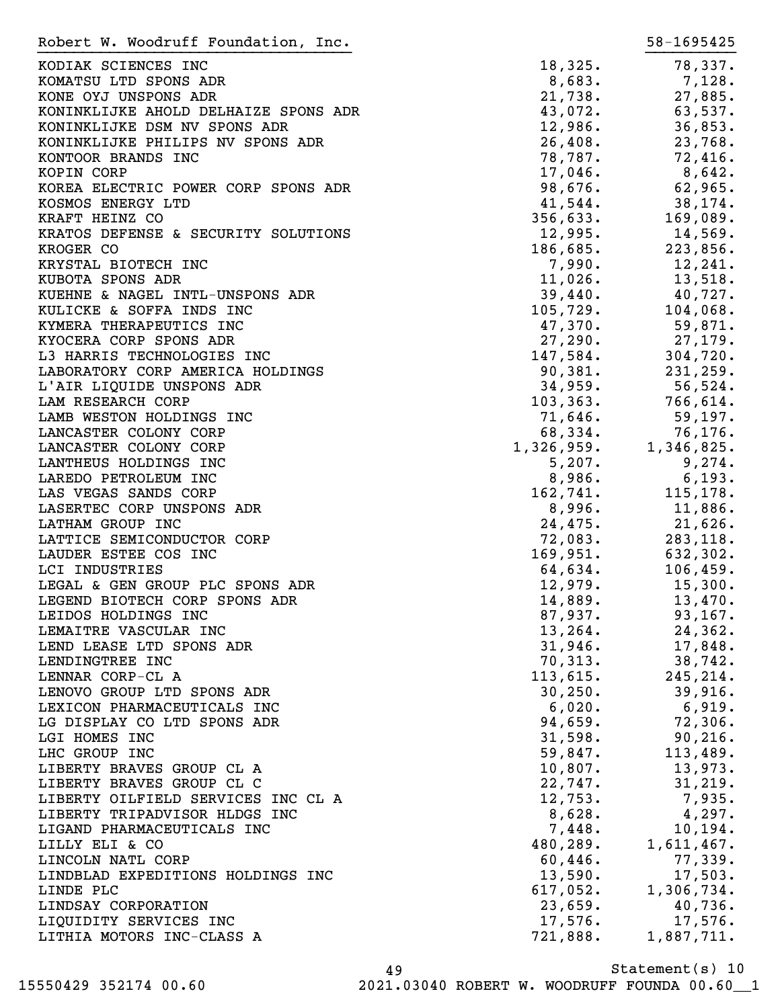| Robert W. Woodruff Foundation, Inc.    |                     | 58-1695425 |
|----------------------------------------|---------------------|------------|
| KODIAK SCIENCES INC                    | 18,325.             | 78,337.    |
| KOMATSU LTD SPONS ADR                  | 8,683.              | 7,128.     |
| KONE OYJ UNSPONS ADR                   | 21,738.             | 27,885.    |
| KONINKLIJKE AHOLD DELHAIZE SPONS ADR   | 43,072.             | 63,537.    |
| KONINKLIJKE DSM NV SPONS ADR           | 12,986.             | 36,853.    |
|                                        |                     |            |
| KONINKLIJKE PHILIPS NV SPONS ADR       | 26,408.             | 23,768.    |
| KONTOOR BRANDS INC                     | 78,787.             | 72,416.    |
| KOPIN CORP                             | 17,046.             | $8,642$ .  |
| KOREA ELECTRIC POWER CORP SPONS ADR    | 98,676.             | 62,965.    |
| KOSMOS ENERGY LTD                      | 41,544.             | 38,174.    |
| KRAFT HEINZ CO                         | 356,633.            | 169,089.   |
| KRATOS DEFENSE & SECURITY SOLUTIONS    | 12,995.             | 14,569.    |
| KROGER CO                              | 186,685.            | 223,856.   |
| KRYSTAL BIOTECH INC                    | 7,990.              | 12, 241.   |
| KUBOTA SPONS ADR                       | 11,026.             | 13,518.    |
| KUEHNE & NAGEL INTL-UNSPONS ADR        | 39,440.             | 40,727.    |
| KULICKE & SOFFA INDS INC               | 105,729.            | 104,068.   |
| KYMERA THERAPEUTICS INC                | 47,370.             | 59,871.    |
| KYOCERA CORP SPONS ADR                 | 27,290.             | 27,179.    |
| L3 HARRIS TECHNOLOGIES INC             | 147,584.            | 304,720.   |
| LABORATORY CORP AMERICA HOLDINGS       | 90,381.             | 231,259.   |
| L'AIR LIQUIDE UNSPONS ADR              | 34,959.             | $56,524$ . |
| LAM RESEARCH CORP                      | 103, 363.           | 766,614.   |
| LAMB WESTON HOLDINGS INC               | 71,646.             | 59, 197.   |
| LANCASTER COLONY CORP                  | 68,334.             | 76,176.    |
| LANCASTER COLONY CORP                  | 1,326,959.          | 1,346,825. |
| LANTHEUS HOLDINGS INC                  | 5,207.              | 9,274.     |
| LAREDO PETROLEUM INC                   | 8,986.              | 6,193.     |
| LAS VEGAS SANDS CORP                   |                     | 115,178.   |
| LASERTEC CORP UNSPONS ADR              | 162, 741.<br>8,996. | $11,886$ . |
| LATHAM GROUP INC                       | 24,475.             | $21,626$ . |
| LATTICE SEMICONDUCTOR CORP             |                     | 283,118.   |
|                                        | 72,083.             |            |
| LAUDER ESTEE COS INC<br>LCI INDUSTRIES | 169,951.            | 632,302.   |
|                                        | 64,634.             | 106,459.   |
| LEGAL & GEN GROUP PLC SPONS ADR        | 12,979.             | 15,300.    |
| LEGEND BIOTECH CORP SPONS ADR          | 14,889.             | 13,470.    |
| LEIDOS HOLDINGS INC                    | 87,937.             | 93, 167.   |
| LEMAITRE VASCULAR INC                  | 13, 264.            | 24, 362.   |
| LEND LEASE LTD SPONS ADR               | 31,946.             | 17,848.    |
| LENDINGTREE INC                        | 70, 313.            | 38,742.    |
| LENNAR CORP-CL A                       | 113,615.            | 245, 214.  |
| LENOVO GROUP LTD SPONS ADR             | 30, 250.            | 39,916.    |
| LEXICON PHARMACEUTICALS INC            | 6,020.              | 6,919.     |
| LG DISPLAY CO LTD SPONS ADR            | 94,659.             | 72,306.    |
| LGI HOMES INC                          | 31,598.             | 90, 216.   |
| LHC GROUP INC                          | 59,847.             | 113,489.   |
| LIBERTY BRAVES GROUP CL A              | 10,807.             | 13,973.    |
| LIBERTY BRAVES GROUP CL C              | 22,747.             | 31,219.    |
| LIBERTY OILFIELD SERVICES INC CL A     | 12,753.             | 7,935.     |
| LIBERTY TRIPADVISOR HLDGS INC          | 8,628.              | 4,297.     |
| LIGAND PHARMACEUTICALS INC             | 7,448.              | 10, 194.   |
| LILLY ELI & CO                         | 480,289.            | 1,611,467. |
| LINCOLN NATL CORP                      | 60,446.             | 77,339.    |
| LINDBLAD EXPEDITIONS HOLDINGS INC      | 13,590.             | 17,503.    |
| LINDE PLC                              | 617,052.            | 1,306,734. |
| LINDSAY CORPORATION                    | 23,659.             | 40,736.    |
| LIQUIDITY SERVICES INC                 | 17,576.             | 17,576.    |
| LITHIA MOTORS INC-CLASS A              | 721,888.            | 1,887,711. |
|                                        |                     |            |

Statement(s) 10 49 15550429 352174 00.60 2021.03040 ROBERT W. WOODRUFF FOUNDA 00.60\_\_1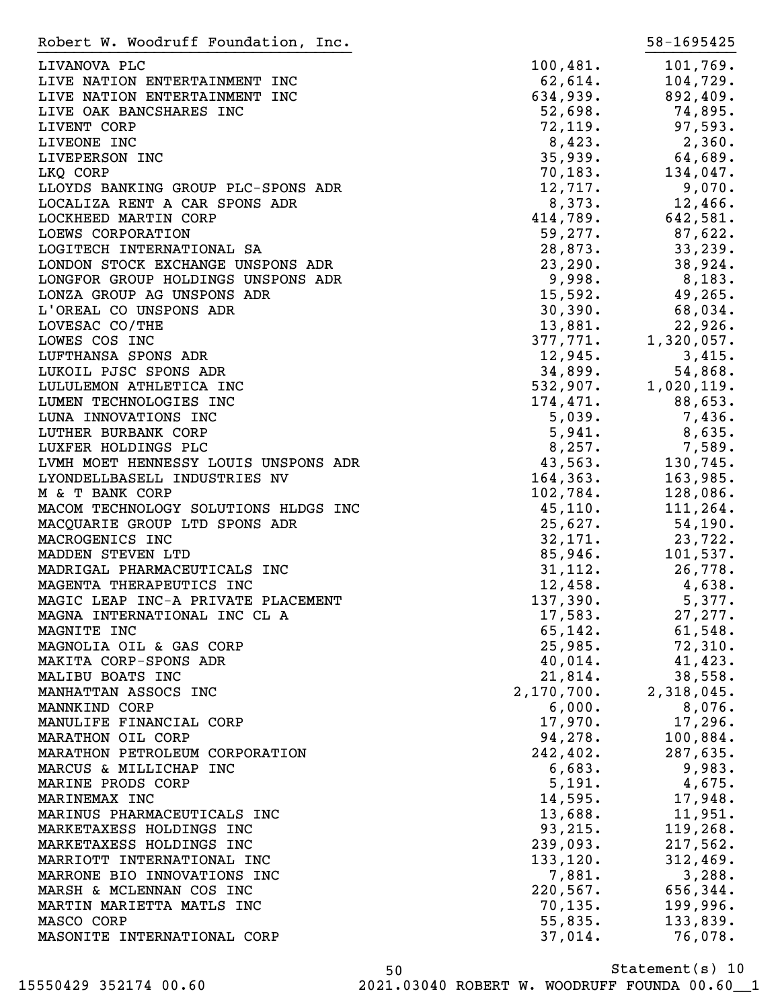| Robert W. Woodruff Foundation, Inc.                            |                     | 58-1695425            |
|----------------------------------------------------------------|---------------------|-----------------------|
| LIVANOVA PLC                                                   | 100,481.            | 101,769.              |
| LIVE NATION ENTERTAINMENT INC                                  | 62,614.             | 104,729.              |
| LIVE NATION ENTERTAINMENT INC                                  | 634,939.            | 892,409.              |
| LIVE OAK BANCSHARES INC                                        | 52,698.             | 74,895.               |
| LIVENT CORP                                                    | 72, 119.            | 97,593.               |
| LIVEONE INC                                                    | 8,423.              | 2,360.                |
| LIVEPERSON INC                                                 | 35,939.             | 64,689.               |
| LKQ CORP                                                       | 70, 183.            | 134,047.              |
| LLOYDS BANKING GROUP PLC-SPONS ADR                             | 12,717.             | 9,070.                |
| LOCALIZA RENT A CAR SPONS ADR                                  | 8,373.              | $12,466$ .            |
| LOCKHEED MARTIN CORP                                           | 414,789.            | 642,581.              |
| LOEWS CORPORATION                                              | 59,277.             | 87,622.               |
| LOGITECH INTERNATIONAL SA                                      | 28,873.             | 33,239.               |
| LONDON STOCK EXCHANGE UNSPONS ADR                              | 23, 290.            | 38,924.               |
| LONGFOR GROUP HOLDINGS UNSPONS ADR                             | 9,998.              | 8,183.                |
| LONZA GROUP AG UNSPONS ADR                                     | 15,592.             | 49,265.               |
| L'OREAL CO UNSPONS ADR                                         | 30,390.             | 68,034.               |
| LOVESAC CO/THE                                                 | 13,881.             | 22,926.               |
| LOWES COS INC                                                  | 377,771.            | 1,320,057.            |
| LUFTHANSA SPONS ADR                                            | 12,945.             | 3,415.                |
| LUKOIL PJSC SPONS ADR                                          | 34,899.             | 54,868.               |
| LULULEMON ATHLETICA INC                                        |                     | $532,907.$ 1,020,119. |
| LUMEN TECHNOLOGIES INC                                         | 174,471.            | 88,653.               |
| LUNA INNOVATIONS INC                                           | 5,039.              | 7,436.                |
| LUTHER BURBANK CORP                                            | 5,941.              | 8,635.                |
| LUXFER HOLDINGS PLC                                            | 8,257.              | 7,589.                |
| LVMH MOET HENNESSY LOUIS UNSPONS ADR                           | 43,563.             | 130,745.              |
| LYONDELLBASELL INDUSTRIES NV                                   | 164,363.            | 163,985.              |
| M & T BANK CORP                                                | 102,784.            | 128,086.              |
| MACOM TECHNOLOGY SOLUTIONS HLDGS INC                           | 45, 110.            | 111, 264.             |
| MACQUARIE GROUP LTD SPONS ADR                                  | 25,627.             | 54,190.               |
| MACROGENICS INC                                                | 32,171.<br>85,946.  | 23,722.               |
| MADDEN STEVEN LTD                                              |                     | 101,537.              |
| MADRIGAL PHARMACEUTICALS INC                                   | 31,112.             | 26,778.               |
| MAGENTA THERAPEUTICS INC<br>MAGIC LEAP INC-A PRIVATE PLACEMENT | 12,458.<br>137,390. | 4,638.<br>5,377.      |
|                                                                | 17,583.             | 27, 277.              |
| MAGNA INTERNATIONAL INC CL A<br>MAGNITE INC                    | 65, 142.            | 61,548.               |
| MAGNOLIA OIL & GAS CORP                                        | 25,985.             | 72,310.               |
| MAKITA CORP-SPONS ADR                                          | 40,014.             | 41, 423.              |
| MALIBU BOATS INC                                               | 21,814.             | 38,558.               |
| MANHATTAN ASSOCS INC                                           | 2,170,700.          | 2,318,045.            |
| MANNKIND CORP                                                  | 6,000.              | 8,076.                |
| MANULIFE FINANCIAL CORP                                        | 17,970.             | 17,296.               |
| MARATHON OIL CORP                                              | 94,278.             | 100,884.              |
| MARATHON PETROLEUM CORPORATION                                 | 242, 402.           | 287,635.              |
| MARCUS & MILLICHAP INC                                         | 6,683.              | 9,983.                |
| MARINE PRODS CORP                                              | 5,191.              | 4,675.                |
| MARINEMAX INC                                                  | 14,595.             | 17,948.               |
| MARINUS PHARMACEUTICALS INC                                    | 13,688.             | 11,951.               |
| MARKETAXESS HOLDINGS INC                                       | 93, 215.            | 119, 268.             |
| MARKETAXESS HOLDINGS INC                                       | 239,093.            | 217,562.              |
| MARRIOTT INTERNATIONAL INC                                     | 133, 120.           | 312,469.              |
| MARRONE BIO INNOVATIONS INC                                    | 7,881.              | 3,288.                |
| MARSH & MCLENNAN COS INC                                       | 220,567.            | 656,344.              |
| MARTIN MARIETTA MATLS INC                                      | 70, 135.            | 199,996.              |
| MASCO CORP                                                     | 55,835.             | 133,839.              |
| MASONITE INTERNATIONAL CORP                                    | 37,014.             | 76,078.               |
|                                                                |                     |                       |

Statement(s) 10 50 15550429 352174 00.60 2021.03040 ROBERT W. WOODRUFF FOUNDA 00.60\_\_1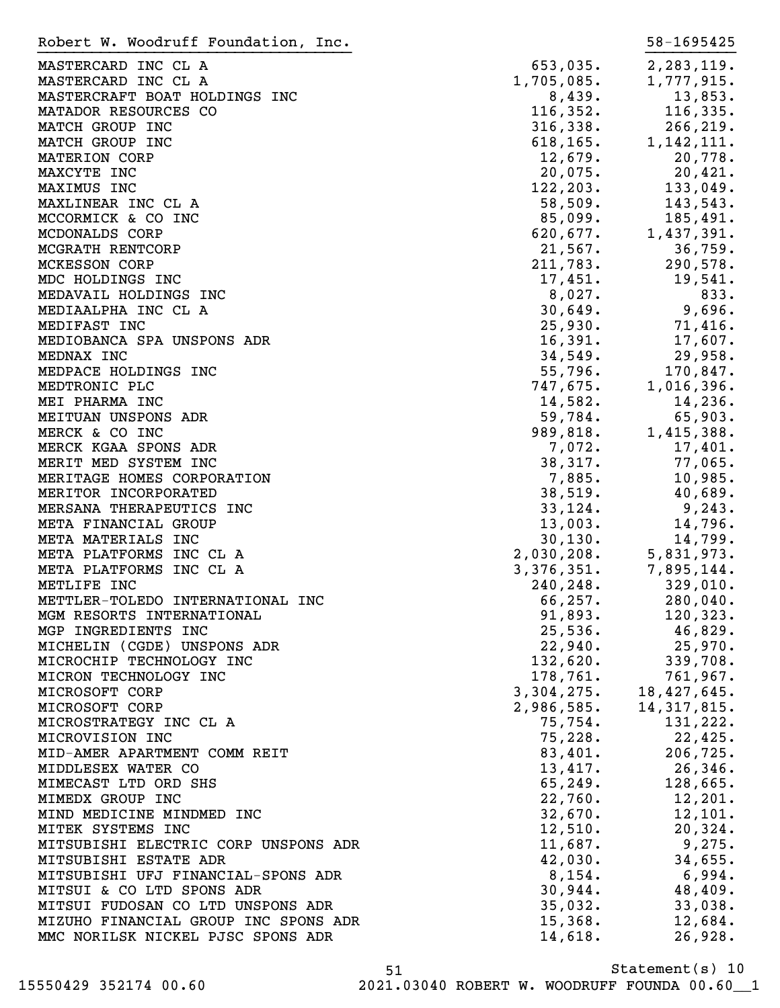| Robert W. Woodruff Foundation, Inc.  |                                                        | 58-1695425    |
|--------------------------------------|--------------------------------------------------------|---------------|
| MASTERCARD INC CL A                  | 653,035.                                               | 2,283,119.    |
| MASTERCARD INC CL A                  | $1,705,085.$<br>8,439.                                 | 1,777,915.    |
| MASTERCRAFT BOAT HOLDINGS INC        |                                                        | 13,853.       |
| MATADOR RESOURCES CO                 | 116, 352.                                              | 116, 335.     |
| MATCH GROUP INC                      | $316,338$ .<br>$618,165$ .<br>$12,679$ .               | 266, 219.     |
| MATCH GROUP INC                      |                                                        | 1, 142, 111.  |
| MATERION CORP                        |                                                        | 20,778.       |
| MAXCYTE INC                          | 20,075.                                                | 20,421.       |
| MAXIMUS INC                          | 122, 203.                                              | 133,049.      |
|                                      | $\frac{1}{58}$ , 509.                                  | 143,543.      |
| MAXLINEAR INC CL A                   |                                                        |               |
| MCCORMICK & CO INC                   | $85,099$ .<br>$620,677$ .<br>$21,567$ .<br>$211,783$ . | 185,491.      |
| MCDONALDS CORP                       |                                                        | 1,437,391.    |
| MCGRATH RENTCORP                     |                                                        | 36,759.       |
| <b>MCKESSON CORP</b>                 |                                                        | 290,578.      |
| MDC HOLDINGS INC                     | 17,451.                                                | 19,541.       |
| MEDAVAIL HOLDINGS INC                | $8,027$ .<br>30,649.                                   | 833.          |
| MEDIAALPHA INC CL A                  |                                                        | 9,696.        |
| MEDIFAST INC                         | 25,930.                                                | 71,416.       |
| MEDIOBANCA SPA UNSPONS ADR           | 16,391.                                                | 17,607.       |
| MEDNAX INC                           | 34,549.<br>34,549.<br>55,796.<br>747,675.              | 29,958.       |
| MEDPACE HOLDINGS INC                 |                                                        | 170,847.      |
| MEDTRONIC PLC                        |                                                        | 1,016,396.    |
| MEI PHARMA INC                       | $14,582.$<br>$59,784.$<br>$989,818.$<br>$7,072.$       | 14,236.       |
| MEITUAN UNSPONS ADR                  |                                                        | 65,903.       |
| MERCK & CO INC                       |                                                        | 1,415,388.    |
| MERCK KGAA SPONS ADR                 |                                                        | 17,401.       |
| MERIT MED SYSTEM INC                 | 38,317.                                                | 77,065.       |
| MERITAGE HOMES CORPORATION           | 7,885.                                                 | 10,985.       |
| MERITOR INCORPORATED                 | 38,519.                                                | 40,689.       |
| MERSANA THERAPEUTICS INC             | 33,124.                                                | 9,243.        |
| META FINANCIAL GROUP                 | 13,003.                                                | 14,796.       |
| META MATERIALS INC                   |                                                        |               |
| META PLATFORMS INC CL A              |                                                        |               |
| META PLATFORMS INC CL A              |                                                        |               |
|                                      |                                                        |               |
| METLIFE INC                          |                                                        |               |
| METTLER-TOLEDO INTERNATIONAL INC     | 66,257.                                                | 280,040.      |
| MGM RESORTS INTERNATIONAL            | 91,893.                                                | 120,323.      |
| MGP INGREDIENTS INC                  | 25,536.                                                | 46,829.       |
| MICHELIN (CGDE) UNSPONS ADR          | 22,940.                                                | 25,970.       |
| MICROCHIP TECHNOLOGY INC             | 132,620.                                               | 339,708.      |
| MICRON TECHNOLOGY INC                | 178,761.                                               | 761,967.      |
| MICROSOFT CORP                       | 3,304,275.                                             | 18,427,645.   |
| MICROSOFT CORP                       | 2,986,585.                                             | 14, 317, 815. |
| MICROSTRATEGY INC CL A               | 75,754.                                                | 131,222.      |
| MICROVISION INC                      | 75,228.                                                | 22,425.       |
| MID-AMER APARTMENT COMM REIT         | 83,401.                                                | 206,725.      |
| MIDDLESEX WATER CO                   | 13,417.                                                | 26, 346.      |
| MIMECAST LTD ORD SHS                 | 65, 249.                                               | 128,665.      |
| MIMEDX GROUP INC                     | 22,760.                                                | 12, 201.      |
| MIND MEDICINE MINDMED INC            | 32,670.                                                | 12,101.       |
| MITEK SYSTEMS INC                    | 12,510.                                                | 20, 324.      |
| MITSUBISHI ELECTRIC CORP UNSPONS ADR | 11,687.                                                | 9,275.        |
| MITSUBISHI ESTATE ADR                | 42,030.                                                | 34,655.       |
| MITSUBISHI UFJ FINANCIAL-SPONS ADR   | 8,154.                                                 | 6,994.        |
| MITSUI & CO LTD SPONS ADR            | 30,944.                                                | 48,409.       |
| MITSUI FUDOSAN CO LTD UNSPONS ADR    | 35,032.                                                | 33,038.       |
| MIZUHO FINANCIAL GROUP INC SPONS ADR | 15,368.                                                | 12,684.       |
| MMC NORILSK NICKEL PJSC SPONS ADR    | 14,618.                                                | 26,928.       |
|                                      |                                                        |               |

Statement(s) 10 51

15550429 352174 00.60 2021.03040 ROBERT W. WOODRUFF FOUNDA 00.60\_\_1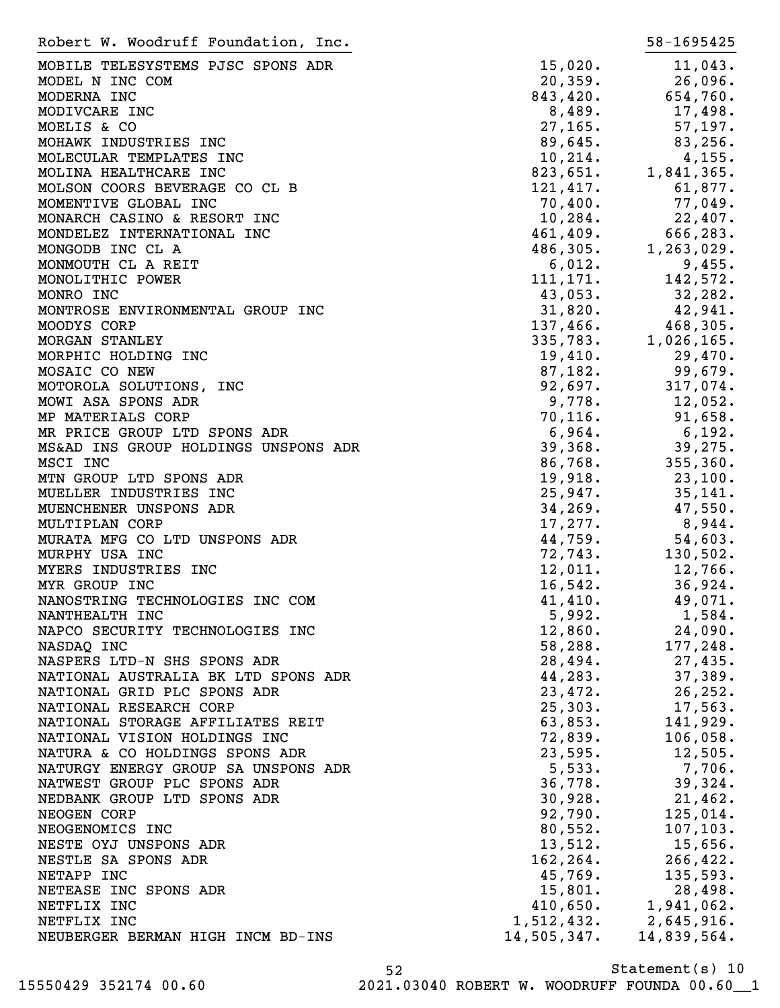| Robert W. Woodruff Foundation, Inc.  |                       | 58-1695425                                                                                                                                                                |
|--------------------------------------|-----------------------|---------------------------------------------------------------------------------------------------------------------------------------------------------------------------|
| MOBILE TELESYSTEMS PJSC SPONS ADR    | 15,020.               | 11,043.                                                                                                                                                                   |
| MODEL N INC COM                      | 20,359.               | 26,096.                                                                                                                                                                   |
| MODERNA INC                          | 843, 420.             | 654,760.                                                                                                                                                                  |
| MODIVCARE INC                        | 8,489.                | 17,498.                                                                                                                                                                   |
| MOELIS & CO                          | 27, 165.              | 57,197.                                                                                                                                                                   |
| MOHAWK INDUSTRIES INC                | 89,645.               | 83,256.                                                                                                                                                                   |
| MOLECULAR TEMPLATES INC              |                       |                                                                                                                                                                           |
|                                      | 10, 214.<br>823,651.  | 4,155.                                                                                                                                                                    |
| MOLINA HEALTHCARE INC                |                       | 1,841,365.                                                                                                                                                                |
| MOLSON COORS BEVERAGE CO CL B        | 121,417.              | 61,877.                                                                                                                                                                   |
| MOMENTIVE GLOBAL INC                 | 70,400.               | 77,049.                                                                                                                                                                   |
| MONARCH CASINO & RESORT INC          |                       | $10,284$ .<br>$22,407$ .<br>$461,409$ .<br>$486,305$ .<br>$1,263,029$ .                                                                                                   |
| MONDELEZ INTERNATIONAL INC           |                       |                                                                                                                                                                           |
| MONGODB INC CL A                     |                       |                                                                                                                                                                           |
| MONMOUTH CL A REIT                   | 6,012.                | 9,455.                                                                                                                                                                    |
| MONOLITHIC POWER                     | 111, 171.             | 142,572.                                                                                                                                                                  |
| MONRO INC                            | 43,053.               |                                                                                                                                                                           |
| MONTROSE ENVIRONMENTAL GROUP INC     |                       |                                                                                                                                                                           |
| MOODYS CORP                          |                       |                                                                                                                                                                           |
| <b>MORGAN STANLEY</b>                |                       |                                                                                                                                                                           |
| MORPHIC HOLDING INC                  |                       |                                                                                                                                                                           |
| MOSAIC CO NEW                        |                       | $32,282.$<br>$31,820.$<br>$42,941.$<br>$137,466.$<br>$468,305.$<br>$335,783.$<br>$1,026,165.$<br>$19,410.$<br>$87,182.$<br>$99,679.$<br>$9,778.$<br>$12,052.$<br>$70,116$ |
| MOTOROLA SOLUTIONS, INC              |                       |                                                                                                                                                                           |
| MOWI ASA SPONS ADR                   |                       |                                                                                                                                                                           |
| MP MATERIALS CORP                    | 70, 116.              | 91,658.                                                                                                                                                                   |
| MR PRICE GROUP LTD SPONS ADR         | 6,964.                | 6,192.                                                                                                                                                                    |
| MS&AD INS GROUP HOLDINGS UNSPONS ADR | 39,368.               | 39,275.                                                                                                                                                                   |
| MSCI INC                             |                       | 355, 360.                                                                                                                                                                 |
|                                      | $86,768$ .<br>19,918. |                                                                                                                                                                           |
| MTN GROUP LTD SPONS ADR              | 19,918.               | 23,100.                                                                                                                                                                   |
| MUELLER INDUSTRIES INC               | 25,947.               | 35,141.                                                                                                                                                                   |
| MUENCHENER UNSPONS ADR               | 34, 269.              | 47,550.                                                                                                                                                                   |
| MULTIPLAN CORP                       | 17,277.               | 8,944.                                                                                                                                                                    |
| MURATA MFG CO LTD UNSPONS ADR        | 44,759.               | 54,603.                                                                                                                                                                   |
| MURPHY USA INC                       | 72, 743.              | 130,502.                                                                                                                                                                  |
| MYERS INDUSTRIES INC                 | 12,011.               | 12,766.                                                                                                                                                                   |
| MYR GROUP INC                        | 16,542.               | 36,924.                                                                                                                                                                   |
| NANOSTRING TECHNOLOGIES INC COM      | 41,410.               | 49,071.                                                                                                                                                                   |
| NANTHEALTH INC                       | 5,992.                | 1,584.                                                                                                                                                                    |
| NAPCO SECURITY TECHNOLOGIES INC      | 12,860.               | 24,090.                                                                                                                                                                   |
| NASDAQ INC                           | 58,288.               | 177,248.                                                                                                                                                                  |
| NASPERS LTD-N SHS SPONS ADR          | 28,494.               | 27,435.                                                                                                                                                                   |
| NATIONAL AUSTRALIA BK LTD SPONS ADR  | 44,283.               | 37,389.                                                                                                                                                                   |
| NATIONAL GRID PLC SPONS ADR          | 23,472.               | 26, 252.                                                                                                                                                                  |
| NATIONAL RESEARCH CORP               | 25,303.               | 17,563.                                                                                                                                                                   |
| NATIONAL STORAGE AFFILIATES REIT     | 63,853.               | 141,929.                                                                                                                                                                  |
| NATIONAL VISION HOLDINGS INC         | 72,839.               | 106,058.                                                                                                                                                                  |
| NATURA & CO HOLDINGS SPONS ADR       | 23,595.               | 12,505.                                                                                                                                                                   |
| NATURGY ENERGY GROUP SA UNSPONS ADR  | 5,533.                | 7,706.                                                                                                                                                                    |
| NATWEST GROUP PLC SPONS ADR          | 36,778.               | 39,324.                                                                                                                                                                   |
| NEDBANK GROUP LTD SPONS ADR          | 30,928.               | 21,462.                                                                                                                                                                   |
| NEOGEN CORP                          | 92,790.               | 125,014.                                                                                                                                                                  |
|                                      | 80,552.               |                                                                                                                                                                           |
| NEOGENOMICS INC                      |                       | 107, 103.                                                                                                                                                                 |
| NESTE OYJ UNSPONS ADR                | 13,512.               | $15,656$ .                                                                                                                                                                |
| NESTLE SA SPONS ADR                  | 162, 264.             | 266, 422.                                                                                                                                                                 |
| NETAPP INC                           | 45,769.               | 135,593.                                                                                                                                                                  |
| NETEASE INC SPONS ADR                | 15,801.               | 28,498.                                                                                                                                                                   |
| NETFLIX INC                          | 410,650.              | 1,941,062.                                                                                                                                                                |
| NETFLIX INC                          | 1,512,432.            | 2,645,916.                                                                                                                                                                |
| NEUBERGER BERMAN HIGH INCM BD-INS    | 14,505,347.           | 14,839,564.                                                                                                                                                               |

Statement(s) 10 52 15550429 352174 00.60 2021.03040 ROBERT W. WOODRUFF FOUNDA 00.60\_\_1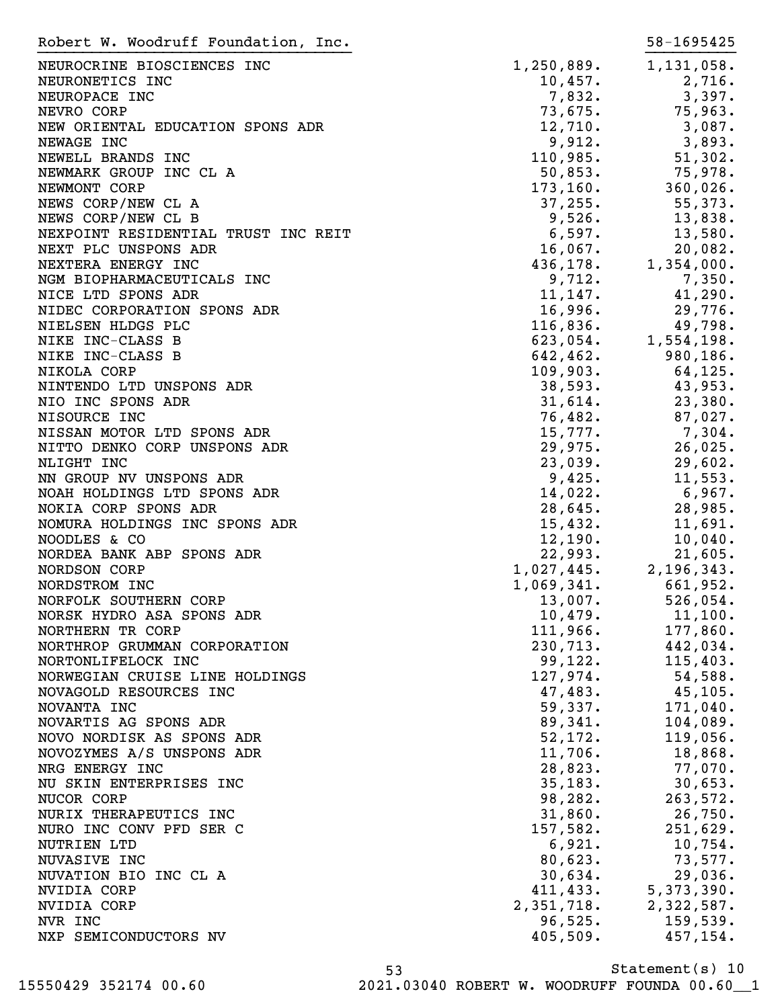| Robert W. Woodruff Foundation, Inc.                    |                                                        | 58-1695425         |
|--------------------------------------------------------|--------------------------------------------------------|--------------------|
| NEUROCRINE BIOSCIENCES INC                             | $1,250,889$ .                                          | 1,131,058.         |
| NEURONETICS INC                                        | 10,457.                                                | 2,716.             |
| NEUROPACE INC                                          | 7,832.                                                 | 3,397.             |
| NEVRO CORP                                             | 73,675.                                                | 75,963.            |
| NEW ORIENTAL EDUCATION SPONS ADR                       | 12,710.                                                | 3,087.             |
| NEWAGE INC                                             | 9,912.                                                 | 3,893.             |
| NEWELL BRANDS INC                                      | 110,985.                                               | 51,302.            |
| NEWMARK GROUP INC CL A                                 | 50,853.                                                | 75,978.            |
| NEWMONT CORP                                           | 173, 160.                                              | 360,026.           |
| NEWS CORP/NEW CL A                                     | 37, 255.                                               | 55,373.            |
| NEWS CORP/NEW CL B                                     | 9,526.                                                 | 13,838.            |
| NEXPOINT RESIDENTIAL TRUST INC REIT                    | 6,597.                                                 | 13,580.            |
| NEXT PLC UNSPONS ADR                                   | 16,067.                                                | 20,082.            |
| NEXTERA ENERGY INC                                     | 436, 178.                                              | 1,354,000.         |
| NGM BIOPHARMACEUTICALS INC                             | 9,712.                                                 | 7,350.             |
| NICE LTD SPONS ADR                                     | 11, 147.                                               | 41,290.            |
| NIDEC CORPORATION SPONS ADR                            |                                                        | 29,776.            |
| NIELSEN HLDGS PLC                                      | $16,996.$<br>116,836.                                  | 49,798.            |
|                                                        | 623,054.                                               |                    |
| NIKE INC-CLASS B                                       |                                                        | 1,554,198.         |
| NIKE INC-CLASS B                                       | $642, 462.$<br>$109, 903.$<br>$38, 593.$<br>$31, 614.$ | 980,186.           |
| NIKOLA CORP                                            |                                                        | 64,125.            |
| NINTENDO LTD UNSPONS ADR                               |                                                        | 43,953.            |
| NIO INC SPONS ADR                                      |                                                        | 23,380.            |
| NISOURCE INC                                           | 76,482.                                                | 87,027.            |
| NISSAN MOTOR LTD SPONS ADR                             | 15,777.                                                | 7,304.             |
| NITTO DENKO CORP UNSPONS ADR                           | 29,975.                                                | 26,025.            |
| NLIGHT INC                                             | 23,039.                                                | 29,602.<br>11,553. |
| NN GROUP NV UNSPONS ADR<br>NOAH HOLDINGS LTD SPONS ADR | 9,425.<br>14,022.                                      | 6,967.             |
| NOKIA CORP SPONS ADR                                   | 28,645.                                                | 28,985.            |
| NOMURA HOLDINGS INC SPONS ADR                          | 15,432.                                                | 11,691.            |
| NOODLES & CO                                           | 12,190.                                                | 10,040.            |
| NORDEA BANK ABP SPONS ADR                              | 22,993.                                                | 21,605.            |
| NORDSON CORP                                           | 1,027,445.                                             | 2,196,343.         |
| NORDSTROM INC                                          | 1,069,341.                                             | 661,952.           |
| NORFOLK SOUTHERN CORP                                  | 13,007.                                                | 526,054.           |
| NORSK HYDRO ASA SPONS ADR                              | 10,479.                                                | 11,100.            |
| NORTHERN TR CORP                                       | 111,966.                                               | 177,860.           |
| NORTHROP GRUMMAN CORPORATION                           | 230,713.                                               | 442,034.           |
| NORTONLIFELOCK INC                                     | 99,122.                                                | 115,403.           |
| NORWEGIAN CRUISE LINE HOLDINGS                         | 127,974.                                               | 54,588.            |
| NOVAGOLD RESOURCES INC                                 | 47,483.                                                | 45, 105.           |
| NOVANTA INC                                            | 59,337.                                                | 171,040.           |
| NOVARTIS AG SPONS ADR                                  | 89,341.                                                | 104,089.           |
| NOVO NORDISK AS SPONS ADR                              | 52, 172.                                               | 119,056.           |
| NOVOZYMES A/S UNSPONS ADR                              | 11,706.                                                | 18,868.            |
| NRG ENERGY INC                                         | 28,823.                                                | 77,070.            |
| NU SKIN ENTERPRISES INC                                | 35,183.                                                | 30,653.            |
| NUCOR CORP                                             | 98,282.                                                | 263,572.           |
| NURIX THERAPEUTICS INC                                 | 31,860.                                                | 26,750.            |
| NURO INC CONV PFD SER C                                | 157,582.                                               | 251,629.           |
| NUTRIEN LTD                                            | 6,921.                                                 | 10,754.            |
| NUVASIVE INC                                           | 80,623.                                                | 73,577.            |
| NUVATION BIO INC CL A                                  | 30,634.                                                | 29,036.            |
| NVIDIA CORP                                            | 411, 433.                                              | 5,373,390.         |
| NVIDIA CORP                                            | 2,351,718.                                             | 2,322,587.         |
| NVR INC                                                | 96,525.                                                | 159,539.           |
| NXP SEMICONDUCTORS NV                                  | 405,509.                                               | 457,154.           |
|                                                        |                                                        |                    |

Statement(s) 10 53 15550429 352174 00.60 2021.03040 ROBERT W. WOODRUFF FOUNDA 00.60\_\_1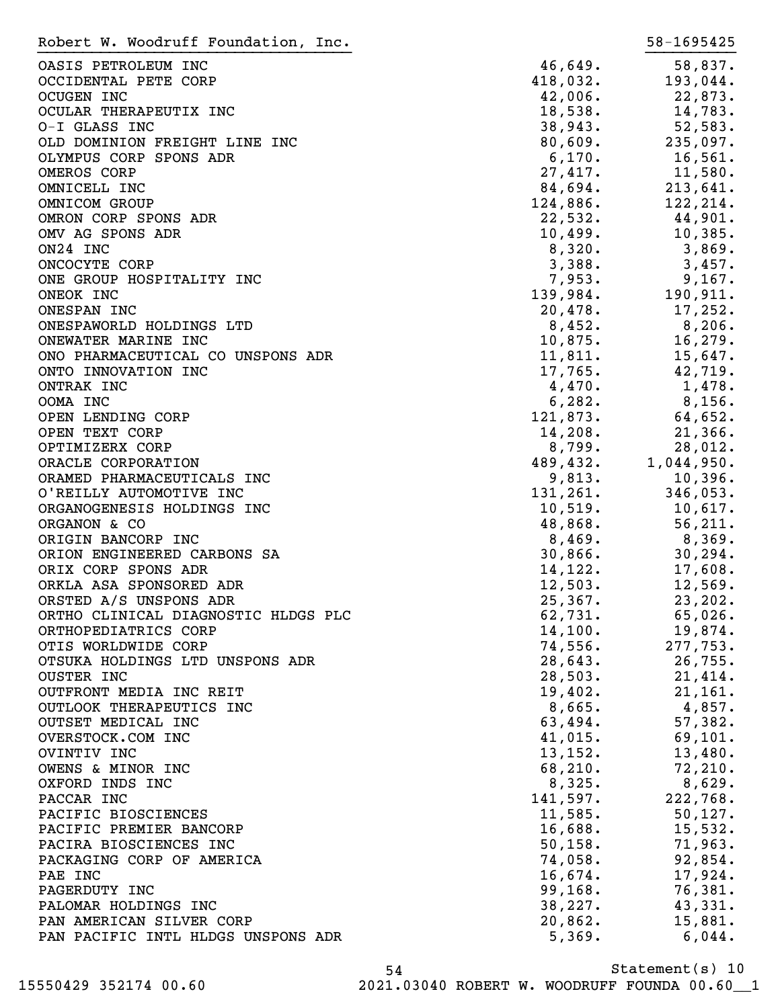| Robert W. Woodruff Foundation, Inc. |            | 58-1695425 |
|-------------------------------------|------------|------------|
| OASIS PETROLEUM INC                 | 46,649.    | 58,837.    |
| OCCIDENTAL PETE CORP                | 418,032.   | 193,044.   |
| OCUGEN INC                          | 42,006.    | 22,873.    |
| OCULAR THERAPEUTIX INC              | 18,538.    | 14,783.    |
| O-I GLASS INC                       | 38,943.    | 52,583.    |
| OLD DOMINION FREIGHT LINE INC       | 80,609.    | 235,097.   |
| OLYMPUS CORP SPONS ADR              | 6,170.     | 16,561.    |
| OMEROS CORP                         | 27,417.    | 11,580.    |
| OMNICELL INC                        | 84,694.    | 213,641.   |
| OMNICOM GROUP                       | 124,886.   | 122,214.   |
| OMRON CORP SPONS ADR                | 22,532.    | 44,901.    |
| OMV AG SPONS ADR                    | 10,499.    | 10,385.    |
| ON24 INC                            | 8,320.     | 3,869.     |
| ONCOCYTE CORP                       | 3,388.     | 3,457.     |
| ONE GROUP HOSPITALITY INC           | 7,953.     | 9,167.     |
| ONEOK INC                           | 139,984.   | 190, 911.  |
| ONESPAN INC                         | 20,478.    | 17,252.    |
| ONESPAWORLD HOLDINGS LTD            | 8,452.     | 8,206.     |
| ONEWATER MARINE INC                 | 10,875.    | 16, 279.   |
| ONO PHARMACEUTICAL CO UNSPONS ADR   | 11,811.    | 15,647.    |
| ONTO INNOVATION INC                 | 17,765.    | 42,719.    |
| ONTRAK INC                          | 4,470.     | 1,478.     |
| OOMA INC                            | 6,282.     | $8,156$ .  |
| OPEN LENDING CORP                   | 121,873.   | 64,652.    |
| OPEN TEXT CORP                      | 14,208.    | 21,366.    |
| OPTIMIZERX CORP                     | 8,799.     | 28,012.    |
| ORACLE CORPORATION                  | 489,432.   | 1,044,950. |
| ORAMED PHARMACEUTICALS INC          | 9,813.     | 10,396.    |
| O'REILLY AUTOMOTIVE INC             | 131,261.   | 346,053.   |
| ORGANOGENESIS HOLDINGS INC          | 10,519.    | 10,617.    |
| ORGANON & CO                        | 48,868.    | 56, 211.   |
| ORIGIN BANCORP INC                  | 8,469.     | 8,369.     |
| ORION ENGINEERED CARBONS SA         | 30,866.    | 30, 294.   |
| ORIX CORP SPONS ADR                 | 14,122.    | 17,608.    |
| ORKLA ASA SPONSORED ADR             | 12,503.    | 12,569.    |
| ORSTED A/S UNSPONS ADR              | 25,367.    | 23, 202.   |
| ORTHO CLINICAL DIAGNOSTIC HLDGS PLC | 62,731.    | 65,026.    |
| ORTHOPEDIATRICS CORP                | 14,100.    | 19,874.    |
| OTIS WORLDWIDE CORP                 | 74,556.    | 277,753.   |
| OTSUKA HOLDINGS LTD UNSPONS ADR     | 28,643.    | 26,755.    |
| OUSTER INC                          | 28,503.    | 21,414.    |
| OUTFRONT MEDIA INC REIT             | 19,402.    | 21,161.    |
| OUTLOOK THERAPEUTICS INC            | 8,665.     | 4,857.     |
| OUTSET MEDICAL INC                  | 63,494.    | 57,382.    |
| OVERSTOCK.COM INC                   | 41,015.    | 69,101.    |
| OVINTIV INC                         | 13,152.    | 13,480.    |
| OWENS & MINOR INC                   | 68,210.    | 72,210.    |
| OXFORD INDS INC                     | 8,325.     | 8,629.     |
| PACCAR INC                          | 141,597.   | 222,768.   |
| PACIFIC BIOSCIENCES                 | $11,585$ . | 50, 127.   |
| PACIFIC PREMIER BANCORP             | 16,688.    | 15,532.    |
| PACIRA BIOSCIENCES INC              | 50, 158.   | 71,963.    |
| PACKAGING CORP OF AMERICA           | 74,058.    | 92,854.    |
| PAE INC                             | 16,674.    | 17,924.    |
| PAGERDUTY INC                       | 99,168.    | 76,381.    |
| PALOMAR HOLDINGS INC                | 38,227.    | 43,331.    |
| PAN AMERICAN SILVER CORP            | 20,862.    | 15,881.    |
| PAN PACIFIC INTL HLDGS UNSPONS ADR  | 5,369.     | 6,044.     |
|                                     |            |            |

Statement(s) 10 54 15550429 352174 00.60 2021.03040 ROBERT W. WOODRUFF FOUNDA 00.60\_\_1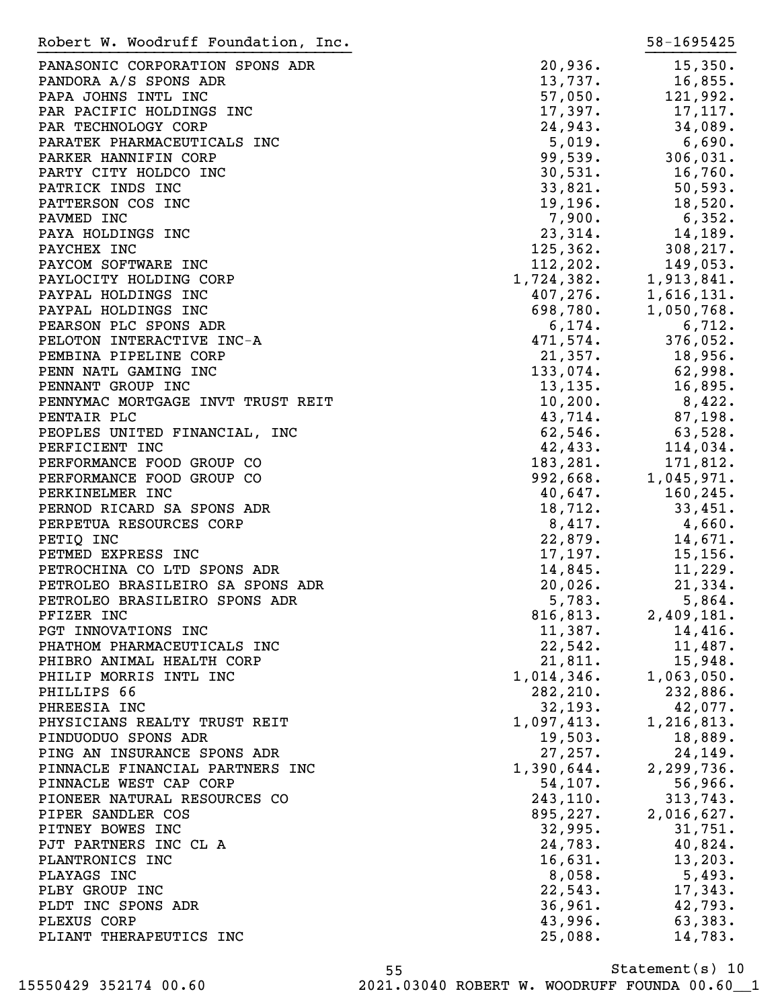| Robert W. Woodruff Foundation, Inc. |            | 58-1695425                                                                                                                          |
|-------------------------------------|------------|-------------------------------------------------------------------------------------------------------------------------------------|
| PANASONIC CORPORATION SPONS ADR     | 20,936.    | 15,350.                                                                                                                             |
| PANDORA A/S SPONS ADR               | 13,737.    | 16,855.                                                                                                                             |
| PAPA JOHNS INTL INC                 | 57,050.    | 121,992.                                                                                                                            |
| PAR PACIFIC HOLDINGS INC            | 17,397.    | 17,117.                                                                                                                             |
| PAR TECHNOLOGY CORP                 | 24,943.    | 34,089.                                                                                                                             |
| PARATEK PHARMACEUTICALS INC         | 5,019.     | 6,690.                                                                                                                              |
| PARKER HANNIFIN CORP                | 99,539.    | 306,031.                                                                                                                            |
| PARTY CITY HOLDCO INC               | 30,531.    | 16,760.                                                                                                                             |
| PATRICK INDS INC                    | 33,821.    | 50, 593.                                                                                                                            |
| PATTERSON COS INC                   | 19, 196.   | 18,520.                                                                                                                             |
| PAVMED INC                          | 7,900.     | 6,352.                                                                                                                              |
| PAYA HOLDINGS INC                   | 23,314.    | 14,189.                                                                                                                             |
| PAYCHEX INC                         | 125, 362.  | 308,217.                                                                                                                            |
| PAYCOM SOFTWARE INC                 |            |                                                                                                                                     |
| PAYLOCITY HOLDING CORP              |            |                                                                                                                                     |
| PAYPAL HOLDINGS INC                 |            | $1,724,382$ .<br>$407,276$ .<br>$598,780$ .<br>$6,174$ .<br>$471$ <sub>57</sub> .<br>$471$ <sub>57</sub> .<br>$471$ <sub>57</sub> . |
| PAYPAL HOLDINGS INC                 |            |                                                                                                                                     |
| PEARSON PLC SPONS ADR               |            |                                                                                                                                     |
| PELOTON INTERACTIVE INC-A           | 471,574.   | 376,052.                                                                                                                            |
| PEMBINA PIPELINE CORP               | 21,357.    | 18,956.                                                                                                                             |
| PENN NATL GAMING INC                | 133,074.   | 62,998.                                                                                                                             |
| PENNANT GROUP INC                   | 13, 135.   | 16,895.                                                                                                                             |
| PENNYMAC MORTGAGE INVT TRUST REIT   | 10, 200.   | 8,422.                                                                                                                              |
| PENTAIR PLC                         | 43,714.    | 87,198.                                                                                                                             |
| PEOPLES UNITED FINANCIAL, INC       | 62,546.    | 63,528.                                                                                                                             |
| PERFICIENT INC                      | 42,433.    | 114,034.                                                                                                                            |
| PERFORMANCE FOOD GROUP CO           | 183,281.   | 171,812.                                                                                                                            |
| PERFORMANCE FOOD GROUP CO           | 992,668.   | 1,045,971.                                                                                                                          |
| PERKINELMER INC                     | $40,647$ . | 160, 245.                                                                                                                           |
| PERNOD RICARD SA SPONS ADR          | 18,712.    | 33,451.                                                                                                                             |
| PERPETUA RESOURCES CORP             | 8,417.     | 4,660.                                                                                                                              |
| PETIQ INC                           | 22,879.    | 14,671.                                                                                                                             |
| PETMED EXPRESS INC                  | 17, 197.   | 15, 156.                                                                                                                            |
| PETROCHINA CO LTD SPONS ADR         | 14,845.    | 11,229.                                                                                                                             |
| PETROLEO BRASILEIRO SA SPONS ADR    | 20,026.    | 21,334.                                                                                                                             |
| PETROLEO BRASILEIRO SPONS ADR       | 5,783.     | 5,864.                                                                                                                              |
| PFIZER INC                          | 816,813.   | 2,409,181.                                                                                                                          |
| PGT INNOVATIONS INC                 | 11,387.    | 14,416.                                                                                                                             |
| PHATHOM PHARMACEUTICALS INC         | 22,542.    | 11,487.                                                                                                                             |
| PHIBRO ANIMAL HEALTH CORP           | 21,811.    | 15,948.                                                                                                                             |
| PHILIP MORRIS INTL INC              | 1,014,346. | 1,063,050.                                                                                                                          |
| PHILLIPS 66                         | 282,210.   | 232,886.                                                                                                                            |
| PHREESIA INC                        | 32, 193.   | 42,077.                                                                                                                             |
| PHYSICIANS REALTY TRUST REIT        | 1,097,413. | 1,216,813.                                                                                                                          |
| PINDUODUO SPONS ADR                 | 19,503.    | 18,889.                                                                                                                             |
| PING AN INSURANCE SPONS ADR         | 27,257.    | 24, 149.                                                                                                                            |
| PINNACLE FINANCIAL PARTNERS INC     | 1,390,644. | 2,299,736.                                                                                                                          |
| PINNACLE WEST CAP CORP              | 54,107.    | 56,966.                                                                                                                             |
| PIONEER NATURAL RESOURCES CO        | 243, 110.  | 313,743.                                                                                                                            |
| PIPER SANDLER COS                   | 895,227.   | 2,016,627.                                                                                                                          |
| PITNEY BOWES INC                    | 32,995.    | 31,751.                                                                                                                             |
| PJT PARTNERS INC CL A               | 24,783.    | 40,824.                                                                                                                             |
| PLANTRONICS INC                     | 16,631.    | 13, 203.                                                                                                                            |
| PLAYAGS INC                         | 8,058.     | 5,493.                                                                                                                              |
| PLBY GROUP INC                      | 22,543.    | 17,343.                                                                                                                             |
| PLDT INC SPONS ADR                  | 36,961.    | 42,793.                                                                                                                             |
| PLEXUS CORP                         | 43,996.    | 63,383.                                                                                                                             |
| PLIANT THERAPEUTICS INC             | 25,088.    | 14,783.                                                                                                                             |
|                                     |            |                                                                                                                                     |

Statement(s) 10 55 15550429 352174 00.60 2021.03040 ROBERT W. WOODRUFF FOUNDA 00.60\_\_1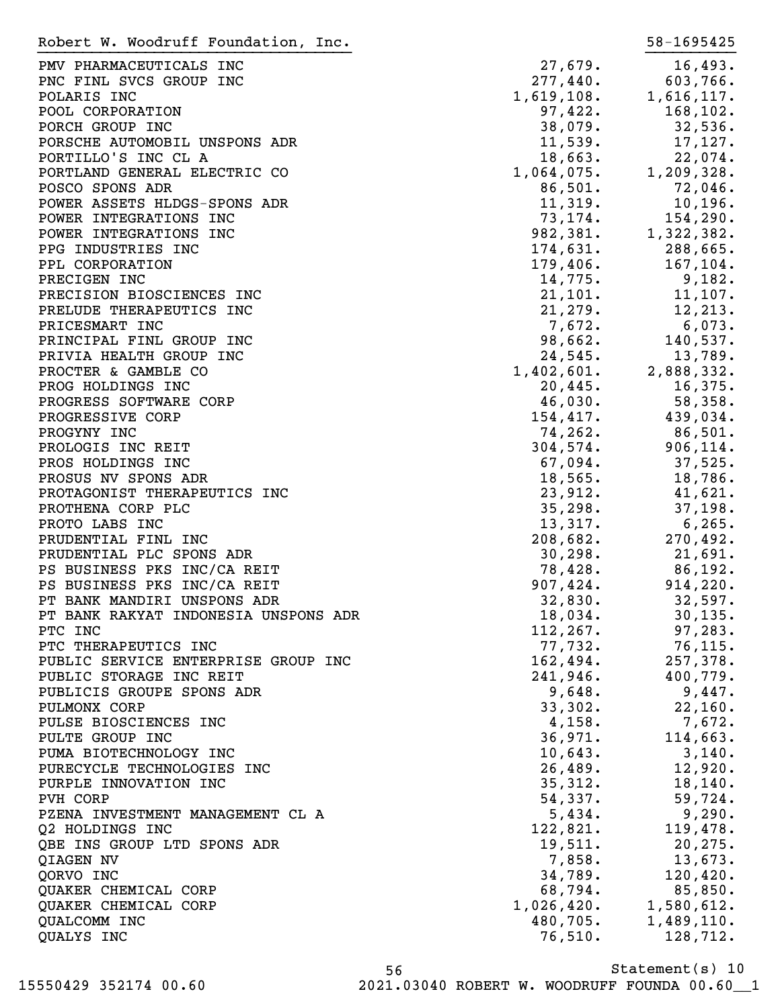PMV PHARMACEUTICALS INC 27,679. 16,493. PNC FINL SVCS GROUP INC 277,440. 603,766. POLARIS INC 1, 619, 108. 1, 616, 117. POOL CORPORATION 87,422. 168,102. PORCH GROUP INC 38,079. 32,536. PORSCHE AUTOMOBIL UNSPONS ADR 11,539. 17,127. PORTILLO'S INC CL A 22,074. PORTLAND GENERAL ELECTRIC CO  $1,064,075.$  1,209,328. POSCO SPONS ADR 86,501. 72,046. POWER ASSETS HLDGS-SPONS ADR 11,319. 10,196. POWER INTEGRATIONS INC 73,174. 154,290. POWER INTEGRATIONS INC  $982,381.$  1,322,382. PPG INDUSTRIES INC 288, 2001 174, 631. 288, 665. PPL CORPORATION 179,406. 167,104. PRECIGEN INC 9,182. PRECISION BIOSCIENCES INC 11, 2001. THE 21, 101. 11, 107. PRELUDE THERAPEUTICS INC 21,279. 21,279. PRICESMART INC  $7,672.$  6,073. PRINCIPAL FINL GROUP INC **98,662.** 140,537. PRIVIA HEALTH GROUP INC<br>
PROCTER & GAMBLE CO
24,545.<br>
2,888,332.<br>
2,888,332. PROCTER & GAMBLE CO 2,888,332. PROG HOLDINGS INC 20,445. 16,375. PROGRESS SOFTWARE CORP **16.030.** 58,358. PROGRESSIVE CORP 154,417. 439,034. PROGYNY INC 26. 201. PROLOGIS INC REIT 304,574. 906,114. PROS HOLDINGS INC 67,094. 37,525. PROSUS NV SPONS ADR 18,565. 18,786. PROTAGONIST THERAPEUTICS INC 23,912. 41,621. PROTHENA CORP PLC 35,298. 37,198. PROTO LABS INC 6,265. PRUDENTIAL FINL INC 208,682. 270,492. PRUDENTIAL PLC SPONS ADR 30,298. 21,691. PS BUSINESS PKS INC/CA REIT 78,428. 86,192. PS BUSINESS PKS INC/CA REIT 907,424. 914,220. PT BANK MANDIRI UNSPONS ADR 32,830. 32,597. PT BANK RAKYAT INDONESIA UNSPONS ADR 18,034. 30,135. PTC INC 283. PTC THERAPEUTICS INC 77,732. 76,115. PUBLIC SERVICE ENTERPRISE GROUP INC  $162,494.$  257,378. PUBLIC STORAGE INC REIT  $241,946.$  400,779. PUBLICIS GROUPE SPONS ADR 19, 1999 (1999) 9,648. THE SAMPLE SPONS AND SAMPLE SPONS AND SAMPLE SPONS AND SAMPLE PULMONX CORP 33,302. 22,160. PULSE BIOSCIENCES INC  $\begin{array}{cccc} 4,158. & 7,672. \end{array}$ PULTE GROUP INC 36,971. 114,663. PUMA BIOTECHNOLOGY INC  $10,643$ . 3,140. PURECYCLE TECHNOLOGIES INC 26,489. 12,920. PURPLE INNOVATION INC 2001 2002 2003 35,312. 18,140. PVH CORP 54,337. 59,724. PZENA INVESTMENT MANAGEMENT CL A 5,434. 9,290. Q2 HOLDINGS INC 2012 122,821. 119,478. QBE INS GROUP LTD SPONS ADR 19,511. 20,275. QIAGEN NV 7,858. 13,673. QORVO INC 34,789. 120,420. QUAKER CHEMICAL CORP 68,794. 85,850. QUAKER CHEMICAL CORP 2001 2002 2004 2006 1,026,420. 1,580,612. QUALCOMM INC 480,705. 1,489,110. QUALYS INC 2008. 2009. 2012. Robert W. Woodruff Foundation, Inc. 58-1695425 }}}}}}}}}}}}}}}}}}}}}}}}}}}}}}}}}}} }}}}}}}}}}

Statement(s) 10 56 15550429 352174 00.60 2021.03040 ROBERT W. WOODRUFF FOUNDA 00.60\_\_1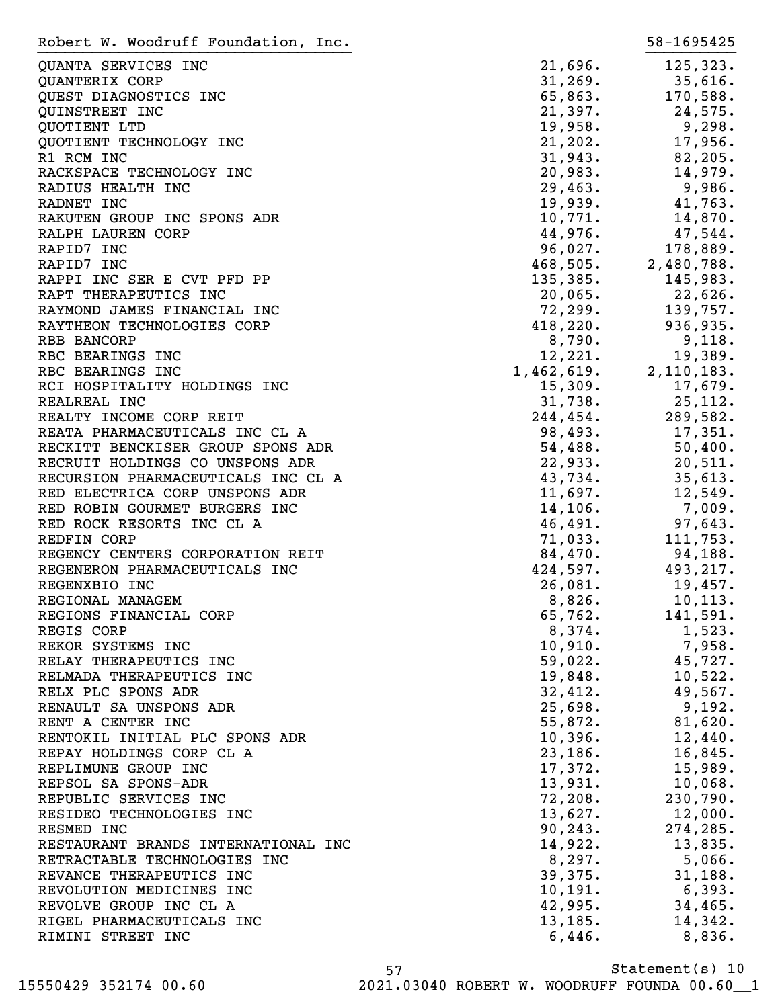QUANTA SERVICES INC 21,696. 125,323.  $\texttt{QUANTERIX}$  CORP  $\texttt{31,269}.$   $\texttt{33,616}.$ QUEST DIAGNOSTICS INC **65,863.** 170,588. QUINSTREET INC 21, 297. QUOTIENT LTD 19,958. 9,298. QUOTIENT TECHNOLOGY INC 21,202. 17,956. R1 RCM INC 31,943. 82,205. RACKSPACE TECHNOLOGY INC 20,983. 14,979. RADIUS HEALTH INC 29,463. 29,463. RADNET INC 19,939. 41,763. RAKUTEN GROUP INC SPONS ADR
10,771.
14,870. RALPH LAUREN CORP **44,976.** 47,544. RAPID7 INC 2008 2009. The set of the set of the set of the set of the set of the set of the set of the set of the set of the set of the set of the set of the set of the set of the set of the set of the set of the set of th RAPID7 INC 2,480,788. RAPPI INC SER E CVT PFD PP  $135,385$ . 145,983. RAPT THERAPEUTICS INC 20,065. 22,626. RAYMOND JAMES FINANCIAL INC RAYTHEON TECHNOLOGIES CORP 418,220. 936,935. RBB BANCORP  $8,790$ .  $9,118$ . RBC BEARINGS INC 12,221. 19,389. RBC BEARINGS INC 1,462,619. 2,110,183. RCI HOSPITALITY HOLDINGS INC<br>
15,309. 17,679. REALREAL INC 31,738. 25,112. REALTY INCOME CORP REIT **1244,454.** 289,582. REATA PHARMACEUTICALS INC CL A 98,493. 17,351. RECKITT BENCKISER GROUP SPONS ADR 54,488. 50,400. RECRUIT HOLDINGS CO UNSPONS ADR 22,933. 20,511. RECURSION PHARMACEUTICALS INC CL A 43,734. 35,613. RED ELECTRICA CORP UNSPONS ADR
11,697.
12,549. RED ROBIN GOURMET BURGERS INC  $14,106$ . 7,009. RED ROCK RESORTS INC CL A 46,491. 97,643. REDFIN CORP 71,033. 111,753. REGENCY CENTERS CORPORATION REIT 84,470. 94,188. REGENERON PHARMACEUTICALS INC  $424,597$ . 493,217. REGENXBIO INC 26,081. 19,457. REGIONAL MANAGEM<br>REGIONS FINANCIAL CORP<br>REGIONS FINANCIAL CORP<br>Conservation of the conservation of the conservation of the conservation of the conservation of the conservation of the conservation of the conservation of the REGIONS FINANCIAL CORP 65,762. 141,591. REGIS CORP 8,374. 1,523. REKOR SYSTEMS INC  $10,910$ . 7,958. RELAY THERAPEUTICS INC **59,022.** 45,727. RELMADA THERAPEUTICS INC 19,848. 10,522. RELX PLC SPONS ADR 2008 2008 22,412. 49,567. RENAULT SA UNSPONS ADR 25,698. 9,192. RENT A CENTER INC 620. RENTOKIL INITIAL PLC SPONS ADR 10,396. 12,440. REPAY HOLDINGS CORP CL A 23,186. 16,845. REPLIMUNE GROUP INC **17,372.** 15,989. REPSOL SA SPONS-ADR 13,931. 10,068. REPUBLIC SERVICES INC **72,208.** 230,790. RESIDEO TECHNOLOGIES INC<br>
and the contract of the 13,627. The 12,000. RESMED INC 274, 285. RESTAURANT BRANDS INTERNATIONAL INC 14,922. 13,835. RETRACTABLE TECHNOLOGIES INC  $8,297$ . 5,066. REVANCE THERAPEUTICS INC  $39,375.$  31,188. REVOLUTION MEDICINES INC 10,191. 6,393. REVOLVE GROUP INC CL A 42,995. 34,465. RIGEL PHARMACEUTICALS INC 13,185. 14,342. RIMINI STREET INC 6,446. 8,836. Robert W. Woodruff Foundation, Inc. 58-1695425 }}}}}}}}}}}}}}}}}}}}}}}}}}}}}}}}}}} }}}}}}}}}}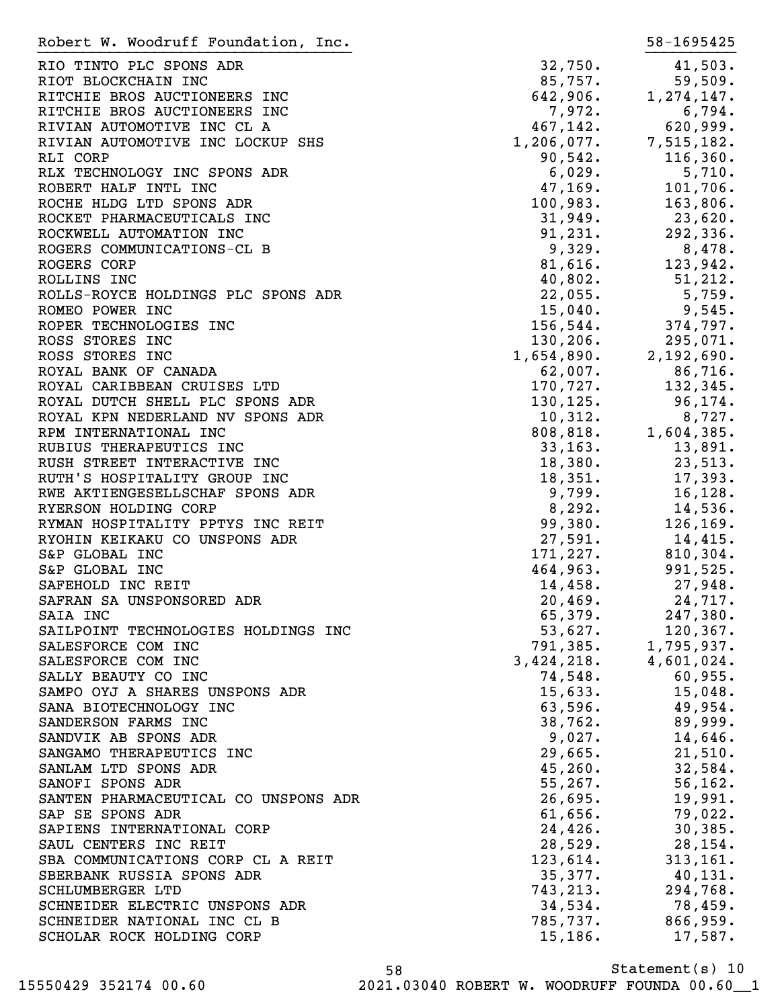| Robert W. Woodruff Foundation, Inc.                 |                                                            | 58-1695425          |
|-----------------------------------------------------|------------------------------------------------------------|---------------------|
| RIO TINTO PLC SPONS ADR                             | 32,750.                                                    | 41,503.             |
| RIOT BLOCKCHAIN INC                                 | 85,757.                                                    | 59,509.             |
| RITCHIE BROS AUCTIONEERS INC                        | 642,906.                                                   | 1, 274, 147.        |
| RITCHIE BROS AUCTIONEERS INC                        | 7,972.                                                     | 6,794.              |
| RIVIAN AUTOMOTIVE INC CL A                          | 467,142.                                                   | 620,999.            |
| RIVIAN AUTOMOTIVE INC LOCKUP SHS                    | $1,206,077.$ 7,515,182.                                    |                     |
| RLI CORP                                            | 90,542.                                                    | 116, 360.           |
| RLX TECHNOLOGY INC SPONS ADR                        | 6,029.                                                     | 5,710.              |
| ROBERT HALF INTL INC                                | 47,169.                                                    | 101,706.            |
| ROCHE HLDG LTD SPONS ADR                            | 100,983.                                                   | 163,806.            |
| ROCKET PHARMACEUTICALS INC                          | 31,949.                                                    | 23,620.             |
| ROCKWELL AUTOMATION INC                             | 91,231.                                                    | 292,336.            |
| ROGERS COMMUNICATIONS-CL B                          | 9,329.                                                     | 8,478.              |
| ROGERS CORP                                         | $81,616$ .                                                 | 123,942.            |
| ROLLINS INC                                         | 40,802.                                                    | 51, 212.            |
| ROLLS-ROYCE HOLDINGS PLC SPONS ADR                  | 22,055.                                                    | 5,759.              |
| ROMEO POWER INC                                     | 15,040.                                                    | 9,545.              |
| ROPER TECHNOLOGIES INC                              | 156, 544.                                                  | 374,797.            |
| ROSS STORES INC                                     |                                                            | 295,071.            |
| ROSS STORES INC                                     | $130, 206.$<br>$1, 654, 890.$<br>$62, 007.$<br>$170, 727.$ | 2,192,690.          |
| ROYAL BANK OF CANADA                                |                                                            | 86,716.             |
| ROYAL CARIBBEAN CRUISES LTD                         |                                                            | 132,345.            |
| ROYAL DUTCH SHELL PLC SPONS ADR                     | $130, 125.$<br>$10, 312.$                                  | 96,174.             |
| ROYAL KPN NEDERLAND NV SPONS ADR                    |                                                            | 8,727.              |
| RPM INTERNATIONAL INC                               | 808, 818.                                                  | 1,604,385.          |
| RUBIUS THERAPEUTICS INC                             | 33, 163.                                                   | 13,891.             |
| RUSH STREET INTERACTIVE INC                         | 18,380.                                                    | 23,513.             |
| RUTH'S HOSPITALITY GROUP INC                        | 18,351.                                                    | 17,393.             |
| RWE AKTIENGESELLSCHAF SPONS ADR                     | 9,799.                                                     | 16, 128.            |
| RYERSON HOLDING CORP                                | 8,292.                                                     | 14,536.             |
| RYMAN HOSPITALITY PPTYS INC REIT                    | 99,380.                                                    | 126, 169.           |
| RYOHIN KEIKAKU CO UNSPONS ADR                       | 27,591.                                                    | 14,415.             |
| S&P GLOBAL INC                                      | 171,227.                                                   | 810,304.            |
| S&P GLOBAL INC                                      | 464,963.                                                   | 991,525.            |
| SAFEHOLD INC REIT                                   | 14,458.                                                    | 27,948.             |
| SAFRAN SA UNSPONSORED ADR                           | 20,469.                                                    | 24,717.             |
| SAIA INC                                            | 65,379.                                                    | 247,380.            |
| SAILPOINT TECHNOLOGIES HOLDINGS INC                 | 53,627.                                                    | 120, 367.           |
| SALESFORCE COM INC                                  | 791,385.                                                   | 1,795,937.          |
| SALESFORCE COM INC                                  | 3,424,218.                                                 | 4,601,024.          |
| SALLY BEAUTY CO INC                                 | 74,548.                                                    | 60,955.             |
| SAMPO OYJ A SHARES UNSPONS ADR                      | 15,633.                                                    | 15,048.             |
| SANA BIOTECHNOLOGY INC                              | 63,596.                                                    | 49,954.             |
| SANDERSON FARMS INC                                 | 38,762.                                                    | 89,999.             |
| SANDVIK AB SPONS ADR                                | 9,027.                                                     | 14,646.             |
| SANGAMO THERAPEUTICS INC                            | 29,665.                                                    | 21,510.             |
| SANLAM LTD SPONS ADR                                | 45, 260.                                                   | 32,584.             |
| SANOFI SPONS ADR                                    | 55, 267.                                                   | 56, 162.            |
| SANTEN PHARMACEUTICAL CO UNSPONS ADR                | 26,695.                                                    | 19,991.             |
| SAP SE SPONS ADR                                    | 61,656.                                                    | 79,022.             |
| SAPIENS INTERNATIONAL CORP<br>SAUL CENTERS INC REIT | 24,426.<br>28,529.                                         | 30,385.<br>28, 154. |
| SBA COMMUNICATIONS CORP CL A REIT                   | 123,614.                                                   | 313, 161.           |
| SBERBANK RUSSIA SPONS ADR                           | 35,377.                                                    | 40,131.             |
| SCHLUMBERGER LTD                                    | 743,213.                                                   | 294,768.            |
| SCHNEIDER ELECTRIC UNSPONS ADR                      | 34,534.                                                    | 78,459.             |
| SCHNEIDER NATIONAL INC CL B                         | 785,737.                                                   | 866,959.            |
| SCHOLAR ROCK HOLDING CORP                           | 15, 186.                                                   | 17,587.             |
|                                                     |                                                            |                     |

Statement(s) 10 58 15550429 352174 00.60 2021.03040 ROBERT W. WOODRUFF FOUNDA 00.60\_\_1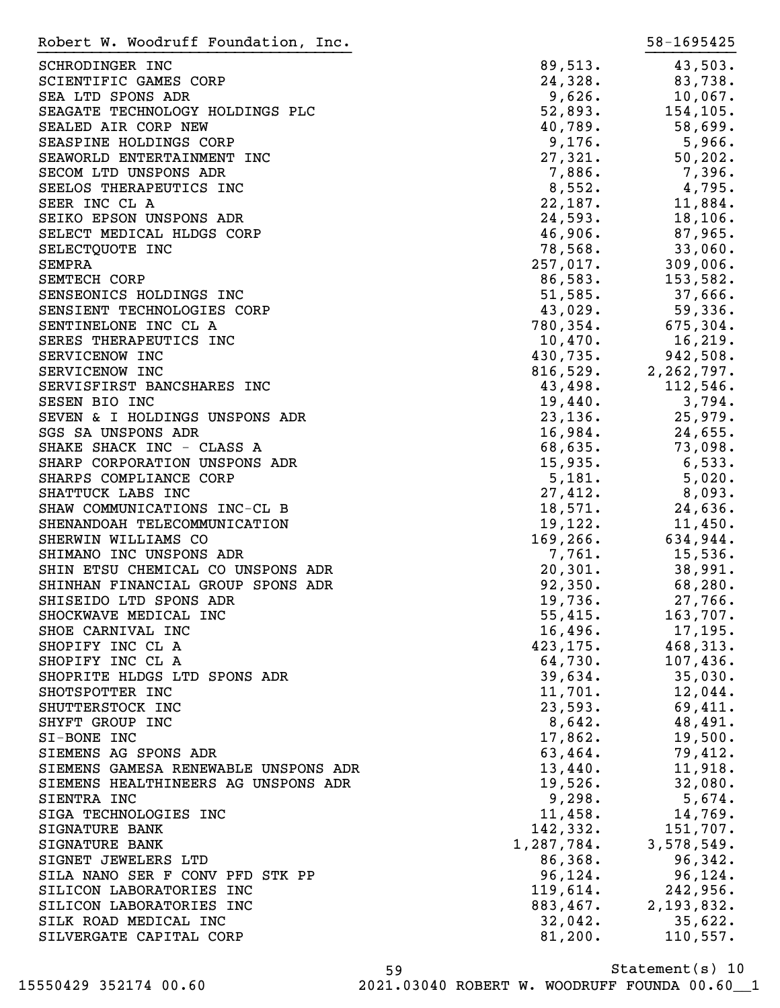| Robert W. Woodruff Foundation, Inc.          |            | 58-1695425   |
|----------------------------------------------|------------|--------------|
| SCHRODINGER INC                              | 89,513.    | 43,503.      |
| SCIENTIFIC GAMES CORP                        | 24,328.    | 83,738.      |
| SEA LTD SPONS ADR                            | 9,626.     | 10,067.      |
| SEAGATE TECHNOLOGY HOLDINGS PLC              | 52,893.    | 154, 105.    |
| SEALED AIR CORP NEW                          | 40,789.    | 58,699.      |
| SEASPINE HOLDINGS CORP                       | 9,176.     | 5,966.       |
| SEAWORLD ENTERTAINMENT INC                   | 27,321.    | 50, 202.     |
| SECOM LTD UNSPONS ADR                        | 7,886.     | 7,396.       |
| SEELOS THERAPEUTICS INC                      | 8,552.     | 4,795.       |
| SEER INC CL A                                | 22,187.    | 11,884.      |
| SEIKO EPSON UNSPONS ADR                      | 24,593.    | 18, 106.     |
| SELECT MEDICAL HLDGS CORP                    | 46,906.    | 87,965.      |
| SELECTQUOTE INC                              | 78,568.    | 33,060.      |
| SEMPRA                                       | 257,017.   | 309,006.     |
| <b>SEMTECH CORP</b>                          | 86,583.    | 153,582.     |
| SENSEONICS HOLDINGS INC                      | 51,585.    | 37,666.      |
| SENSIENT TECHNOLOGIES CORP                   | 43,029.    | 59,336.      |
| SENTINELONE INC CL A                         | 780, 354.  | 675, 304.    |
| SERES THERAPEUTICS INC                       | 10,470.    | 16, 219.     |
| SERVICENOW INC                               | 430,735.   | 942,508.     |
|                                              | 816,529.   |              |
| SERVICENOW INC<br>SERVISFIRST BANCSHARES INC |            | 2, 262, 797. |
|                                              | 43,498.    | 112,546.     |
| SESEN BIO INC                                | 19,440.    | 3,794.       |
| SEVEN & I HOLDINGS UNSPONS ADR               | 23,136.    | 25,979.      |
| SGS SA UNSPONS ADR                           | 16,984.    | 24,655.      |
| SHAKE SHACK INC - CLASS A                    | 68,635.    | 73,098.      |
| SHARP CORPORATION UNSPONS ADR                | 15,935.    | 6,533.       |
| SHARPS COMPLIANCE CORP                       | 5,181.     | 5,020.       |
| SHATTUCK LABS INC                            | 27,412.    | 8,093.       |
| SHAW COMMUNICATIONS INC-CL B                 | 18,571.    | 24,636.      |
| SHENANDOAH TELECOMMUNICATION                 | 19,122.    | 11,450.      |
| SHERWIN WILLIAMS CO                          | 169,266.   | 634,944.     |
| SHIMANO INC UNSPONS ADR                      | 7,761.     | 15,536.      |
| SHIN ETSU CHEMICAL CO UNSPONS ADR            | 20,301.    | 38,991.      |
| SHINHAN FINANCIAL GROUP SPONS ADR            | 92,350.    | 68,280.      |
| SHISEIDO LTD SPONS ADR                       | 19,736.    | 27,766.      |
| SHOCKWAVE MEDICAL INC                        | 55,415.    | 163,707.     |
| SHOE CARNIVAL INC                            | 16,496.    | 17, 195.     |
| SHOPIFY INC CL A                             | 423,175.   | 468,313.     |
| SHOPIFY INC CL A                             | 64,730.    | 107,436.     |
| SHOPRITE HLDGS LTD SPONS ADR                 | 39,634.    | 35,030.      |
| SHOTSPOTTER INC                              | 11,701.    | 12,044.      |
| SHUTTERSTOCK INC                             | 23,593.    | 69,411.      |
| SHYFT GROUP INC                              | 8,642.     | 48,491.      |
| SI-BONE INC                                  | 17,862.    | 19,500.      |
| SIEMENS AG SPONS ADR                         | 63,464.    | 79,412.      |
| SIEMENS GAMESA RENEWABLE UNSPONS ADR         | 13,440.    | 11,918.      |
| SIEMENS HEALTHINEERS AG UNSPONS ADR          | 19,526.    | 32,080.      |
| SIENTRA INC                                  | 9,298.     | 5,674.       |
| SIGA TECHNOLOGIES INC                        | 11,458.    | 14,769.      |
| SIGNATURE BANK                               | 142,332.   | 151,707.     |
| SIGNATURE BANK                               | 1,287,784. | 3,578,549.   |
| SIGNET JEWELERS LTD                          | 86,368.    | 96,342.      |
| SILA NANO SER F CONV PFD STK PP              | 96, 124.   | 96, 124.     |
| SILICON LABORATORIES INC                     | 119,614.   | 242,956.     |
| SILICON LABORATORIES INC                     | 883,467.   | 2,193,832.   |
| SILK ROAD MEDICAL INC                        | 32,042.    | 35,622.      |
| SILVERGATE CAPITAL CORP                      | 81,200.    | 110,557.     |

59 15550429 352174 00.60 2021.03040 ROBERT W. WOODRUFF FOUNDA 00.60\_\_1

Statement(s) 10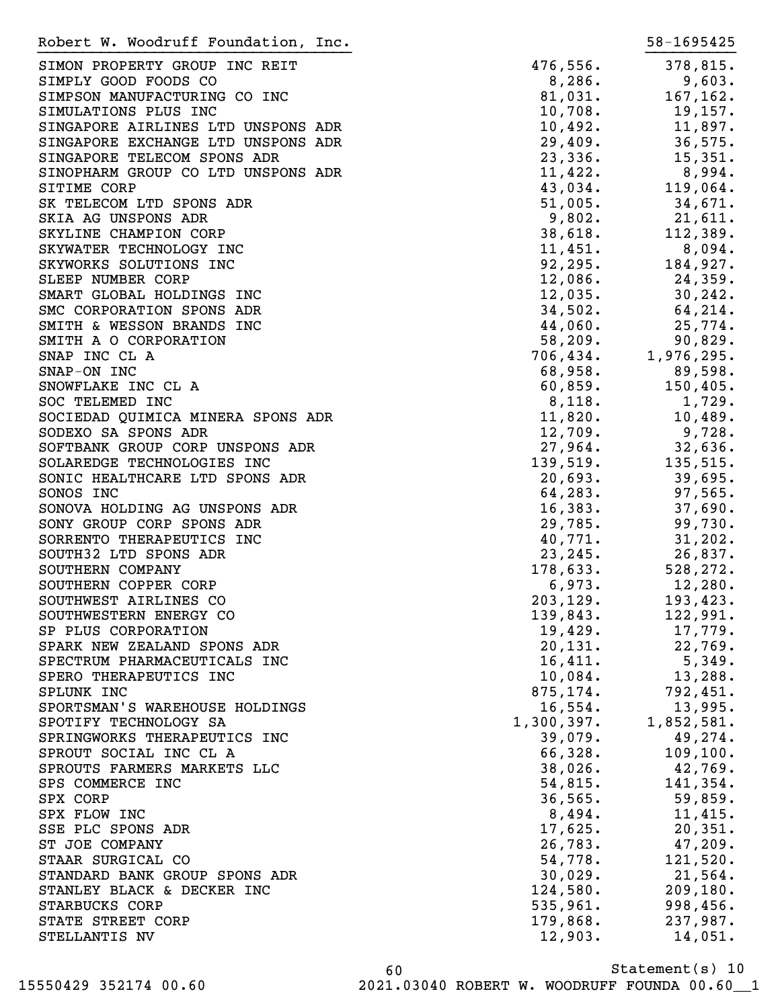| Robert W. Woodruff Foundation, Inc. |            | 58-1695425 |
|-------------------------------------|------------|------------|
| SIMON PROPERTY GROUP INC REIT       | 476,556.   | 378,815.   |
| SIMPLY GOOD FOODS CO                | 8,286.     | 9,603.     |
| SIMPSON MANUFACTURING CO INC        | 81,031.    | 167, 162.  |
| SIMULATIONS PLUS INC                | 10,708.    | 19,157.    |
| SINGAPORE AIRLINES LTD UNSPONS ADR  | 10,492.    | 11,897.    |
| SINGAPORE EXCHANGE LTD UNSPONS ADR  | 29,409.    | 36,575.    |
| SINGAPORE TELECOM SPONS ADR         | 23,336.    | 15,351.    |
| SINOPHARM GROUP CO LTD UNSPONS ADR  | 11,422.    | 8,994.     |
| SITIME CORP                         | 43,034.    | 119,064.   |
| SK TELECOM LTD SPONS ADR            | 51,005.    | 34,671.    |
| SKIA AG UNSPONS ADR                 | 9,802.     | 21,611.    |
| SKYLINE CHAMPION CORP               | 38,618.    | 112,389.   |
| SKYWATER TECHNOLOGY INC             | 11,451.    | 8,094.     |
| SKYWORKS SOLUTIONS INC              | 92, 295.   | 184,927.   |
| SLEEP NUMBER CORP                   | 12,086.    | 24,359.    |
| SMART GLOBAL HOLDINGS INC           | 12,035.    | 30, 242.   |
| SMC CORPORATION SPONS ADR           | 34,502.    | 64,214.    |
| SMITH & WESSON BRANDS INC           | 44,060.    | 25,774.    |
| SMITH A O CORPORATION               | 58, 209.   | 90,829.    |
| SNAP INC CL A                       | 706,434.   | 1,976,295. |
| SNAP-ON INC                         | 68,958.    | 89,598.    |
| SNOWFLAKE INC CL A                  | 60,859.    | 150, 405.  |
| SOC TELEMED INC                     | 8,118.     | 1,729.     |
| SOCIEDAD QUIMICA MINERA SPONS ADR   | 11,820.    | 10,489.    |
| SODEXO SA SPONS ADR                 | 12,709.    | 9,728.     |
| SOFTBANK GROUP CORP UNSPONS ADR     | 27,964.    | 32,636.    |
| SOLAREDGE TECHNOLOGIES INC          | 139,519.   | 135,515.   |
| SONIC HEALTHCARE LTD SPONS ADR      | 20,693.    | 39,695.    |
| SONOS INC                           | 64,283.    | 97,565.    |
| SONOVA HOLDING AG UNSPONS ADR       | 16,383.    | 37,690.    |
| SONY GROUP CORP SPONS ADR           | 29,785.    | 99,730.    |
| SORRENTO THERAPEUTICS INC           | 40,771.    | 31,202.    |
| SOUTH32 LTD SPONS ADR               | 23, 245.   | 26,837.    |
| SOUTHERN COMPANY                    | 178,633.   | 528,272.   |
| SOUTHERN COPPER CORP                | 6,973.     | 12,280.    |
| SOUTHWEST AIRLINES CO               | 203, 129.  | 193,423.   |
| SOUTHWESTERN ENERGY CO              | 139,843.   | 122,991.   |
| SP PLUS CORPORATION                 | 19,429.    | 17,779.    |
| SPARK NEW ZEALAND SPONS ADR         | 20, 131.   | 22,769.    |
| SPECTRUM PHARMACEUTICALS INC        | 16,411.    | 5,349.     |
| SPERO THERAPEUTICS INC              | 10,084.    | 13,288.    |
| SPLUNK INC                          | 875,174.   | 792,451.   |
| SPORTSMAN'S WAREHOUSE HOLDINGS      | 16,554.    | 13,995.    |
| SPOTIFY TECHNOLOGY SA               | 1,300,397. | 1,852,581. |
| SPRINGWORKS THERAPEUTICS INC        | 39,079.    | 49,274.    |
| SPROUT SOCIAL INC CL A              | 66,328.    | 109, 100.  |
| SPROUTS FARMERS MARKETS LLC         | 38,026.    | 42,769.    |
| SPS COMMERCE INC                    | 54,815.    | 141,354.   |
| SPX CORP                            | 36, 565.   | 59,859.    |
| SPX FLOW INC                        | 8,494.     | 11,415.    |
| SSE PLC SPONS ADR                   | 17,625.    | 20,351.    |
| ST JOE COMPANY                      | 26,783.    | 47,209.    |
| STAAR SURGICAL CO                   | 54,778.    | 121,520.   |
| STANDARD BANK GROUP SPONS ADR       | 30,029.    | 21,564.    |
| STANLEY BLACK & DECKER INC          | 124,580.   | 209, 180.  |
| STARBUCKS CORP                      | 535,961.   | 998,456.   |
| STATE STREET CORP                   | 179,868.   | 237,987.   |
| STELLANTIS NV                       | 12,903.    | 14,051.    |

Statement(s) 10 60 15550429 352174 00.60 2021.03040 ROBERT W. WOODRUFF FOUNDA 00.60\_\_1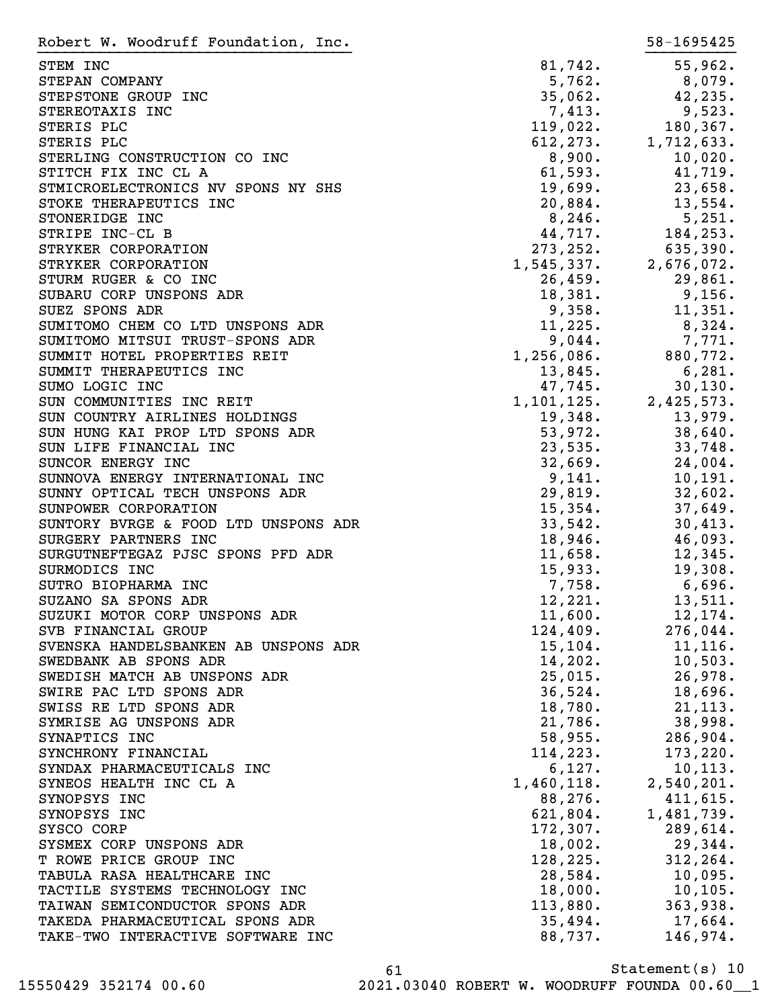| Robert W. Woodruff Foundation, Inc.                                |                             | 58-1695425               |
|--------------------------------------------------------------------|-----------------------------|--------------------------|
| STEM INC                                                           | 81,742.                     | 55,962.                  |
| STEPAN COMPANY                                                     | 5,762.                      | $8,079$ .                |
| STEPSTONE GROUP INC                                                | 35,062.                     | 42, 235.                 |
| STEREOTAXIS INC                                                    | 7,413.                      | 9,523.                   |
| STERIS PLC                                                         | 119,022.                    | 180, 367.                |
| STERIS PLC                                                         |                             | $612, 273.$ 1, 712, 633. |
| STERLING CONSTRUCTION CO INC                                       | 8,900.                      | 10,020.                  |
| STITCH FIX INC CL A                                                | 61,593.                     | 41,719.                  |
| STMICROELECTRONICS NV SPONS NY SHS                                 | 19,699.                     | 23,658.                  |
| STOKE THERAPEUTICS INC                                             | 20,884.                     | 13,554.                  |
| STONERIDGE INC                                                     | 8,246.                      | 5,251.                   |
| STRIPE INC-CL B                                                    | 44,717.                     | 184,253.                 |
| STRYKER CORPORATION                                                | 273, 252.                   | 635,390.                 |
| STRYKER CORPORATION                                                | $1, 545, 337.$ 2,676,072.   |                          |
| STURM RUGER & CO INC                                               | 26,459.                     | 29,861.                  |
| SUBARU CORP UNSPONS ADR                                            | 18,381.                     | 9,156.                   |
| SUEZ SPONS ADR                                                     | 9,358.                      | 11,351.                  |
| SUMITOMO CHEM CO LTD UNSPONS ADR                                   | 11,225.                     | 8,324.                   |
| SUMITOMO MITSUI TRUST-SPONS ADR                                    | 9,044.                      | 7,771.                   |
| SUMMIT HOTEL PROPERTIES REIT                                       | 1,256,086.                  | 880,772.                 |
| SUMMIT THERAPEUTICS INC                                            | 13,845.                     | 6,281.                   |
| SUMO LOGIC INC                                                     | 47,745.                     | 30, 130.                 |
| SUN COMMUNITIES INC REIT                                           | $1, 101, 125.$ 2, 425, 573. |                          |
| SUN COUNTRY AIRLINES HOLDINGS                                      | 19,348.                     | 13,979.                  |
| SUN HUNG KAI PROP LTD SPONS ADR                                    | 53,972.                     | 38,640.                  |
| SUN LIFE FINANCIAL INC                                             | 23,535.                     | 33,748.                  |
| SUNCOR ENERGY INC                                                  | 32,669.                     | 24,004.                  |
| SUNNOVA ENERGY INTERNATIONAL INC<br>SUNNY OPTICAL TECH UNSPONS ADR | 9,141.<br>29,819.           | 10, 191.<br>32,602.      |
| SUNPOWER CORPORATION                                               | $15,354$ .                  | 37,649.                  |
| SUNTORY BVRGE & FOOD LTD UNSPONS ADR                               | 33,542.                     | 30,413.                  |
| SURGERY PARTNERS INC                                               | 18,946.                     | 46,093.                  |
| SURGUTNEFTEGAZ PJSC SPONS PFD ADR                                  | 11,658.                     | 12,345.                  |
| SURMODICS INC                                                      | 15,933.                     | 19,308.                  |
| SUTRO BIOPHARMA INC                                                | 7,758.                      | 6,696.                   |
| SUZANO SA SPONS ADR                                                | 12,221.                     | 13,511.                  |
| SUZUKI MOTOR CORP UNSPONS ADR                                      | 11,600.                     | 12, 174.                 |
| SVB FINANCIAL GROUP                                                | 124,409.                    | 276,044.                 |
| SVENSKA HANDELSBANKEN AB UNSPONS ADR                               | 15, 104.                    | 11, 116.                 |
| SWEDBANK AB SPONS ADR                                              | 14,202.                     | 10,503.                  |
| SWEDISH MATCH AB UNSPONS ADR                                       | 25,015.                     | 26,978.                  |
| SWIRE PAC LTD SPONS ADR                                            | 36,524.                     | 18,696.                  |
| SWISS RE LTD SPONS ADR                                             | 18,780.                     | 21, 113.                 |
| SYMRISE AG UNSPONS ADR                                             | 21,786.                     | 38,998.                  |
| SYNAPTICS INC                                                      | 58,955.                     | $286,904$ .              |
| SYNCHRONY FINANCIAL                                                | 114,223.                    | 173,220.                 |
| SYNDAX PHARMACEUTICALS INC                                         | 6,127.                      | 10, 113.                 |
| SYNEOS HEALTH INC CL A                                             | $1,460,118.$ 2,540,201.     |                          |
| SYNOPSYS INC                                                       | 88,276.                     | 411,615.                 |
| SYNOPSYS INC                                                       | 621,804.                    | 1,481,739.               |
| SYSCO CORP                                                         | 172,307.                    | 289,614.                 |
| SYSMEX CORP UNSPONS ADR                                            | 18,002.                     | 29,344.                  |
| T ROWE PRICE GROUP INC                                             | 128, 225.                   | 312, 264.                |
| TABULA RASA HEALTHCARE INC                                         | 28,584.                     | 10,095.                  |
| TACTILE SYSTEMS TECHNOLOGY INC                                     | 18,000.                     | $10, 105$ .              |
| TAIWAN SEMICONDUCTOR SPONS ADR                                     | 113,880.                    | 363,938.                 |
| TAKEDA PHARMACEUTICAL SPONS ADR                                    | 35,494.                     | $17,664$ .               |
| TAKE-TWO INTERACTIVE SOFTWARE INC                                  | 88,737.                     | 146,974.                 |

Statement(s) 10 61 15550429 352174 00.60 2021.03040 ROBERT W. WOODRUFF FOUNDA 00.60\_\_1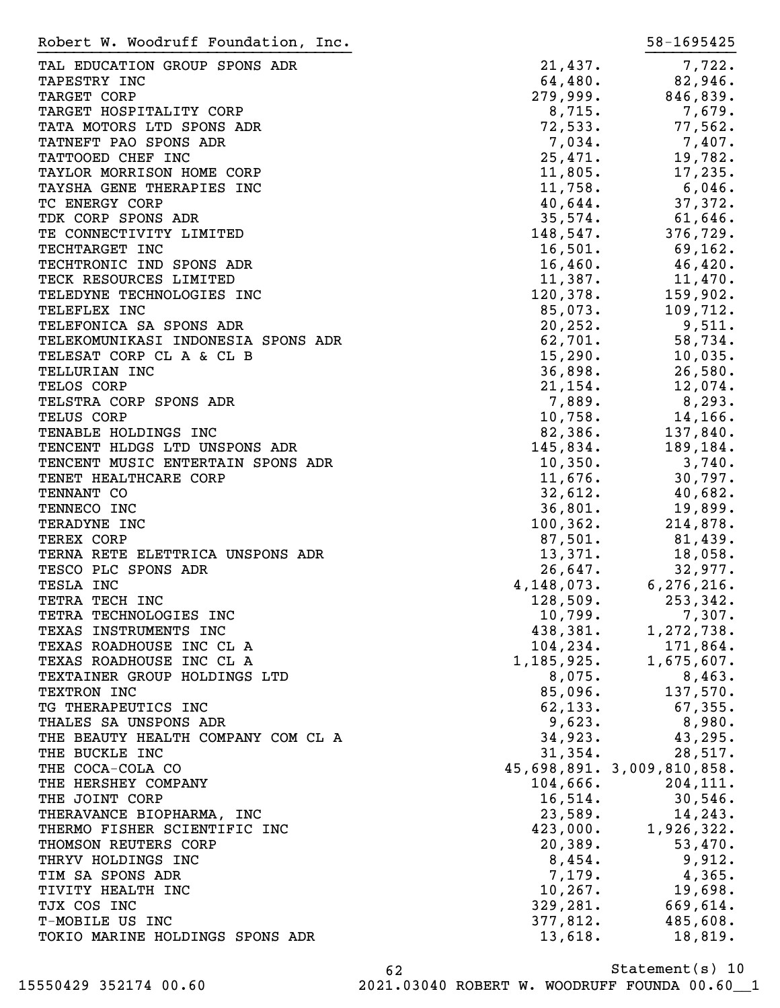| Robert W. Woodruff Foundation, Inc. |              | 58-1695425                 |
|-------------------------------------|--------------|----------------------------|
| TAL EDUCATION GROUP SPONS ADR       | 21,437.      | 7,722.                     |
| TAPESTRY INC                        | 64,480.      | 82,946.                    |
| TARGET CORP                         | 279,999.     | 846,839.                   |
| TARGET HOSPITALITY CORP             | 8,715.       | 7,679.                     |
| TATA MOTORS LTD SPONS ADR           | 72,533.      | 77,562.                    |
| TATNEFT PAO SPONS ADR               | 7,034.       | 7,407.                     |
|                                     |              |                            |
| TATTOOED CHEF INC                   | 25,471.      | 19,782.                    |
| TAYLOR MORRISON HOME CORP           | 11,805.      | 17,235.                    |
| TAYSHA GENE THERAPIES INC           | 11,758.      | $6,046$ .                  |
| TC ENERGY CORP                      | 40,644.      | 37,372.                    |
| TDK CORP SPONS ADR                  | 35,574.      | 61,646.                    |
| TE CONNECTIVITY LIMITED             | 148,547.     | 376,729.                   |
| TECHTARGET INC                      | 16,501.      | 69,162.                    |
| TECHTRONIC IND SPONS ADR            | 16,460.      | 46,420.                    |
| TECK RESOURCES LIMITED              | 11,387.      | 11,470.                    |
| TELEDYNE TECHNOLOGIES INC           | 120,378.     | 159,902.                   |
| TELEFLEX INC                        | 85,073.      | 109,712.                   |
| TELEFONICA SA SPONS ADR             | 20, 252.     | 9,511.                     |
| TELEKOMUNIKASI INDONESIA SPONS ADR  | 62,701.      | 58,734.                    |
| TELESAT CORP CL A & CL B            | 15,290.      | 10,035.                    |
| TELLURIAN INC                       | 36,898.      | 26,580.                    |
| TELOS CORP                          | 21, 154.     | 12,074.                    |
| TELSTRA CORP SPONS ADR              | 7,889.       | 8,293.                     |
| TELUS CORP                          | 10,758.      | 14,166.                    |
| TENABLE HOLDINGS INC                | 82,386.      | 137,840.                   |
| TENCENT HLDGS LTD UNSPONS ADR       | 145,834.     | 189,184.                   |
| TENCENT MUSIC ENTERTAIN SPONS ADR   | 10,350.      | 3,740.                     |
| TENET HEALTHCARE CORP               | 11,676.      | 30,797.                    |
| TENNANT CO                          | 32,612.      | 40,682.                    |
| TENNECO INC                         | 36,801.      | 19,899.                    |
| TERADYNE INC                        | 100, 362.    | 214,878.                   |
| TEREX CORP                          | 87,501.      | 81,439.                    |
| TERNA RETE ELETTRICA UNSPONS ADR    | 13,371.      | 18,058.                    |
| TESCO PLC SPONS ADR                 | 26,647.      | 32,977.                    |
| TESLA INC                           | 4, 148, 073. | 6, 276, 216.               |
| TETRA TECH INC                      | 128,509.     | 253,342.                   |
|                                     | 10,799.      |                            |
| TETRA TECHNOLOGIES INC              |              | 7,307.<br>1,272,738.       |
| TEXAS INSTRUMENTS INC               | 438,381.     |                            |
| TEXAS ROADHOUSE INC CL A            | 104, 234.    | 171,864.                   |
| TEXAS ROADHOUSE INC CL A            | 1,185,925.   | 1,675,607.                 |
| TEXTAINER GROUP HOLDINGS LTD        | 8,075.       | 8,463.                     |
| TEXTRON INC                         | 85,096.      | 137,570.                   |
| TG THERAPEUTICS INC                 | 62, 133.     | $67,355$ .                 |
| THALES SA UNSPONS ADR               | 9,623.       | 8,980.                     |
| THE BEAUTY HEALTH COMPANY COM CL A  | 34,923.      | 43, 295.                   |
| THE BUCKLE INC                      | 31,354.      | 28,517.                    |
| THE COCA-COLA CO                    |              | 45,698,891. 3,009,810,858. |
| THE HERSHEY COMPANY                 | 104,666.     | 204, 111.                  |
| THE JOINT CORP                      | 16,514.      | 30,546.                    |
| THERAVANCE BIOPHARMA, INC           | 23,589.      | 14, 243.                   |
| THERMO FISHER SCIENTIFIC INC        | 423,000.     | 1,926,322.                 |
| THOMSON REUTERS CORP                | 20,389.      | 53,470.                    |
| THRYV HOLDINGS INC                  | 8,454.       | 9,912.                     |
| TIM SA SPONS ADR                    | 7,179.       | 4,365.                     |
| TIVITY HEALTH INC                   | $10, 267$ .  | 19,698.                    |
| TJX COS INC                         | 329, 281.    | 669,614.                   |
| T-MOBILE US INC                     | 377,812.     | 485,608.                   |
| TOKIO MARINE HOLDINGS SPONS ADR     | 13,618.      | 18,819.                    |
|                                     |              |                            |

Statement(s) 10 62 15550429 352174 00.60 2021.03040 ROBERT W. WOODRUFF FOUNDA 00.60\_\_1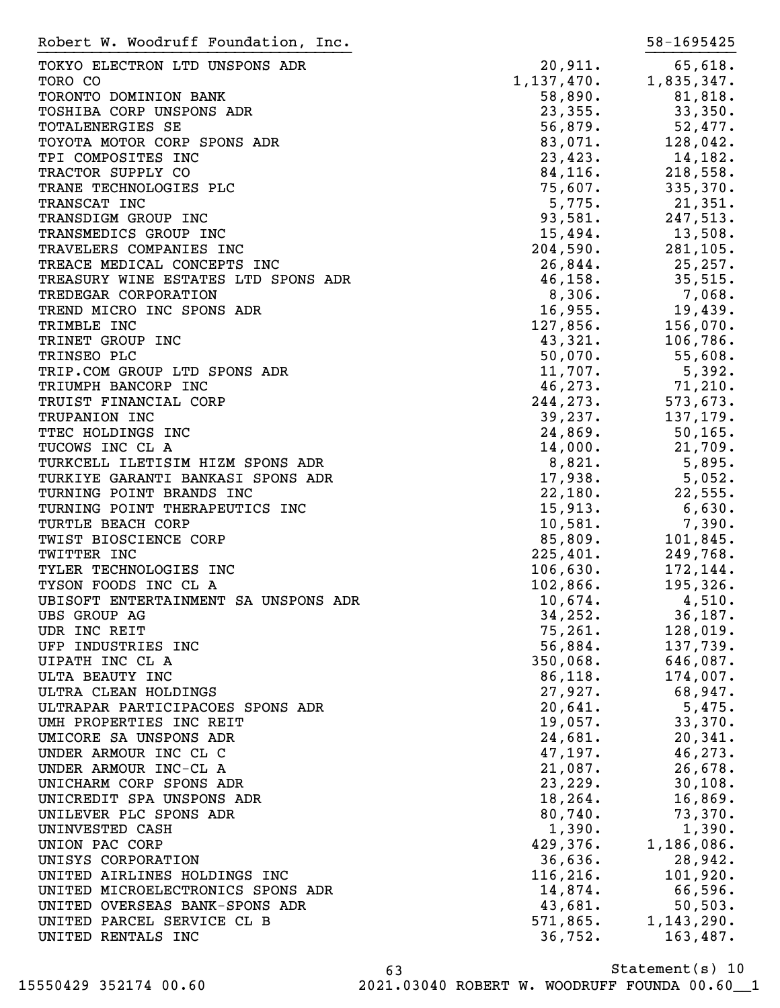| Robert W. Woodruff Foundation, Inc.                           |                                                                     | 58-1695425          |
|---------------------------------------------------------------|---------------------------------------------------------------------|---------------------|
| TOKYO ELECTRON LTD UNSPONS ADR                                | 20,911.                                                             | 65,618.             |
| TORO CO                                                       | 1, 137, 470.                                                        | 1,835,347.          |
| TORONTO DOMINION BANK                                         |                                                                     | 81,818.             |
| TOSHIBA CORP UNSPONS ADR                                      | $58,890.$<br>23,355.                                                | 33,350.             |
| TOTALENERGIES SE                                              | 56,879.                                                             | 52,477.             |
| TOYOTA MOTOR CORP SPONS ADR                                   | 83,071.                                                             | 128,042.            |
| TPI COMPOSITES INC                                            | 23,423.                                                             | 14,182.             |
| TRACTOR SUPPLY CO                                             |                                                                     | 218,558.            |
| TRANE TECHNOLOGIES PLC                                        |                                                                     | 335,370.            |
| TRANSCAT INC                                                  | $84,116$ .<br>75,607.<br>5,775.                                     | 21,351.             |
| TRANSDIGM GROUP INC                                           | $93,581$ .<br>$15,494$ .<br>$204,590$ .<br>$26,844$ .<br>$46,158$ . | 247,513.            |
| TRANSMEDICS GROUP INC                                         |                                                                     | 13,508.             |
| TRAVELERS COMPANIES INC                                       |                                                                     | 281, 105.           |
| TREACE MEDICAL CONCEPTS INC                                   |                                                                     | 25,257.             |
| TREASURY WINE ESTATES LTD SPONS ADR                           |                                                                     | 35,515.             |
| TREDEGAR CORPORATION                                          | 8,306.                                                              | $7,068$ .           |
| TREND MICRO INC SPONS ADR                                     | 16,955.                                                             | 19,439.             |
| TRIMBLE INC                                                   | 127,856.                                                            | 156,070.            |
| TRINET GROUP INC                                              | 43,321.                                                             | 106,786.            |
| TRINSEO PLC                                                   | 50,070.                                                             | 55,608.             |
| TRIP.COM GROUP LTD SPONS ADR                                  | 11,707.                                                             | 5,392.              |
| TRIUMPH BANCORP INC                                           | 46, 273.                                                            | 71,210.             |
| TRUIST FINANCIAL CORP                                         | 244, 273.                                                           | 573,673.            |
| TRUPANION INC                                                 |                                                                     | 137,179.            |
| TTEC HOLDINGS INC                                             | $39,237.$<br>24,869.                                                | 50, 165.            |
| TUCOWS INC CL A                                               | 14,000.                                                             | 21,709.             |
| TURKCELL ILETISIM HIZM SPONS ADR                              | 8,821.                                                              |                     |
|                                                               | 17,938.                                                             | 5,895.              |
| TURKIYE GARANTI BANKASI SPONS ADR<br>TURNING POINT BRANDS INC |                                                                     | 5,052.<br>22,555.   |
| TURNING POINT THERAPEUTICS INC                                | 22,180.                                                             |                     |
|                                                               | 15,913.<br>10,581.                                                  | $6,630$ .<br>7,390. |
| TURTLE BEACH CORP                                             | 85,809.                                                             | 101,845.            |
| TWIST BIOSCIENCE CORP                                         |                                                                     | 249,768.            |
| TWITTER INC                                                   | 225,401.                                                            |                     |
| TYLER TECHNOLOGIES INC                                        | 106,630.                                                            | 172,144.            |
| TYSON FOODS INC CL A                                          | 102,866.<br>10,674.                                                 | 195,326.            |
| UBISOFT ENTERTAINMENT SA UNSPONS ADR                          |                                                                     | 4,510.              |
| UBS GROUP AG                                                  | 34,252.                                                             | 36, 187.            |
| UDR INC REIT                                                  | 75, 261.                                                            | 128,019.            |
| UFP INDUSTRIES INC                                            | 56,884.                                                             | 137,739.            |
| UIPATH INC CL A                                               | 350,068.                                                            | 646,087.            |
| ULTA BEAUTY INC                                               | 86,118.                                                             | 174,007.            |
| ULTRA CLEAN HOLDINGS                                          | 27,927.                                                             | 68,947.             |
| ULTRAPAR PARTICIPACOES SPONS ADR                              | 20,641.                                                             | 5,475.              |
| UMH PROPERTIES INC REIT                                       | 19,057.                                                             | 33,370.             |
| UMICORE SA UNSPONS ADR                                        | 24,681.                                                             | 20, 341.            |
| UNDER ARMOUR INC CL C                                         | 47,197.                                                             | 46,273.             |
| UNDER ARMOUR INC-CL A                                         | 21,087.                                                             | 26,678.             |
| UNICHARM CORP SPONS ADR                                       | 23,229.                                                             | 30,108.             |
| UNICREDIT SPA UNSPONS ADR                                     | 18,264.                                                             | 16,869.             |
| UNILEVER PLC SPONS ADR                                        | 80,740.                                                             | 73,370.             |
| UNINVESTED CASH                                               | 1,390.                                                              | 1,390.              |
| UNION PAC CORP                                                | 429,376.                                                            | 1,186,086.          |
| UNISYS CORPORATION                                            | 36,636.                                                             | 28,942.             |
| UNITED AIRLINES HOLDINGS INC                                  | 116, 216.                                                           | 101,920.            |
| UNITED MICROELECTRONICS SPONS ADR                             | 14,874.                                                             | 66,596.             |
| UNITED OVERSEAS BANK-SPONS ADR                                | 43,681.                                                             | 50, 503.            |
| UNITED PARCEL SERVICE CL B                                    | 571,865.                                                            | 1, 143, 290.        |
| UNITED RENTALS INC                                            | 36,752.                                                             | 163,487.            |
|                                                               |                                                                     |                     |

Statement(s) 10 63 15550429 352174 00.60 2021.03040 ROBERT W. WOODRUFF FOUNDA 00.60\_\_1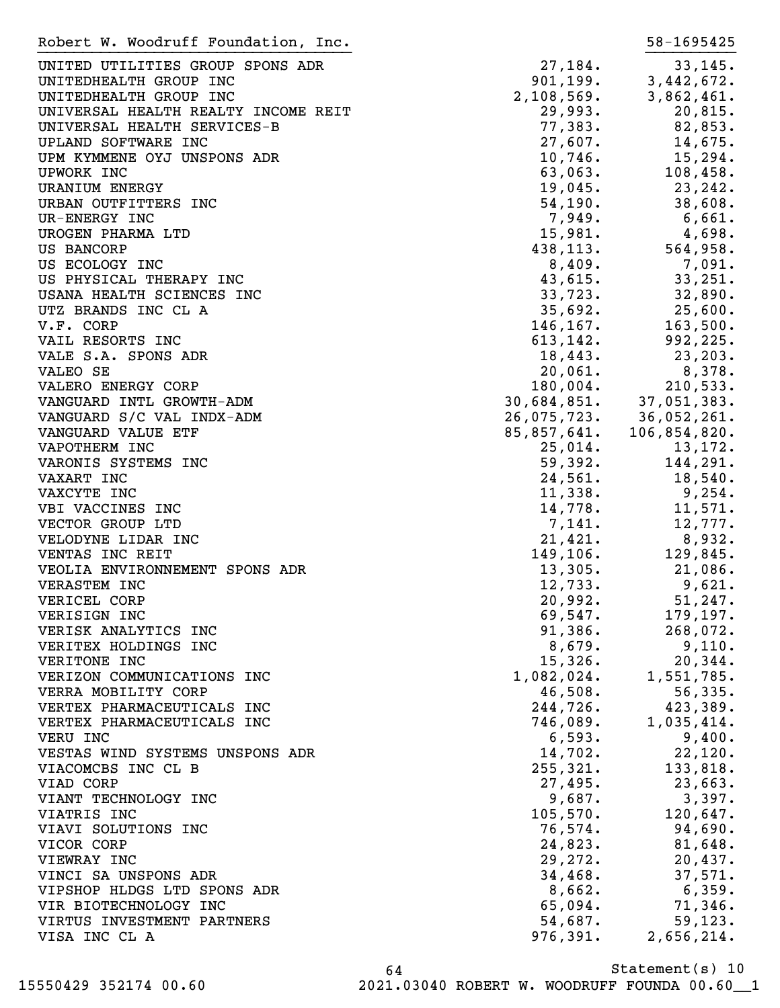| Robert W. Woodruff Foundation, Inc. |                                                             | 58-1695425   |
|-------------------------------------|-------------------------------------------------------------|--------------|
| UNITED UTILITIES GROUP SPONS ADR    | 27,184.                                                     | 33, 145.     |
| UNITEDHEALTH GROUP INC              | 901,199.                                                    | 3,442,672.   |
|                                     | 2, 108, 569.                                                |              |
| UNITEDHEALTH GROUP INC              |                                                             | 3,862,461.   |
| UNIVERSAL HEALTH REALTY INCOME REIT | 29,993.                                                     | 20,815.      |
| UNIVERSAL HEALTH SERVICES-B         | 77,383.                                                     | 82,853.      |
| UPLAND SOFTWARE INC                 | $27,607$ .                                                  | 14,675.      |
| UPM KYMMENE OYJ UNSPONS ADR         | 10,746.                                                     | 15,294.      |
| UPWORK INC                          | 63,063.                                                     | 108,458.     |
| <b>URANIUM ENERGY</b>               | 19,045.                                                     | 23,242.      |
| URBAN OUTFITTERS INC                | 54,190.                                                     | 38,608.      |
| UR-ENERGY INC                       | 7,949.                                                      | 6,661.       |
| UROGEN PHARMA LTD                   | 15,981.                                                     | 4,698.       |
| US BANCORP                          | 438, 113.                                                   | 564,958.     |
| US ECOLOGY INC                      | 8,409.                                                      | 7,091.       |
|                                     |                                                             | 33,251.      |
| US PHYSICAL THERAPY INC             | 43,615.                                                     |              |
| USANA HEALTH SCIENCES INC           | 33,723.                                                     | 32,890.      |
| UTZ BRANDS INC CL A                 | 35,692.                                                     | 25,600.      |
| V.F. CORP                           | 146, 167.                                                   | 163,500.     |
| VAIL RESORTS INC                    | 613, 142.                                                   | 992,225.     |
| VALE S.A. SPONS ADR                 | 18,443.                                                     | 23, 203.     |
| VALEO SE                            | 20,061.                                                     | 8,378.       |
| VALERO ENERGY CORP                  | 180,004.                                                    | 210,533.     |
| VANGUARD INTL GROWTH-ADM            |                                                             | 37,051,383.  |
| VANGUARD S/C VAL INDX-ADM           |                                                             | 36,052,261.  |
| VANGUARD VALUE ETF                  |                                                             | 106,854,820. |
| VAPOTHERM INC                       | 30, 684, 851.<br>26, 075, 723.<br>85, 857, 641.<br>25, 014. | 13,172.      |
| VARONIS SYSTEMS INC                 | 59,392.                                                     | 144,291.     |
| VAXART INC                          |                                                             | 18,540.      |
| VAXCYTE INC                         | 24,561.<br>11,338.                                          | 9,254.       |
|                                     |                                                             |              |
| VBI VACCINES INC                    | 14,778.                                                     | 11,571.      |
| VECTOR GROUP LTD                    | 7,141.                                                      | 12,777.      |
| VELODYNE LIDAR INC                  | 21,421.                                                     | 8,932.       |
| VENTAS INC REIT                     | 149,106.                                                    | 129,845.     |
| VEOLIA ENVIRONNEMENT SPONS ADR      | 13,305.                                                     | 21,086.      |
| <b>VERASTEM INC</b>                 | 12,733.                                                     | 9,621.       |
| VERICEL CORP                        | 20,992.                                                     | 51, 247.     |
| VERISIGN INC                        | 69,547.                                                     | 179, 197.    |
| VERISK ANALYTICS INC                | 91,386.                                                     | 268,072.     |
| VERITEX HOLDINGS INC                | 8,679.                                                      | 9,110.       |
| VERITONE INC                        | 15,326.                                                     | 20, 344.     |
| VERIZON COMMUNICATIONS INC          | 1,082,024.                                                  | 1,551,785.   |
| VERRA MOBILITY CORP                 | 46,508.                                                     | 56, 335.     |
| VERTEX PHARMACEUTICALS INC          | 244,726.                                                    | 423,389.     |
| VERTEX PHARMACEUTICALS INC          | 746,089.                                                    | 1,035,414.   |
| VERU INC                            | 6,593.                                                      | 9,400.       |
|                                     |                                                             |              |
| VESTAS WIND SYSTEMS UNSPONS ADR     | 14,702.                                                     | 22,120.      |
| VIACOMCBS INC CL B                  | 255, 321.                                                   | 133,818.     |
| VIAD CORP                           | 27,495.                                                     | 23,663.      |
| VIANT TECHNOLOGY INC                | 9,687.                                                      | 3,397.       |
| VIATRIS INC                         | 105,570.                                                    | 120,647.     |
| VIAVI SOLUTIONS INC                 | 76,574.                                                     | 94,690.      |
| VICOR CORP                          | 24,823.                                                     | 81,648.      |
| VIEWRAY INC                         | 29, 272.                                                    | 20,437.      |
| VINCI SA UNSPONS ADR                | 34,468.                                                     | 37,571.      |
| VIPSHOP HLDGS LTD SPONS ADR         | 8,662.                                                      | 6,359.       |
| VIR BIOTECHNOLOGY INC               | 65,094.                                                     | 71,346.      |
| VIRTUS INVESTMENT PARTNERS          | 54,687.                                                     | 59, 123.     |
| VISA INC CL A                       | 976, 391.                                                   | 2,656,214.   |
|                                     |                                                             |              |

Statement(s) 10 64 15550429 352174 00.60 2021.03040 ROBERT W. WOODRUFF FOUNDA 00.60\_\_1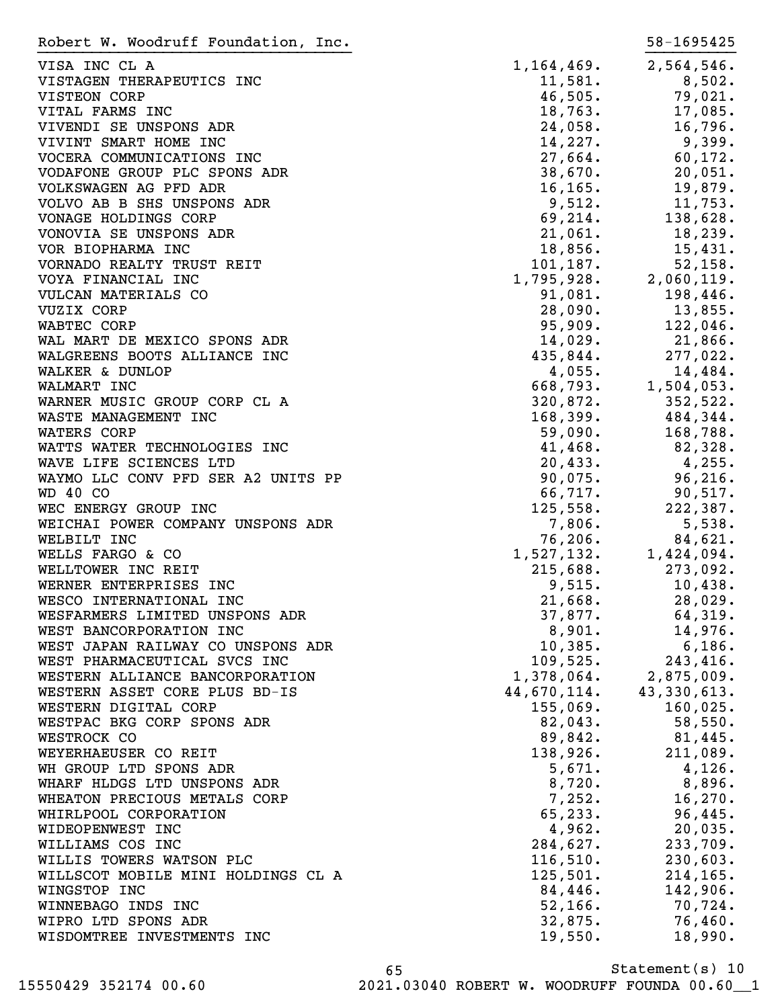VISA INC CL A 2,564,546. VISTAGEN THERAPEUTICS INC 11,581. 8,502. VISTEON CORP 201. 2011. 2012 11:30 201. VITAL FARMS INC 2003 2004 18,763. The set of the set of the set of the set of the set of the set of the set of the set of the set of the set of the set of the set of the set of the set of the set of the set of the set of t VIVENDI SE UNSPONS ADR
24,058.
16,796. VIVINT SMART HOME INC  $14,227$ . 9,399. VOCERA COMMUNICATIONS INC  $27,664$ . 60,172. VODAFONE GROUP PLC SPONS ADR 38,670. 20,051. VOLKSWAGEN AG PFD ADR 16,165. 19,879. VOLVO AB B SHS UNSPONS ADR 9,512. 11,753. VONAGE HOLDINGS CORP 69, 214. 138, 628. VONOVIA SE UNSPONS ADR
21,061. 18,239. VOR BIOPHARMA INC 18,856. 15,431. VORNADO REALTY TRUST REIT  $101,187$ . 52,158. VOYA FINANCIAL INC 1,795,928. 2,060,119. VULCAN MATERIALS CO 81,081. 198,446. VUZIX CORP 28,090. 13,855. WABTEC CORP 35,909. 122,046. WAL MART DE MEXICO SPONS ADR  $14,029$ . 21,866. WALGREENS BOOTS ALLIANCE INC<br>
435,844. 277,022. WALKER & DUNLOP 4,055. 14,484.<br>
WALMART INC 3. 14,484. WALMART INC 668,793. 1,504,053. WARNER MUSIC GROUP CORP CL A  $320,872.$   $352,522.$ WASTE MANAGEMENT INC 168,399. 484,344. WATERS CORP 59,090. ISBN 088. WATTS WATER TECHNOLOGIES INC **41,468.** 82,328. WAVE LIFE SCIENCES LTD 20,433. 4,255. WAYMO LLC CONV PFD SER A2 UNITS PP  $90,075$ . 96,216. WD 40 CO 66,717. 90,517. WEC ENERGY GROUP INC 222, 187. WEICHAI POWER COMPANY UNSPONS ADR  $7,806$ . 5,538. WELBILT INC 84,621. WELLS FARGO & CO 1,527,132. 1,424,094. WELLTOWER INC REIT **215,688.** 273,092. WERNER ENTERPRISES INC 3. THE SET OF STRING RESERVED AS A SET OF A SET OF A SET OF A SET OF A SET OF A SET OF A WESCO INTERNATIONAL INC 21,668. 28,029. WESFARMERS LIMITED UNSPONS ADR 37,877. 64,319. WEST BANCORPORATION INC  $8,901.$  14,976. WEST JAPAN RAILWAY CO UNSPONS ADR
10,385.
6,186. WEST PHARMACEUTICAL SVCS INC 109,525. 243,416. WESTERN ALLIANCE BANCORPORATION WESTERN ASSET CORE PLUS BD-IS WESTERN DIGITAL CORP 155,069. 160,025. WESTPAC BKG CORP SPONS ADR  $82,043$ . 58,550. WESTROCK CO 89,842. 81,445. WEYERHAEUSER CO REIT **138,926.** 211,089. WH GROUP LTD SPONS ADR  $\begin{array}{ccc} 5,671. & 4,126. \end{array}$ WHARF HLDGS LTD UNSPONS ADR **8,720.** 8,720. 8,896. WHEATON PRECIOUS METALS CORP 7,252. 16,270. WHIRLPOOL CORPORATION 65,233. 96,445. WIDEOPENWEST INC 20,035. WILLIAMS COS INC 284,627. 233,709. WILLIS TOWERS WATSON PLC  $116,510$ . 230,603. WILLSCOT MOBILE MINI HOLDINGS CL A 125,501. 214,165. WINGSTOP INC 84,446. 142,906. WINNEBAGO INDS INC 52,166. 70,724. WIPRO LTD SPONS ADR 32,875. 76,460. WISDOMTREE INVESTMENTS INC 19,550. 18,990. Robert W. Woodruff Foundation, Inc. 58-1695425 }}}}}}}}}}}}}}}}}}}}}}}}}}}}}}}}}}} }}}}}}}}}}

Statement(s) 10 65 15550429 352174 00.60 2021.03040 ROBERT W. WOODRUFF FOUNDA 00.60\_\_1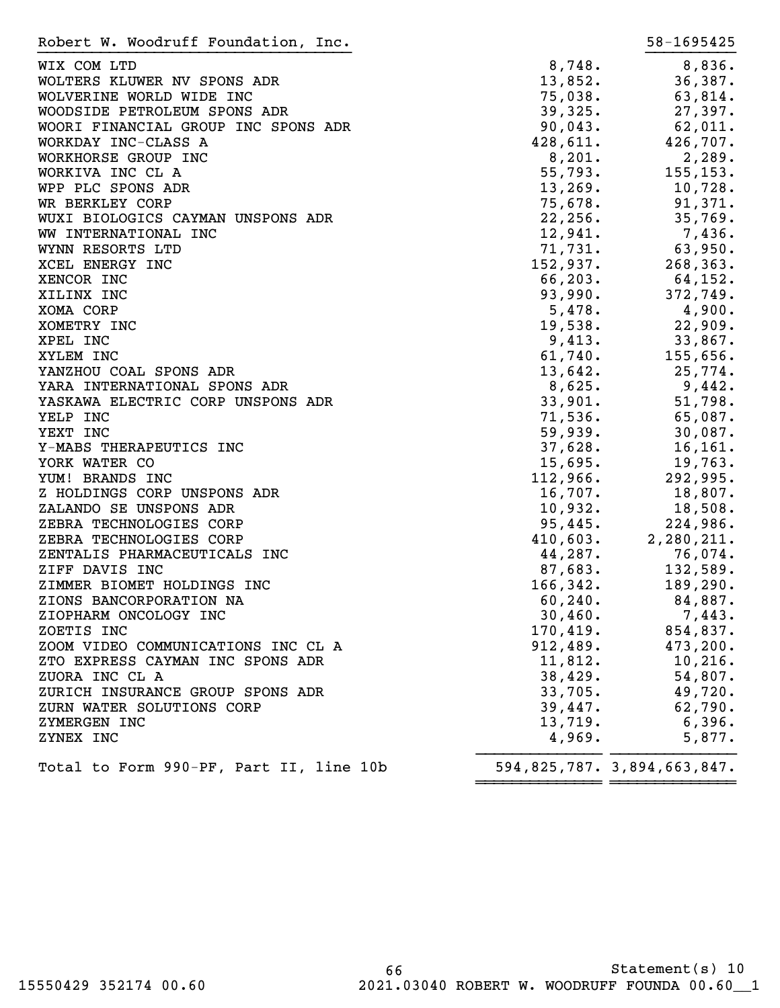| Robert W. Woodruff Foundation, Inc.     |           | 58-1695425                  |
|-----------------------------------------|-----------|-----------------------------|
| WIX COM LTD                             | 8,748.    | 8,836.                      |
| WOLTERS KLUWER NV SPONS ADR             | 13,852.   | 36,387.                     |
| WOLVERINE WORLD WIDE INC                | 75,038.   | 63,814.                     |
| WOODSIDE PETROLEUM SPONS ADR            | 39,325.   | 27,397.                     |
| WOORI FINANCIAL GROUP INC SPONS ADR     | 90,043.   | 62,011.                     |
| WORKDAY INC-CLASS A                     | 428,611.  | 426,707.                    |
| WORKHORSE GROUP INC                     | 8,201.    | 2,289.                      |
| WORKIVA INC CL A                        | 55,793.   | 155, 153.                   |
| WPP PLC SPONS ADR                       | 13,269.   | 10,728.                     |
| WR BERKLEY CORP                         |           |                             |
|                                         | 75,678.   | 91,371.                     |
| WUXI BIOLOGICS CAYMAN UNSPONS ADR       | 22, 256.  | 35,769.                     |
| WW INTERNATIONAL INC                    | 12,941.   | 7,436.                      |
| WYNN RESORTS LTD                        | 71,731.   | 63,950.                     |
| XCEL ENERGY INC                         | 152,937.  | 268, 363.                   |
| XENCOR INC                              | 66, 203.  | 64,152.                     |
| XILINX INC                              | 93,990.   | 372,749.                    |
| XOMA CORP                               | 5,478.    | 4,900.                      |
| XOMETRY INC                             | 19,538.   | 22,909.                     |
| XPEL INC                                | 9,413.    | 33,867.                     |
| XYLEM INC                               | 61,740.   | 155,656.                    |
| YANZHOU COAL SPONS ADR                  | 13,642.   | 25,774.                     |
| YARA INTERNATIONAL SPONS ADR            | 8,625.    | 9,442.                      |
| YASKAWA ELECTRIC CORP UNSPONS ADR       | 33,901.   | 51,798.                     |
| YELP INC                                | 71,536.   | 65,087.                     |
| YEXT INC                                | 59,939.   | 30,087.                     |
| Y-MABS THERAPEUTICS INC                 | 37,628.   | 16, 161.                    |
| YORK WATER CO                           | 15,695.   | 19,763.                     |
| YUM! BRANDS INC                         | 112,966.  | 292,995.                    |
| Z HOLDINGS CORP UNSPONS ADR             | 16,707.   | 18,807.                     |
| ZALANDO SE UNSPONS ADR                  | 10,932.   | 18,508.                     |
| ZEBRA TECHNOLOGIES CORP                 | 95,445.   | 224,986.                    |
| ZEBRA TECHNOLOGIES CORP                 | 410,603.  | 2,280,211.                  |
| ZENTALIS PHARMACEUTICALS INC            | 44,287.   | 76,074.                     |
| ZIFF DAVIS INC                          | 87,683.   | 132,589.                    |
| ZIMMER BIOMET HOLDINGS INC              | 166, 342. | 189, 290.                   |
| ZIONS BANCORPORATION NA                 | 60,240.   | 84,887.                     |
| ZIOPHARM ONCOLOGY INC                   | 30,460.   | 7,443.                      |
| ZOETIS INC                              | 170,419.  | 854,837.                    |
| ZOOM VIDEO COMMUNICATIONS INC CL A      | 912,489.  | 473,200.                    |
|                                         |           |                             |
| ZTO EXPRESS CAYMAN INC SPONS ADR        | 11,812.   | 10,216.                     |
| ZUORA INC CL A                          | 38,429.   | 54,807.                     |
| ZURICH INSURANCE GROUP SPONS ADR        | 33,705.   | 49,720.                     |
| ZURN WATER SOLUTIONS CORP               | 39,447.   | 62,790.                     |
| ZYMERGEN INC                            | 13,719.   | 6,396.                      |
| ZYNEX INC                               | 4,969.    | 5,877.                      |
| Total to Form 990-PF, Part II, line 10b |           | 594,825,787. 3,894,663,847. |

~~~~~~~~~~~~~~ ~~~~~~~~~~~~~~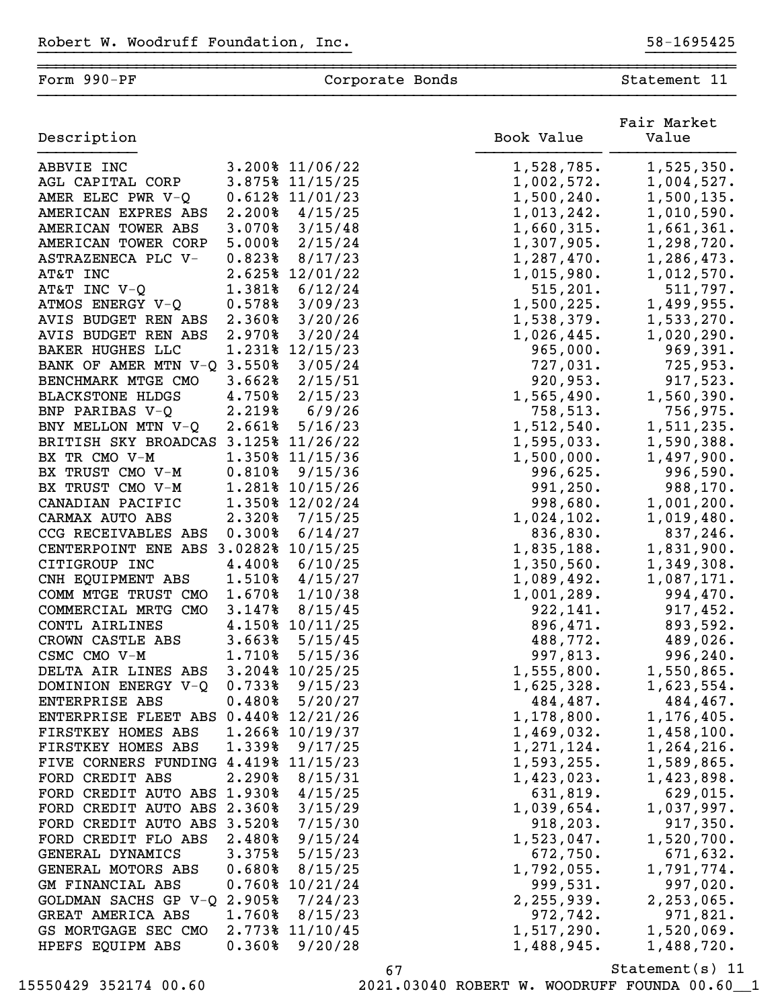| Form 990-PF                              |        | Corporate Bonds    |                      | Statement 11         |
|------------------------------------------|--------|--------------------|----------------------|----------------------|
| Description                              |        |                    | Book Value           | Fair Market<br>Value |
| ABBVIE INC                               |        | 3.200% 11/06/22    | 1,528,785.           | 1,525,350.           |
| AGL CAPITAL CORP                         |        | 3.875% 11/15/25    | 1,002,572.           | 1,004,527.           |
| AMER ELEC PWR V-Q                        |        | 0.612% 11/01/23    | 1,500,240.           | 1,500,135.           |
| AMERICAN EXPRES ABS                      | 2.200% | 4/15/25            | 1,013,242.           | 1,010,590.           |
| AMERICAN TOWER ABS                       | 3.070% | 3/15/48            | 1,660,315.           | 1,661,361.           |
| AMERICAN TOWER CORP                      | 5.000% | 2/15/24            | 1,307,905.           | 1,298,720.           |
| ASTRAZENECA PLC V-                       | 0.823% | 8/17/23            | 1,287,470.           | 1,286,473.           |
| AT&T INC                                 |        | 2.625% 12/01/22    | 1,015,980.           | 1,012,570.           |
| AT&T INC V-Q                             | 1.381% | 6/12/24            | 515, 201.            | 511,797.             |
| ATMOS ENERGY V-Q                         | 0.578% | 3/09/23            | 1,500,225.           | 1,499,955.           |
| AVIS BUDGET REN ABS                      | 2.360% | 3/20/26            | 1,538,379.           | 1,533,270.           |
| AVIS BUDGET REN ABS                      | 2.970% | 3/20/24            | 1,026,445.           | 1,020,290.           |
| <b>BAKER HUGHES LLC</b>                  |        | 1.231% 12/15/23    | 965,000.             | 969,391.             |
| BANK OF AMER MTN V-Q                     | 3.550% | 3/05/24            | 727,031.             | 725,953.             |
| BENCHMARK MTGE CMO                       | 3.662% | 2/15/51            | 920,953.             | 917,523.             |
| <b>BLACKSTONE HLDGS</b>                  | 4.750% | 2/15/23            | 1,565,490.           | 1,560,390.           |
| BNP PARIBAS V-Q                          | 2.219% | 6/9/26             | 758,513.             | 756,975.             |
| BNY MELLON MTN V-Q                       | 2.661% | 5/16/23            | 1,512,540.           | 1,511,235.           |
| BRITISH SKY BROADCAS                     | 3.125% | 11/26/22           | 1,595,033.           | 1,590,388.           |
| BX TR CMO V-M                            |        | 1.350% 11/15/36    | 1,500,000.           | 1,497,900.           |
| BX TRUST CMO V-M                         | 0.810% | 9/15/36            | 996,625.             | 996,590.             |
| BX TRUST CMO V-M                         |        | 1.281% 10/15/26    | 991, 250.            | 988,170.             |
| CANADIAN PACIFIC                         |        | 1.350% 12/02/24    | 998,680.             | 1,001,200.           |
| CARMAX AUTO ABS                          | 2.320% | 7/15/25            | 1,024,102.           | 1,019,480.           |
| CCG RECEIVABLES ABS                      | 0.300% | 6/14/27            | 836,830.             | 837,246.             |
| CENTERPOINT ENE ABS                      |        | 3.0282% 10/15/25   | 1,835,188.           | 1,831,900.           |
| CITIGROUP INC                            | 4.400% | 6/10/25            | 1,350,560.           | 1,349,308.           |
| CNH EQUIPMENT ABS<br>COMM MTGE TRUST CMO | 1.510% | 4/15/27            | 1,089,492.           | 1,087,171.           |
|                                          | 1.670% | 1/10/38<br>8/15/45 | 1,001,289.           | 994,470.             |
| COMMERCIAL MRTG CMO<br>CONTL AIRLINES    | 3.147% | 4.150% 10/11/25    | 922,141.             | 917,452.<br>893,592. |
| CROWN CASTLE ABS                         | 3.663% | 5/15/45            | 896,471.<br>488,772. | 489,026.             |
| CSMC CMO V-M                             | 1.710% | 5/15/36            | 997,813.             | 996, 240.            |
| DELTA AIR LINES ABS                      |        | 3.204% 10/25/25    | 1,555,800.           | 1,550,865.           |
| DOMINION ENERGY V-Q                      | 0.733  | 9/15/23            | 1,625,328.           | 1,623,554.           |
| ENTERPRISE ABS                           | 0.480% | 5/20/27            | 484,487.             | 484,467.             |
| ENTERPRISE FLEET ABS 0.440% 12/21/26     |        |                    | 1,178,800.           | 1,176,405.           |
| FIRSTKEY HOMES ABS                       |        | 1.266% 10/19/37    | 1,469,032.           | 1,458,100.           |
| FIRSTKEY HOMES ABS                       | 1.339% | 9/17/25            | 1, 271, 124.         | 1,264,216.           |
| FIVE CORNERS FUNDING 4.419% 11/15/23     |        |                    | 1,593,255.           | 1,589,865.           |
| FORD CREDIT ABS                          | 2.290% | 8/15/31            | 1,423,023.           | 1,423,898.           |
| FORD CREDIT AUTO ABS 1.930%              |        | 4/15/25            | 631,819.             | 629,015.             |
| FORD CREDIT AUTO ABS 2.360%              |        | 3/15/29            | 1,039,654.           | 1,037,997.           |
| FORD CREDIT AUTO ABS 3.520%              |        | 7/15/30            | 918, 203.            | 917,350.             |
| FORD CREDIT FLO ABS                      | 2.480% | 9/15/24            | 1,523,047.           | 1,520,700.           |
| GENERAL DYNAMICS                         | 3.375% | 5/15/23            | 672,750.             | 671,632.             |
| GENERAL MOTORS ABS                       | 0.680% | 8/15/25            | 1,792,055.           | 1,791,774.           |
| GM FINANCIAL ABS                         |        | 0.760% 10/21/24    | 999,531.             | 997,020.             |
| GOLDMAN SACHS GP V-Q 2.905%              |        | 7/24/23            | 2, 255, 939.         | 2, 253, 065.         |
| GREAT AMERICA ABS                        | 1.760% | 8/15/23            | 972,742.             | 971,821.             |
| GS MORTGAGE SEC CMO                      |        | 2.773% 11/10/45    | 1,517,290.           | 1,520,069.           |
| HPEFS EQUIPM ABS                         | 0.360% | 9/20/28            | 1,488,945.           | 1,488,720.           |

15550429 352174 00.60 2021.03040 ROBERT W. WOODRUFF FOUNDA 00.60\_\_1

67 Statement(s) 11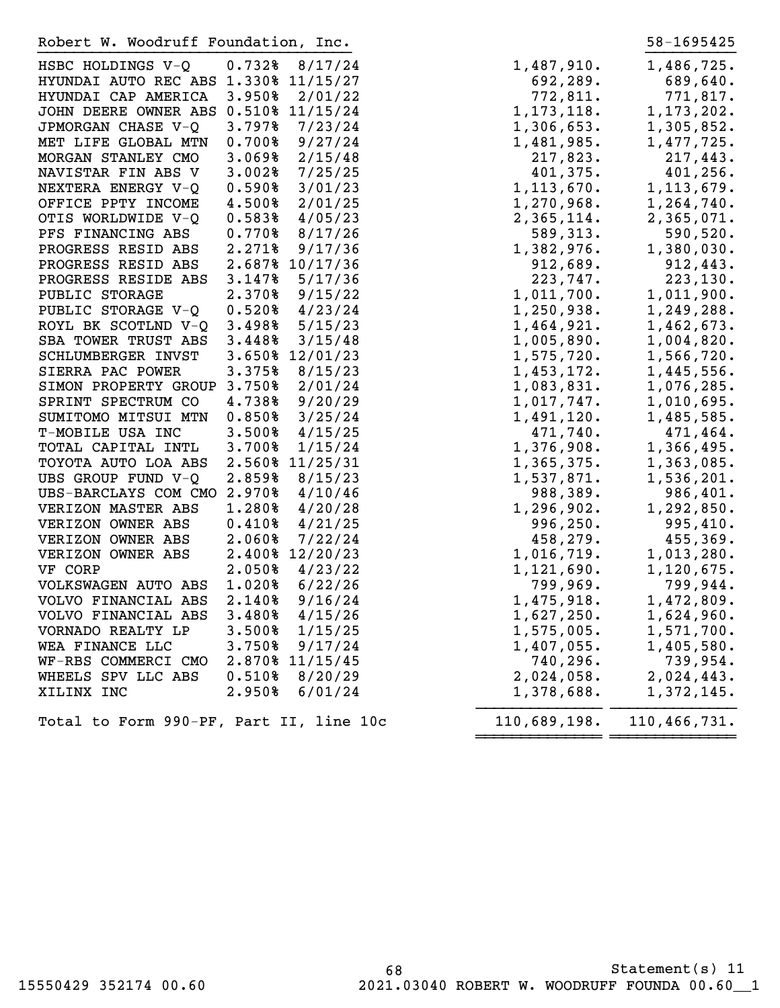Robert W. Woodruff Foundation, Inc. 58-1695425

| HSBC HOLDINGS V-Q                    | 0.7328          | 8/17/24  | 1,487,910.   | 1,486,725.   |
|--------------------------------------|-----------------|----------|--------------|--------------|
| HYUNDAI AUTO REC ABS                 | 1.330% 11/15/27 |          | 692,289.     | 689,640.     |
| HYUNDAI CAP AMERICA                  | 3.950%          | 2/01/22  | 772,811.     | 771,817.     |
| JOHN DEERE OWNER ABS 0.510% 11/15/24 |                 |          | 1, 173, 118. | 1, 173, 202. |
| JPMORGAN CHASE V-Q                   | 3.797%          | 7/23/24  | 1,306,653.   | 1,305,852.   |
| MET LIFE GLOBAL MTN                  | 0.700%          | 9/27/24  | 1,481,985.   | 1,477,725.   |
| MORGAN STANLEY CMO                   | 3.069%          | 2/15/48  | 217,823.     | 217,443.     |
| NAVISTAR FIN ABS V                   | 3.002%          | 7/25/25  | 401,375.     | 401,256.     |
| NEXTERA ENERGY V-Q                   | 0.590%          | 3/01/23  | 1, 113, 670. | 1, 113, 679. |
| OFFICE PPTY INCOME                   | 4.500%          | 2/01/25  | 1,270,968.   | 1,264,740.   |
| OTIS WORLDWIDE V-Q                   | 0.583%          | 4/05/23  | 2,365,114.   | 2,365,071.   |
| PFS FINANCING ABS                    | 0.770%          | 8/17/26  | 589,313.     | 590,520.     |
| PROGRESS RESID ABS                   | 2.271%          | 9/17/36  | 1,382,976.   | 1,380,030.   |
| PROGRESS RESID ABS                   | 2.687% 10/17/36 |          | 912,689.     | 912,443.     |
| PROGRESS RESIDE ABS                  | 3.147%          | 5/17/36  | 223,747.     | 223, 130.    |
| PUBLIC STORAGE                       | 2.370%          | 9/15/22  | 1,011,700.   | 1,011,900.   |
| PUBLIC STORAGE V-Q                   | 0.520%          | 4/23/24  | 1,250,938.   | 1,249,288.   |
| ROYL BK SCOTLND V-Q                  | 3.498%          | 5/15/23  | 1,464,921.   | 1,462,673.   |
| SBA TOWER TRUST ABS                  | 3.448%          | 3/15/48  | 1,005,890.   | 1,004,820.   |
| SCHLUMBERGER INVST                   | 3.650% 12/01/23 |          | 1,575,720.   | 1,566,720.   |
| SIERRA PAC POWER                     | 3.375%          | 8/15/23  | 1,453,172.   | 1,445,556.   |
| SIMON PROPERTY GROUP 3.750%          |                 | 2/01/24  | 1,083,831.   | 1,076,285.   |
| SPRINT SPECTRUM CO                   | 4.738%          | 9/20/29  | 1,017,747.   | 1,010,695.   |
| SUMITOMO MITSUI MTN                  | 0.850%          | 3/25/24  | 1,491,120.   | 1,485,585.   |
| T-MOBILE USA INC                     | 3.500%          | 4/15/25  | 471,740.     | 471,464.     |
| TOTAL CAPITAL INTL                   | 3.700%          | 1/15/24  | 1,376,908.   | 1,366,495.   |
| TOYOTA AUTO LOA ABS                  | 2.560%          | 11/25/31 | 1,365,375.   | 1,363,085.   |
| UBS GROUP FUND V-Q                   | 2.859%          | 8/15/23  | 1,537,871.   | 1,536,201.   |
| UBS-BARCLAYS COM CMO                 | 2.970%          | 4/10/46  | 988,389.     | 986,401.     |
| VERIZON MASTER ABS                   | 1.280%          | 4/20/28  | 1, 296, 902. | 1,292,850.   |
| VERIZON OWNER ABS                    | 0.4108          | 4/21/25  | 996, 250.    | 995,410.     |
| VERIZON OWNER ABS                    | 2.060%          | 7/22/24  | 458,279.     | 455,369.     |
| VERIZON OWNER ABS                    | 2.400% 12/20/23 |          | 1,016,719.   | 1,013,280.   |
| VF CORP                              | 2.050%          | 4/23/22  | 1, 121, 690. | 1,120,675.   |
| VOLKSWAGEN AUTO ABS                  | 1.020%          | 6/22/26  | 799,969.     | 799,944.     |
| VOLVO FINANCIAL ABS                  | 2.140%          | 9/16/24  | 1,475,918.   | 1,472,809.   |
| VOLVO FINANCIAL ABS                  | 3.480%          | 4/15/26  | 1,627,250.   | 1,624,960.   |
| VORNADO REALTY LP                    | 3.500%          | 1/15/25  | 1,575,005.   | 1,571,700.   |
| WEA FINANCE LLC                      | 3.750%          | 9/17/24  | 1,407,055.   | 1,405,580.   |
| WF-RBS COMMERCI CMO                  | 2.870% 11/15/45 |          | 740,296.     | 739,954.     |
| WHEELS SPV LLC ABS                   | 0.510%          | 8/20/29  | 2,024,058.   | 2,024,443.   |
| XILINX INC                           | 2.950%          | 6/01/24  | 1,378,688.   | 1,372,145.   |
|                                      |                 |          |              |              |

~~~~~~~~~~~~~~ ~~~~~~~~~~~~~~

Total to Form 990-PF, Part II, line 10c

| 1,487,910.                     | 1,486,725.               |
|--------------------------------|--------------------------|
| 692,289.                       | 689,640.                 |
| 772,811.                       | 771,817.                 |
| 1, 173, 118.                   | 1,173,202.               |
| 1,306,653.                     | 1,305,852.               |
| 1,481,985.                     | 1,477,725.               |
| 217,823.                       | 217,443.                 |
| 401,375.                       | 401,256.                 |
| 1,113,670.                     | 1, 113, 679.             |
| 1,270,968.                     | 1,264,740.               |
| 2,365,114.                     | 2,365,071.               |
| 589,313.                       | 590,520.                 |
| 1,382,976.                     | 1,380,030.               |
| 912,689.                       | 912,443.<br>223,130.     |
| .747, 223<br>.1,011,700.       | 1,011,900.               |
| 1,250,938.                     | 1,249,288.               |
| 1,464,921.                     | 1,462,673.               |
| $1,005,890$ .                  | 1,004,820.               |
| $1,575,720$ .                  | 1,566,720.               |
| 1,453,172.                     | 1,445,556.               |
| 1,083,831.                     | 1,076,285.<br>1,010,695. |
| 1,017,747.<br>1,491,120.       | 1,485,585.               |
| 471,740.                       | 471,464.                 |
| 1,376,908.                     | 1,366,495.               |
| 1,365,375.                     | 1,363,085.               |
| 1,537,871.                     | 1,536,201.               |
| 988,389.                       | 986,401.                 |
| 1,296,902.                     | 1,292,850.               |
| 996,250.                       | 995,410.                 |
| 458,279.                       | 455,369.                 |
| 1,016,719.                     | 1,013,280.               |
| 1,121,690.                     | 1,120,675.               |
| 799,969.                       | 799,944.                 |
| 1,475,918.                     | 1,472,809.               |
| 1,627,250.                     | 1,624,960.               |
| 1,575,005.                     | 1,571,700.               |
| 1,407,055 <b>.</b><br>740,296. | 1,405,580.               |
| 2,024,058.                     | 739,954.<br>2,024,443.   |
| 1,378,688.                     | 1,372,145.               |

}}}}}}}}}}}}}} }}}}}}}}}}}}}}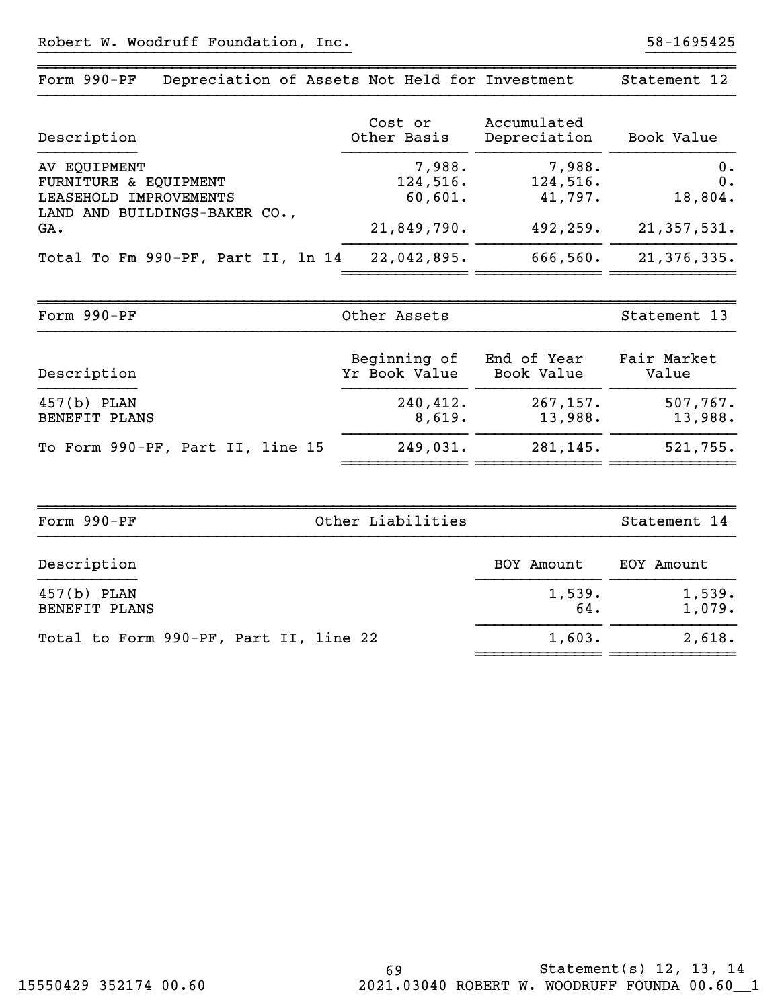| Form 990-PF<br>Depreciation of Assets Not Held for Investment                                           |                                              |                                            | Statement 12                         |
|---------------------------------------------------------------------------------------------------------|----------------------------------------------|--------------------------------------------|--------------------------------------|
| Description                                                                                             | Cost or<br>Other Basis                       | Accumulated<br>Depreciation                | Book Value                           |
| AV EQUIPMENT<br>FURNITURE & EQUIPMENT<br>LEASEHOLD IMPROVEMENTS<br>LAND AND BUILDINGS-BAKER CO.,<br>GA. | 7,988.<br>124,516.<br>60,601.<br>21,849,790. | 7,988.<br>124,516.<br>41,797.<br>492, 259. | 0.<br>0.<br>18,804.<br>21, 357, 531. |
| Total To Fm 990-PF, Part II, 1n 14                                                                      | 22,042,895.                                  | 666,560.                                   | 21,376,335.                          |
| Form 990-PF                                                                                             | Other Assets                                 |                                            | Statement 13                         |
| Description                                                                                             | Beginning of<br>Yr Book Value                | End of Year<br>Book Value                  | Fair Market<br>Value                 |
| $457(b)$ PLAN<br>BENEFIT PLANS                                                                          | 240,412.<br>8,619.                           | 267, 157.<br>13,988.                       | 507,767.<br>13,988.                  |
| To Form 990-PF, Part II, line 15                                                                        | 249,031.                                     | 281,145.                                   | 521,755.                             |

| Form 990-PF<br>Other Liabilities       |               | Statement 14     |  |
|----------------------------------------|---------------|------------------|--|
| Description                            | BOY Amount    | EOY Amount       |  |
| $457(b)$ PLAN<br>BENEFIT PLANS         | 1,539.<br>64. | 1,539.<br>1,079. |  |
| Total to Form 990-PF, Part II, line 22 | 1,603.        | 2,618.           |  |

~~~~~~~~~~~~~~ ~~~~~~~~~~~~~~ ~~~~~~~~~~~~~~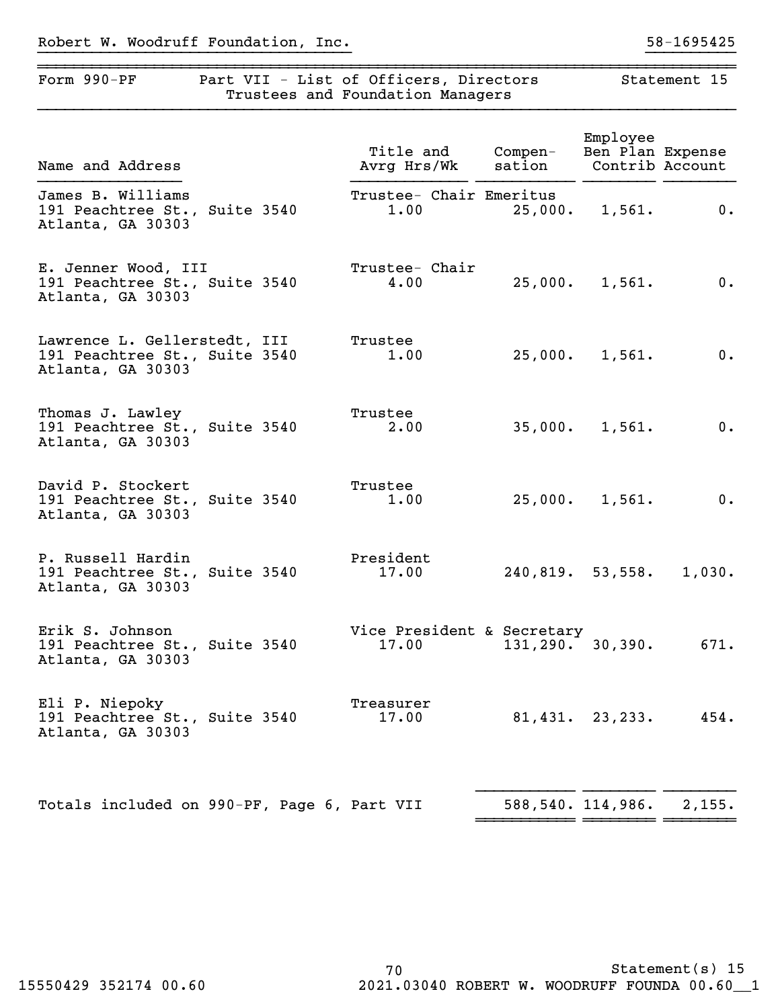| Robert W. Woodruff Foundation, Inc. |  |
|-------------------------------------|--|
|-------------------------------------|--|

| Form 990-PF<br>Part VII - List of Officers, Directors                              | Trustees and Foundation Managers    |                     |                              | Statement 15    |
|------------------------------------------------------------------------------------|-------------------------------------|---------------------|------------------------------|-----------------|
| Name and Address                                                                   | Title and<br>Avrg Hrs/Wk            | Compen-<br>sation   | Employee<br>Ben Plan Expense | Contrib Account |
| James B. Williams<br>191 Peachtree St., Suite 3540<br>Atlanta, GA 30303            | Trustee- Chair Emeritus<br>1.00     | 25,000.             | 1,561.                       | 0.              |
| E. Jenner Wood, III<br>191 Peachtree St., Suite 3540<br>Atlanta, GA 30303          | Trustee- Chair<br>4.00              | 25,000.             | 1,561.                       | 0.              |
| Lawrence L. Gellerstedt, III<br>191 Peachtree St., Suite 3540<br>Atlanta, GA 30303 | Trustee<br>1.00                     | 25,000.             | 1,561.                       | 0.              |
| Thomas J. Lawley<br>191 Peachtree St., Suite 3540<br>Atlanta, GA 30303             | Trustee<br>2.00                     |                     | 35,000. 1,561.               | $0$ .           |
| David P. Stockert<br>191 Peachtree St., Suite 3540<br>Atlanta, GA 30303            | Trustee<br>1.00                     |                     | $25,000.$ 1,561.             | 0.              |
| P. Russell Hardin<br>191 Peachtree St., Suite 3540<br>Atlanta, GA 30303            | President<br>17.00                  |                     | 240,819.53,558.              | 1,030.          |
| Erik S. Johnson<br>191 Peachtree St., Suite 3540<br>Atlanta, GA 30303              | Vice President & Secretary<br>17.00 | $131, 290.$ 30,390. |                              | 671.            |
| Eli P. Niepoky<br>191 Peachtree St., Suite 3540<br>Atlanta, GA 30303               | Treasurer<br>17.00                  |                     | $81,431.$ $23,233.$          | 454.            |
| Totals included on 990-DF Page 6 Part VII                                          |                                     |                     | 588 540 114 986              | 2.155           |

Totals included on 990-PF, Page 6, Part VII 588,540. 114,986.  $\alpha$ ,155.

 $=$  <del>------------</del>  $=$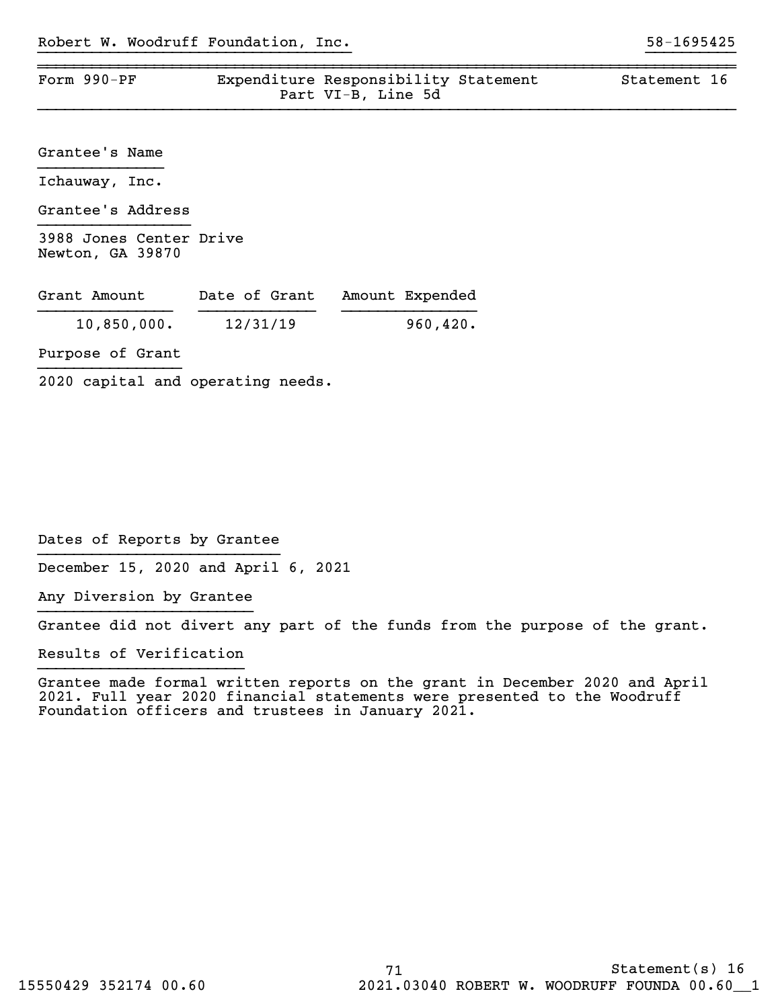| Form 990-PF                                 |               | Expenditure Responsibility Statement<br>Part VI-B, Line 5d | Statement 16 |
|---------------------------------------------|---------------|------------------------------------------------------------|--------------|
|                                             |               |                                                            |              |
| Grantee's Name                              |               |                                                            |              |
| Ichauway, Inc.                              |               |                                                            |              |
| Grantee's Address                           |               |                                                            |              |
| 3988 Jones Center Drive<br>Newton, GA 39870 |               |                                                            |              |
| Grant Amount                                | Date of Grant | Amount Expended                                            |              |
| 10,850,000.                                 | 12/31/19      | 960, 420.                                                  |              |
| Purpose of Grant                            |               |                                                            |              |

2020 capital and operating needs.

Dates of Reports by Grantee

December 15, 2020 and April 6, 2021

Any Diversion by Grantee }}}}}}}}}}}}}}}}}}}}}}}}

Grantee did not divert any part of the funds from the purpose of the grant.

Results of Verification

Grantee made formal written reports on the grant in December 2020 and April 2021. Full year 2020 financial statements were presented to the Woodruff Foundation officers and trustees in January 2021.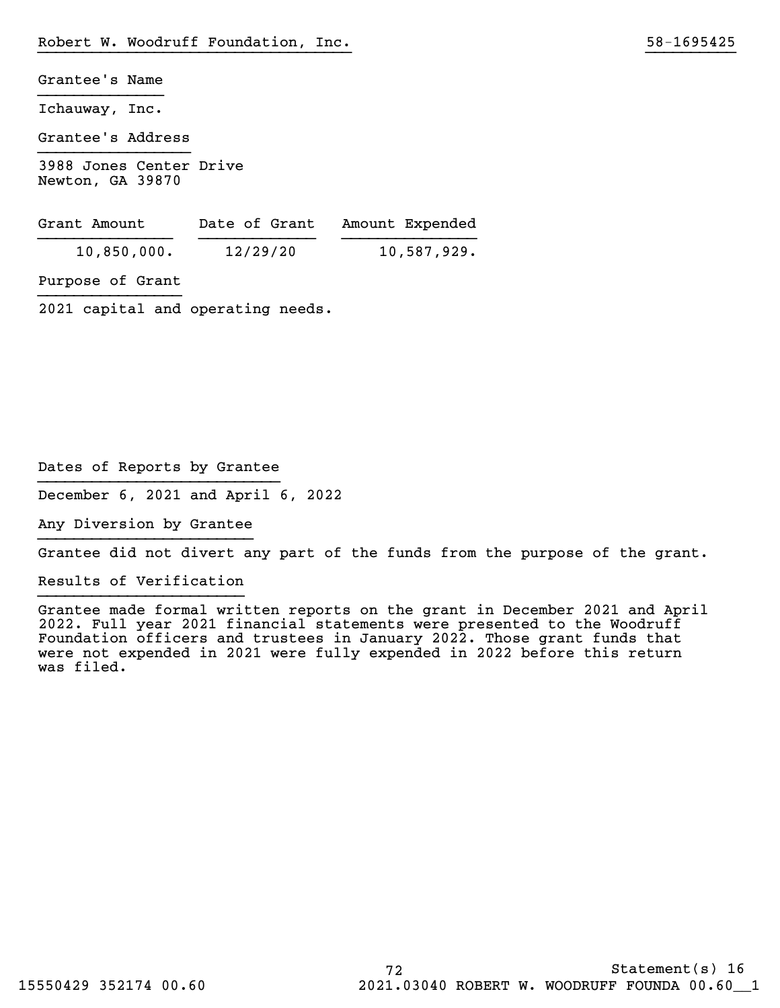| Grantee's Name                              |
|---------------------------------------------|
| Ichauway, Inc.                              |
| Grantee's Address                           |
| 3988 Jones Center Drive<br>Newton, GA 39870 |

| Grant Amount | Date of Grant | Amount Expended |
|--------------|---------------|-----------------|
| 10,850,000.  | 12/29/20      | 10,587,929.     |

Purpose of Grant

2021 capital and operating needs.

Dates of Reports by Grantee

December 6, 2021 and April 6, 2022

Any Diversion by Grantee }}}}}}}}}}}}}}}}}}}}}}}}

Grantee did not divert any part of the funds from the purpose of the grant.

}}}}}}}}}}}}}}}}}}}}}}}}}}}}}}}}}}} }}}}}}}}}}

Results of Verification

Grantee made formal written reports on the grant in December 2021 and April 2022. Full year 2021 financial statements were presented to the Woodruff Foundation officers and trustees in January 2022. Those grant funds that were not expended in 2021 were fully expended in 2022 before this return was filed.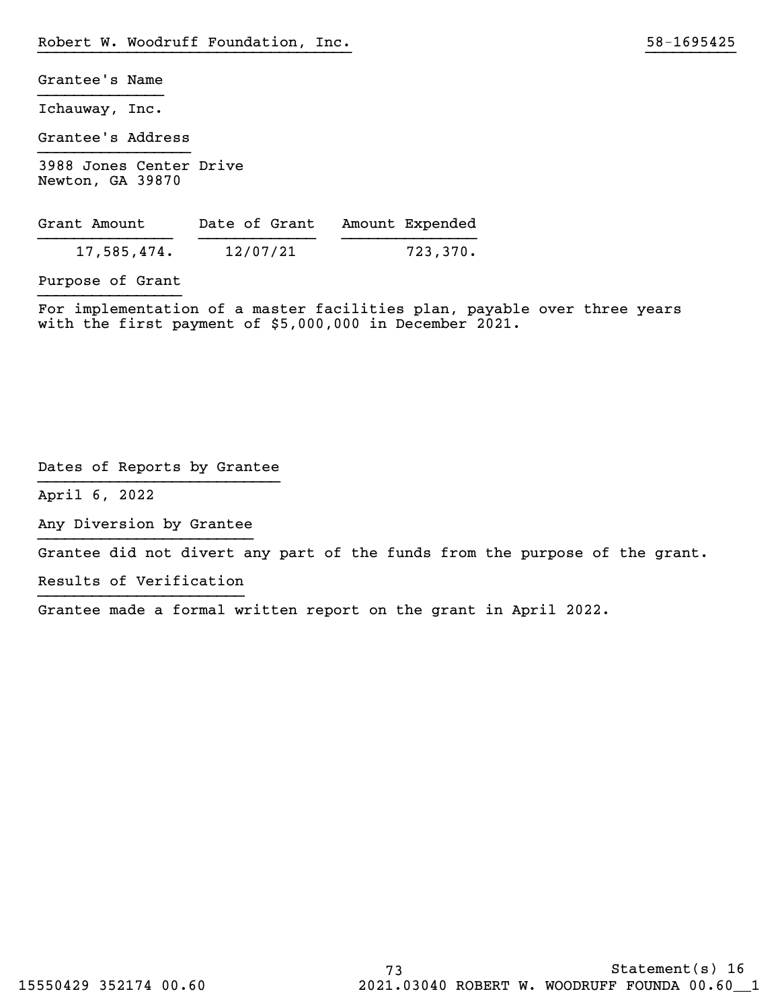Grantee's Name

Ichauway, Inc.

Grantee's Address

3988 Jones Center Drive Newton, GA 39870

| Grant Amount | Date of Grant | Amount Expended |
|--------------|---------------|-----------------|
| 17,585,474.  | 12/07/21      | 723,370.        |

Purpose of Grant

For implementation of a master facilities plan, payable over three years with the first payment of \$5,000,000 in December 2021.

}}}}}}}}}}}}}}}}}}}}}}}}}}}}}}}}}}} }}}}}}}}}}

Dates of Reports by Grantee

April 6, 2022

Any Diversion by Grantee }}}}}}}}}}}}}}}}}}}}}}}}

Grantee did not divert any part of the funds from the purpose of the grant.

Results of Verification

Grantee made a formal written report on the grant in April 2022.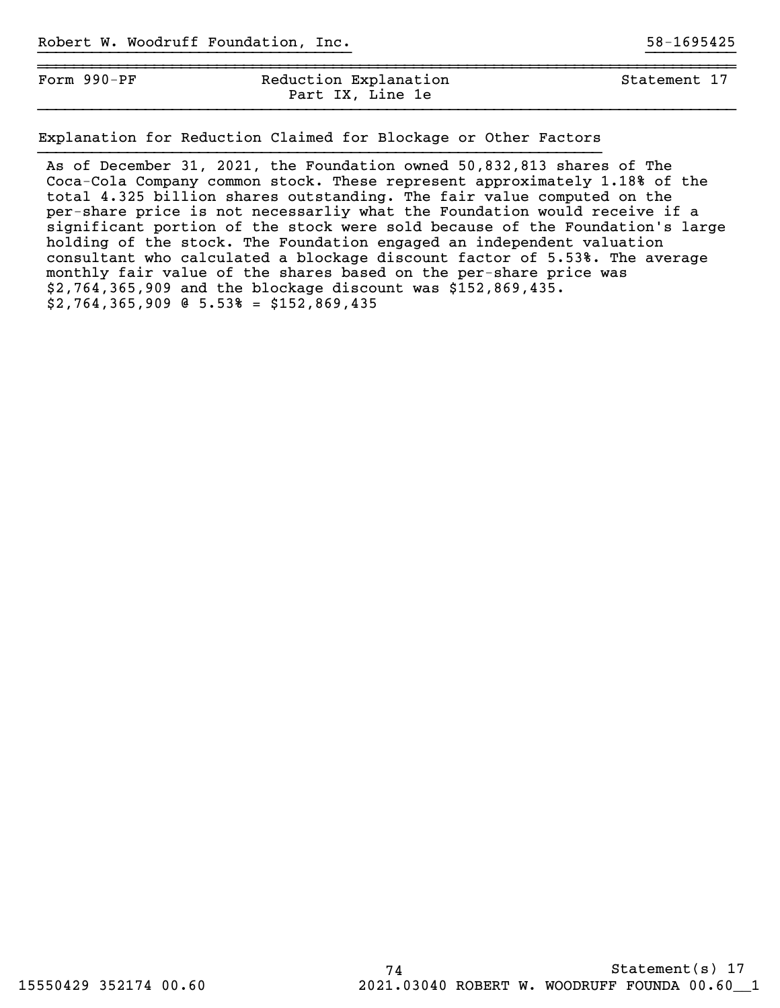| Form $990-PF$ | Reduction Explanation | Statement 17 |  |  |  |
|---------------|-----------------------|--------------|--|--|--|
|               | Part IX, Line 1e      |              |  |  |  |

}}}}}}}}}}}}}}}}}}}}}}}}}}}}}}}}}}} }}}}}}}}}}

Explanation for Reduction Claimed for Blockage or Other Factors

As of December 31, 2021, the Foundation owned 50,832,813 shares of The Coca-Cola Company common stock. These represent approximately 1.18% of the total 4.325 billion shares outstanding. The fair value computed on the per-share price is not necessarliy what the Foundation would receive if a significant portion of the stock were sold because of the Foundation's large holding of the stock. The Foundation engaged an independent valuation consultant who calculated a blockage discount factor of 5.53%. The average monthly fair value of the shares based on the per-share price was \$2,764,365,909 and the blockage discount was \$152,869,435. \$2,764,365,909 @ 5.53% = \$152,869,435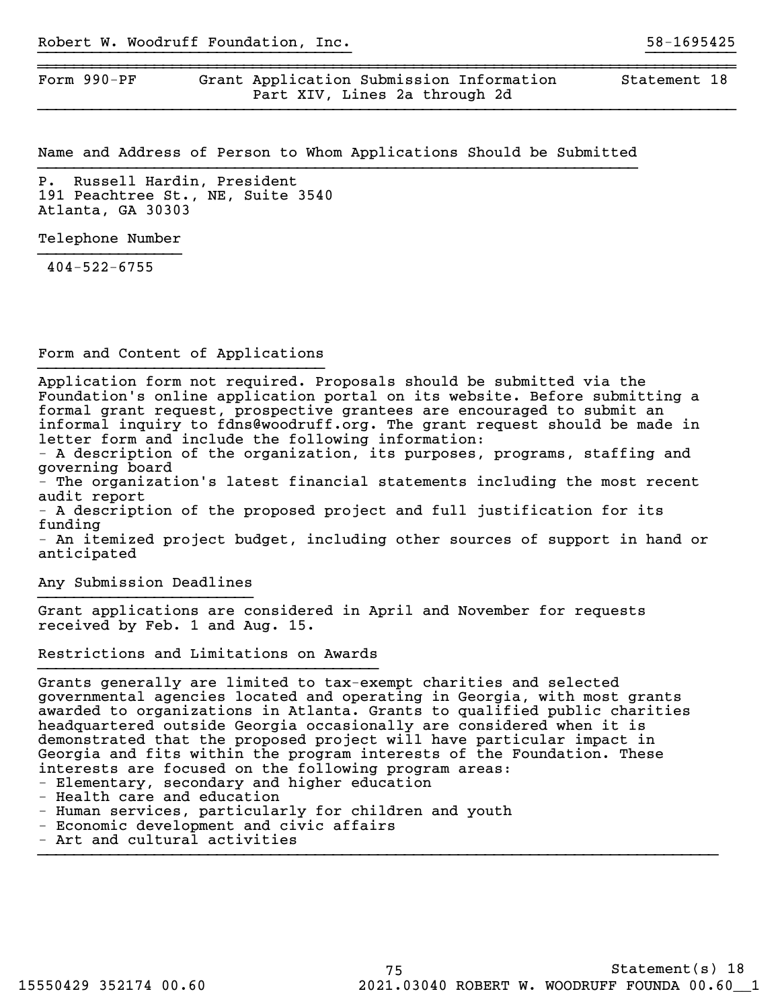Form 990-PF Grant Application Submission Information Statement 18 Part XIV, Lines 2a through 2d

Name and Address of Person to Whom Applications Should be Submitted

}}}}}}}}}}}}}}}}}}}}}}}}}}}}}}}}}}} }}}}}}}}}}

~~~~~~~~~~~~~~~~~~~~~~~~~~~~~~~~~~~~~~~~~~~~~~~~~~~~~~~~~~~~~~~~~~~~~~~~~~~~~~

P. Russell Hardin, President 191 Peachtree St., NE, Suite 3540 Atlanta, GA 30303

Telephone Number

404-522-6755

Form and Content of Applications }}}}}}}}}}}}}}}}}}}}}}}}}}}}}}}}

Application form not required. Proposals should be submitted via the Foundation's online application portal on its website. Before submitting a formal grant request, prospective grantees are encouraged to submit an informal inquiry to fdns@woodruff.org. The grant request should be made in letter form and include the following information:

- A description of the organization, its purposes, programs, staffing and governing board

- The organization's latest financial statements including the most recent audit report

- A description of the proposed project and full justification for its funding

- An itemized project budget, including other sources of support in hand or anticipated

Any Submission Deadlines }}}}}}}}}}}}}}}}}}}}}}}}

Grant applications are considered in April and November for requests received by Feb. 1 and Aug. 15.

Restrictions and Limitations on Awards

Grants generally are limited to tax-exempt charities and selected governmental agencies located and operating in Georgia, with most grants awarded to organizations in Atlanta. Grants to qualified public charities headquartered outside Georgia occasionally are considered when it is demonstrated that the proposed project will have particular impact in Georgia and fits within the program interests of the Foundation. These interests are focused on the following program areas:

- Elementary, secondary and higher education
- Health care and education
- Human services, particularly for children and youth
- Economic development and civic affairs
- Art and cultural activities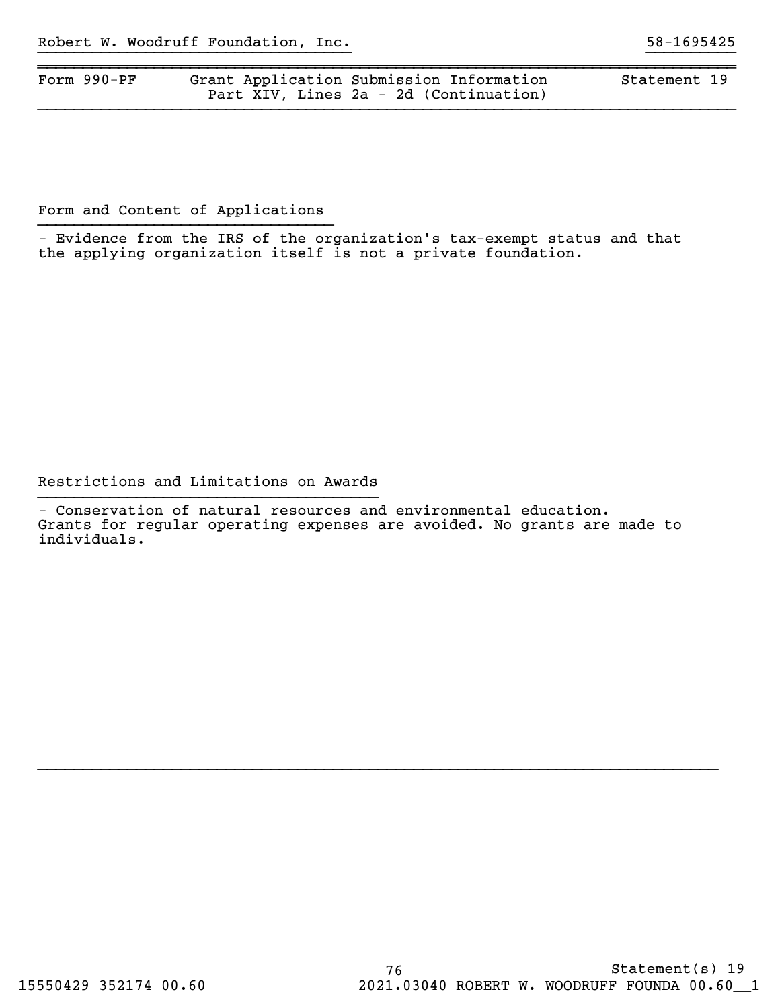| Form $990-PF$ | Grant Application Submission Information | Statement 19 |
|---------------|------------------------------------------|--------------|
|               | Part XIV, Lines 2a - 2d (Continuation)   |              |

}}}}}}}}}}}}}}}}}}}}}}}}}}}}}}}}}}} }}}}}}}}}}

Form and Content of Applications

 - Evidence from the IRS of the organization's tax-exempt status and that the applying organization itself is not a private foundation.

Restrictions and Limitations on Awards

- Conservation of natural resources and environmental education. Grants for regular operating expenses are avoided. No grants are made to individuals.